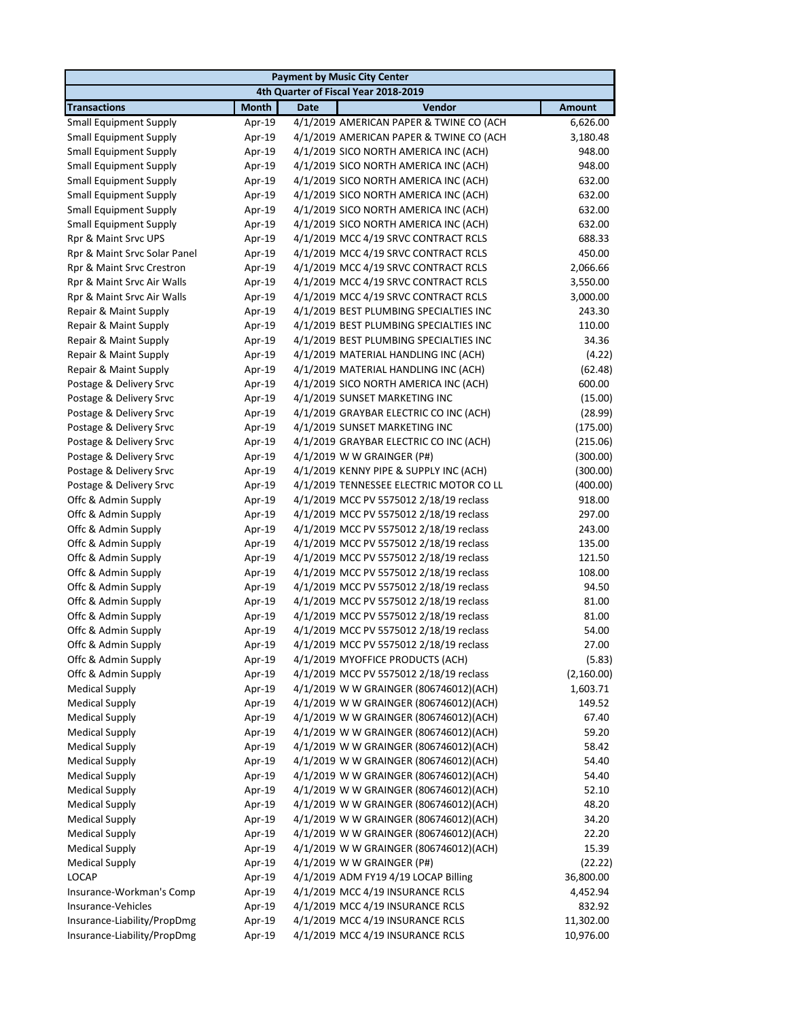|                               | <b>Payment by Music City Center</b> |                                                                                  |                      |  |  |
|-------------------------------|-------------------------------------|----------------------------------------------------------------------------------|----------------------|--|--|
|                               |                                     | 4th Quarter of Fiscal Year 2018-2019                                             |                      |  |  |
| <b>Transactions</b>           | <b>Month</b>                        | Vendor<br><b>Date</b>                                                            | <b>Amount</b>        |  |  |
| <b>Small Equipment Supply</b> | Apr-19                              | 4/1/2019 AMERICAN PAPER & TWINE CO (ACH                                          | 6,626.00             |  |  |
| <b>Small Equipment Supply</b> | Apr-19                              | 4/1/2019 AMERICAN PAPER & TWINE CO (ACH                                          | 3,180.48             |  |  |
| <b>Small Equipment Supply</b> | Apr-19                              | 4/1/2019 SICO NORTH AMERICA INC (ACH)                                            | 948.00               |  |  |
| <b>Small Equipment Supply</b> | Apr-19                              | 4/1/2019 SICO NORTH AMERICA INC (ACH)                                            | 948.00               |  |  |
| <b>Small Equipment Supply</b> | Apr-19                              | 4/1/2019 SICO NORTH AMERICA INC (ACH)                                            | 632.00               |  |  |
| <b>Small Equipment Supply</b> | Apr-19                              | 4/1/2019 SICO NORTH AMERICA INC (ACH)                                            | 632.00               |  |  |
| <b>Small Equipment Supply</b> | Apr-19                              | 4/1/2019 SICO NORTH AMERICA INC (ACH)                                            | 632.00               |  |  |
| <b>Small Equipment Supply</b> | Apr-19                              | 4/1/2019 SICO NORTH AMERICA INC (ACH)                                            | 632.00               |  |  |
| Rpr & Maint Srvc UPS          | Apr-19                              | 4/1/2019 MCC 4/19 SRVC CONTRACT RCLS                                             | 688.33               |  |  |
| Rpr & Maint Srvc Solar Panel  | Apr-19                              | 4/1/2019 MCC 4/19 SRVC CONTRACT RCLS                                             | 450.00               |  |  |
| Rpr & Maint Srvc Crestron     | Apr-19                              | 4/1/2019 MCC 4/19 SRVC CONTRACT RCLS                                             | 2,066.66             |  |  |
| Rpr & Maint Srvc Air Walls    | Apr-19                              | 4/1/2019 MCC 4/19 SRVC CONTRACT RCLS                                             | 3,550.00             |  |  |
| Rpr & Maint Srvc Air Walls    | Apr-19                              | 4/1/2019 MCC 4/19 SRVC CONTRACT RCLS                                             | 3,000.00             |  |  |
| Repair & Maint Supply         | Apr-19                              | 4/1/2019 BEST PLUMBING SPECIALTIES INC                                           | 243.30               |  |  |
| Repair & Maint Supply         | Apr-19                              | 4/1/2019 BEST PLUMBING SPECIALTIES INC                                           | 110.00               |  |  |
| Repair & Maint Supply         | Apr-19                              | 4/1/2019 BEST PLUMBING SPECIALTIES INC                                           | 34.36                |  |  |
| Repair & Maint Supply         | Apr-19                              | 4/1/2019 MATERIAL HANDLING INC (ACH)                                             | (4.22)               |  |  |
| Repair & Maint Supply         | Apr-19                              | 4/1/2019 MATERIAL HANDLING INC (ACH)                                             | (62.48)              |  |  |
| Postage & Delivery Srvc       | Apr-19                              | 4/1/2019 SICO NORTH AMERICA INC (ACH)                                            | 600.00               |  |  |
| Postage & Delivery Srvc       | Apr-19                              | 4/1/2019 SUNSET MARKETING INC                                                    | (15.00)              |  |  |
| Postage & Delivery Srvc       | Apr-19                              | 4/1/2019 GRAYBAR ELECTRIC CO INC (ACH)                                           | (28.99)              |  |  |
| Postage & Delivery Srvc       | Apr-19                              | 4/1/2019 SUNSET MARKETING INC                                                    | (175.00)             |  |  |
| Postage & Delivery Srvc       | Apr-19                              | 4/1/2019 GRAYBAR ELECTRIC CO INC (ACH)                                           | (215.06)             |  |  |
| Postage & Delivery Srvc       | Apr-19                              | 4/1/2019 W W GRAINGER (P#)                                                       | (300.00)             |  |  |
| Postage & Delivery Srvc       | Apr-19                              | 4/1/2019 KENNY PIPE & SUPPLY INC (ACH)                                           | (300.00)             |  |  |
| Postage & Delivery Srvc       | Apr-19                              | 4/1/2019 TENNESSEE ELECTRIC MOTOR CO LL                                          | (400.00)             |  |  |
| Offc & Admin Supply           | Apr-19                              | 4/1/2019 MCC PV 5575012 2/18/19 reclass                                          | 918.00               |  |  |
| Offc & Admin Supply           | Apr-19                              | 4/1/2019 MCC PV 5575012 2/18/19 reclass                                          | 297.00               |  |  |
| Offc & Admin Supply           | Apr-19                              | 4/1/2019 MCC PV 5575012 2/18/19 reclass                                          | 243.00               |  |  |
| Offc & Admin Supply           | Apr-19                              | 4/1/2019 MCC PV 5575012 2/18/19 reclass                                          | 135.00               |  |  |
| Offc & Admin Supply           | Apr-19                              | 4/1/2019 MCC PV 5575012 2/18/19 reclass                                          | 121.50               |  |  |
| Offc & Admin Supply           | Apr-19                              | 4/1/2019 MCC PV 5575012 2/18/19 reclass                                          | 108.00               |  |  |
| Offc & Admin Supply           | Apr-19                              | 4/1/2019 MCC PV 5575012 2/18/19 reclass                                          | 94.50                |  |  |
| Offc & Admin Supply           | Apr-19                              | 4/1/2019 MCC PV 5575012 2/18/19 reclass                                          | 81.00                |  |  |
| Offc & Admin Supply           | Apr-19                              | 4/1/2019 MCC PV 5575012 2/18/19 reclass                                          | 81.00                |  |  |
| Offc & Admin Supply           | Apr-19                              | 4/1/2019 MCC PV 5575012 2/18/19 reclass                                          | 54.00                |  |  |
| Offc & Admin Supply           | Apr-19                              | 4/1/2019 MCC PV 5575012 2/18/19 reclass                                          | 27.00                |  |  |
| Offc & Admin Supply           |                                     | 4/1/2019 MYOFFICE PRODUCTS (ACH)                                                 |                      |  |  |
| Offc & Admin Supply           | Apr-19<br>Apr-19                    | 4/1/2019 MCC PV 5575012 2/18/19 reclass                                          | (5.83)<br>(2,160.00) |  |  |
| <b>Medical Supply</b>         | Apr-19                              | 4/1/2019 W W GRAINGER (806746012)(ACH)                                           | 1,603.71             |  |  |
| <b>Medical Supply</b>         | Apr-19                              | 4/1/2019 W W GRAINGER (806746012)(ACH)                                           | 149.52               |  |  |
| <b>Medical Supply</b>         |                                     |                                                                                  |                      |  |  |
|                               | Apr-19                              | 4/1/2019 W W GRAINGER (806746012)(ACH)                                           | 67.40                |  |  |
| <b>Medical Supply</b>         | Apr-19                              | 4/1/2019 W W GRAINGER (806746012)(ACH)<br>4/1/2019 W W GRAINGER (806746012)(ACH) | 59.20                |  |  |
| <b>Medical Supply</b>         | Apr-19                              |                                                                                  | 58.42                |  |  |
| <b>Medical Supply</b>         | Apr-19                              | 4/1/2019 W W GRAINGER (806746012)(ACH)                                           | 54.40                |  |  |
| <b>Medical Supply</b>         | Apr-19                              | 4/1/2019 W W GRAINGER (806746012)(ACH)                                           | 54.40                |  |  |
| <b>Medical Supply</b>         | Apr-19                              | 4/1/2019 W W GRAINGER (806746012)(ACH)                                           | 52.10                |  |  |
| <b>Medical Supply</b>         | Apr-19                              | 4/1/2019 W W GRAINGER (806746012)(ACH)                                           | 48.20                |  |  |
| <b>Medical Supply</b>         | Apr-19                              | 4/1/2019 W W GRAINGER (806746012)(ACH)                                           | 34.20                |  |  |
| <b>Medical Supply</b>         | Apr-19                              | 4/1/2019 W W GRAINGER (806746012)(ACH)                                           | 22.20                |  |  |
| <b>Medical Supply</b>         | Apr-19                              | 4/1/2019 W W GRAINGER (806746012)(ACH)                                           | 15.39                |  |  |
| <b>Medical Supply</b>         | Apr-19                              | 4/1/2019 W W GRAINGER (P#)                                                       | (22.22)              |  |  |
| <b>LOCAP</b>                  | Apr-19                              | 4/1/2019 ADM FY19 4/19 LOCAP Billing                                             | 36,800.00            |  |  |
| Insurance-Workman's Comp      | Apr-19                              | 4/1/2019 MCC 4/19 INSURANCE RCLS                                                 | 4,452.94             |  |  |
| Insurance-Vehicles            | Apr-19                              | 4/1/2019 MCC 4/19 INSURANCE RCLS                                                 | 832.92               |  |  |
| Insurance-Liability/PropDmg   | Apr-19                              | 4/1/2019 MCC 4/19 INSURANCE RCLS                                                 | 11,302.00            |  |  |
| Insurance-Liability/PropDmg   | Apr-19                              | 4/1/2019 MCC 4/19 INSURANCE RCLS                                                 | 10,976.00            |  |  |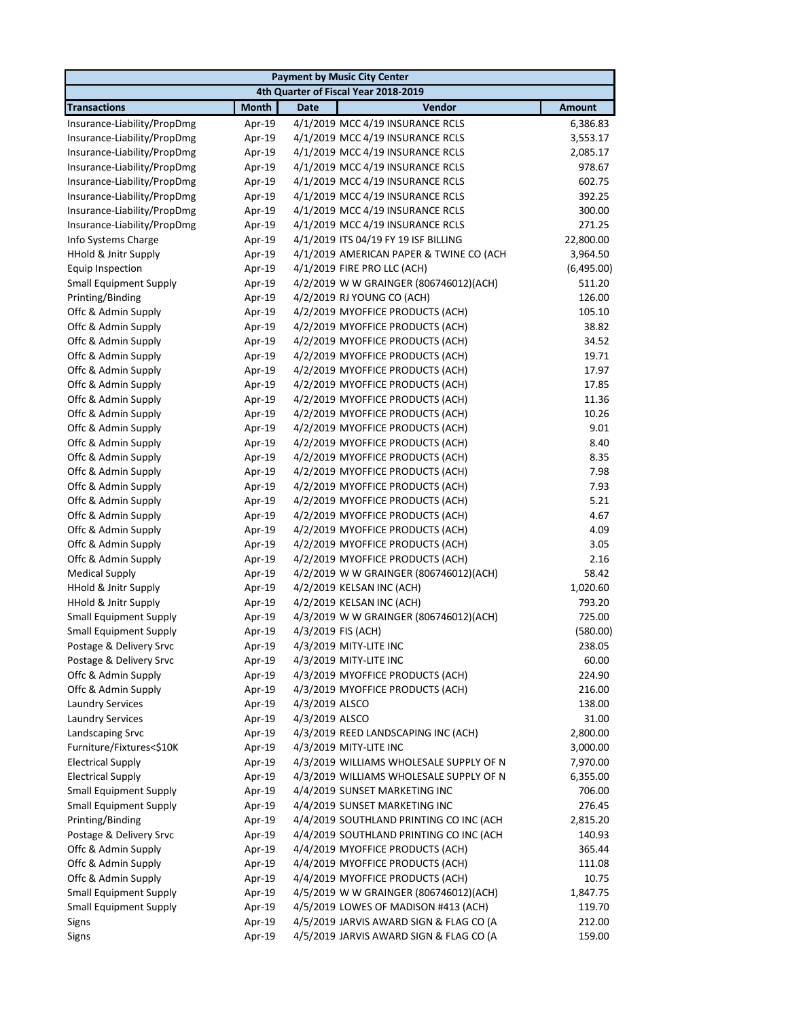|                               | <b>Payment by Music City Center</b> |                                         |               |  |  |
|-------------------------------|-------------------------------------|-----------------------------------------|---------------|--|--|
|                               |                                     | 4th Quarter of Fiscal Year 2018-2019    |               |  |  |
| <b>Transactions</b>           | <b>Month</b>                        | Vendor<br><b>Date</b>                   | <b>Amount</b> |  |  |
| Insurance-Liability/PropDmg   | Apr-19                              | 4/1/2019 MCC 4/19 INSURANCE RCLS        | 6,386.83      |  |  |
| Insurance-Liability/PropDmg   | Apr-19                              | 4/1/2019 MCC 4/19 INSURANCE RCLS        | 3,553.17      |  |  |
| Insurance-Liability/PropDmg   | Apr-19                              | 4/1/2019 MCC 4/19 INSURANCE RCLS        | 2,085.17      |  |  |
| Insurance-Liability/PropDmg   | Apr-19                              | 4/1/2019 MCC 4/19 INSURANCE RCLS        | 978.67        |  |  |
| Insurance-Liability/PropDmg   | Apr-19                              | 4/1/2019 MCC 4/19 INSURANCE RCLS        | 602.75        |  |  |
| Insurance-Liability/PropDmg   | Apr-19                              | 4/1/2019 MCC 4/19 INSURANCE RCLS        | 392.25        |  |  |
| Insurance-Liability/PropDmg   | Apr-19                              | 4/1/2019 MCC 4/19 INSURANCE RCLS        | 300.00        |  |  |
| Insurance-Liability/PropDmg   | Apr-19                              | 4/1/2019 MCC 4/19 INSURANCE RCLS        | 271.25        |  |  |
| Info Systems Charge           | Apr-19                              | 4/1/2019 ITS 04/19 FY 19 ISF BILLING    | 22,800.00     |  |  |
| HHold & Jnitr Supply          | Apr-19                              | 4/1/2019 AMERICAN PAPER & TWINE CO (ACH | 3,964.50      |  |  |
| <b>Equip Inspection</b>       | Apr-19                              | 4/1/2019 FIRE PRO LLC (ACH)             | (6,495.00)    |  |  |
| <b>Small Equipment Supply</b> | Apr-19                              | 4/2/2019 W W GRAINGER (806746012)(ACH)  | 511.20        |  |  |
| Printing/Binding              | Apr-19                              | 4/2/2019 RJ YOUNG CO (ACH)              | 126.00        |  |  |
| Offc & Admin Supply           | Apr-19                              | 4/2/2019 MYOFFICE PRODUCTS (ACH)        | 105.10        |  |  |
| Offc & Admin Supply           | Apr-19                              | 4/2/2019 MYOFFICE PRODUCTS (ACH)        | 38.82         |  |  |
| Offc & Admin Supply           | Apr-19                              | 4/2/2019 MYOFFICE PRODUCTS (ACH)        | 34.52         |  |  |
| Offc & Admin Supply           | Apr-19                              | 4/2/2019 MYOFFICE PRODUCTS (ACH)        | 19.71         |  |  |
| Offc & Admin Supply           | Apr-19                              | 4/2/2019 MYOFFICE PRODUCTS (ACH)        | 17.97         |  |  |
| Offc & Admin Supply           | Apr-19                              | 4/2/2019 MYOFFICE PRODUCTS (ACH)        | 17.85         |  |  |
| Offc & Admin Supply           | Apr-19                              | 4/2/2019 MYOFFICE PRODUCTS (ACH)        | 11.36         |  |  |
| Offc & Admin Supply           | Apr-19                              | 4/2/2019 MYOFFICE PRODUCTS (ACH)        | 10.26         |  |  |
| Offc & Admin Supply           | Apr-19                              | 4/2/2019 MYOFFICE PRODUCTS (ACH)        | 9.01          |  |  |
| Offc & Admin Supply           | Apr-19                              | 4/2/2019 MYOFFICE PRODUCTS (ACH)        | 8.40          |  |  |
| Offc & Admin Supply           | Apr-19                              | 4/2/2019 MYOFFICE PRODUCTS (ACH)        | 8.35          |  |  |
| Offc & Admin Supply           | Apr-19                              | 4/2/2019 MYOFFICE PRODUCTS (ACH)        | 7.98          |  |  |
| Offc & Admin Supply           | Apr-19                              | 4/2/2019 MYOFFICE PRODUCTS (ACH)        | 7.93          |  |  |
| Offc & Admin Supply           | Apr-19                              | 4/2/2019 MYOFFICE PRODUCTS (ACH)        | 5.21          |  |  |
| Offc & Admin Supply           | Apr-19                              | 4/2/2019 MYOFFICE PRODUCTS (ACH)        | 4.67          |  |  |
| Offc & Admin Supply           | Apr-19                              | 4/2/2019 MYOFFICE PRODUCTS (ACH)        | 4.09          |  |  |
| Offc & Admin Supply           | Apr-19                              | 4/2/2019 MYOFFICE PRODUCTS (ACH)        | 3.05          |  |  |
| Offc & Admin Supply           | Apr-19                              | 4/2/2019 MYOFFICE PRODUCTS (ACH)        | 2.16          |  |  |
| <b>Medical Supply</b>         | Apr-19                              | 4/2/2019 W W GRAINGER (806746012)(ACH)  | 58.42         |  |  |
| HHold & Jnitr Supply          | Apr-19                              | 4/2/2019 KELSAN INC (ACH)               | 1,020.60      |  |  |
| HHold & Jnitr Supply          | Apr-19                              | 4/2/2019 KELSAN INC (ACH)               | 793.20        |  |  |
| <b>Small Equipment Supply</b> | Apr-19                              | 4/3/2019 W W GRAINGER (806746012)(ACH)  | 725.00        |  |  |
| <b>Small Equipment Supply</b> | Apr-19                              | 4/3/2019 FIS (ACH)                      | (580.00)      |  |  |
| Postage & Delivery Srvc       | Apr-19                              | 4/3/2019 MITY-LITE INC                  | 238.05        |  |  |
| Postage & Delivery Srvc       | Apr-19                              | 4/3/2019 MITY-LITE INC                  | 60.00         |  |  |
| Offc & Admin Supply           | Apr-19                              | 4/3/2019 MYOFFICE PRODUCTS (ACH)        | 224.90        |  |  |
| Offc & Admin Supply           | Apr-19                              | 4/3/2019 MYOFFICE PRODUCTS (ACH)        | 216.00        |  |  |
| <b>Laundry Services</b>       | Apr-19                              | 4/3/2019 ALSCO                          | 138.00        |  |  |
| <b>Laundry Services</b>       | Apr-19                              | 4/3/2019 ALSCO                          | 31.00         |  |  |
| Landscaping Srvc              | Apr-19                              | 4/3/2019 REED LANDSCAPING INC (ACH)     | 2,800.00      |  |  |
| Furniture/Fixtures<\$10K      | Apr-19                              | 4/3/2019 MITY-LITE INC                  | 3,000.00      |  |  |
| <b>Electrical Supply</b>      | Apr-19                              | 4/3/2019 WILLIAMS WHOLESALE SUPPLY OF N | 7,970.00      |  |  |
| <b>Electrical Supply</b>      | Apr-19                              | 4/3/2019 WILLIAMS WHOLESALE SUPPLY OF N | 6,355.00      |  |  |
| <b>Small Equipment Supply</b> | Apr-19                              | 4/4/2019 SUNSET MARKETING INC           | 706.00        |  |  |
| <b>Small Equipment Supply</b> | Apr-19                              | 4/4/2019 SUNSET MARKETING INC           | 276.45        |  |  |
| Printing/Binding              | Apr-19                              | 4/4/2019 SOUTHLAND PRINTING CO INC (ACH | 2,815.20      |  |  |
| Postage & Delivery Srvc       | Apr-19                              | 4/4/2019 SOUTHLAND PRINTING CO INC (ACH | 140.93        |  |  |
| Offc & Admin Supply           | Apr-19                              | 4/4/2019 MYOFFICE PRODUCTS (ACH)        | 365.44        |  |  |
| Offc & Admin Supply           | Apr-19                              | 4/4/2019 MYOFFICE PRODUCTS (ACH)        | 111.08        |  |  |
| Offc & Admin Supply           | Apr-19                              | 4/4/2019 MYOFFICE PRODUCTS (ACH)        | 10.75         |  |  |
| <b>Small Equipment Supply</b> | Apr-19                              | 4/5/2019 W W GRAINGER (806746012)(ACH)  | 1,847.75      |  |  |
| <b>Small Equipment Supply</b> | Apr-19                              | 4/5/2019 LOWES OF MADISON #413 (ACH)    | 119.70        |  |  |
| Signs                         | Apr-19                              | 4/5/2019 JARVIS AWARD SIGN & FLAG CO (A | 212.00        |  |  |
| Signs                         | Apr-19                              | 4/5/2019 JARVIS AWARD SIGN & FLAG CO (A | 159.00        |  |  |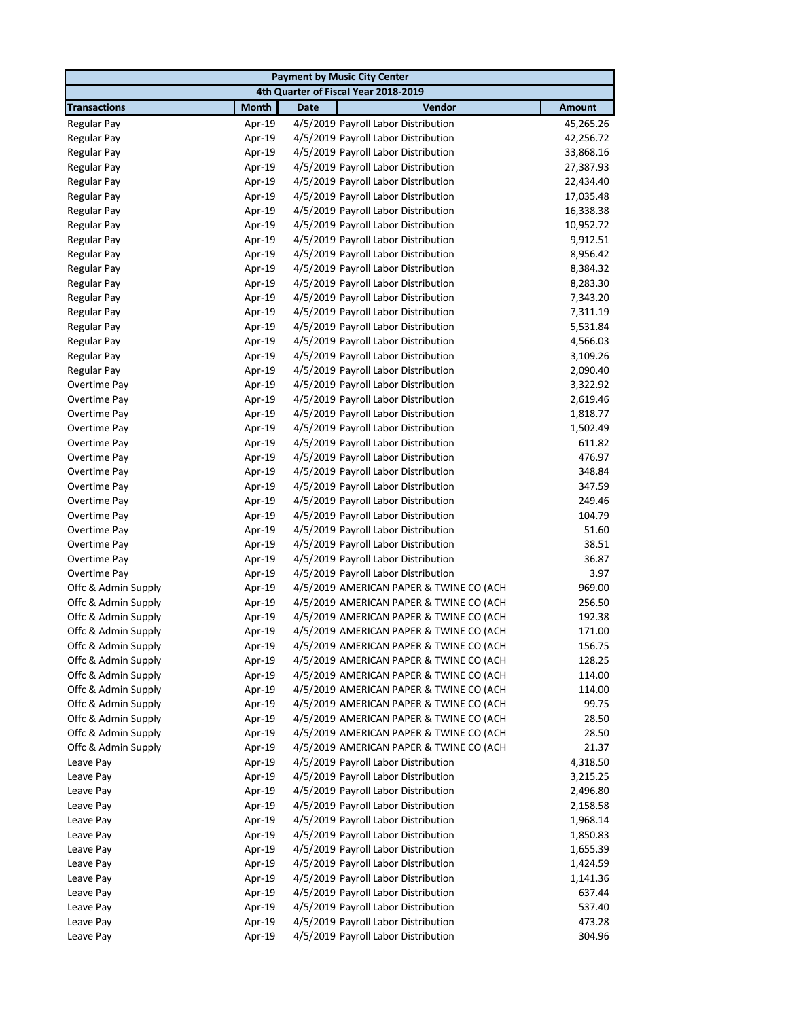| <b>Payment by Music City Center</b> |              |                                         |               |  |
|-------------------------------------|--------------|-----------------------------------------|---------------|--|
|                                     |              | 4th Quarter of Fiscal Year 2018-2019    |               |  |
| <b>Transactions</b>                 | <b>Month</b> | Vendor<br><b>Date</b>                   | <b>Amount</b> |  |
| <b>Regular Pay</b>                  | Apr-19       | 4/5/2019 Payroll Labor Distribution     | 45,265.26     |  |
| <b>Regular Pay</b>                  | Apr-19       | 4/5/2019 Payroll Labor Distribution     | 42,256.72     |  |
| <b>Regular Pay</b>                  | Apr-19       | 4/5/2019 Payroll Labor Distribution     | 33,868.16     |  |
| <b>Regular Pay</b>                  | Apr-19       | 4/5/2019 Payroll Labor Distribution     | 27,387.93     |  |
| <b>Regular Pay</b>                  | Apr-19       | 4/5/2019 Payroll Labor Distribution     | 22,434.40     |  |
| <b>Regular Pay</b>                  | Apr-19       | 4/5/2019 Payroll Labor Distribution     | 17,035.48     |  |
| <b>Regular Pay</b>                  | Apr-19       | 4/5/2019 Payroll Labor Distribution     | 16,338.38     |  |
| <b>Regular Pay</b>                  | Apr-19       | 4/5/2019 Payroll Labor Distribution     | 10,952.72     |  |
| <b>Regular Pay</b>                  | Apr-19       | 4/5/2019 Payroll Labor Distribution     | 9,912.51      |  |
| <b>Regular Pay</b>                  | Apr-19       | 4/5/2019 Payroll Labor Distribution     | 8,956.42      |  |
| <b>Regular Pay</b>                  | Apr-19       | 4/5/2019 Payroll Labor Distribution     | 8,384.32      |  |
| <b>Regular Pay</b>                  | Apr-19       | 4/5/2019 Payroll Labor Distribution     | 8,283.30      |  |
| <b>Regular Pay</b>                  | Apr-19       | 4/5/2019 Payroll Labor Distribution     | 7,343.20      |  |
| Regular Pay                         | Apr-19       | 4/5/2019 Payroll Labor Distribution     | 7,311.19      |  |
| <b>Regular Pay</b>                  | Apr-19       | 4/5/2019 Payroll Labor Distribution     | 5,531.84      |  |
| <b>Regular Pay</b>                  | Apr-19       | 4/5/2019 Payroll Labor Distribution     | 4,566.03      |  |
| <b>Regular Pay</b>                  | Apr-19       | 4/5/2019 Payroll Labor Distribution     | 3,109.26      |  |
| <b>Regular Pay</b>                  | Apr-19       | 4/5/2019 Payroll Labor Distribution     | 2,090.40      |  |
| Overtime Pay                        | Apr-19       | 4/5/2019 Payroll Labor Distribution     | 3,322.92      |  |
| Overtime Pay                        | Apr-19       | 4/5/2019 Payroll Labor Distribution     | 2,619.46      |  |
| Overtime Pay                        | Apr-19       | 4/5/2019 Payroll Labor Distribution     | 1,818.77      |  |
| Overtime Pay                        | Apr-19       | 4/5/2019 Payroll Labor Distribution     | 1,502.49      |  |
| Overtime Pay                        | Apr-19       | 4/5/2019 Payroll Labor Distribution     | 611.82        |  |
| Overtime Pay                        | Apr-19       | 4/5/2019 Payroll Labor Distribution     | 476.97        |  |
| Overtime Pay                        | Apr-19       | 4/5/2019 Payroll Labor Distribution     | 348.84        |  |
| Overtime Pay                        | Apr-19       | 4/5/2019 Payroll Labor Distribution     | 347.59        |  |
| Overtime Pay                        | Apr-19       | 4/5/2019 Payroll Labor Distribution     | 249.46        |  |
| Overtime Pay                        | Apr-19       | 4/5/2019 Payroll Labor Distribution     | 104.79        |  |
| Overtime Pay                        | Apr-19       | 4/5/2019 Payroll Labor Distribution     | 51.60         |  |
| Overtime Pay                        | Apr-19       | 4/5/2019 Payroll Labor Distribution     | 38.51         |  |
| Overtime Pay                        | Apr-19       | 4/5/2019 Payroll Labor Distribution     | 36.87         |  |
| Overtime Pay                        | Apr-19       | 4/5/2019 Payroll Labor Distribution     | 3.97          |  |
| Offc & Admin Supply                 | Apr-19       | 4/5/2019 AMERICAN PAPER & TWINE CO (ACH | 969.00        |  |
| Offc & Admin Supply                 | Apr-19       | 4/5/2019 AMERICAN PAPER & TWINE CO (ACH | 256.50        |  |
| Offc & Admin Supply                 | Apr-19       | 4/5/2019 AMERICAN PAPER & TWINE CO (ACH | 192.38        |  |
| Offc & Admin Supply                 | Apr-19       | 4/5/2019 AMERICAN PAPER & TWINE CO (ACH | 171.00        |  |
| Offc & Admin Supply                 | Apr-19       | 4/5/2019 AMERICAN PAPER & TWINE CO (ACH | 156.75        |  |
| Offc & Admin Supply                 | Apr-19       | 4/5/2019 AMERICAN PAPER & TWINE CO (ACH | 128.25        |  |
| Offc & Admin Supply                 | Apr-19       | 4/5/2019 AMERICAN PAPER & TWINE CO (ACH | 114.00        |  |
| Offc & Admin Supply                 | Apr-19       | 4/5/2019 AMERICAN PAPER & TWINE CO (ACH | 114.00        |  |
| Offc & Admin Supply                 | Apr-19       | 4/5/2019 AMERICAN PAPER & TWINE CO (ACH | 99.75         |  |
| Offc & Admin Supply                 | Apr-19       | 4/5/2019 AMERICAN PAPER & TWINE CO (ACH | 28.50         |  |
| Offc & Admin Supply                 | Apr-19       | 4/5/2019 AMERICAN PAPER & TWINE CO (ACH | 28.50         |  |
| Offc & Admin Supply                 | Apr-19       | 4/5/2019 AMERICAN PAPER & TWINE CO (ACH | 21.37         |  |
| Leave Pay                           | Apr-19       | 4/5/2019 Payroll Labor Distribution     | 4,318.50      |  |
| Leave Pay                           | Apr-19       | 4/5/2019 Payroll Labor Distribution     | 3,215.25      |  |
| Leave Pay                           | Apr-19       | 4/5/2019 Payroll Labor Distribution     | 2,496.80      |  |
| Leave Pay                           | Apr-19       | 4/5/2019 Payroll Labor Distribution     | 2,158.58      |  |
| Leave Pay                           | Apr-19       | 4/5/2019 Payroll Labor Distribution     | 1,968.14      |  |
| Leave Pay                           | Apr-19       | 4/5/2019 Payroll Labor Distribution     | 1,850.83      |  |
| Leave Pay                           | Apr-19       | 4/5/2019 Payroll Labor Distribution     | 1,655.39      |  |
| Leave Pay                           | Apr-19       | 4/5/2019 Payroll Labor Distribution     | 1,424.59      |  |
| Leave Pay                           | Apr-19       | 4/5/2019 Payroll Labor Distribution     | 1,141.36      |  |
| Leave Pay                           | Apr-19       | 4/5/2019 Payroll Labor Distribution     | 637.44        |  |
| Leave Pay                           | Apr-19       | 4/5/2019 Payroll Labor Distribution     | 537.40        |  |
| Leave Pay                           | Apr-19       | 4/5/2019 Payroll Labor Distribution     | 473.28        |  |
| Leave Pay                           | Apr-19       | 4/5/2019 Payroll Labor Distribution     | 304.96        |  |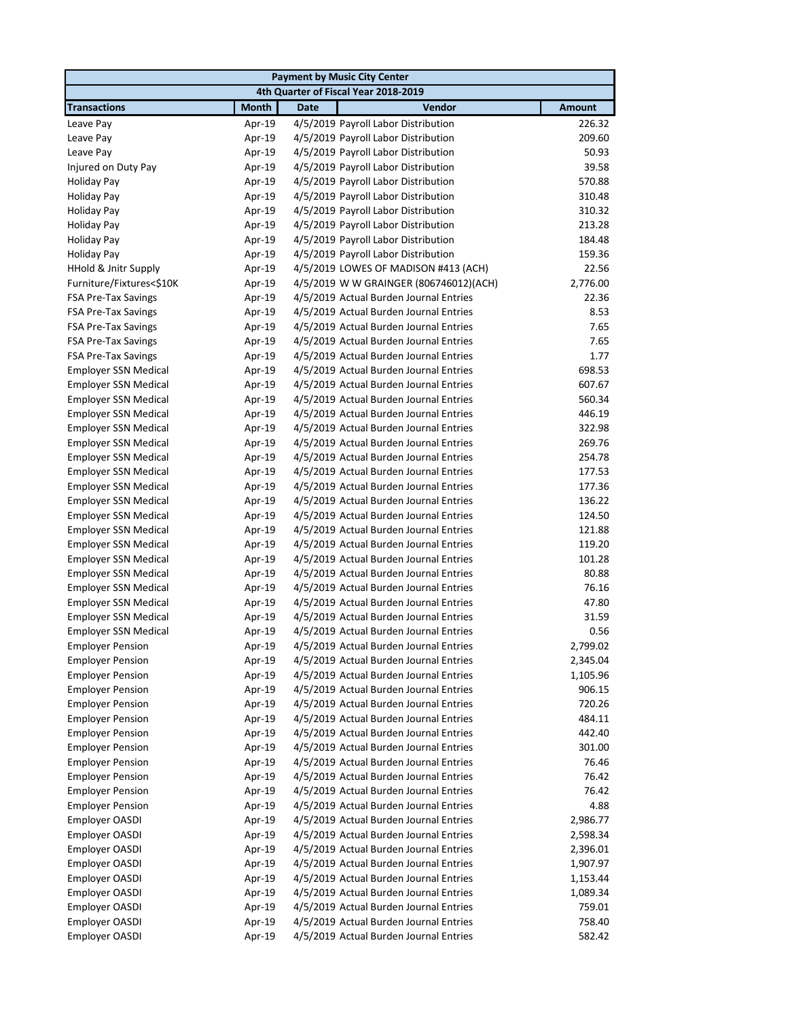|                                                            |                  | <b>Payment by Music City Center</b>                                              |                |  |  |  |
|------------------------------------------------------------|------------------|----------------------------------------------------------------------------------|----------------|--|--|--|
|                                                            |                  | 4th Quarter of Fiscal Year 2018-2019                                             |                |  |  |  |
| <b>Transactions</b>                                        | <b>Month</b>     | <b>Date</b><br>Vendor                                                            | <b>Amount</b>  |  |  |  |
| Leave Pay                                                  | Apr-19           | 4/5/2019 Payroll Labor Distribution                                              | 226.32         |  |  |  |
| Leave Pay                                                  | Apr-19           | 4/5/2019 Payroll Labor Distribution                                              | 209.60         |  |  |  |
| Leave Pay                                                  | Apr-19           | 4/5/2019 Payroll Labor Distribution                                              | 50.93          |  |  |  |
| Injured on Duty Pay                                        | Apr-19           | 4/5/2019 Payroll Labor Distribution                                              | 39.58          |  |  |  |
| Holiday Pay                                                | Apr-19           | 4/5/2019 Payroll Labor Distribution                                              | 570.88         |  |  |  |
| <b>Holiday Pay</b>                                         | Apr-19           | 4/5/2019 Payroll Labor Distribution                                              | 310.48         |  |  |  |
| <b>Holiday Pay</b>                                         | Apr-19           | 4/5/2019 Payroll Labor Distribution                                              | 310.32         |  |  |  |
| <b>Holiday Pay</b>                                         | Apr-19           | 4/5/2019 Payroll Labor Distribution                                              | 213.28         |  |  |  |
| <b>Holiday Pay</b>                                         | Apr-19           | 4/5/2019 Payroll Labor Distribution                                              | 184.48         |  |  |  |
| <b>Holiday Pay</b>                                         | Apr-19           | 4/5/2019 Payroll Labor Distribution                                              | 159.36         |  |  |  |
| HHold & Jnitr Supply                                       | Apr-19           | 4/5/2019 LOWES OF MADISON #413 (ACH)                                             | 22.56          |  |  |  |
| Furniture/Fixtures<\$10K                                   | Apr-19           | 4/5/2019 W W GRAINGER (806746012)(ACH)                                           | 2,776.00       |  |  |  |
| <b>FSA Pre-Tax Savings</b>                                 | Apr-19           | 4/5/2019 Actual Burden Journal Entries                                           | 22.36          |  |  |  |
| <b>FSA Pre-Tax Savings</b>                                 | Apr-19           | 4/5/2019 Actual Burden Journal Entries                                           | 8.53           |  |  |  |
| <b>FSA Pre-Tax Savings</b>                                 | Apr-19           | 4/5/2019 Actual Burden Journal Entries                                           | 7.65           |  |  |  |
| <b>FSA Pre-Tax Savings</b>                                 | Apr-19           | 4/5/2019 Actual Burden Journal Entries                                           | 7.65           |  |  |  |
| <b>FSA Pre-Tax Savings</b>                                 | Apr-19           | 4/5/2019 Actual Burden Journal Entries                                           | 1.77           |  |  |  |
| <b>Employer SSN Medical</b>                                | Apr-19           | 4/5/2019 Actual Burden Journal Entries                                           | 698.53         |  |  |  |
| <b>Employer SSN Medical</b>                                | Apr-19           | 4/5/2019 Actual Burden Journal Entries                                           | 607.67         |  |  |  |
| <b>Employer SSN Medical</b>                                | Apr-19           | 4/5/2019 Actual Burden Journal Entries                                           | 560.34         |  |  |  |
| <b>Employer SSN Medical</b>                                | Apr-19           | 4/5/2019 Actual Burden Journal Entries                                           | 446.19         |  |  |  |
| <b>Employer SSN Medical</b>                                | Apr-19           | 4/5/2019 Actual Burden Journal Entries                                           | 322.98         |  |  |  |
| <b>Employer SSN Medical</b>                                | Apr-19           | 4/5/2019 Actual Burden Journal Entries                                           | 269.76         |  |  |  |
| <b>Employer SSN Medical</b>                                | Apr-19           | 4/5/2019 Actual Burden Journal Entries                                           | 254.78         |  |  |  |
| <b>Employer SSN Medical</b>                                | Apr-19           | 4/5/2019 Actual Burden Journal Entries                                           | 177.53         |  |  |  |
| <b>Employer SSN Medical</b>                                | Apr-19           | 4/5/2019 Actual Burden Journal Entries                                           | 177.36         |  |  |  |
| <b>Employer SSN Medical</b>                                | Apr-19           | 4/5/2019 Actual Burden Journal Entries                                           | 136.22         |  |  |  |
| <b>Employer SSN Medical</b>                                | Apr-19           | 4/5/2019 Actual Burden Journal Entries                                           | 124.50         |  |  |  |
| <b>Employer SSN Medical</b>                                | Apr-19           | 4/5/2019 Actual Burden Journal Entries                                           | 121.88         |  |  |  |
| <b>Employer SSN Medical</b>                                | Apr-19           | 4/5/2019 Actual Burden Journal Entries                                           | 119.20         |  |  |  |
| <b>Employer SSN Medical</b>                                | Apr-19           | 4/5/2019 Actual Burden Journal Entries                                           | 101.28         |  |  |  |
| <b>Employer SSN Medical</b>                                | Apr-19           | 4/5/2019 Actual Burden Journal Entries<br>4/5/2019 Actual Burden Journal Entries | 80.88<br>76.16 |  |  |  |
| <b>Employer SSN Medical</b>                                | Apr-19           | 4/5/2019 Actual Burden Journal Entries                                           |                |  |  |  |
| <b>Employer SSN Medical</b><br><b>Employer SSN Medical</b> | Apr-19<br>Apr-19 | 4/5/2019 Actual Burden Journal Entries                                           | 47.80<br>31.59 |  |  |  |
| Employer SSN Medical                                       | Apr-19           | 4/5/2019 Actual Burden Journal Entries                                           | 0.56           |  |  |  |
| <b>Employer Pension</b>                                    |                  |                                                                                  | 2,799.02       |  |  |  |
| <b>Employer Pension</b>                                    | Apr-19<br>Apr-19 | 4/5/2019 Actual Burden Journal Entries<br>4/5/2019 Actual Burden Journal Entries | 2,345.04       |  |  |  |
| <b>Employer Pension</b>                                    | Apr-19           | 4/5/2019 Actual Burden Journal Entries                                           | 1,105.96       |  |  |  |
| <b>Employer Pension</b>                                    | Apr-19           | 4/5/2019 Actual Burden Journal Entries                                           | 906.15         |  |  |  |
| <b>Employer Pension</b>                                    | Apr-19           | 4/5/2019 Actual Burden Journal Entries                                           | 720.26         |  |  |  |
| <b>Employer Pension</b>                                    | Apr-19           | 4/5/2019 Actual Burden Journal Entries                                           | 484.11         |  |  |  |
| <b>Employer Pension</b>                                    | Apr-19           | 4/5/2019 Actual Burden Journal Entries                                           | 442.40         |  |  |  |
| <b>Employer Pension</b>                                    | Apr-19           | 4/5/2019 Actual Burden Journal Entries                                           | 301.00         |  |  |  |
| <b>Employer Pension</b>                                    | Apr-19           | 4/5/2019 Actual Burden Journal Entries                                           | 76.46          |  |  |  |
| <b>Employer Pension</b>                                    | Apr-19           | 4/5/2019 Actual Burden Journal Entries                                           | 76.42          |  |  |  |
| <b>Employer Pension</b>                                    | Apr-19           | 4/5/2019 Actual Burden Journal Entries                                           | 76.42          |  |  |  |
| <b>Employer Pension</b>                                    | Apr-19           | 4/5/2019 Actual Burden Journal Entries                                           | 4.88           |  |  |  |
| Employer OASDI                                             | Apr-19           | 4/5/2019 Actual Burden Journal Entries                                           | 2,986.77       |  |  |  |
| <b>Employer OASDI</b>                                      | Apr-19           | 4/5/2019 Actual Burden Journal Entries                                           | 2,598.34       |  |  |  |
| Employer OASDI                                             | Apr-19           | 4/5/2019 Actual Burden Journal Entries                                           | 2,396.01       |  |  |  |
| Employer OASDI                                             | Apr-19           | 4/5/2019 Actual Burden Journal Entries                                           | 1,907.97       |  |  |  |
| Employer OASDI                                             | Apr-19           | 4/5/2019 Actual Burden Journal Entries                                           | 1,153.44       |  |  |  |
| Employer OASDI                                             | Apr-19           | 4/5/2019 Actual Burden Journal Entries                                           | 1,089.34       |  |  |  |
| Employer OASDI                                             | Apr-19           | 4/5/2019 Actual Burden Journal Entries                                           | 759.01         |  |  |  |
| Employer OASDI                                             | Apr-19           | 4/5/2019 Actual Burden Journal Entries                                           | 758.40         |  |  |  |
| Employer OASDI                                             | Apr-19           | 4/5/2019 Actual Burden Journal Entries                                           | 582.42         |  |  |  |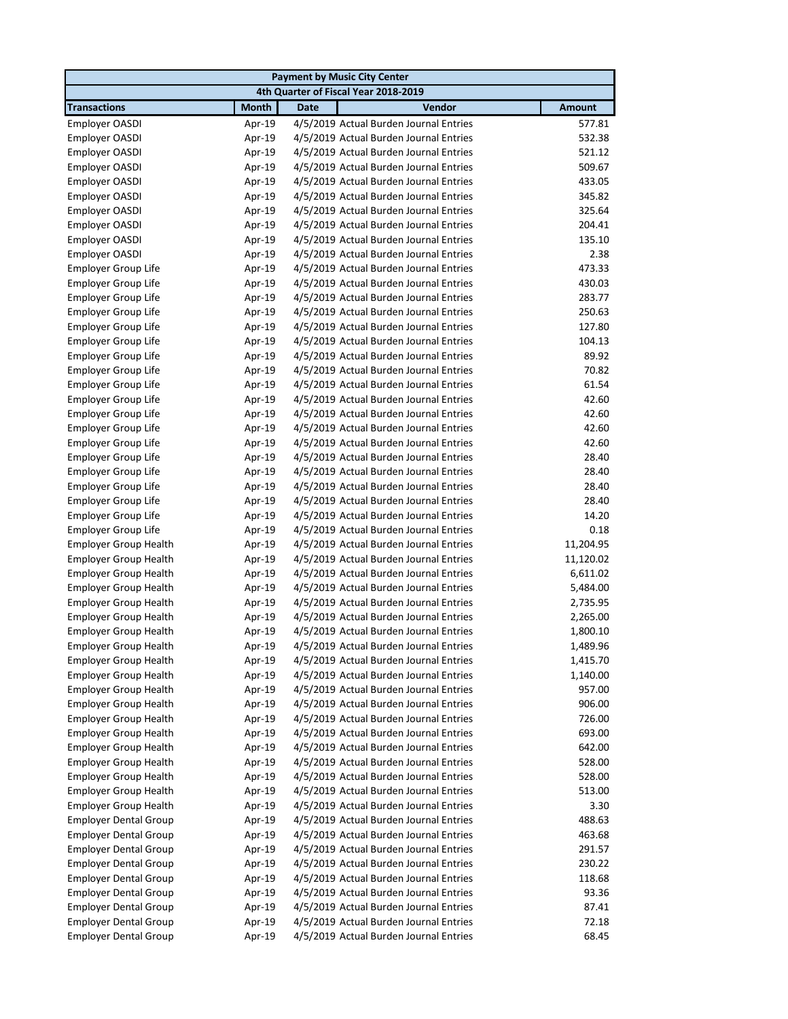|                                                   |                  | <b>Payment by Music City Center</b>                                              |                |
|---------------------------------------------------|------------------|----------------------------------------------------------------------------------|----------------|
|                                                   |                  | 4th Quarter of Fiscal Year 2018-2019                                             |                |
| <b>Transactions</b>                               | <b>Month</b>     | Vendor<br><b>Date</b>                                                            | <b>Amount</b>  |
| Employer OASDI                                    | Apr-19           | 4/5/2019 Actual Burden Journal Entries                                           | 577.81         |
| Employer OASDI                                    | Apr-19           | 4/5/2019 Actual Burden Journal Entries                                           | 532.38         |
| Employer OASDI                                    | Apr-19           | 4/5/2019 Actual Burden Journal Entries                                           | 521.12         |
| Employer OASDI                                    | Apr-19           | 4/5/2019 Actual Burden Journal Entries                                           | 509.67         |
| Employer OASDI                                    | Apr-19           | 4/5/2019 Actual Burden Journal Entries                                           | 433.05         |
| Employer OASDI                                    | Apr-19           | 4/5/2019 Actual Burden Journal Entries                                           | 345.82         |
| Employer OASDI                                    | Apr-19           | 4/5/2019 Actual Burden Journal Entries                                           | 325.64         |
| Employer OASDI                                    | Apr-19           | 4/5/2019 Actual Burden Journal Entries                                           | 204.41         |
| Employer OASDI                                    | Apr-19           | 4/5/2019 Actual Burden Journal Entries                                           | 135.10         |
| <b>Employer OASDI</b>                             | Apr-19           | 4/5/2019 Actual Burden Journal Entries                                           | 2.38           |
| Employer Group Life                               | Apr-19           | 4/5/2019 Actual Burden Journal Entries                                           | 473.33         |
| <b>Employer Group Life</b>                        | Apr-19           | 4/5/2019 Actual Burden Journal Entries                                           | 430.03         |
| Employer Group Life                               | Apr-19           | 4/5/2019 Actual Burden Journal Entries                                           | 283.77         |
| Employer Group Life                               | Apr-19           | 4/5/2019 Actual Burden Journal Entries                                           | 250.63         |
| Employer Group Life                               | Apr-19           | 4/5/2019 Actual Burden Journal Entries                                           | 127.80         |
| <b>Employer Group Life</b>                        | Apr-19           | 4/5/2019 Actual Burden Journal Entries                                           | 104.13         |
| <b>Employer Group Life</b>                        | Apr-19           | 4/5/2019 Actual Burden Journal Entries                                           | 89.92          |
| Employer Group Life                               | Apr-19           | 4/5/2019 Actual Burden Journal Entries                                           | 70.82          |
| Employer Group Life<br><b>Employer Group Life</b> | Apr-19           | 4/5/2019 Actual Burden Journal Entries<br>4/5/2019 Actual Burden Journal Entries | 61.54<br>42.60 |
|                                                   | Apr-19           |                                                                                  | 42.60          |
| <b>Employer Group Life</b>                        | Apr-19           | 4/5/2019 Actual Burden Journal Entries                                           | 42.60          |
| Employer Group Life                               | Apr-19           | 4/5/2019 Actual Burden Journal Entries                                           | 42.60          |
| Employer Group Life<br>Employer Group Life        | Apr-19           | 4/5/2019 Actual Burden Journal Entries<br>4/5/2019 Actual Burden Journal Entries | 28.40          |
| Employer Group Life                               | Apr-19           | 4/5/2019 Actual Burden Journal Entries                                           | 28.40          |
|                                                   | Apr-19           | 4/5/2019 Actual Burden Journal Entries                                           | 28.40          |
| Employer Group Life<br>Employer Group Life        | Apr-19<br>Apr-19 | 4/5/2019 Actual Burden Journal Entries                                           | 28.40          |
| Employer Group Life                               | Apr-19           | 4/5/2019 Actual Burden Journal Entries                                           | 14.20          |
| Employer Group Life                               | Apr-19           | 4/5/2019 Actual Burden Journal Entries                                           | 0.18           |
| <b>Employer Group Health</b>                      | Apr-19           | 4/5/2019 Actual Burden Journal Entries                                           | 11,204.95      |
| <b>Employer Group Health</b>                      | Apr-19           | 4/5/2019 Actual Burden Journal Entries                                           | 11,120.02      |
| <b>Employer Group Health</b>                      | Apr-19           | 4/5/2019 Actual Burden Journal Entries                                           | 6,611.02       |
| <b>Employer Group Health</b>                      | Apr-19           | 4/5/2019 Actual Burden Journal Entries                                           | 5,484.00       |
| <b>Employer Group Health</b>                      | Apr-19           | 4/5/2019 Actual Burden Journal Entries                                           | 2,735.95       |
| <b>Employer Group Health</b>                      | Apr-19           | 4/5/2019 Actual Burden Journal Entries                                           | 2,265.00       |
| <b>Employer Group Health</b>                      | Apr-19           | 4/5/2019 Actual Burden Journal Entries                                           | 1,800.10       |
| Employer Group Health                             | Apr-19           | 4/5/2019 Actual Burden Journal Entries                                           | 1,489.96       |
| <b>Employer Group Health</b>                      | Apr-19           | 4/5/2019 Actual Burden Journal Entries                                           | 1,415.70       |
| <b>Employer Group Health</b>                      | Apr-19           | 4/5/2019 Actual Burden Journal Entries                                           | 1,140.00       |
| <b>Employer Group Health</b>                      | Apr-19           | 4/5/2019 Actual Burden Journal Entries                                           | 957.00         |
| <b>Employer Group Health</b>                      | Apr-19           | 4/5/2019 Actual Burden Journal Entries                                           | 906.00         |
| <b>Employer Group Health</b>                      | Apr-19           | 4/5/2019 Actual Burden Journal Entries                                           | 726.00         |
| <b>Employer Group Health</b>                      | Apr-19           | 4/5/2019 Actual Burden Journal Entries                                           | 693.00         |
| <b>Employer Group Health</b>                      | Apr-19           | 4/5/2019 Actual Burden Journal Entries                                           | 642.00         |
| <b>Employer Group Health</b>                      | Apr-19           | 4/5/2019 Actual Burden Journal Entries                                           | 528.00         |
| <b>Employer Group Health</b>                      | Apr-19           | 4/5/2019 Actual Burden Journal Entries                                           | 528.00         |
| <b>Employer Group Health</b>                      | Apr-19           | 4/5/2019 Actual Burden Journal Entries                                           | 513.00         |
| Employer Group Health                             | Apr-19           | 4/5/2019 Actual Burden Journal Entries                                           | 3.30           |
| <b>Employer Dental Group</b>                      | Apr-19           | 4/5/2019 Actual Burden Journal Entries                                           | 488.63         |
| <b>Employer Dental Group</b>                      | Apr-19           | 4/5/2019 Actual Burden Journal Entries                                           | 463.68         |
| <b>Employer Dental Group</b>                      | Apr-19           | 4/5/2019 Actual Burden Journal Entries                                           | 291.57         |
| <b>Employer Dental Group</b>                      | Apr-19           | 4/5/2019 Actual Burden Journal Entries                                           | 230.22         |
| <b>Employer Dental Group</b>                      | Apr-19           | 4/5/2019 Actual Burden Journal Entries                                           | 118.68         |
| <b>Employer Dental Group</b>                      | Apr-19           | 4/5/2019 Actual Burden Journal Entries                                           | 93.36          |
| <b>Employer Dental Group</b>                      | Apr-19           | 4/5/2019 Actual Burden Journal Entries                                           | 87.41          |
| <b>Employer Dental Group</b>                      | Apr-19           | 4/5/2019 Actual Burden Journal Entries                                           | 72.18          |
| <b>Employer Dental Group</b>                      | Apr-19           | 4/5/2019 Actual Burden Journal Entries                                           | 68.45          |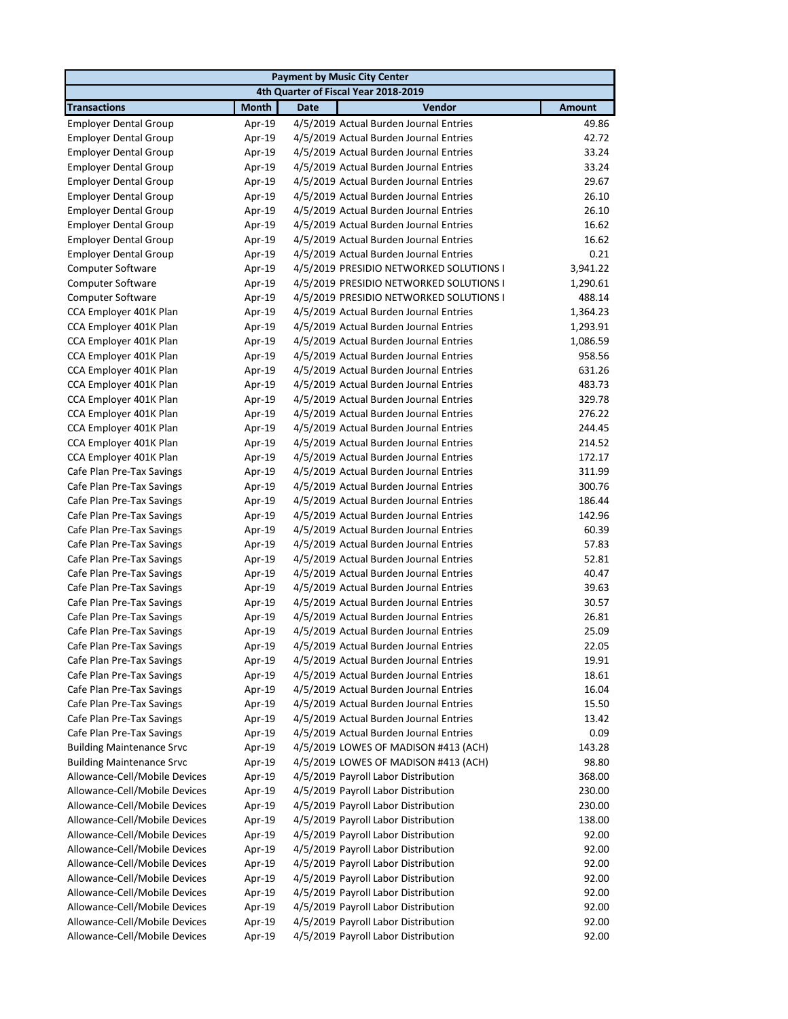|                                  |              | <b>Payment by Music City Center</b>     |               |
|----------------------------------|--------------|-----------------------------------------|---------------|
|                                  |              | 4th Quarter of Fiscal Year 2018-2019    |               |
| <b>Transactions</b>              | <b>Month</b> | Vendor<br><b>Date</b>                   | <b>Amount</b> |
| <b>Employer Dental Group</b>     | Apr-19       | 4/5/2019 Actual Burden Journal Entries  | 49.86         |
| <b>Employer Dental Group</b>     | Apr-19       | 4/5/2019 Actual Burden Journal Entries  | 42.72         |
| <b>Employer Dental Group</b>     | Apr-19       | 4/5/2019 Actual Burden Journal Entries  | 33.24         |
| <b>Employer Dental Group</b>     | Apr-19       | 4/5/2019 Actual Burden Journal Entries  | 33.24         |
| <b>Employer Dental Group</b>     | Apr-19       | 4/5/2019 Actual Burden Journal Entries  | 29.67         |
| <b>Employer Dental Group</b>     | Apr-19       | 4/5/2019 Actual Burden Journal Entries  | 26.10         |
| <b>Employer Dental Group</b>     | Apr-19       | 4/5/2019 Actual Burden Journal Entries  | 26.10         |
| <b>Employer Dental Group</b>     | Apr-19       | 4/5/2019 Actual Burden Journal Entries  | 16.62         |
| <b>Employer Dental Group</b>     | Apr-19       | 4/5/2019 Actual Burden Journal Entries  | 16.62         |
| <b>Employer Dental Group</b>     | Apr-19       | 4/5/2019 Actual Burden Journal Entries  | 0.21          |
| Computer Software                | Apr-19       | 4/5/2019 PRESIDIO NETWORKED SOLUTIONS I | 3,941.22      |
| <b>Computer Software</b>         | Apr-19       | 4/5/2019 PRESIDIO NETWORKED SOLUTIONS I | 1,290.61      |
| <b>Computer Software</b>         | Apr-19       | 4/5/2019 PRESIDIO NETWORKED SOLUTIONS I | 488.14        |
| CCA Employer 401K Plan           | Apr-19       | 4/5/2019 Actual Burden Journal Entries  | 1,364.23      |
| CCA Employer 401K Plan           | Apr-19       | 4/5/2019 Actual Burden Journal Entries  | 1,293.91      |
| CCA Employer 401K Plan           | Apr-19       | 4/5/2019 Actual Burden Journal Entries  | 1,086.59      |
| CCA Employer 401K Plan           | Apr-19       | 4/5/2019 Actual Burden Journal Entries  | 958.56        |
| CCA Employer 401K Plan           | Apr-19       | 4/5/2019 Actual Burden Journal Entries  | 631.26        |
| CCA Employer 401K Plan           | Apr-19       | 4/5/2019 Actual Burden Journal Entries  | 483.73        |
| CCA Employer 401K Plan           | Apr-19       | 4/5/2019 Actual Burden Journal Entries  | 329.78        |
| CCA Employer 401K Plan           | Apr-19       | 4/5/2019 Actual Burden Journal Entries  | 276.22        |
| CCA Employer 401K Plan           | Apr-19       | 4/5/2019 Actual Burden Journal Entries  | 244.45        |
| CCA Employer 401K Plan           | Apr-19       | 4/5/2019 Actual Burden Journal Entries  | 214.52        |
| CCA Employer 401K Plan           | Apr-19       | 4/5/2019 Actual Burden Journal Entries  | 172.17        |
| Cafe Plan Pre-Tax Savings        | Apr-19       | 4/5/2019 Actual Burden Journal Entries  | 311.99        |
| Cafe Plan Pre-Tax Savings        | Apr-19       | 4/5/2019 Actual Burden Journal Entries  | 300.76        |
| Cafe Plan Pre-Tax Savings        | Apr-19       | 4/5/2019 Actual Burden Journal Entries  | 186.44        |
| Cafe Plan Pre-Tax Savings        | Apr-19       | 4/5/2019 Actual Burden Journal Entries  | 142.96        |
| Cafe Plan Pre-Tax Savings        | Apr-19       | 4/5/2019 Actual Burden Journal Entries  | 60.39         |
| Cafe Plan Pre-Tax Savings        | Apr-19       | 4/5/2019 Actual Burden Journal Entries  | 57.83         |
| Cafe Plan Pre-Tax Savings        | Apr-19       | 4/5/2019 Actual Burden Journal Entries  | 52.81         |
| Cafe Plan Pre-Tax Savings        | Apr-19       | 4/5/2019 Actual Burden Journal Entries  | 40.47         |
| Cafe Plan Pre-Tax Savings        | Apr-19       | 4/5/2019 Actual Burden Journal Entries  | 39.63         |
| Cafe Plan Pre-Tax Savings        | Apr-19       | 4/5/2019 Actual Burden Journal Entries  | 30.57         |
| Cafe Plan Pre-Tax Savings        | Apr-19       | 4/5/2019 Actual Burden Journal Entries  | 26.81         |
| Cafe Plan Pre-Tax Savings        | Apr-19       | 4/5/2019 Actual Burden Journal Entries  | 25.09         |
| Cafe Plan Pre-Tax Savings        | Apr-19       | 4/5/2019 Actual Burden Journal Entries  | 22.05         |
| Cafe Plan Pre-Tax Savings        | Apr-19       | 4/5/2019 Actual Burden Journal Entries  | 19.91         |
| Cafe Plan Pre-Tax Savings        | Apr-19       | 4/5/2019 Actual Burden Journal Entries  | 18.61         |
| Cafe Plan Pre-Tax Savings        | Apr-19       | 4/5/2019 Actual Burden Journal Entries  | 16.04         |
| Cafe Plan Pre-Tax Savings        | Apr-19       | 4/5/2019 Actual Burden Journal Entries  | 15.50         |
| Cafe Plan Pre-Tax Savings        | Apr-19       | 4/5/2019 Actual Burden Journal Entries  | 13.42         |
| Cafe Plan Pre-Tax Savings        | Apr-19       | 4/5/2019 Actual Burden Journal Entries  | 0.09          |
| <b>Building Maintenance Srvc</b> | Apr-19       | 4/5/2019 LOWES OF MADISON #413 (ACH)    | 143.28        |
| <b>Building Maintenance Srvc</b> | Apr-19       | 4/5/2019 LOWES OF MADISON #413 (ACH)    | 98.80         |
| Allowance-Cell/Mobile Devices    | Apr-19       | 4/5/2019 Payroll Labor Distribution     | 368.00        |
| Allowance-Cell/Mobile Devices    | Apr-19       | 4/5/2019 Payroll Labor Distribution     | 230.00        |
| Allowance-Cell/Mobile Devices    | Apr-19       | 4/5/2019 Payroll Labor Distribution     | 230.00        |
| Allowance-Cell/Mobile Devices    | Apr-19       | 4/5/2019 Payroll Labor Distribution     | 138.00        |
| Allowance-Cell/Mobile Devices    | Apr-19       | 4/5/2019 Payroll Labor Distribution     | 92.00         |
| Allowance-Cell/Mobile Devices    | Apr-19       | 4/5/2019 Payroll Labor Distribution     | 92.00         |
| Allowance-Cell/Mobile Devices    | Apr-19       | 4/5/2019 Payroll Labor Distribution     | 92.00         |
| Allowance-Cell/Mobile Devices    | Apr-19       | 4/5/2019 Payroll Labor Distribution     | 92.00         |
| Allowance-Cell/Mobile Devices    | Apr-19       | 4/5/2019 Payroll Labor Distribution     | 92.00         |
| Allowance-Cell/Mobile Devices    | Apr-19       | 4/5/2019 Payroll Labor Distribution     | 92.00         |
| Allowance-Cell/Mobile Devices    | Apr-19       | 4/5/2019 Payroll Labor Distribution     | 92.00         |
| Allowance-Cell/Mobile Devices    | Apr-19       | 4/5/2019 Payroll Labor Distribution     | 92.00         |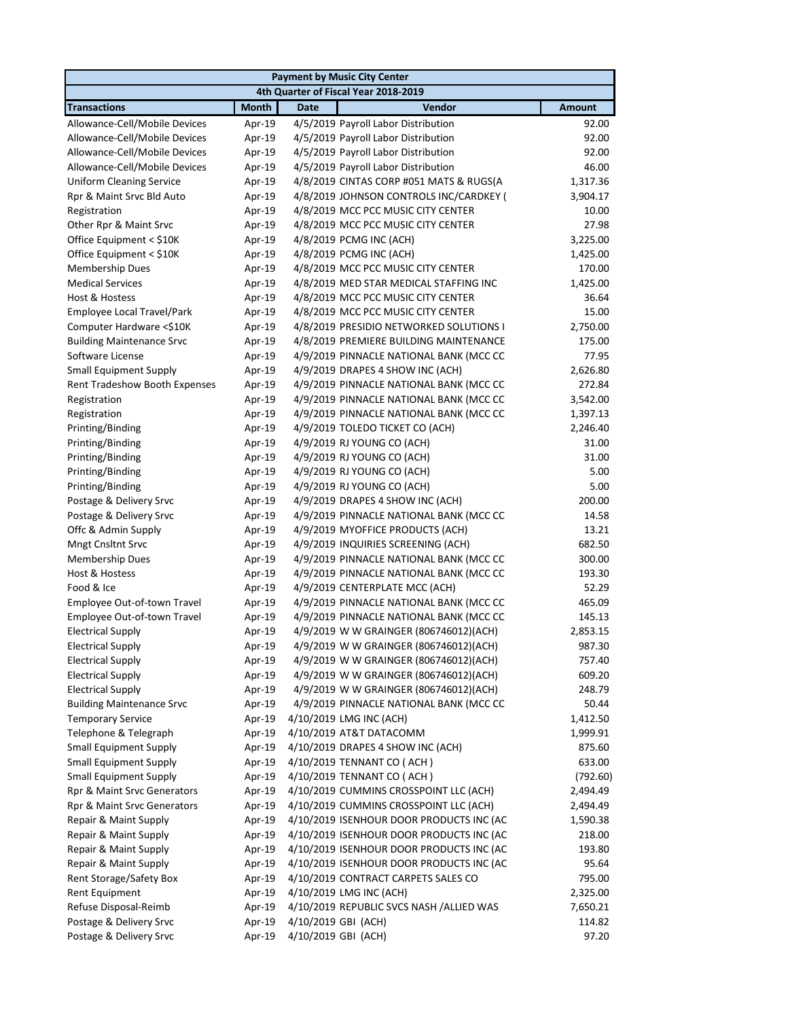|                                  |              | <b>Payment by Music City Center</b>      |               |  |  |  |
|----------------------------------|--------------|------------------------------------------|---------------|--|--|--|
|                                  |              | 4th Quarter of Fiscal Year 2018-2019     |               |  |  |  |
| <b>Transactions</b>              | <b>Month</b> | Vendor<br><b>Date</b>                    | <b>Amount</b> |  |  |  |
| Allowance-Cell/Mobile Devices    | Apr-19       | 4/5/2019 Payroll Labor Distribution      | 92.00         |  |  |  |
| Allowance-Cell/Mobile Devices    | Apr-19       | 4/5/2019 Payroll Labor Distribution      | 92.00         |  |  |  |
| Allowance-Cell/Mobile Devices    | Apr-19       | 4/5/2019 Payroll Labor Distribution      | 92.00         |  |  |  |
| Allowance-Cell/Mobile Devices    | Apr-19       | 4/5/2019 Payroll Labor Distribution      | 46.00         |  |  |  |
| <b>Uniform Cleaning Service</b>  | Apr-19       | 4/8/2019 CINTAS CORP #051 MATS & RUGS(A  | 1,317.36      |  |  |  |
| Rpr & Maint Srvc Bld Auto        | Apr-19       | 4/8/2019 JOHNSON CONTROLS INC/CARDKEY (  | 3,904.17      |  |  |  |
| Registration                     | Apr-19       | 4/8/2019 MCC PCC MUSIC CITY CENTER       | 10.00         |  |  |  |
| Other Rpr & Maint Srvc           | Apr-19       | 4/8/2019 MCC PCC MUSIC CITY CENTER       | 27.98         |  |  |  |
| Office Equipment < \$10K         | Apr-19       | 4/8/2019 PCMG INC (ACH)                  | 3,225.00      |  |  |  |
| Office Equipment < \$10K         | Apr-19       | 4/8/2019 PCMG INC (ACH)                  | 1,425.00      |  |  |  |
| <b>Membership Dues</b>           | Apr-19       | 4/8/2019 MCC PCC MUSIC CITY CENTER       | 170.00        |  |  |  |
| <b>Medical Services</b>          | Apr-19       | 4/8/2019 MED STAR MEDICAL STAFFING INC   | 1,425.00      |  |  |  |
| Host & Hostess                   | Apr-19       | 4/8/2019 MCC PCC MUSIC CITY CENTER       | 36.64         |  |  |  |
| Employee Local Travel/Park       | Apr-19       | 4/8/2019 MCC PCC MUSIC CITY CENTER       | 15.00         |  |  |  |
| Computer Hardware <\$10K         | Apr-19       | 4/8/2019 PRESIDIO NETWORKED SOLUTIONS I  | 2,750.00      |  |  |  |
| <b>Building Maintenance Srvc</b> | Apr-19       | 4/8/2019 PREMIERE BUILDING MAINTENANCE   | 175.00        |  |  |  |
| Software License                 | Apr-19       | 4/9/2019 PINNACLE NATIONAL BANK (MCC CC  | 77.95         |  |  |  |
| <b>Small Equipment Supply</b>    | Apr-19       | 4/9/2019 DRAPES 4 SHOW INC (ACH)         | 2,626.80      |  |  |  |
| Rent Tradeshow Booth Expenses    | Apr-19       | 4/9/2019 PINNACLE NATIONAL BANK (MCC CC  | 272.84        |  |  |  |
| Registration                     | Apr-19       | 4/9/2019 PINNACLE NATIONAL BANK (MCC CC  | 3,542.00      |  |  |  |
| Registration                     | Apr-19       | 4/9/2019 PINNACLE NATIONAL BANK (MCC CC  | 1,397.13      |  |  |  |
| Printing/Binding                 | Apr-19       | 4/9/2019 TOLEDO TICKET CO (ACH)          | 2,246.40      |  |  |  |
| Printing/Binding                 | Apr-19       | 4/9/2019 RJ YOUNG CO (ACH)               | 31.00         |  |  |  |
| Printing/Binding                 | Apr-19       | 4/9/2019 RJ YOUNG CO (ACH)               | 31.00         |  |  |  |
| Printing/Binding                 | Apr-19       | 4/9/2019 RJ YOUNG CO (ACH)               | 5.00          |  |  |  |
| Printing/Binding                 | Apr-19       | 4/9/2019 RJ YOUNG CO (ACH)               | 5.00          |  |  |  |
| Postage & Delivery Srvc          | Apr-19       | 4/9/2019 DRAPES 4 SHOW INC (ACH)         | 200.00        |  |  |  |
| Postage & Delivery Srvc          | Apr-19       | 4/9/2019 PINNACLE NATIONAL BANK (MCC CC  | 14.58         |  |  |  |
| Offc & Admin Supply              | Apr-19       | 4/9/2019 MYOFFICE PRODUCTS (ACH)         | 13.21         |  |  |  |
| <b>Mngt Cnsltnt Srvc</b>         | Apr-19       | 4/9/2019 INQUIRIES SCREENING (ACH)       | 682.50        |  |  |  |
| <b>Membership Dues</b>           | Apr-19       | 4/9/2019 PINNACLE NATIONAL BANK (MCC CC  | 300.00        |  |  |  |
| Host & Hostess                   | Apr-19       | 4/9/2019 PINNACLE NATIONAL BANK (MCC CC  | 193.30        |  |  |  |
| Food & Ice                       | Apr-19       | 4/9/2019 CENTERPLATE MCC (ACH)           | 52.29         |  |  |  |
| Employee Out-of-town Travel      | Apr-19       | 4/9/2019 PINNACLE NATIONAL BANK (MCC CC  | 465.09        |  |  |  |
| Employee Out-of-town Travel      | Apr-19       | 4/9/2019 PINNACLE NATIONAL BANK (MCC CC  | 145.13        |  |  |  |
| <b>Electrical Supply</b>         | Apr-19       | 4/9/2019 W W GRAINGER (806746012)(ACH)   | 2,853.15      |  |  |  |
| <b>Electrical Supply</b>         | Apr-19       | 4/9/2019 W W GRAINGER (806746012)(ACH)   | 987.30        |  |  |  |
| <b>Electrical Supply</b>         | Apr-19       | 4/9/2019 W W GRAINGER (806746012)(ACH)   | 757.40        |  |  |  |
| <b>Electrical Supply</b>         | Apr-19       | 4/9/2019 W W GRAINGER (806746012)(ACH)   | 609.20        |  |  |  |
| <b>Electrical Supply</b>         | Apr-19       | 4/9/2019 W W GRAINGER (806746012)(ACH)   | 248.79        |  |  |  |
| <b>Building Maintenance Srvc</b> | Apr-19       | 4/9/2019 PINNACLE NATIONAL BANK (MCC CC  | 50.44         |  |  |  |
| <b>Temporary Service</b>         | Apr-19       | 4/10/2019 LMG INC (ACH)                  | 1,412.50      |  |  |  |
| Telephone & Telegraph            | Apr-19       | 4/10/2019 AT&T DATACOMM                  | 1,999.91      |  |  |  |
| <b>Small Equipment Supply</b>    | Apr-19       | 4/10/2019 DRAPES 4 SHOW INC (ACH)        | 875.60        |  |  |  |
| <b>Small Equipment Supply</b>    | Apr-19       | 4/10/2019 TENNANT CO (ACH)               | 633.00        |  |  |  |
| <b>Small Equipment Supply</b>    | Apr-19       | 4/10/2019 TENNANT CO (ACH)               | (792.60)      |  |  |  |
| Rpr & Maint Srvc Generators      | Apr-19       | 4/10/2019 CUMMINS CROSSPOINT LLC (ACH)   | 2,494.49      |  |  |  |
| Rpr & Maint Srvc Generators      | Apr-19       | 4/10/2019 CUMMINS CROSSPOINT LLC (ACH)   | 2,494.49      |  |  |  |
| Repair & Maint Supply            | Apr-19       | 4/10/2019 ISENHOUR DOOR PRODUCTS INC (AC | 1,590.38      |  |  |  |
| Repair & Maint Supply            | Apr-19       | 4/10/2019 ISENHOUR DOOR PRODUCTS INC (AC | 218.00        |  |  |  |
| Repair & Maint Supply            | Apr-19       | 4/10/2019 ISENHOUR DOOR PRODUCTS INC (AC | 193.80        |  |  |  |
| Repair & Maint Supply            | Apr-19       | 4/10/2019 ISENHOUR DOOR PRODUCTS INC (AC | 95.64         |  |  |  |
| Rent Storage/Safety Box          | Apr-19       | 4/10/2019 CONTRACT CARPETS SALES CO      | 795.00        |  |  |  |
| <b>Rent Equipment</b>            | Apr-19       | 4/10/2019 LMG INC (ACH)                  | 2,325.00      |  |  |  |
| Refuse Disposal-Reimb            | Apr-19       | 4/10/2019 REPUBLIC SVCS NASH /ALLIED WAS | 7,650.21      |  |  |  |
| Postage & Delivery Srvc          | Apr-19       | 4/10/2019 GBI (ACH)                      | 114.82        |  |  |  |
| Postage & Delivery Srvc          | Apr-19       | 4/10/2019 GBI (ACH)                      | 97.20         |  |  |  |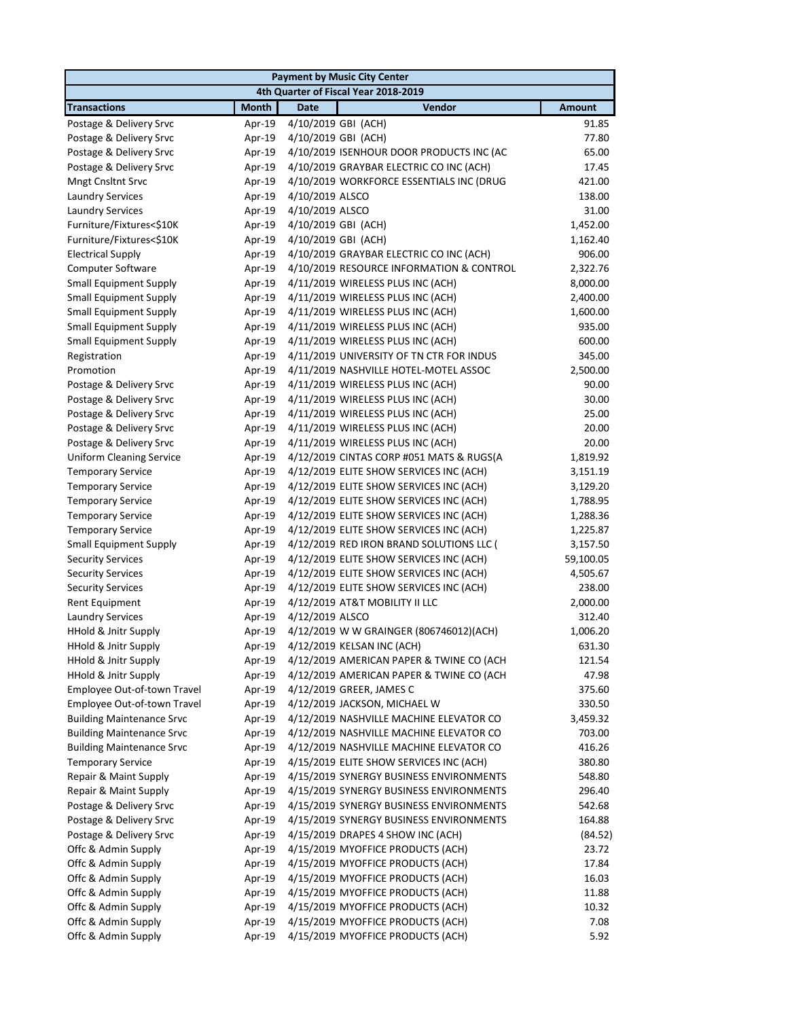| <b>Payment by Music City Center</b> |              |                                          |               |  |
|-------------------------------------|--------------|------------------------------------------|---------------|--|
|                                     |              | 4th Quarter of Fiscal Year 2018-2019     |               |  |
| <b>Transactions</b>                 | <b>Month</b> | Vendor<br><b>Date</b>                    | <b>Amount</b> |  |
| Postage & Delivery Srvc             | Apr-19       | 4/10/2019 GBI (ACH)                      | 91.85         |  |
| Postage & Delivery Srvc             | Apr-19       | 4/10/2019 GBI (ACH)                      | 77.80         |  |
| Postage & Delivery Srvc             | Apr-19       | 4/10/2019 ISENHOUR DOOR PRODUCTS INC (AC | 65.00         |  |
| Postage & Delivery Srvc             | Apr-19       | 4/10/2019 GRAYBAR ELECTRIC CO INC (ACH)  | 17.45         |  |
| <b>Mngt Cnsltnt Srvc</b>            | Apr-19       | 4/10/2019 WORKFORCE ESSENTIALS INC (DRUG | 421.00        |  |
| <b>Laundry Services</b>             | Apr-19       | 4/10/2019 ALSCO                          | 138.00        |  |
| <b>Laundry Services</b>             | Apr-19       | 4/10/2019 ALSCO                          | 31.00         |  |
| Furniture/Fixtures<\$10K            | Apr-19       | 4/10/2019 GBI (ACH)                      | 1,452.00      |  |
| Furniture/Fixtures<\$10K            | Apr-19       | 4/10/2019 GBI (ACH)                      | 1,162.40      |  |
| <b>Electrical Supply</b>            | Apr-19       | 4/10/2019 GRAYBAR ELECTRIC CO INC (ACH)  | 906.00        |  |
| Computer Software                   | Apr-19       | 4/10/2019 RESOURCE INFORMATION & CONTROL | 2,322.76      |  |
| <b>Small Equipment Supply</b>       | Apr-19       | 4/11/2019 WIRELESS PLUS INC (ACH)        | 8,000.00      |  |
| <b>Small Equipment Supply</b>       | Apr-19       | 4/11/2019 WIRELESS PLUS INC (ACH)        | 2,400.00      |  |
| <b>Small Equipment Supply</b>       | Apr-19       | 4/11/2019 WIRELESS PLUS INC (ACH)        | 1,600.00      |  |
| <b>Small Equipment Supply</b>       | Apr-19       | 4/11/2019 WIRELESS PLUS INC (ACH)        | 935.00        |  |
| <b>Small Equipment Supply</b>       | Apr-19       | 4/11/2019 WIRELESS PLUS INC (ACH)        | 600.00        |  |
| Registration                        | Apr-19       | 4/11/2019 UNIVERSITY OF TN CTR FOR INDUS | 345.00        |  |
| Promotion                           | Apr-19       | 4/11/2019 NASHVILLE HOTEL-MOTEL ASSOC    | 2,500.00      |  |
| Postage & Delivery Srvc             | Apr-19       | 4/11/2019 WIRELESS PLUS INC (ACH)        | 90.00         |  |
| Postage & Delivery Srvc             | Apr-19       | 4/11/2019 WIRELESS PLUS INC (ACH)        | 30.00         |  |
| Postage & Delivery Srvc             | Apr-19       | 4/11/2019 WIRELESS PLUS INC (ACH)        | 25.00         |  |
| Postage & Delivery Srvc             | Apr-19       | 4/11/2019 WIRELESS PLUS INC (ACH)        | 20.00         |  |
| Postage & Delivery Srvc             | Apr-19       | 4/11/2019 WIRELESS PLUS INC (ACH)        | 20.00         |  |
| <b>Uniform Cleaning Service</b>     | Apr-19       | 4/12/2019 CINTAS CORP #051 MATS & RUGS(A | 1,819.92      |  |
| <b>Temporary Service</b>            | Apr-19       | 4/12/2019 ELITE SHOW SERVICES INC (ACH)  | 3,151.19      |  |
| <b>Temporary Service</b>            | Apr-19       | 4/12/2019 ELITE SHOW SERVICES INC (ACH)  | 3,129.20      |  |
| <b>Temporary Service</b>            | Apr-19       | 4/12/2019 ELITE SHOW SERVICES INC (ACH)  | 1,788.95      |  |
| <b>Temporary Service</b>            | Apr-19       | 4/12/2019 ELITE SHOW SERVICES INC (ACH)  | 1,288.36      |  |
| <b>Temporary Service</b>            | Apr-19       | 4/12/2019 ELITE SHOW SERVICES INC (ACH)  | 1,225.87      |  |
| <b>Small Equipment Supply</b>       | Apr-19       | 4/12/2019 RED IRON BRAND SOLUTIONS LLC ( | 3,157.50      |  |
| <b>Security Services</b>            | Apr-19       | 4/12/2019 ELITE SHOW SERVICES INC (ACH)  | 59,100.05     |  |
| <b>Security Services</b>            | Apr-19       | 4/12/2019 ELITE SHOW SERVICES INC (ACH)  | 4,505.67      |  |
| <b>Security Services</b>            | Apr-19       | 4/12/2019 ELITE SHOW SERVICES INC (ACH)  | 238.00        |  |
| Rent Equipment                      | Apr-19       | 4/12/2019 AT&T MOBILITY II LLC           | 2,000.00      |  |
| <b>Laundry Services</b>             | Apr-19       | 4/12/2019 ALSCO                          | 312.40        |  |
| HHold & Jnitr Supply                | Apr-19       | 4/12/2019 W W GRAINGER (806746012)(ACH)  | 1,006.20      |  |
|                                     |              |                                          |               |  |
| HHold & Jnitr Supply                | Apr-19       | 4/12/2019 KELSAN INC (ACH)               | 631.30        |  |
| HHold & Jnitr Supply                | Apr-19       | 4/12/2019 AMERICAN PAPER & TWINE CO (ACH | 121.54        |  |
| HHold & Jnitr Supply                | Apr-19       | 4/12/2019 AMERICAN PAPER & TWINE CO (ACH | 47.98         |  |
| Employee Out-of-town Travel         | Apr-19       | 4/12/2019 GREER, JAMES C                 | 375.60        |  |
| Employee Out-of-town Travel         | Apr-19       | 4/12/2019 JACKSON, MICHAEL W             | 330.50        |  |
| <b>Building Maintenance Srvc</b>    | Apr-19       | 4/12/2019 NASHVILLE MACHINE ELEVATOR CO  | 3,459.32      |  |
| <b>Building Maintenance Srvc</b>    | Apr-19       | 4/12/2019 NASHVILLE MACHINE ELEVATOR CO  | 703.00        |  |
| <b>Building Maintenance Srvc</b>    | Apr-19       | 4/12/2019 NASHVILLE MACHINE ELEVATOR CO  | 416.26        |  |
| <b>Temporary Service</b>            | Apr-19       | 4/15/2019 ELITE SHOW SERVICES INC (ACH)  | 380.80        |  |
| Repair & Maint Supply               | Apr-19       | 4/15/2019 SYNERGY BUSINESS ENVIRONMENTS  | 548.80        |  |
| Repair & Maint Supply               | Apr-19       | 4/15/2019 SYNERGY BUSINESS ENVIRONMENTS  | 296.40        |  |
| Postage & Delivery Srvc             | Apr-19       | 4/15/2019 SYNERGY BUSINESS ENVIRONMENTS  | 542.68        |  |
| Postage & Delivery Srvc             | Apr-19       | 4/15/2019 SYNERGY BUSINESS ENVIRONMENTS  | 164.88        |  |
| Postage & Delivery Srvc             | Apr-19       | 4/15/2019 DRAPES 4 SHOW INC (ACH)        | (84.52)       |  |
| Offc & Admin Supply                 | Apr-19       | 4/15/2019 MYOFFICE PRODUCTS (ACH)        | 23.72         |  |
| Offc & Admin Supply                 | Apr-19       | 4/15/2019 MYOFFICE PRODUCTS (ACH)        | 17.84         |  |
| Offc & Admin Supply                 | Apr-19       | 4/15/2019 MYOFFICE PRODUCTS (ACH)        | 16.03         |  |
| Offc & Admin Supply                 | Apr-19       | 4/15/2019 MYOFFICE PRODUCTS (ACH)        | 11.88         |  |
| Offc & Admin Supply                 | Apr-19       | 4/15/2019 MYOFFICE PRODUCTS (ACH)        | 10.32         |  |
| Offc & Admin Supply                 | Apr-19       | 4/15/2019 MYOFFICE PRODUCTS (ACH)        | 7.08          |  |
| Offc & Admin Supply                 | Apr-19       | 4/15/2019 MYOFFICE PRODUCTS (ACH)        | 5.92          |  |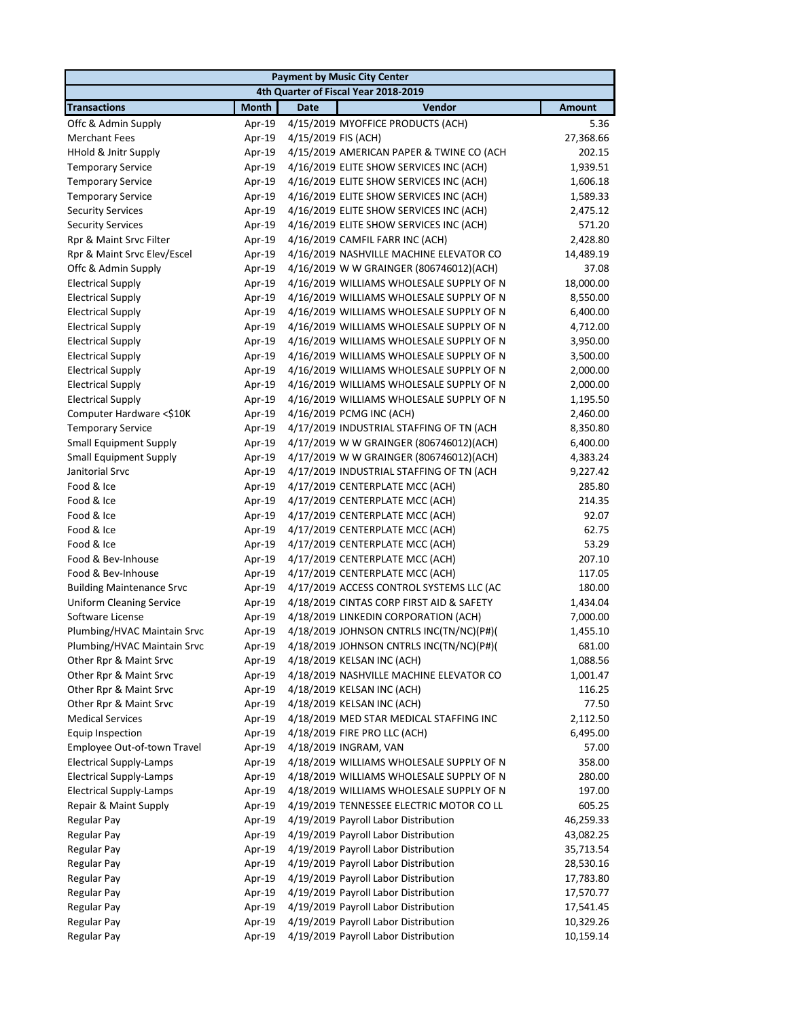| <b>Payment by Music City Center</b> |              |                     |                                                 |               |
|-------------------------------------|--------------|---------------------|-------------------------------------------------|---------------|
|                                     |              |                     | 4th Quarter of Fiscal Year 2018-2019            |               |
| <b>Transactions</b>                 | <b>Month</b> | <b>Date</b>         | Vendor                                          | <b>Amount</b> |
| Offc & Admin Supply                 | Apr-19       |                     | 4/15/2019 MYOFFICE PRODUCTS (ACH)               | 5.36          |
| <b>Merchant Fees</b>                | Apr-19       | 4/15/2019 FIS (ACH) |                                                 | 27,368.66     |
| <b>HHold &amp; Jnitr Supply</b>     | Apr-19       |                     | 4/15/2019 AMERICAN PAPER & TWINE CO (ACH        | 202.15        |
| <b>Temporary Service</b>            | Apr-19       |                     | 4/16/2019 ELITE SHOW SERVICES INC (ACH)         | 1,939.51      |
| <b>Temporary Service</b>            | Apr-19       |                     | 4/16/2019 ELITE SHOW SERVICES INC (ACH)         | 1,606.18      |
| <b>Temporary Service</b>            | Apr-19       |                     | 4/16/2019 ELITE SHOW SERVICES INC (ACH)         | 1,589.33      |
| <b>Security Services</b>            | Apr-19       |                     | 4/16/2019 ELITE SHOW SERVICES INC (ACH)         | 2,475.12      |
| <b>Security Services</b>            | Apr-19       |                     | 4/16/2019 ELITE SHOW SERVICES INC (ACH)         | 571.20        |
| Rpr & Maint Srvc Filter             | Apr-19       |                     | 4/16/2019 CAMFIL FARR INC (ACH)                 | 2,428.80      |
| Rpr & Maint Srvc Elev/Escel         | Apr-19       |                     | 4/16/2019 NASHVILLE MACHINE ELEVATOR CO         | 14,489.19     |
| Offc & Admin Supply                 | Apr-19       |                     | 4/16/2019 W W GRAINGER (806746012)(ACH)         | 37.08         |
| <b>Electrical Supply</b>            | Apr-19       |                     | 4/16/2019 WILLIAMS WHOLESALE SUPPLY OF N        | 18,000.00     |
| <b>Electrical Supply</b>            | Apr-19       |                     | 4/16/2019 WILLIAMS WHOLESALE SUPPLY OF N        | 8,550.00      |
| <b>Electrical Supply</b>            | Apr-19       |                     | 4/16/2019 WILLIAMS WHOLESALE SUPPLY OF N        | 6,400.00      |
| <b>Electrical Supply</b>            | Apr-19       |                     | 4/16/2019 WILLIAMS WHOLESALE SUPPLY OF N        | 4,712.00      |
| <b>Electrical Supply</b>            | Apr-19       |                     | 4/16/2019 WILLIAMS WHOLESALE SUPPLY OF N        | 3,950.00      |
| <b>Electrical Supply</b>            | Apr-19       |                     | 4/16/2019 WILLIAMS WHOLESALE SUPPLY OF N        | 3,500.00      |
| <b>Electrical Supply</b>            | Apr-19       |                     | 4/16/2019 WILLIAMS WHOLESALE SUPPLY OF N        | 2,000.00      |
| <b>Electrical Supply</b>            | Apr-19       |                     | 4/16/2019 WILLIAMS WHOLESALE SUPPLY OF N        | 2,000.00      |
| <b>Electrical Supply</b>            | Apr-19       |                     | 4/16/2019 WILLIAMS WHOLESALE SUPPLY OF N        | 1,195.50      |
| Computer Hardware <\$10K            | Apr-19       |                     | 4/16/2019 PCMG INC (ACH)                        | 2,460.00      |
| <b>Temporary Service</b>            | Apr-19       |                     | 4/17/2019 INDUSTRIAL STAFFING OF TN (ACH        | 8,350.80      |
| <b>Small Equipment Supply</b>       | Apr-19       |                     | 4/17/2019 W W GRAINGER (806746012)(ACH)         | 6,400.00      |
| <b>Small Equipment Supply</b>       | Apr-19       |                     | 4/17/2019 W W GRAINGER (806746012)(ACH)         | 4,383.24      |
| Janitorial Srvc                     | Apr-19       |                     | 4/17/2019 INDUSTRIAL STAFFING OF TN (ACH        | 9,227.42      |
| Food & Ice                          | Apr-19       |                     | 4/17/2019 CENTERPLATE MCC (ACH)                 | 285.80        |
| Food & Ice                          | Apr-19       |                     | 4/17/2019 CENTERPLATE MCC (ACH)                 | 214.35        |
| Food & Ice                          | Apr-19       |                     | 4/17/2019 CENTERPLATE MCC (ACH)                 | 92.07         |
| Food & Ice                          | Apr-19       |                     | 4/17/2019 CENTERPLATE MCC (ACH)                 | 62.75         |
| Food & Ice                          | Apr-19       |                     | 4/17/2019 CENTERPLATE MCC (ACH)                 | 53.29         |
| Food & Bev-Inhouse                  | Apr-19       |                     | 4/17/2019 CENTERPLATE MCC (ACH)                 | 207.10        |
| Food & Bev-Inhouse                  | Apr-19       |                     | 4/17/2019 CENTERPLATE MCC (ACH)                 | 117.05        |
| <b>Building Maintenance Srvc</b>    | Apr-19       |                     | 4/17/2019 ACCESS CONTROL SYSTEMS LLC (AC        | 180.00        |
| <b>Uniform Cleaning Service</b>     | Apr-19       |                     | 4/18/2019 CINTAS CORP FIRST AID & SAFETY        | 1,434.04      |
| Software License                    | Apr-19       |                     | 4/18/2019 LINKEDIN CORPORATION (ACH)            | 7,000.00      |
| Plumbing/HVAC Maintain Srvc         | Apr-19       |                     | 4/18/2019 JOHNSON CNTRLS INC(TN/NC)(P#)(        | 1,455.10      |
| Plumbing/HVAC Maintain Srvc         |              |                     | Apr-19 4/18/2019 JOHNSON CNTRLS INC(TN/NC)(P#)( | 681.00        |
| Other Rpr & Maint Srvc              | Apr-19       |                     | 4/18/2019 KELSAN INC (ACH)                      | 1,088.56      |
| Other Rpr & Maint Srvc              | Apr-19       |                     | 4/18/2019 NASHVILLE MACHINE ELEVATOR CO         | 1,001.47      |
| Other Rpr & Maint Srvc              | Apr-19       |                     | 4/18/2019 KELSAN INC (ACH)                      | 116.25        |
| Other Rpr & Maint Srvc              | Apr-19       |                     | 4/18/2019 KELSAN INC (ACH)                      | 77.50         |
| <b>Medical Services</b>             | Apr-19       |                     | 4/18/2019 MED STAR MEDICAL STAFFING INC         | 2,112.50      |
| Equip Inspection                    | Apr-19       |                     | 4/18/2019 FIRE PRO LLC (ACH)                    | 6,495.00      |
| Employee Out-of-town Travel         | Apr-19       |                     | 4/18/2019 INGRAM, VAN                           | 57.00         |
| <b>Electrical Supply-Lamps</b>      | Apr-19       |                     | 4/18/2019 WILLIAMS WHOLESALE SUPPLY OF N        | 358.00        |
| <b>Electrical Supply-Lamps</b>      | Apr-19       |                     | 4/18/2019 WILLIAMS WHOLESALE SUPPLY OF N        | 280.00        |
| <b>Electrical Supply-Lamps</b>      | Apr-19       |                     | 4/18/2019 WILLIAMS WHOLESALE SUPPLY OF N        | 197.00        |
| Repair & Maint Supply               | Apr-19       |                     | 4/19/2019 TENNESSEE ELECTRIC MOTOR CO LL        | 605.25        |
| <b>Regular Pay</b>                  | Apr-19       |                     | 4/19/2019 Payroll Labor Distribution            | 46,259.33     |
| <b>Regular Pay</b>                  | Apr-19       |                     | 4/19/2019 Payroll Labor Distribution            | 43,082.25     |
| <b>Regular Pay</b>                  | Apr-19       |                     | 4/19/2019 Payroll Labor Distribution            | 35,713.54     |
| Regular Pay                         | Apr-19       |                     | 4/19/2019 Payroll Labor Distribution            | 28,530.16     |
| <b>Regular Pay</b>                  | Apr-19       |                     | 4/19/2019 Payroll Labor Distribution            | 17,783.80     |
| <b>Regular Pay</b>                  | Apr-19       |                     | 4/19/2019 Payroll Labor Distribution            | 17,570.77     |
| <b>Regular Pay</b>                  | Apr-19       |                     | 4/19/2019 Payroll Labor Distribution            | 17,541.45     |
| <b>Regular Pay</b>                  | Apr-19       |                     | 4/19/2019 Payroll Labor Distribution            | 10,329.26     |
| <b>Regular Pay</b>                  | Apr-19       |                     | 4/19/2019 Payroll Labor Distribution            | 10,159.14     |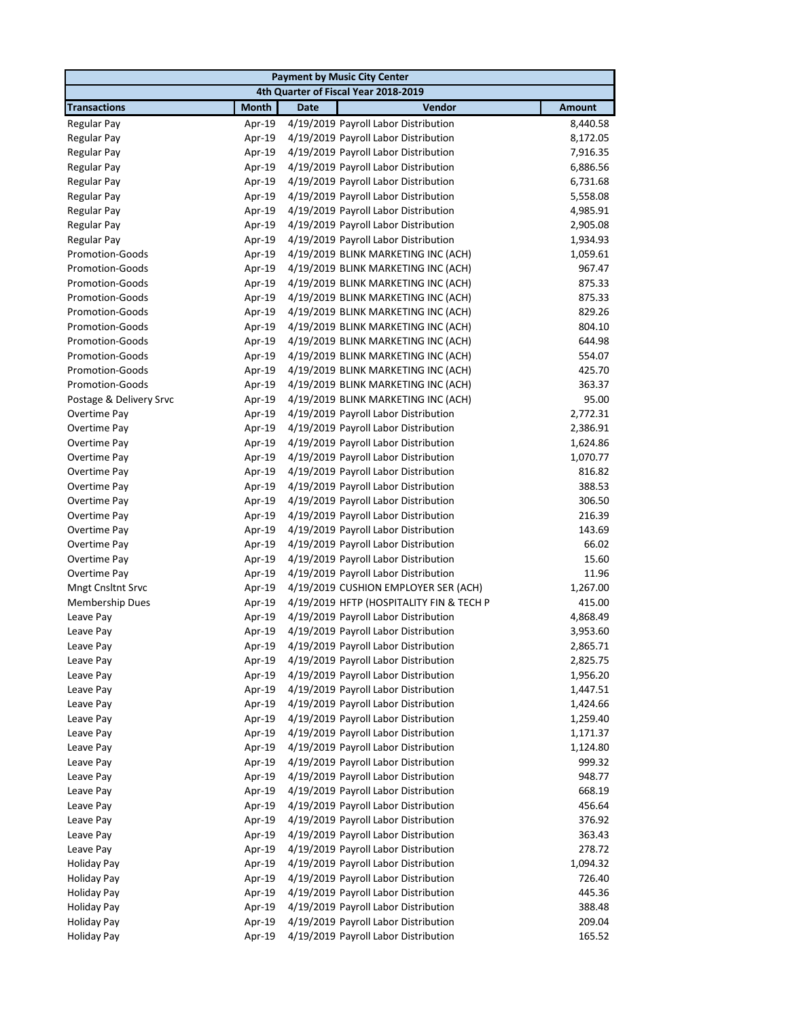|                         |              | <b>Payment by Music City Center</b>         |               |
|-------------------------|--------------|---------------------------------------------|---------------|
|                         |              | 4th Quarter of Fiscal Year 2018-2019        |               |
| <b>Transactions</b>     | <b>Month</b> | <b>Date</b><br>Vendor                       | <b>Amount</b> |
| Regular Pay             | Apr-19       | 4/19/2019 Payroll Labor Distribution        | 8,440.58      |
| Regular Pay             | Apr-19       | 4/19/2019 Payroll Labor Distribution        | 8,172.05      |
| <b>Regular Pay</b>      | Apr-19       | 4/19/2019 Payroll Labor Distribution        | 7,916.35      |
| Regular Pay             | Apr-19       | 4/19/2019 Payroll Labor Distribution        | 6,886.56      |
| <b>Regular Pay</b>      | Apr-19       | 4/19/2019 Payroll Labor Distribution        | 6,731.68      |
| <b>Regular Pay</b>      | Apr-19       | 4/19/2019 Payroll Labor Distribution        | 5,558.08      |
| Regular Pay             | Apr-19       | 4/19/2019 Payroll Labor Distribution        | 4,985.91      |
| Regular Pay             | Apr-19       | 4/19/2019 Payroll Labor Distribution        | 2,905.08      |
| <b>Regular Pay</b>      | Apr-19       | 4/19/2019 Payroll Labor Distribution        | 1,934.93      |
| Promotion-Goods         | Apr-19       | 4/19/2019 BLINK MARKETING INC (ACH)         | 1,059.61      |
| <b>Promotion-Goods</b>  | Apr-19       | 4/19/2019 BLINK MARKETING INC (ACH)         | 967.47        |
| <b>Promotion-Goods</b>  | Apr-19       | 4/19/2019 BLINK MARKETING INC (ACH)         | 875.33        |
| <b>Promotion-Goods</b>  | Apr-19       | 4/19/2019 BLINK MARKETING INC (ACH)         | 875.33        |
| <b>Promotion-Goods</b>  | Apr-19       | 4/19/2019 BLINK MARKETING INC (ACH)         | 829.26        |
| <b>Promotion-Goods</b>  | Apr-19       | 4/19/2019 BLINK MARKETING INC (ACH)         | 804.10        |
| <b>Promotion-Goods</b>  | Apr-19       | 4/19/2019 BLINK MARKETING INC (ACH)         | 644.98        |
| <b>Promotion-Goods</b>  | Apr-19       | 4/19/2019 BLINK MARKETING INC (ACH)         | 554.07        |
| <b>Promotion-Goods</b>  | Apr-19       | 4/19/2019 BLINK MARKETING INC (ACH)         | 425.70        |
| <b>Promotion-Goods</b>  | Apr-19       | 4/19/2019 BLINK MARKETING INC (ACH)         | 363.37        |
| Postage & Delivery Srvc | Apr-19       | 4/19/2019 BLINK MARKETING INC (ACH)         | 95.00         |
| Overtime Pay            | Apr-19       | 4/19/2019 Payroll Labor Distribution        | 2,772.31      |
| Overtime Pay            | Apr-19       | 4/19/2019 Payroll Labor Distribution        | 2,386.91      |
| Overtime Pay            | Apr-19       | 4/19/2019 Payroll Labor Distribution        | 1,624.86      |
| Overtime Pay            | Apr-19       | 4/19/2019 Payroll Labor Distribution        | 1,070.77      |
| Overtime Pay            | Apr-19       | 4/19/2019 Payroll Labor Distribution        | 816.82        |
| Overtime Pay            | Apr-19       | 4/19/2019 Payroll Labor Distribution        | 388.53        |
| Overtime Pay            | Apr-19       | 4/19/2019 Payroll Labor Distribution        | 306.50        |
| Overtime Pay            | Apr-19       | 4/19/2019 Payroll Labor Distribution        | 216.39        |
| Overtime Pay            | Apr-19       | 4/19/2019 Payroll Labor Distribution        | 143.69        |
| Overtime Pay            | Apr-19       | 4/19/2019 Payroll Labor Distribution        | 66.02         |
| Overtime Pay            | Apr-19       | 4/19/2019 Payroll Labor Distribution        | 15.60         |
| Overtime Pay            | Apr-19       | 4/19/2019 Payroll Labor Distribution        | 11.96         |
| Mngt Cnsltnt Srvc       | Apr-19       | 4/19/2019 CUSHION EMPLOYER SER (ACH)        | 1,267.00      |
| <b>Membership Dues</b>  | Apr-19       | 4/19/2019 HFTP (HOSPITALITY FIN & TECH P    | 415.00        |
| Leave Pay               | Apr-19       | 4/19/2019 Payroll Labor Distribution        | 4,868.49      |
| Leave Pay               | Apr-19       | 4/19/2019 Payroll Labor Distribution        | 3,953.60      |
| Leave Pay               |              | Apr-19 4/19/2019 Payroll Labor Distribution | 2,865.71      |
| Leave Pay               | Apr-19       | 4/19/2019 Payroll Labor Distribution        | 2,825.75      |
| Leave Pay               | Apr-19       | 4/19/2019 Payroll Labor Distribution        | 1,956.20      |
| Leave Pay               | Apr-19       | 4/19/2019 Payroll Labor Distribution        | 1,447.51      |
| Leave Pay               | Apr-19       | 4/19/2019 Payroll Labor Distribution        | 1,424.66      |
| Leave Pay               | Apr-19       | 4/19/2019 Payroll Labor Distribution        | 1,259.40      |
| Leave Pay               | Apr-19       | 4/19/2019 Payroll Labor Distribution        | 1,171.37      |
| Leave Pay               | Apr-19       | 4/19/2019 Payroll Labor Distribution        | 1,124.80      |
| Leave Pay               | Apr-19       | 4/19/2019 Payroll Labor Distribution        | 999.32        |
| Leave Pay               | Apr-19       | 4/19/2019 Payroll Labor Distribution        | 948.77        |
| Leave Pay               | Apr-19       | 4/19/2019 Payroll Labor Distribution        | 668.19        |
| Leave Pay               | Apr-19       | 4/19/2019 Payroll Labor Distribution        | 456.64        |
| Leave Pay               | Apr-19       | 4/19/2019 Payroll Labor Distribution        | 376.92        |
| Leave Pay               | Apr-19       | 4/19/2019 Payroll Labor Distribution        | 363.43        |
| Leave Pay               | Apr-19       | 4/19/2019 Payroll Labor Distribution        | 278.72        |
| <b>Holiday Pay</b>      | Apr-19       | 4/19/2019 Payroll Labor Distribution        | 1,094.32      |
| <b>Holiday Pay</b>      | Apr-19       | 4/19/2019 Payroll Labor Distribution        | 726.40        |
| <b>Holiday Pay</b>      | Apr-19       | 4/19/2019 Payroll Labor Distribution        | 445.36        |
| <b>Holiday Pay</b>      | Apr-19       | 4/19/2019 Payroll Labor Distribution        | 388.48        |
| <b>Holiday Pay</b>      | Apr-19       | 4/19/2019 Payroll Labor Distribution        | 209.04        |
| <b>Holiday Pay</b>      | Apr-19       | 4/19/2019 Payroll Labor Distribution        | 165.52        |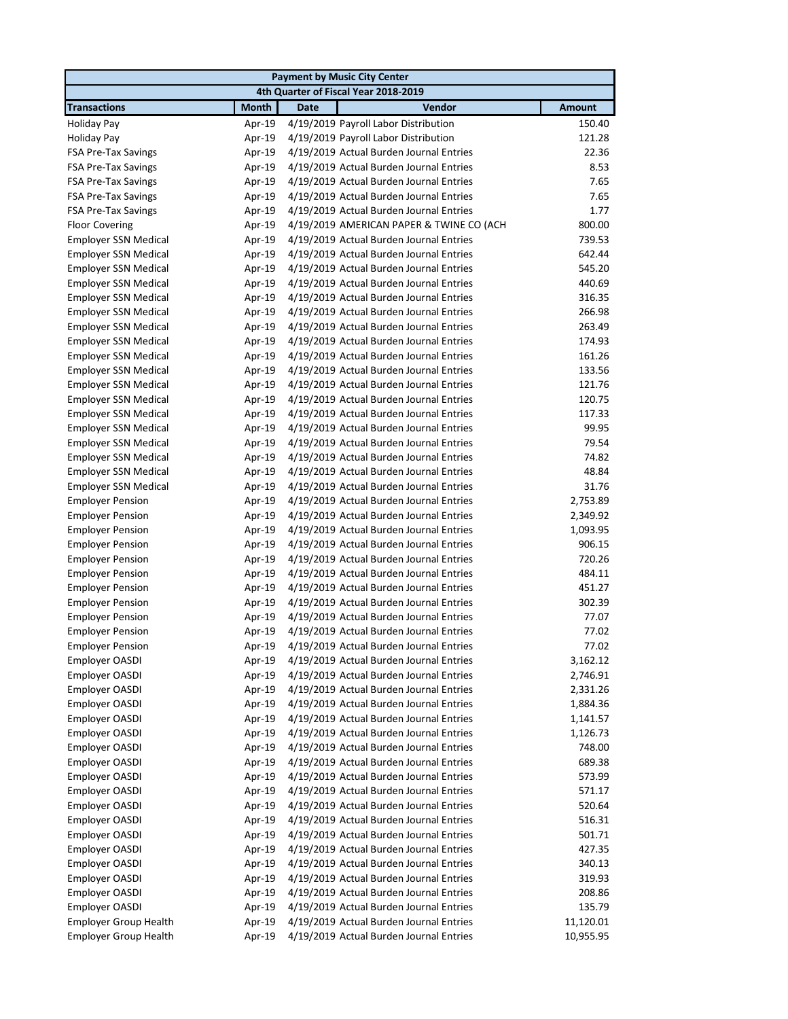|                              |              | <b>Payment by Music City Center</b>            |               |
|------------------------------|--------------|------------------------------------------------|---------------|
|                              |              | 4th Quarter of Fiscal Year 2018-2019           |               |
| <b>Transactions</b>          | <b>Month</b> | <b>Date</b><br>Vendor                          | <b>Amount</b> |
| <b>Holiday Pay</b>           | Apr-19       | 4/19/2019 Payroll Labor Distribution           | 150.40        |
| <b>Holiday Pay</b>           | Apr-19       | 4/19/2019 Payroll Labor Distribution           | 121.28        |
| FSA Pre-Tax Savings          | Apr-19       | 4/19/2019 Actual Burden Journal Entries        | 22.36         |
| FSA Pre-Tax Savings          | Apr-19       | 4/19/2019 Actual Burden Journal Entries        | 8.53          |
| <b>FSA Pre-Tax Savings</b>   | Apr-19       | 4/19/2019 Actual Burden Journal Entries        | 7.65          |
| <b>FSA Pre-Tax Savings</b>   | Apr-19       | 4/19/2019 Actual Burden Journal Entries        | 7.65          |
| <b>FSA Pre-Tax Savings</b>   | Apr-19       | 4/19/2019 Actual Burden Journal Entries        | 1.77          |
| <b>Floor Covering</b>        | Apr-19       | 4/19/2019 AMERICAN PAPER & TWINE CO (ACH       | 800.00        |
| <b>Employer SSN Medical</b>  | Apr-19       | 4/19/2019 Actual Burden Journal Entries        | 739.53        |
| <b>Employer SSN Medical</b>  | Apr-19       | 4/19/2019 Actual Burden Journal Entries        | 642.44        |
| <b>Employer SSN Medical</b>  | Apr-19       | 4/19/2019 Actual Burden Journal Entries        | 545.20        |
| <b>Employer SSN Medical</b>  | Apr-19       | 4/19/2019 Actual Burden Journal Entries        | 440.69        |
| <b>Employer SSN Medical</b>  | Apr-19       | 4/19/2019 Actual Burden Journal Entries        | 316.35        |
| <b>Employer SSN Medical</b>  | Apr-19       | 4/19/2019 Actual Burden Journal Entries        | 266.98        |
| <b>Employer SSN Medical</b>  | Apr-19       | 4/19/2019 Actual Burden Journal Entries        | 263.49        |
| <b>Employer SSN Medical</b>  | Apr-19       | 4/19/2019 Actual Burden Journal Entries        | 174.93        |
| <b>Employer SSN Medical</b>  | Apr-19       | 4/19/2019 Actual Burden Journal Entries        | 161.26        |
| <b>Employer SSN Medical</b>  | Apr-19       | 4/19/2019 Actual Burden Journal Entries        | 133.56        |
| <b>Employer SSN Medical</b>  | Apr-19       | 4/19/2019 Actual Burden Journal Entries        | 121.76        |
| <b>Employer SSN Medical</b>  | Apr-19       | 4/19/2019 Actual Burden Journal Entries        | 120.75        |
| <b>Employer SSN Medical</b>  | Apr-19       | 4/19/2019 Actual Burden Journal Entries        | 117.33        |
| <b>Employer SSN Medical</b>  | Apr-19       | 4/19/2019 Actual Burden Journal Entries        | 99.95         |
| <b>Employer SSN Medical</b>  | Apr-19       | 4/19/2019 Actual Burden Journal Entries        | 79.54         |
| <b>Employer SSN Medical</b>  | Apr-19       | 4/19/2019 Actual Burden Journal Entries        | 74.82         |
| <b>Employer SSN Medical</b>  | Apr-19       | 4/19/2019 Actual Burden Journal Entries        | 48.84         |
| <b>Employer SSN Medical</b>  | Apr-19       | 4/19/2019 Actual Burden Journal Entries        | 31.76         |
| <b>Employer Pension</b>      | Apr-19       | 4/19/2019 Actual Burden Journal Entries        | 2,753.89      |
| <b>Employer Pension</b>      | Apr-19       | 4/19/2019 Actual Burden Journal Entries        | 2,349.92      |
| <b>Employer Pension</b>      | Apr-19       | 4/19/2019 Actual Burden Journal Entries        | 1,093.95      |
| <b>Employer Pension</b>      | Apr-19       | 4/19/2019 Actual Burden Journal Entries        | 906.15        |
| <b>Employer Pension</b>      | Apr-19       | 4/19/2019 Actual Burden Journal Entries        | 720.26        |
| <b>Employer Pension</b>      | Apr-19       | 4/19/2019 Actual Burden Journal Entries        | 484.11        |
| <b>Employer Pension</b>      | Apr-19       | 4/19/2019 Actual Burden Journal Entries        | 451.27        |
| <b>Employer Pension</b>      | Apr-19       | 4/19/2019 Actual Burden Journal Entries        | 302.39        |
| <b>Employer Pension</b>      | Apr-19       | 4/19/2019 Actual Burden Journal Entries        | 77.07         |
| <b>Employer Pension</b>      | Apr-19       | 4/19/2019 Actual Burden Journal Entries        | 77.02         |
| <b>Employer Pension</b>      |              | Apr-19 4/19/2019 Actual Burden Journal Entries | 77.02         |
| <b>Employer OASDI</b>        | Apr-19       | 4/19/2019 Actual Burden Journal Entries        | 3,162.12      |
| Employer OASDI               | Apr-19       | 4/19/2019 Actual Burden Journal Entries        | 2,746.91      |
| <b>Employer OASDI</b>        | Apr-19       | 4/19/2019 Actual Burden Journal Entries        | 2,331.26      |
| <b>Employer OASDI</b>        | Apr-19       | 4/19/2019 Actual Burden Journal Entries        | 1,884.36      |
| Employer OASDI               | Apr-19       | 4/19/2019 Actual Burden Journal Entries        | 1,141.57      |
| Employer OASDI               | Apr-19       | 4/19/2019 Actual Burden Journal Entries        | 1,126.73      |
| Employer OASDI               | Apr-19       | 4/19/2019 Actual Burden Journal Entries        | 748.00        |
| Employer OASDI               | Apr-19       | 4/19/2019 Actual Burden Journal Entries        | 689.38        |
| Employer OASDI               | Apr-19       | 4/19/2019 Actual Burden Journal Entries        | 573.99        |
| Employer OASDI               | Apr-19       | 4/19/2019 Actual Burden Journal Entries        | 571.17        |
| Employer OASDI               | Apr-19       | 4/19/2019 Actual Burden Journal Entries        | 520.64        |
| Employer OASDI               | Apr-19       | 4/19/2019 Actual Burden Journal Entries        | 516.31        |
| Employer OASDI               | Apr-19       | 4/19/2019 Actual Burden Journal Entries        | 501.71        |
| Employer OASDI               | Apr-19       | 4/19/2019 Actual Burden Journal Entries        | 427.35        |
| Employer OASDI               | Apr-19       | 4/19/2019 Actual Burden Journal Entries        | 340.13        |
| Employer OASDI               | Apr-19       | 4/19/2019 Actual Burden Journal Entries        | 319.93        |
| Employer OASDI               | Apr-19       | 4/19/2019 Actual Burden Journal Entries        | 208.86        |
| Employer OASDI               | Apr-19       | 4/19/2019 Actual Burden Journal Entries        | 135.79        |
| <b>Employer Group Health</b> | Apr-19       | 4/19/2019 Actual Burden Journal Entries        | 11,120.01     |
| <b>Employer Group Health</b> | Apr-19       | 4/19/2019 Actual Burden Journal Entries        | 10,955.95     |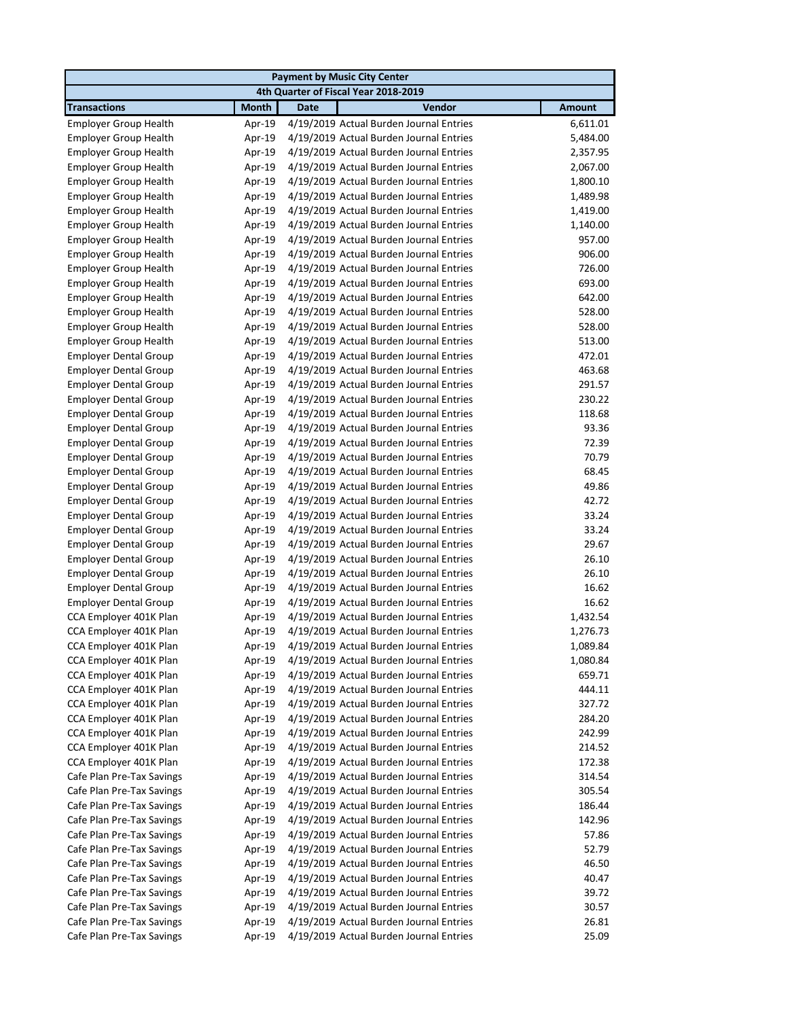|                              |              |             | <b>Payment by Music City Center</b>            |               |
|------------------------------|--------------|-------------|------------------------------------------------|---------------|
|                              |              |             | 4th Quarter of Fiscal Year 2018-2019           |               |
| <b>Transactions</b>          | <b>Month</b> | <b>Date</b> | Vendor                                         | <b>Amount</b> |
| <b>Employer Group Health</b> | Apr-19       |             | 4/19/2019 Actual Burden Journal Entries        | 6,611.01      |
| <b>Employer Group Health</b> | Apr-19       |             | 4/19/2019 Actual Burden Journal Entries        | 5,484.00      |
| <b>Employer Group Health</b> | Apr-19       |             | 4/19/2019 Actual Burden Journal Entries        | 2,357.95      |
| <b>Employer Group Health</b> | Apr-19       |             | 4/19/2019 Actual Burden Journal Entries        | 2,067.00      |
| <b>Employer Group Health</b> | Apr-19       |             | 4/19/2019 Actual Burden Journal Entries        | 1,800.10      |
| <b>Employer Group Health</b> | Apr-19       |             | 4/19/2019 Actual Burden Journal Entries        | 1,489.98      |
| <b>Employer Group Health</b> | Apr-19       |             | 4/19/2019 Actual Burden Journal Entries        | 1,419.00      |
| <b>Employer Group Health</b> | Apr-19       |             | 4/19/2019 Actual Burden Journal Entries        | 1,140.00      |
| <b>Employer Group Health</b> | Apr-19       |             | 4/19/2019 Actual Burden Journal Entries        | 957.00        |
| <b>Employer Group Health</b> | Apr-19       |             | 4/19/2019 Actual Burden Journal Entries        | 906.00        |
| <b>Employer Group Health</b> | Apr-19       |             | 4/19/2019 Actual Burden Journal Entries        | 726.00        |
| <b>Employer Group Health</b> | Apr-19       |             | 4/19/2019 Actual Burden Journal Entries        | 693.00        |
| <b>Employer Group Health</b> | Apr-19       |             | 4/19/2019 Actual Burden Journal Entries        | 642.00        |
| <b>Employer Group Health</b> | Apr-19       |             | 4/19/2019 Actual Burden Journal Entries        | 528.00        |
| <b>Employer Group Health</b> | Apr-19       |             | 4/19/2019 Actual Burden Journal Entries        | 528.00        |
| <b>Employer Group Health</b> | Apr-19       |             | 4/19/2019 Actual Burden Journal Entries        | 513.00        |
| <b>Employer Dental Group</b> | Apr-19       |             | 4/19/2019 Actual Burden Journal Entries        | 472.01        |
| <b>Employer Dental Group</b> | Apr-19       |             | 4/19/2019 Actual Burden Journal Entries        | 463.68        |
| <b>Employer Dental Group</b> | Apr-19       |             | 4/19/2019 Actual Burden Journal Entries        | 291.57        |
| <b>Employer Dental Group</b> | Apr-19       |             | 4/19/2019 Actual Burden Journal Entries        | 230.22        |
| <b>Employer Dental Group</b> | Apr-19       |             | 4/19/2019 Actual Burden Journal Entries        | 118.68        |
| <b>Employer Dental Group</b> | Apr-19       |             | 4/19/2019 Actual Burden Journal Entries        | 93.36         |
| <b>Employer Dental Group</b> | Apr-19       |             | 4/19/2019 Actual Burden Journal Entries        | 72.39         |
| <b>Employer Dental Group</b> | Apr-19       |             | 4/19/2019 Actual Burden Journal Entries        | 70.79         |
| <b>Employer Dental Group</b> | Apr-19       |             | 4/19/2019 Actual Burden Journal Entries        | 68.45         |
| <b>Employer Dental Group</b> | Apr-19       |             | 4/19/2019 Actual Burden Journal Entries        | 49.86         |
| <b>Employer Dental Group</b> | Apr-19       |             | 4/19/2019 Actual Burden Journal Entries        | 42.72         |
| <b>Employer Dental Group</b> | Apr-19       |             | 4/19/2019 Actual Burden Journal Entries        | 33.24         |
| <b>Employer Dental Group</b> | Apr-19       |             | 4/19/2019 Actual Burden Journal Entries        | 33.24         |
| <b>Employer Dental Group</b> | Apr-19       |             | 4/19/2019 Actual Burden Journal Entries        | 29.67         |
| <b>Employer Dental Group</b> | Apr-19       |             | 4/19/2019 Actual Burden Journal Entries        | 26.10         |
| <b>Employer Dental Group</b> | Apr-19       |             | 4/19/2019 Actual Burden Journal Entries        | 26.10         |
| <b>Employer Dental Group</b> | Apr-19       |             | 4/19/2019 Actual Burden Journal Entries        | 16.62         |
| <b>Employer Dental Group</b> | Apr-19       |             | 4/19/2019 Actual Burden Journal Entries        | 16.62         |
| CCA Employer 401K Plan       | Apr-19       |             | 4/19/2019 Actual Burden Journal Entries        | 1,432.54      |
| CCA Employer 401K Plan       | Apr-19       |             | 4/19/2019 Actual Burden Journal Entries        | 1,276.73      |
| CCA Employer 401K Plan       |              |             | Apr-19 4/19/2019 Actual Burden Journal Entries | 1,089.84      |
| CCA Employer 401K Plan       | Apr-19       |             | 4/19/2019 Actual Burden Journal Entries        | 1,080.84      |
| CCA Employer 401K Plan       | Apr-19       |             | 4/19/2019 Actual Burden Journal Entries        | 659.71        |
| CCA Employer 401K Plan       | Apr-19       |             | 4/19/2019 Actual Burden Journal Entries        | 444.11        |
| CCA Employer 401K Plan       | Apr-19       |             | 4/19/2019 Actual Burden Journal Entries        | 327.72        |
| CCA Employer 401K Plan       | Apr-19       |             | 4/19/2019 Actual Burden Journal Entries        | 284.20        |
| CCA Employer 401K Plan       | Apr-19       |             | 4/19/2019 Actual Burden Journal Entries        | 242.99        |
| CCA Employer 401K Plan       | Apr-19       |             | 4/19/2019 Actual Burden Journal Entries        | 214.52        |
| CCA Employer 401K Plan       | Apr-19       |             | 4/19/2019 Actual Burden Journal Entries        | 172.38        |
| Cafe Plan Pre-Tax Savings    | Apr-19       |             | 4/19/2019 Actual Burden Journal Entries        | 314.54        |
| Cafe Plan Pre-Tax Savings    | Apr-19       |             | 4/19/2019 Actual Burden Journal Entries        | 305.54        |
| Cafe Plan Pre-Tax Savings    | Apr-19       |             | 4/19/2019 Actual Burden Journal Entries        | 186.44        |
| Cafe Plan Pre-Tax Savings    | Apr-19       |             | 4/19/2019 Actual Burden Journal Entries        | 142.96        |
| Cafe Plan Pre-Tax Savings    | Apr-19       |             | 4/19/2019 Actual Burden Journal Entries        | 57.86         |
| Cafe Plan Pre-Tax Savings    | Apr-19       |             | 4/19/2019 Actual Burden Journal Entries        | 52.79         |
| Cafe Plan Pre-Tax Savings    | Apr-19       |             | 4/19/2019 Actual Burden Journal Entries        | 46.50         |
| Cafe Plan Pre-Tax Savings    | Apr-19       |             | 4/19/2019 Actual Burden Journal Entries        | 40.47         |
| Cafe Plan Pre-Tax Savings    | Apr-19       |             | 4/19/2019 Actual Burden Journal Entries        | 39.72         |
| Cafe Plan Pre-Tax Savings    | Apr-19       |             | 4/19/2019 Actual Burden Journal Entries        | 30.57         |
| Cafe Plan Pre-Tax Savings    | Apr-19       |             | 4/19/2019 Actual Burden Journal Entries        | 26.81         |
| Cafe Plan Pre-Tax Savings    | Apr-19       |             | 4/19/2019 Actual Burden Journal Entries        | 25.09         |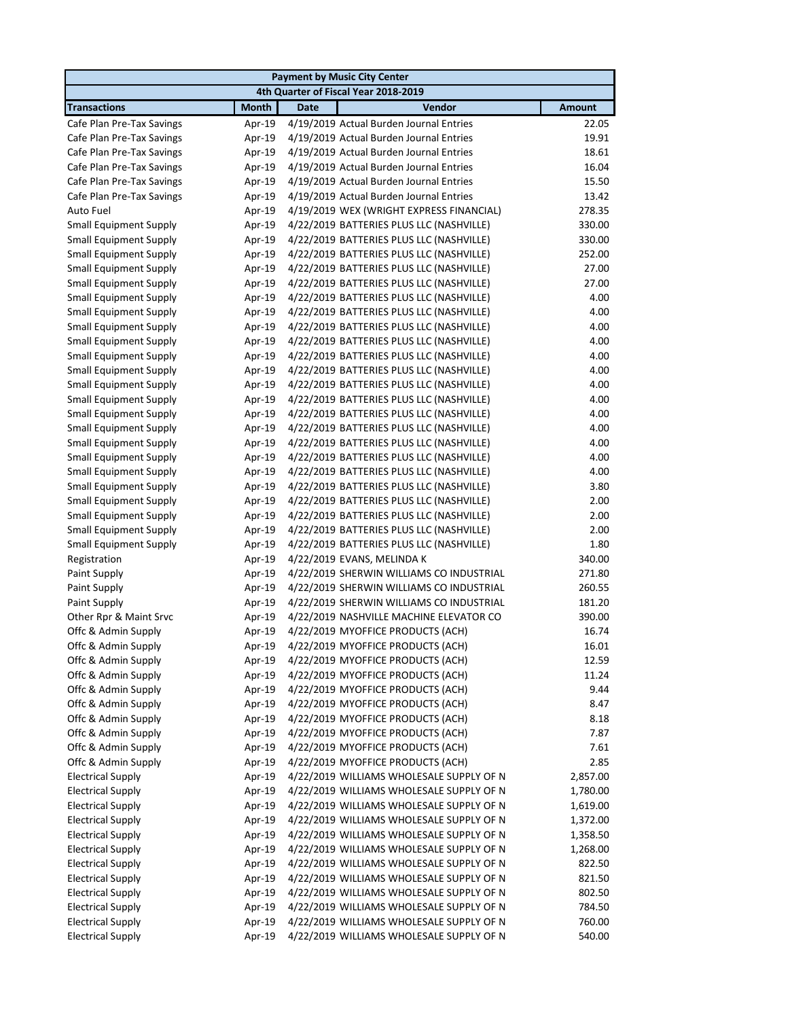| <b>Payment by Music City Center</b> |              |                                          |               |  |  |
|-------------------------------------|--------------|------------------------------------------|---------------|--|--|
|                                     |              | 4th Quarter of Fiscal Year 2018-2019     |               |  |  |
| <b>Transactions</b>                 | <b>Month</b> | Vendor<br><b>Date</b>                    | <b>Amount</b> |  |  |
| Cafe Plan Pre-Tax Savings           | Apr-19       | 4/19/2019 Actual Burden Journal Entries  | 22.05         |  |  |
| Cafe Plan Pre-Tax Savings           | Apr-19       | 4/19/2019 Actual Burden Journal Entries  | 19.91         |  |  |
| Cafe Plan Pre-Tax Savings           | Apr-19       | 4/19/2019 Actual Burden Journal Entries  | 18.61         |  |  |
| Cafe Plan Pre-Tax Savings           | Apr-19       | 4/19/2019 Actual Burden Journal Entries  | 16.04         |  |  |
| Cafe Plan Pre-Tax Savings           | Apr-19       | 4/19/2019 Actual Burden Journal Entries  | 15.50         |  |  |
| Cafe Plan Pre-Tax Savings           | Apr-19       | 4/19/2019 Actual Burden Journal Entries  | 13.42         |  |  |
| Auto Fuel                           | Apr-19       | 4/19/2019 WEX (WRIGHT EXPRESS FINANCIAL) | 278.35        |  |  |
| <b>Small Equipment Supply</b>       | Apr-19       | 4/22/2019 BATTERIES PLUS LLC (NASHVILLE) | 330.00        |  |  |
| <b>Small Equipment Supply</b>       | Apr-19       | 4/22/2019 BATTERIES PLUS LLC (NASHVILLE) | 330.00        |  |  |
| <b>Small Equipment Supply</b>       | Apr-19       | 4/22/2019 BATTERIES PLUS LLC (NASHVILLE) | 252.00        |  |  |
| <b>Small Equipment Supply</b>       | Apr-19       | 4/22/2019 BATTERIES PLUS LLC (NASHVILLE) | 27.00         |  |  |
| <b>Small Equipment Supply</b>       | Apr-19       | 4/22/2019 BATTERIES PLUS LLC (NASHVILLE) | 27.00         |  |  |
| Small Equipment Supply              | Apr-19       | 4/22/2019 BATTERIES PLUS LLC (NASHVILLE) | 4.00          |  |  |
| <b>Small Equipment Supply</b>       | Apr-19       | 4/22/2019 BATTERIES PLUS LLC (NASHVILLE) | 4.00          |  |  |
| <b>Small Equipment Supply</b>       | Apr-19       | 4/22/2019 BATTERIES PLUS LLC (NASHVILLE) | 4.00          |  |  |
| <b>Small Equipment Supply</b>       | Apr-19       | 4/22/2019 BATTERIES PLUS LLC (NASHVILLE) | 4.00          |  |  |
| <b>Small Equipment Supply</b>       | Apr-19       | 4/22/2019 BATTERIES PLUS LLC (NASHVILLE) | 4.00          |  |  |
| <b>Small Equipment Supply</b>       | Apr-19       | 4/22/2019 BATTERIES PLUS LLC (NASHVILLE) | 4.00          |  |  |
| <b>Small Equipment Supply</b>       | Apr-19       | 4/22/2019 BATTERIES PLUS LLC (NASHVILLE) | 4.00          |  |  |
| <b>Small Equipment Supply</b>       | Apr-19       | 4/22/2019 BATTERIES PLUS LLC (NASHVILLE) | 4.00          |  |  |
| <b>Small Equipment Supply</b>       | Apr-19       | 4/22/2019 BATTERIES PLUS LLC (NASHVILLE) | 4.00          |  |  |
| <b>Small Equipment Supply</b>       | Apr-19       | 4/22/2019 BATTERIES PLUS LLC (NASHVILLE) | 4.00          |  |  |
| <b>Small Equipment Supply</b>       | Apr-19       | 4/22/2019 BATTERIES PLUS LLC (NASHVILLE) | 4.00          |  |  |
| <b>Small Equipment Supply</b>       | Apr-19       | 4/22/2019 BATTERIES PLUS LLC (NASHVILLE) | 4.00          |  |  |
| <b>Small Equipment Supply</b>       | Apr-19       | 4/22/2019 BATTERIES PLUS LLC (NASHVILLE) | 4.00          |  |  |
| <b>Small Equipment Supply</b>       | Apr-19       | 4/22/2019 BATTERIES PLUS LLC (NASHVILLE) | 3.80          |  |  |
| <b>Small Equipment Supply</b>       | Apr-19       | 4/22/2019 BATTERIES PLUS LLC (NASHVILLE) | 2.00          |  |  |
| <b>Small Equipment Supply</b>       | Apr-19       | 4/22/2019 BATTERIES PLUS LLC (NASHVILLE) | 2.00          |  |  |
| <b>Small Equipment Supply</b>       | Apr-19       | 4/22/2019 BATTERIES PLUS LLC (NASHVILLE) | 2.00          |  |  |
| <b>Small Equipment Supply</b>       | Apr-19       | 4/22/2019 BATTERIES PLUS LLC (NASHVILLE) | 1.80          |  |  |
| Registration                        | Apr-19       | 4/22/2019 EVANS, MELINDA K               | 340.00        |  |  |
| Paint Supply                        | Apr-19       | 4/22/2019 SHERWIN WILLIAMS CO INDUSTRIAL | 271.80        |  |  |
| Paint Supply                        | Apr-19       | 4/22/2019 SHERWIN WILLIAMS CO INDUSTRIAL | 260.55        |  |  |
| Paint Supply                        | Apr-19       | 4/22/2019 SHERWIN WILLIAMS CO INDUSTRIAL | 181.20        |  |  |
| Other Rpr & Maint Srvc              | Apr-19       | 4/22/2019 NASHVILLE MACHINE ELEVATOR CO  | 390.00        |  |  |
| Offc & Admin Supply                 | Apr-19       | 4/22/2019 MYOFFICE PRODUCTS (ACH)        | 16.74         |  |  |
| Offc & Admin Supply                 | Apr-19       | 4/22/2019 MYOFFICE PRODUCTS (ACH)        | 16.01         |  |  |
| Offc & Admin Supply                 | Apr-19       | 4/22/2019 MYOFFICE PRODUCTS (ACH)        | 12.59         |  |  |
| Offc & Admin Supply                 | Apr-19       | 4/22/2019 MYOFFICE PRODUCTS (ACH)        | 11.24         |  |  |
| Offc & Admin Supply                 | Apr-19       | 4/22/2019 MYOFFICE PRODUCTS (ACH)        | 9.44          |  |  |
| Offc & Admin Supply                 | Apr-19       | 4/22/2019 MYOFFICE PRODUCTS (ACH)        | 8.47          |  |  |
| Offc & Admin Supply                 | Apr-19       | 4/22/2019 MYOFFICE PRODUCTS (ACH)        | 8.18          |  |  |
| Offc & Admin Supply                 | Apr-19       | 4/22/2019 MYOFFICE PRODUCTS (ACH)        | 7.87          |  |  |
| Offc & Admin Supply                 | Apr-19       | 4/22/2019 MYOFFICE PRODUCTS (ACH)        | 7.61          |  |  |
| Offc & Admin Supply                 | Apr-19       | 4/22/2019 MYOFFICE PRODUCTS (ACH)        | 2.85          |  |  |
| <b>Electrical Supply</b>            | Apr-19       | 4/22/2019 WILLIAMS WHOLESALE SUPPLY OF N | 2,857.00      |  |  |
| <b>Electrical Supply</b>            | Apr-19       | 4/22/2019 WILLIAMS WHOLESALE SUPPLY OF N | 1,780.00      |  |  |
| <b>Electrical Supply</b>            | Apr-19       | 4/22/2019 WILLIAMS WHOLESALE SUPPLY OF N | 1,619.00      |  |  |
| <b>Electrical Supply</b>            | Apr-19       | 4/22/2019 WILLIAMS WHOLESALE SUPPLY OF N | 1,372.00      |  |  |
| <b>Electrical Supply</b>            | Apr-19       | 4/22/2019 WILLIAMS WHOLESALE SUPPLY OF N | 1,358.50      |  |  |
| <b>Electrical Supply</b>            | Apr-19       | 4/22/2019 WILLIAMS WHOLESALE SUPPLY OF N | 1,268.00      |  |  |
| <b>Electrical Supply</b>            | Apr-19       | 4/22/2019 WILLIAMS WHOLESALE SUPPLY OF N | 822.50        |  |  |
| <b>Electrical Supply</b>            | Apr-19       | 4/22/2019 WILLIAMS WHOLESALE SUPPLY OF N | 821.50        |  |  |
| <b>Electrical Supply</b>            | Apr-19       | 4/22/2019 WILLIAMS WHOLESALE SUPPLY OF N | 802.50        |  |  |
| <b>Electrical Supply</b>            | Apr-19       | 4/22/2019 WILLIAMS WHOLESALE SUPPLY OF N | 784.50        |  |  |
| <b>Electrical Supply</b>            | Apr-19       | 4/22/2019 WILLIAMS WHOLESALE SUPPLY OF N | 760.00        |  |  |
| <b>Electrical Supply</b>            | Apr-19       | 4/22/2019 WILLIAMS WHOLESALE SUPPLY OF N | 540.00        |  |  |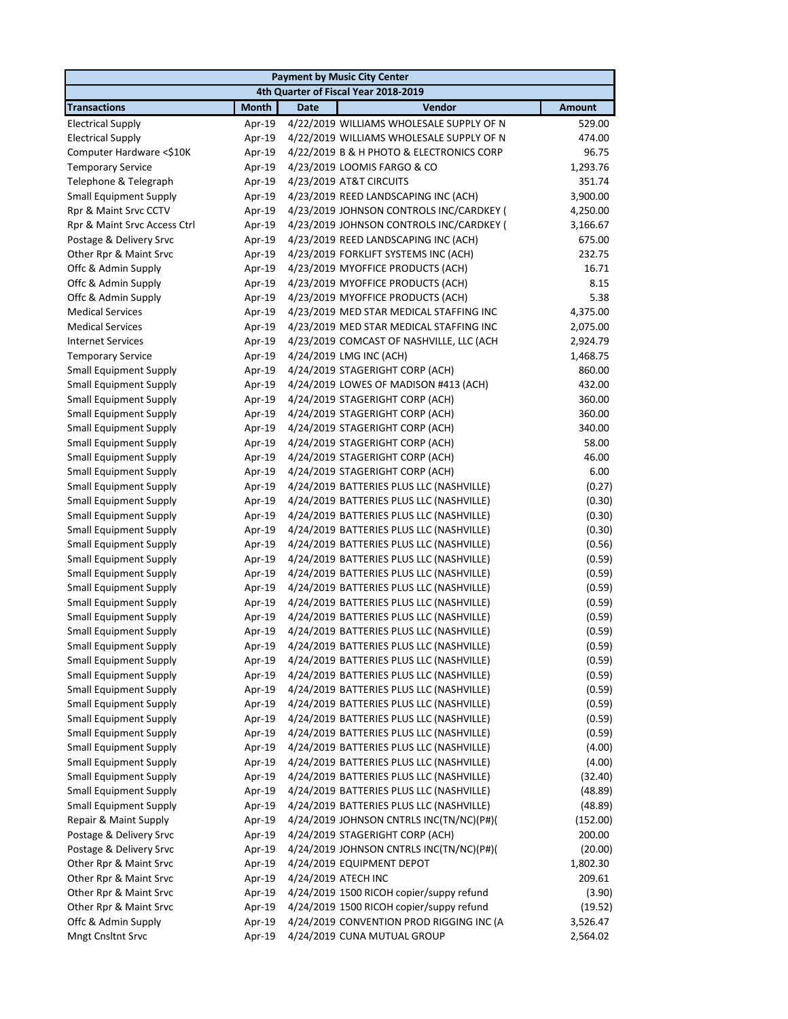| <b>Payment by Music City Center</b>  |              |                                          |               |  |  |
|--------------------------------------|--------------|------------------------------------------|---------------|--|--|
| 4th Quarter of Fiscal Year 2018-2019 |              |                                          |               |  |  |
| <b>Transactions</b>                  | <b>Month</b> | Vendor<br><b>Date</b>                    | <b>Amount</b> |  |  |
| <b>Electrical Supply</b>             | Apr-19       | 4/22/2019 WILLIAMS WHOLESALE SUPPLY OF N | 529.00        |  |  |
| <b>Electrical Supply</b>             | Apr-19       | 4/22/2019 WILLIAMS WHOLESALE SUPPLY OF N | 474.00        |  |  |
| Computer Hardware <\$10K             | Apr-19       | 4/22/2019 B & H PHOTO & ELECTRONICS CORP | 96.75         |  |  |
| <b>Temporary Service</b>             | Apr-19       | 4/23/2019 LOOMIS FARGO & CO              | 1,293.76      |  |  |
| Telephone & Telegraph                | Apr-19       | 4/23/2019 AT&T CIRCUITS                  | 351.74        |  |  |
| <b>Small Equipment Supply</b>        | Apr-19       | 4/23/2019 REED LANDSCAPING INC (ACH)     | 3,900.00      |  |  |
| Rpr & Maint Srvc CCTV                | Apr-19       | 4/23/2019 JOHNSON CONTROLS INC/CARDKEY ( | 4,250.00      |  |  |
| Rpr & Maint Srvc Access Ctrl         | Apr-19       | 4/23/2019 JOHNSON CONTROLS INC/CARDKEY ( | 3,166.67      |  |  |
| Postage & Delivery Srvc              | Apr-19       | 4/23/2019 REED LANDSCAPING INC (ACH)     | 675.00        |  |  |
| Other Rpr & Maint Srvc               | Apr-19       | 4/23/2019 FORKLIFT SYSTEMS INC (ACH)     | 232.75        |  |  |
| Offc & Admin Supply                  | Apr-19       | 4/23/2019 MYOFFICE PRODUCTS (ACH)        | 16.71         |  |  |
| Offc & Admin Supply                  | Apr-19       | 4/23/2019 MYOFFICE PRODUCTS (ACH)        | 8.15          |  |  |
| Offc & Admin Supply                  | Apr-19       | 4/23/2019 MYOFFICE PRODUCTS (ACH)        | 5.38          |  |  |
| <b>Medical Services</b>              | Apr-19       | 4/23/2019 MED STAR MEDICAL STAFFING INC  | 4,375.00      |  |  |
| <b>Medical Services</b>              | Apr-19       | 4/23/2019 MED STAR MEDICAL STAFFING INC  | 2,075.00      |  |  |
| <b>Internet Services</b>             | Apr-19       | 4/23/2019 COMCAST OF NASHVILLE, LLC (ACH | 2,924.79      |  |  |
| <b>Temporary Service</b>             | Apr-19       | 4/24/2019 LMG INC (ACH)                  | 1,468.75      |  |  |
| <b>Small Equipment Supply</b>        | Apr-19       | 4/24/2019 STAGERIGHT CORP (ACH)          | 860.00        |  |  |
| <b>Small Equipment Supply</b>        | Apr-19       | 4/24/2019 LOWES OF MADISON #413 (ACH)    | 432.00        |  |  |
| <b>Small Equipment Supply</b>        | Apr-19       | 4/24/2019 STAGERIGHT CORP (ACH)          | 360.00        |  |  |
| <b>Small Equipment Supply</b>        | Apr-19       | 4/24/2019 STAGERIGHT CORP (ACH)          | 360.00        |  |  |
| <b>Small Equipment Supply</b>        | Apr-19       | 4/24/2019 STAGERIGHT CORP (ACH)          | 340.00        |  |  |
| <b>Small Equipment Supply</b>        | Apr-19       | 4/24/2019 STAGERIGHT CORP (ACH)          | 58.00         |  |  |
| <b>Small Equipment Supply</b>        | Apr-19       | 4/24/2019 STAGERIGHT CORP (ACH)          | 46.00         |  |  |
| <b>Small Equipment Supply</b>        | Apr-19       | 4/24/2019 STAGERIGHT CORP (ACH)          | 6.00          |  |  |
| <b>Small Equipment Supply</b>        | Apr-19       | 4/24/2019 BATTERIES PLUS LLC (NASHVILLE) | (0.27)        |  |  |
| <b>Small Equipment Supply</b>        | Apr-19       | 4/24/2019 BATTERIES PLUS LLC (NASHVILLE) | (0.30)        |  |  |
| <b>Small Equipment Supply</b>        | Apr-19       | 4/24/2019 BATTERIES PLUS LLC (NASHVILLE) | (0.30)        |  |  |
| <b>Small Equipment Supply</b>        | Apr-19       | 4/24/2019 BATTERIES PLUS LLC (NASHVILLE) | (0.30)        |  |  |
| <b>Small Equipment Supply</b>        | Apr-19       | 4/24/2019 BATTERIES PLUS LLC (NASHVILLE) | (0.56)        |  |  |
| <b>Small Equipment Supply</b>        | Apr-19       | 4/24/2019 BATTERIES PLUS LLC (NASHVILLE) | (0.59)        |  |  |
| <b>Small Equipment Supply</b>        | Apr-19       | 4/24/2019 BATTERIES PLUS LLC (NASHVILLE) | (0.59)        |  |  |
| <b>Small Equipment Supply</b>        | Apr-19       | 4/24/2019 BATTERIES PLUS LLC (NASHVILLE) | (0.59)        |  |  |
| <b>Small Equipment Supply</b>        | Apr-19       | 4/24/2019 BATTERIES PLUS LLC (NASHVILLE) | (0.59)        |  |  |
| <b>Small Equipment Supply</b>        | Apr-19       | 4/24/2019 BATTERIES PLUS LLC (NASHVILLE) | (0.59)        |  |  |
| <b>Small Equipment Supply</b>        | Apr-19       | 4/24/2019 BATTERIES PLUS LLC (NASHVILLE) | (0.59)        |  |  |
| <b>Small Equipment Supply</b>        | Apr-19       | 4/24/2019 BATTERIES PLUS LLC (NASHVILLE) | (0.59)        |  |  |
| <b>Small Equipment Supply</b>        | Apr-19       | 4/24/2019 BATTERIES PLUS LLC (NASHVILLE) | (0.59)        |  |  |
| <b>Small Equipment Supply</b>        | Apr-19       | 4/24/2019 BATTERIES PLUS LLC (NASHVILLE) | (0.59)        |  |  |
| <b>Small Equipment Supply</b>        | Apr-19       | 4/24/2019 BATTERIES PLUS LLC (NASHVILLE) | (0.59)        |  |  |
| <b>Small Equipment Supply</b>        | Apr-19       | 4/24/2019 BATTERIES PLUS LLC (NASHVILLE) | (0.59)        |  |  |
| <b>Small Equipment Supply</b>        | Apr-19       | 4/24/2019 BATTERIES PLUS LLC (NASHVILLE) | (0.59)        |  |  |
| <b>Small Equipment Supply</b>        | Apr-19       | 4/24/2019 BATTERIES PLUS LLC (NASHVILLE) | (0.59)        |  |  |
| <b>Small Equipment Supply</b>        | Apr-19       | 4/24/2019 BATTERIES PLUS LLC (NASHVILLE) | (4.00)        |  |  |
| <b>Small Equipment Supply</b>        | Apr-19       | 4/24/2019 BATTERIES PLUS LLC (NASHVILLE) | (4.00)        |  |  |
| <b>Small Equipment Supply</b>        | Apr-19       | 4/24/2019 BATTERIES PLUS LLC (NASHVILLE) | (32.40)       |  |  |
| <b>Small Equipment Supply</b>        | Apr-19       | 4/24/2019 BATTERIES PLUS LLC (NASHVILLE) | (48.89)       |  |  |
| <b>Small Equipment Supply</b>        | Apr-19       | 4/24/2019 BATTERIES PLUS LLC (NASHVILLE) | (48.89)       |  |  |
| Repair & Maint Supply                | Apr-19       | 4/24/2019 JOHNSON CNTRLS INC(TN/NC)(P#)( | (152.00)      |  |  |
| Postage & Delivery Srvc              | Apr-19       | 4/24/2019 STAGERIGHT CORP (ACH)          | 200.00        |  |  |
| Postage & Delivery Srvc              | Apr-19       | 4/24/2019 JOHNSON CNTRLS INC(TN/NC)(P#)( | (20.00)       |  |  |
| Other Rpr & Maint Srvc               | Apr-19       | 4/24/2019 EQUIPMENT DEPOT                | 1,802.30      |  |  |
| Other Rpr & Maint Srvc               | Apr-19       | 4/24/2019 ATECH INC                      | 209.61        |  |  |
| Other Rpr & Maint Srvc               | Apr-19       | 4/24/2019 1500 RICOH copier/suppy refund | (3.90)        |  |  |
| Other Rpr & Maint Srvc               | Apr-19       | 4/24/2019 1500 RICOH copier/suppy refund | (19.52)       |  |  |
| Offc & Admin Supply                  | Apr-19       | 4/24/2019 CONVENTION PROD RIGGING INC (A | 3,526.47      |  |  |
| Mngt Cnsltnt Srvc                    | Apr-19       | 4/24/2019 CUNA MUTUAL GROUP              | 2,564.02      |  |  |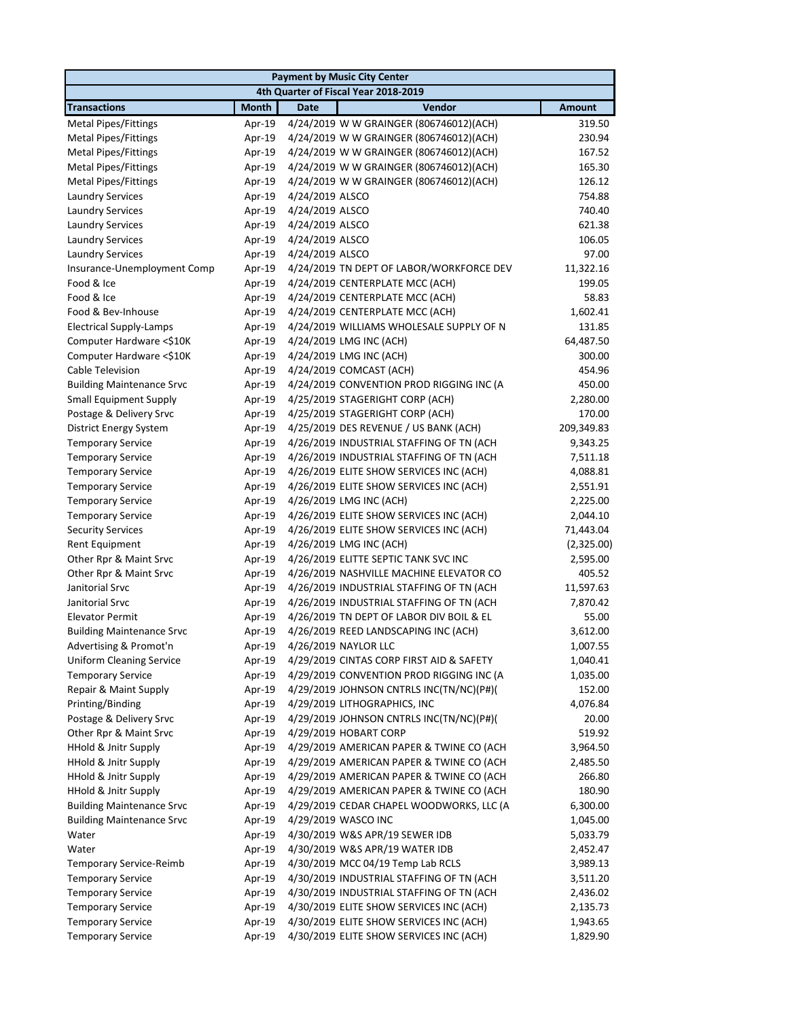| <b>Payment by Music City Center</b>                      |                                      |                                                                                      |               |  |  |  |
|----------------------------------------------------------|--------------------------------------|--------------------------------------------------------------------------------------|---------------|--|--|--|
|                                                          | 4th Quarter of Fiscal Year 2018-2019 |                                                                                      |               |  |  |  |
| <b>Transactions</b>                                      | <b>Month</b>                         | Vendor<br><b>Date</b>                                                                | <b>Amount</b> |  |  |  |
| <b>Metal Pipes/Fittings</b>                              | Apr-19                               | 4/24/2019 W W GRAINGER (806746012)(ACH)                                              | 319.50        |  |  |  |
| <b>Metal Pipes/Fittings</b>                              | Apr-19                               | 4/24/2019 W W GRAINGER (806746012)(ACH)                                              | 230.94        |  |  |  |
| Metal Pipes/Fittings                                     | Apr-19                               | 4/24/2019 W W GRAINGER (806746012)(ACH)                                              | 167.52        |  |  |  |
| Metal Pipes/Fittings                                     | Apr-19                               | 4/24/2019 W W GRAINGER (806746012)(ACH)                                              | 165.30        |  |  |  |
| <b>Metal Pipes/Fittings</b>                              | Apr-19                               | 4/24/2019 W W GRAINGER (806746012)(ACH)                                              | 126.12        |  |  |  |
| <b>Laundry Services</b>                                  | Apr-19                               | 4/24/2019 ALSCO                                                                      | 754.88        |  |  |  |
| <b>Laundry Services</b>                                  | Apr-19                               | 4/24/2019 ALSCO                                                                      | 740.40        |  |  |  |
| <b>Laundry Services</b>                                  | Apr-19                               | 4/24/2019 ALSCO                                                                      | 621.38        |  |  |  |
| <b>Laundry Services</b>                                  | Apr-19                               | 4/24/2019 ALSCO                                                                      | 106.05        |  |  |  |
| <b>Laundry Services</b>                                  | Apr-19                               | 4/24/2019 ALSCO                                                                      | 97.00         |  |  |  |
| Insurance-Unemployment Comp                              | Apr-19                               | 4/24/2019 TN DEPT OF LABOR/WORKFORCE DEV                                             | 11,322.16     |  |  |  |
| Food & Ice                                               | Apr-19                               | 4/24/2019 CENTERPLATE MCC (ACH)                                                      | 199.05        |  |  |  |
| Food & Ice                                               | Apr-19                               | 4/24/2019 CENTERPLATE MCC (ACH)                                                      | 58.83         |  |  |  |
| Food & Bev-Inhouse                                       | Apr-19                               | 4/24/2019 CENTERPLATE MCC (ACH)                                                      | 1,602.41      |  |  |  |
| <b>Electrical Supply-Lamps</b>                           | Apr-19                               | 4/24/2019 WILLIAMS WHOLESALE SUPPLY OF N                                             | 131.85        |  |  |  |
| Computer Hardware <\$10K                                 | Apr-19                               | 4/24/2019 LMG INC (ACH)                                                              | 64,487.50     |  |  |  |
| Computer Hardware <\$10K                                 | Apr-19                               | 4/24/2019 LMG INC (ACH)                                                              | 300.00        |  |  |  |
| Cable Television                                         | Apr-19                               | 4/24/2019 COMCAST (ACH)                                                              | 454.96        |  |  |  |
| <b>Building Maintenance Srvc</b>                         | Apr-19                               | 4/24/2019 CONVENTION PROD RIGGING INC (A                                             | 450.00        |  |  |  |
| <b>Small Equipment Supply</b>                            | Apr-19                               | 4/25/2019 STAGERIGHT CORP (ACH)                                                      | 2,280.00      |  |  |  |
| Postage & Delivery Srvc                                  | Apr-19                               | 4/25/2019 STAGERIGHT CORP (ACH)                                                      | 170.00        |  |  |  |
| <b>District Energy System</b>                            | Apr-19                               | 4/25/2019 DES REVENUE / US BANK (ACH)                                                | 209,349.83    |  |  |  |
| <b>Temporary Service</b>                                 | Apr-19                               | 4/26/2019 INDUSTRIAL STAFFING OF TN (ACH                                             | 9,343.25      |  |  |  |
| <b>Temporary Service</b>                                 | Apr-19                               | 4/26/2019 INDUSTRIAL STAFFING OF TN (ACH                                             | 7,511.18      |  |  |  |
| <b>Temporary Service</b>                                 | Apr-19                               | 4/26/2019 ELITE SHOW SERVICES INC (ACH)                                              | 4,088.81      |  |  |  |
| <b>Temporary Service</b>                                 | Apr-19                               | 4/26/2019 ELITE SHOW SERVICES INC (ACH)                                              | 2,551.91      |  |  |  |
| <b>Temporary Service</b>                                 | Apr-19                               | 4/26/2019 LMG INC (ACH)                                                              | 2,225.00      |  |  |  |
| <b>Temporary Service</b>                                 | Apr-19                               | 4/26/2019 ELITE SHOW SERVICES INC (ACH)                                              | 2,044.10      |  |  |  |
| <b>Security Services</b>                                 | Apr-19                               | 4/26/2019 ELITE SHOW SERVICES INC (ACH)                                              | 71,443.04     |  |  |  |
| <b>Rent Equipment</b>                                    | Apr-19                               | 4/26/2019 LMG INC (ACH)                                                              | (2,325.00)    |  |  |  |
| Other Rpr & Maint Srvc                                   | Apr-19                               | 4/26/2019 ELITTE SEPTIC TANK SVC INC                                                 | 2,595.00      |  |  |  |
| Other Rpr & Maint Srvc                                   | Apr-19                               | 4/26/2019 NASHVILLE MACHINE ELEVATOR CO                                              | 405.52        |  |  |  |
| Janitorial Srvc                                          | Apr-19                               | 4/26/2019 INDUSTRIAL STAFFING OF TN (ACH                                             | 11,597.63     |  |  |  |
| Janitorial Srvc                                          | Apr-19                               | 4/26/2019 INDUSTRIAL STAFFING OF TN (ACH                                             | 7,870.42      |  |  |  |
| <b>Elevator Permit</b>                                   | Apr-19                               | 4/26/2019 TN DEPT OF LABOR DIV BOIL & EL                                             | 55.00         |  |  |  |
| <b>Building Maintenance Srvc</b>                         | Apr-19                               | 4/26/2019 REED LANDSCAPING INC (ACH)                                                 | 3,612.00      |  |  |  |
| Advertising & Promot'n                                   | Apr-19                               | 4/26/2019 NAYLOR LLC                                                                 | 1,007.55      |  |  |  |
| <b>Uniform Cleaning Service</b>                          | Apr-19                               | 4/29/2019 CINTAS CORP FIRST AID & SAFETY                                             | 1,040.41      |  |  |  |
| <b>Temporary Service</b>                                 | Apr-19                               | 4/29/2019 CONVENTION PROD RIGGING INC (A                                             | 1,035.00      |  |  |  |
| Repair & Maint Supply                                    | Apr-19                               | 4/29/2019 JOHNSON CNTRLS INC(TN/NC)(P#)(                                             | 152.00        |  |  |  |
| Printing/Binding                                         | Apr-19                               | 4/29/2019 LITHOGRAPHICS, INC                                                         | 4,076.84      |  |  |  |
| Postage & Delivery Srvc                                  | Apr-19                               | 4/29/2019 JOHNSON CNTRLS INC(TN/NC)(P#)(                                             | 20.00         |  |  |  |
| Other Rpr & Maint Srvc                                   | Apr-19                               | 4/29/2019 HOBART CORP                                                                | 519.92        |  |  |  |
| <b>HHold &amp; Jnitr Supply</b><br>HHold & Jnitr Supply  | Apr-19                               | 4/29/2019 AMERICAN PAPER & TWINE CO (ACH                                             | 3,964.50      |  |  |  |
|                                                          | Apr-19                               | 4/29/2019 AMERICAN PAPER & TWINE CO (ACH<br>4/29/2019 AMERICAN PAPER & TWINE CO (ACH | 2,485.50      |  |  |  |
| HHold & Jnitr Supply                                     | Apr-19                               |                                                                                      | 266.80        |  |  |  |
| HHold & Jnitr Supply<br><b>Building Maintenance Srvc</b> | Apr-19<br>Apr-19                     | 4/29/2019 AMERICAN PAPER & TWINE CO (ACH<br>4/29/2019 CEDAR CHAPEL WOODWORKS, LLC (A | 180.90        |  |  |  |
|                                                          |                                      | 4/29/2019 WASCO INC                                                                  | 6,300.00      |  |  |  |
| <b>Building Maintenance Srvc</b>                         | Apr-19                               |                                                                                      | 1,045.00      |  |  |  |
| Water                                                    | Apr-19                               | 4/30/2019 W&S APR/19 SEWER IDB                                                       | 5,033.79      |  |  |  |
| Water                                                    | Apr-19                               | 4/30/2019 W&S APR/19 WATER IDB                                                       | 2,452.47      |  |  |  |
| Temporary Service-Reimb                                  | Apr-19                               | 4/30/2019 MCC 04/19 Temp Lab RCLS                                                    | 3,989.13      |  |  |  |
| <b>Temporary Service</b>                                 | Apr-19                               | 4/30/2019 INDUSTRIAL STAFFING OF TN (ACH                                             | 3,511.20      |  |  |  |
| <b>Temporary Service</b>                                 | Apr-19                               | 4/30/2019 INDUSTRIAL STAFFING OF TN (ACH                                             | 2,436.02      |  |  |  |
| <b>Temporary Service</b>                                 | Apr-19                               | 4/30/2019 ELITE SHOW SERVICES INC (ACH)                                              | 2,135.73      |  |  |  |
| <b>Temporary Service</b>                                 | Apr-19                               | 4/30/2019 ELITE SHOW SERVICES INC (ACH)                                              | 1,943.65      |  |  |  |
| <b>Temporary Service</b>                                 | Apr-19                               | 4/30/2019 ELITE SHOW SERVICES INC (ACH)                                              | 1,829.90      |  |  |  |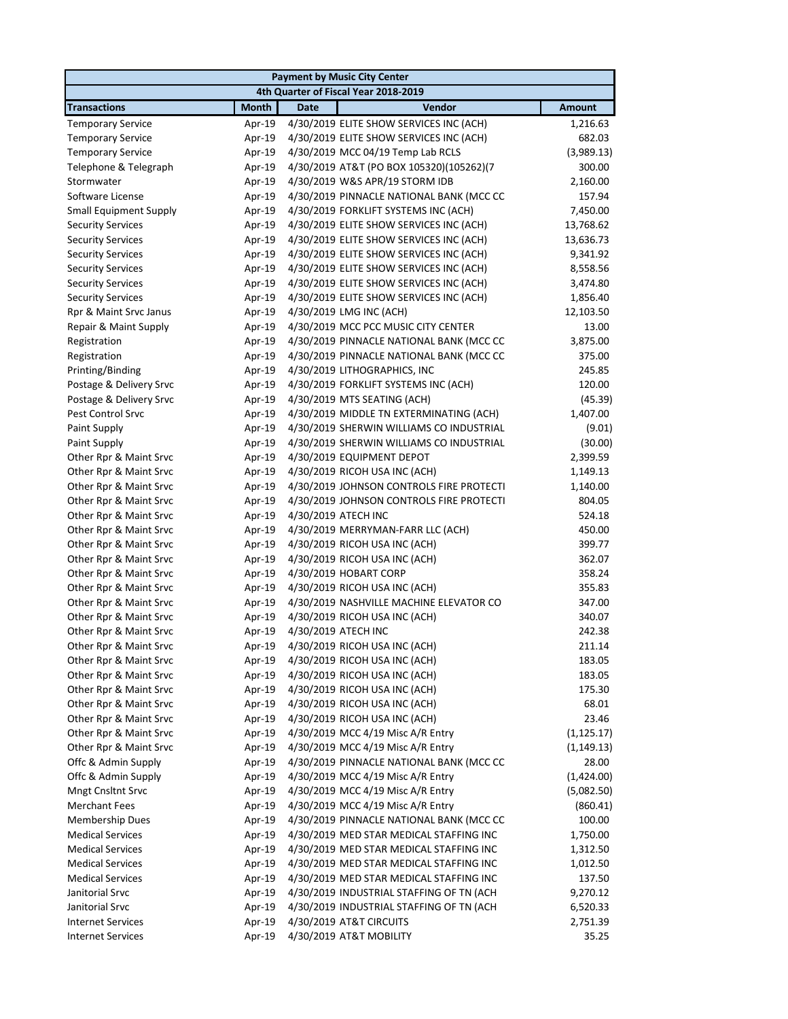| <b>Payment by Music City Center</b>  |              |             |                                          |               |  |
|--------------------------------------|--------------|-------------|------------------------------------------|---------------|--|
| 4th Quarter of Fiscal Year 2018-2019 |              |             |                                          |               |  |
| <b>Transactions</b>                  | <b>Month</b> | <b>Date</b> | Vendor                                   | <b>Amount</b> |  |
| <b>Temporary Service</b>             | Apr-19       |             | 4/30/2019 ELITE SHOW SERVICES INC (ACH)  | 1,216.63      |  |
| <b>Temporary Service</b>             | Apr-19       |             | 4/30/2019 ELITE SHOW SERVICES INC (ACH)  | 682.03        |  |
| <b>Temporary Service</b>             | Apr-19       |             | 4/30/2019 MCC 04/19 Temp Lab RCLS        | (3,989.13)    |  |
| Telephone & Telegraph                | Apr-19       |             | 4/30/2019 AT&T (PO BOX 105320)(105262)(7 | 300.00        |  |
| Stormwater                           | Apr-19       |             | 4/30/2019 W&S APR/19 STORM IDB           | 2,160.00      |  |
| Software License                     | Apr-19       |             | 4/30/2019 PINNACLE NATIONAL BANK (MCC CC | 157.94        |  |
| <b>Small Equipment Supply</b>        | Apr-19       |             | 4/30/2019 FORKLIFT SYSTEMS INC (ACH)     | 7,450.00      |  |
| <b>Security Services</b>             | Apr-19       |             | 4/30/2019 ELITE SHOW SERVICES INC (ACH)  | 13,768.62     |  |
| <b>Security Services</b>             | Apr-19       |             | 4/30/2019 ELITE SHOW SERVICES INC (ACH)  | 13,636.73     |  |
| <b>Security Services</b>             | Apr-19       |             | 4/30/2019 ELITE SHOW SERVICES INC (ACH)  | 9,341.92      |  |
| <b>Security Services</b>             | Apr-19       |             | 4/30/2019 ELITE SHOW SERVICES INC (ACH)  | 8,558.56      |  |
| <b>Security Services</b>             | Apr-19       |             | 4/30/2019 ELITE SHOW SERVICES INC (ACH)  | 3,474.80      |  |
| <b>Security Services</b>             | Apr-19       |             | 4/30/2019 ELITE SHOW SERVICES INC (ACH)  | 1,856.40      |  |
| Rpr & Maint Srvc Janus               | Apr-19       |             | 4/30/2019 LMG INC (ACH)                  | 12,103.50     |  |
| Repair & Maint Supply                | Apr-19       |             | 4/30/2019 MCC PCC MUSIC CITY CENTER      | 13.00         |  |
| Registration                         | Apr-19       |             | 4/30/2019 PINNACLE NATIONAL BANK (MCC CC | 3,875.00      |  |
| Registration                         | Apr-19       |             | 4/30/2019 PINNACLE NATIONAL BANK (MCC CC | 375.00        |  |
| Printing/Binding                     | Apr-19       |             | 4/30/2019 LITHOGRAPHICS, INC             | 245.85        |  |
| Postage & Delivery Srvc              | Apr-19       |             | 4/30/2019 FORKLIFT SYSTEMS INC (ACH)     | 120.00        |  |
| Postage & Delivery Srvc              | Apr-19       |             | 4/30/2019 MTS SEATING (ACH)              | (45.39)       |  |
| <b>Pest Control Srvc</b>             | Apr-19       |             | 4/30/2019 MIDDLE TN EXTERMINATING (ACH)  | 1,407.00      |  |
| Paint Supply                         | Apr-19       |             | 4/30/2019 SHERWIN WILLIAMS CO INDUSTRIAL | (9.01)        |  |
| Paint Supply                         | Apr-19       |             | 4/30/2019 SHERWIN WILLIAMS CO INDUSTRIAL | (30.00)       |  |
| Other Rpr & Maint Srvc               | Apr-19       |             | 4/30/2019 EQUIPMENT DEPOT                | 2,399.59      |  |
| Other Rpr & Maint Srvc               | Apr-19       |             | 4/30/2019 RICOH USA INC (ACH)            | 1,149.13      |  |
| Other Rpr & Maint Srvc               | Apr-19       |             | 4/30/2019 JOHNSON CONTROLS FIRE PROTECTI | 1,140.00      |  |
| Other Rpr & Maint Srvc               | Apr-19       |             | 4/30/2019 JOHNSON CONTROLS FIRE PROTECTI | 804.05        |  |
| Other Rpr & Maint Srvc               | Apr-19       |             | 4/30/2019 ATECH INC                      | 524.18        |  |
| Other Rpr & Maint Srvc               | Apr-19       |             | 4/30/2019 MERRYMAN-FARR LLC (ACH)        | 450.00        |  |
| Other Rpr & Maint Srvc               | Apr-19       |             | 4/30/2019 RICOH USA INC (ACH)            | 399.77        |  |
| Other Rpr & Maint Srvc               | Apr-19       |             | 4/30/2019 RICOH USA INC (ACH)            | 362.07        |  |
| Other Rpr & Maint Srvc               | Apr-19       |             | 4/30/2019 HOBART CORP                    | 358.24        |  |
| Other Rpr & Maint Srvc               | Apr-19       |             | 4/30/2019 RICOH USA INC (ACH)            | 355.83        |  |
| Other Rpr & Maint Srvc               | Apr-19       |             | 4/30/2019 NASHVILLE MACHINE ELEVATOR CO  | 347.00        |  |
| Other Rpr & Maint Srvc               | Apr-19       |             | 4/30/2019 RICOH USA INC (ACH)            | 340.07        |  |
| Other Rpr & Maint Srvc               | Apr-19       |             | 4/30/2019 ATECH INC                      | 242.38        |  |
| Other Rpr & Maint Srvc               |              |             | Apr-19 4/30/2019 RICOH USA INC (ACH)     | 211.14        |  |
| Other Rpr & Maint Srvc               | Apr-19       |             | 4/30/2019 RICOH USA INC (ACH)            | 183.05        |  |
| Other Rpr & Maint Srvc               | Apr-19       |             | 4/30/2019 RICOH USA INC (ACH)            | 183.05        |  |
| Other Rpr & Maint Srvc               | Apr-19       |             | 4/30/2019 RICOH USA INC (ACH)            | 175.30        |  |
| Other Rpr & Maint Srvc               | Apr-19       |             | 4/30/2019 RICOH USA INC (ACH)            | 68.01         |  |
| Other Rpr & Maint Srvc               | Apr-19       |             | 4/30/2019 RICOH USA INC (ACH)            | 23.46         |  |
| Other Rpr & Maint Srvc               | Apr-19       |             | 4/30/2019 MCC 4/19 Misc A/R Entry        | (1, 125.17)   |  |
| Other Rpr & Maint Srvc               | Apr-19       |             | 4/30/2019 MCC 4/19 Misc A/R Entry        | (1, 149.13)   |  |
| Offc & Admin Supply                  | Apr-19       |             | 4/30/2019 PINNACLE NATIONAL BANK (MCC CC | 28.00         |  |
| Offc & Admin Supply                  | Apr-19       |             | 4/30/2019 MCC 4/19 Misc A/R Entry        | (1,424.00)    |  |
| Mngt Cnsltnt Srvc                    | Apr-19       |             | 4/30/2019 MCC 4/19 Misc A/R Entry        | (5,082.50)    |  |
| <b>Merchant Fees</b>                 | Apr-19       |             | 4/30/2019 MCC 4/19 Misc A/R Entry        | (860.41)      |  |
| Membership Dues                      | Apr-19       |             | 4/30/2019 PINNACLE NATIONAL BANK (MCC CC | 100.00        |  |
| <b>Medical Services</b>              | Apr-19       |             | 4/30/2019 MED STAR MEDICAL STAFFING INC  | 1,750.00      |  |
| <b>Medical Services</b>              | Apr-19       |             | 4/30/2019 MED STAR MEDICAL STAFFING INC  | 1,312.50      |  |
| <b>Medical Services</b>              | Apr-19       |             | 4/30/2019 MED STAR MEDICAL STAFFING INC  | 1,012.50      |  |
| <b>Medical Services</b>              | Apr-19       |             | 4/30/2019 MED STAR MEDICAL STAFFING INC  | 137.50        |  |
| Janitorial Srvc                      | Apr-19       |             | 4/30/2019 INDUSTRIAL STAFFING OF TN (ACH | 9,270.12      |  |
| Janitorial Srvc                      | Apr-19       |             | 4/30/2019 INDUSTRIAL STAFFING OF TN (ACH | 6,520.33      |  |
| <b>Internet Services</b>             | Apr-19       |             | 4/30/2019 AT&T CIRCUITS                  | 2,751.39      |  |
| <b>Internet Services</b>             | Apr-19       |             | 4/30/2019 AT&T MOBILITY                  | 35.25         |  |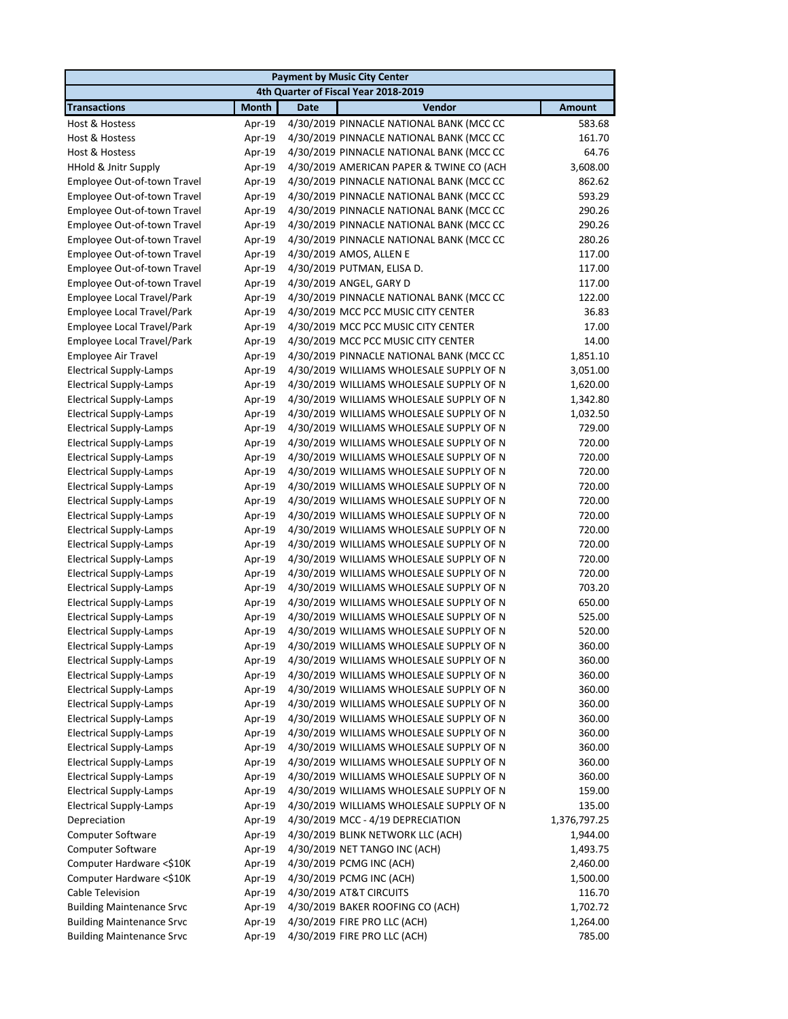| <b>Payment by Music City Center</b> |              |                                          |               |  |
|-------------------------------------|--------------|------------------------------------------|---------------|--|
|                                     |              | 4th Quarter of Fiscal Year 2018-2019     |               |  |
| <b>Transactions</b>                 | <b>Month</b> | Vendor<br><b>Date</b>                    | <b>Amount</b> |  |
| Host & Hostess                      | Apr-19       | 4/30/2019 PINNACLE NATIONAL BANK (MCC CC | 583.68        |  |
| Host & Hostess                      | Apr-19       | 4/30/2019 PINNACLE NATIONAL BANK (MCC CC | 161.70        |  |
| Host & Hostess                      | Apr-19       | 4/30/2019 PINNACLE NATIONAL BANK (MCC CC | 64.76         |  |
| HHold & Jnitr Supply                | Apr-19       | 4/30/2019 AMERICAN PAPER & TWINE CO (ACH | 3,608.00      |  |
| Employee Out-of-town Travel         | Apr-19       | 4/30/2019 PINNACLE NATIONAL BANK (MCC CC | 862.62        |  |
| Employee Out-of-town Travel         | Apr-19       | 4/30/2019 PINNACLE NATIONAL BANK (MCC CC | 593.29        |  |
| Employee Out-of-town Travel         | Apr-19       | 4/30/2019 PINNACLE NATIONAL BANK (MCC CC | 290.26        |  |
| Employee Out-of-town Travel         | Apr-19       | 4/30/2019 PINNACLE NATIONAL BANK (MCC CC | 290.26        |  |
| Employee Out-of-town Travel         | Apr-19       | 4/30/2019 PINNACLE NATIONAL BANK (MCC CC | 280.26        |  |
| Employee Out-of-town Travel         | Apr-19       | 4/30/2019 AMOS, ALLEN E                  | 117.00        |  |
| Employee Out-of-town Travel         | Apr-19       | 4/30/2019 PUTMAN, ELISA D.               | 117.00        |  |
| Employee Out-of-town Travel         | Apr-19       | 4/30/2019 ANGEL, GARY D                  | 117.00        |  |
| <b>Employee Local Travel/Park</b>   | Apr-19       | 4/30/2019 PINNACLE NATIONAL BANK (MCC CC | 122.00        |  |
| Employee Local Travel/Park          | Apr-19       | 4/30/2019 MCC PCC MUSIC CITY CENTER      | 36.83         |  |
| Employee Local Travel/Park          | Apr-19       | 4/30/2019 MCC PCC MUSIC CITY CENTER      | 17.00         |  |
| Employee Local Travel/Park          | Apr-19       | 4/30/2019 MCC PCC MUSIC CITY CENTER      | 14.00         |  |
| Employee Air Travel                 | Apr-19       | 4/30/2019 PINNACLE NATIONAL BANK (MCC CC | 1,851.10      |  |
| <b>Electrical Supply-Lamps</b>      | Apr-19       | 4/30/2019 WILLIAMS WHOLESALE SUPPLY OF N | 3,051.00      |  |
| <b>Electrical Supply-Lamps</b>      | Apr-19       | 4/30/2019 WILLIAMS WHOLESALE SUPPLY OF N | 1,620.00      |  |
| <b>Electrical Supply-Lamps</b>      | Apr-19       | 4/30/2019 WILLIAMS WHOLESALE SUPPLY OF N | 1,342.80      |  |
| <b>Electrical Supply-Lamps</b>      | Apr-19       | 4/30/2019 WILLIAMS WHOLESALE SUPPLY OF N | 1,032.50      |  |
| <b>Electrical Supply-Lamps</b>      | Apr-19       | 4/30/2019 WILLIAMS WHOLESALE SUPPLY OF N | 729.00        |  |
| <b>Electrical Supply-Lamps</b>      | Apr-19       | 4/30/2019 WILLIAMS WHOLESALE SUPPLY OF N | 720.00        |  |
| <b>Electrical Supply-Lamps</b>      | Apr-19       | 4/30/2019 WILLIAMS WHOLESALE SUPPLY OF N | 720.00        |  |
| <b>Electrical Supply-Lamps</b>      | Apr-19       | 4/30/2019 WILLIAMS WHOLESALE SUPPLY OF N | 720.00        |  |
| <b>Electrical Supply-Lamps</b>      | Apr-19       | 4/30/2019 WILLIAMS WHOLESALE SUPPLY OF N | 720.00        |  |
| <b>Electrical Supply-Lamps</b>      | Apr-19       | 4/30/2019 WILLIAMS WHOLESALE SUPPLY OF N | 720.00        |  |
| <b>Electrical Supply-Lamps</b>      | Apr-19       | 4/30/2019 WILLIAMS WHOLESALE SUPPLY OF N | 720.00        |  |
| <b>Electrical Supply-Lamps</b>      | Apr-19       | 4/30/2019 WILLIAMS WHOLESALE SUPPLY OF N | 720.00        |  |
| <b>Electrical Supply-Lamps</b>      | Apr-19       | 4/30/2019 WILLIAMS WHOLESALE SUPPLY OF N | 720.00        |  |
| <b>Electrical Supply-Lamps</b>      | Apr-19       | 4/30/2019 WILLIAMS WHOLESALE SUPPLY OF N | 720.00        |  |
| <b>Electrical Supply-Lamps</b>      | Apr-19       | 4/30/2019 WILLIAMS WHOLESALE SUPPLY OF N | 720.00        |  |
| <b>Electrical Supply-Lamps</b>      | Apr-19       | 4/30/2019 WILLIAMS WHOLESALE SUPPLY OF N | 703.20        |  |
| <b>Electrical Supply-Lamps</b>      | Apr-19       | 4/30/2019 WILLIAMS WHOLESALE SUPPLY OF N | 650.00        |  |
| <b>Electrical Supply-Lamps</b>      | Apr-19       | 4/30/2019 WILLIAMS WHOLESALE SUPPLY OF N | 525.00        |  |
| <b>Electrical Supply-Lamps</b>      | Apr-19       | 4/30/2019 WILLIAMS WHOLESALE SUPPLY OF N | 520.00        |  |
| <b>Electrical Supply-Lamps</b>      | Apr-19       | 4/30/2019 WILLIAMS WHOLESALE SUPPLY OF N | 360.00        |  |
| <b>Electrical Supply-Lamps</b>      | Apr-19       | 4/30/2019 WILLIAMS WHOLESALE SUPPLY OF N | 360.00        |  |
| <b>Electrical Supply-Lamps</b>      | Apr-19       | 4/30/2019 WILLIAMS WHOLESALE SUPPLY OF N | 360.00        |  |
| <b>Electrical Supply-Lamps</b>      | Apr-19       | 4/30/2019 WILLIAMS WHOLESALE SUPPLY OF N | 360.00        |  |
| <b>Electrical Supply-Lamps</b>      | Apr-19       | 4/30/2019 WILLIAMS WHOLESALE SUPPLY OF N | 360.00        |  |
| <b>Electrical Supply-Lamps</b>      | Apr-19       | 4/30/2019 WILLIAMS WHOLESALE SUPPLY OF N | 360.00        |  |
| <b>Electrical Supply-Lamps</b>      | Apr-19       | 4/30/2019 WILLIAMS WHOLESALE SUPPLY OF N | 360.00        |  |
| <b>Electrical Supply-Lamps</b>      | Apr-19       | 4/30/2019 WILLIAMS WHOLESALE SUPPLY OF N | 360.00        |  |
| <b>Electrical Supply-Lamps</b>      | Apr-19       | 4/30/2019 WILLIAMS WHOLESALE SUPPLY OF N | 360.00        |  |
| <b>Electrical Supply-Lamps</b>      | Apr-19       | 4/30/2019 WILLIAMS WHOLESALE SUPPLY OF N | 360.00        |  |
| <b>Electrical Supply-Lamps</b>      | Apr-19       | 4/30/2019 WILLIAMS WHOLESALE SUPPLY OF N | 159.00        |  |
| <b>Electrical Supply-Lamps</b>      | Apr-19       | 4/30/2019 WILLIAMS WHOLESALE SUPPLY OF N | 135.00        |  |
| Depreciation                        | Apr-19       | 4/30/2019 MCC - 4/19 DEPRECIATION        | 1,376,797.25  |  |
| Computer Software                   | Apr-19       | 4/30/2019 BLINK NETWORK LLC (ACH)        | 1,944.00      |  |
| Computer Software                   | Apr-19       | 4/30/2019 NET TANGO INC (ACH)            | 1,493.75      |  |
| Computer Hardware <\$10K            | Apr-19       | 4/30/2019 PCMG INC (ACH)                 | 2,460.00      |  |
| Computer Hardware <\$10K            | Apr-19       | 4/30/2019 PCMG INC (ACH)                 | 1,500.00      |  |
| Cable Television                    | Apr-19       | 4/30/2019 AT&T CIRCUITS                  | 116.70        |  |
| <b>Building Maintenance Srvc</b>    | Apr-19       | 4/30/2019 BAKER ROOFING CO (ACH)         | 1,702.72      |  |
| <b>Building Maintenance Srvc</b>    | Apr-19       | 4/30/2019 FIRE PRO LLC (ACH)             | 1,264.00      |  |
| <b>Building Maintenance Srvc</b>    | Apr-19       | 4/30/2019 FIRE PRO LLC (ACH)             | 785.00        |  |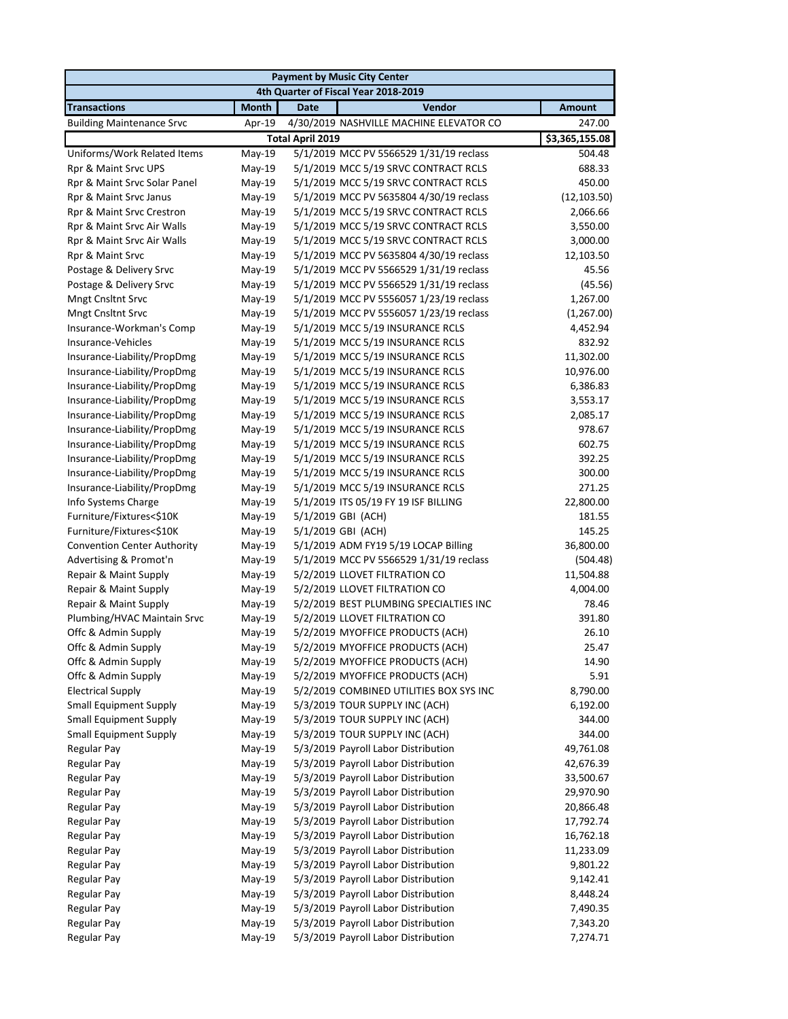| <b>Payment by Music City Center</b> |              |                                         |                |  |
|-------------------------------------|--------------|-----------------------------------------|----------------|--|
|                                     |              | 4th Quarter of Fiscal Year 2018-2019    |                |  |
| <b>Transactions</b>                 | <b>Month</b> | Vendor<br><b>Date</b>                   | <b>Amount</b>  |  |
| <b>Building Maintenance Srvc</b>    | Apr-19       | 4/30/2019 NASHVILLE MACHINE ELEVATOR CO | 247.00         |  |
|                                     |              | <b>Total April 2019</b>                 | \$3,365,155.08 |  |
| Uniforms/Work Related Items         | $May-19$     | 5/1/2019 MCC PV 5566529 1/31/19 reclass | 504.48         |  |
| Rpr & Maint Srvc UPS                | $May-19$     | 5/1/2019 MCC 5/19 SRVC CONTRACT RCLS    | 688.33         |  |
| Rpr & Maint Srvc Solar Panel        | May-19       | 5/1/2019 MCC 5/19 SRVC CONTRACT RCLS    | 450.00         |  |
| Rpr & Maint Srvc Janus              | May-19       | 5/1/2019 MCC PV 5635804 4/30/19 reclass | (12, 103.50)   |  |
| Rpr & Maint Srvc Crestron           | $May-19$     | 5/1/2019 MCC 5/19 SRVC CONTRACT RCLS    | 2,066.66       |  |
| Rpr & Maint Srvc Air Walls          | May-19       | 5/1/2019 MCC 5/19 SRVC CONTRACT RCLS    | 3,550.00       |  |
| Rpr & Maint Srvc Air Walls          | $May-19$     | 5/1/2019 MCC 5/19 SRVC CONTRACT RCLS    | 3,000.00       |  |
| Rpr & Maint Srvc                    | May-19       | 5/1/2019 MCC PV 5635804 4/30/19 reclass | 12,103.50      |  |
| Postage & Delivery Srvc             | $May-19$     | 5/1/2019 MCC PV 5566529 1/31/19 reclass | 45.56          |  |
| Postage & Delivery Srvc             | May-19       | 5/1/2019 MCC PV 5566529 1/31/19 reclass | (45.56)        |  |
| <b>Mngt Cnsltnt Srvc</b>            | $May-19$     | 5/1/2019 MCC PV 5556057 1/23/19 reclass | 1,267.00       |  |
| <b>Mngt Cnsltnt Srvc</b>            | May-19       | 5/1/2019 MCC PV 5556057 1/23/19 reclass | (1,267.00)     |  |
| Insurance-Workman's Comp            | May-19       | 5/1/2019 MCC 5/19 INSURANCE RCLS        | 4,452.94       |  |
| Insurance-Vehicles                  | May-19       | 5/1/2019 MCC 5/19 INSURANCE RCLS        | 832.92         |  |
| Insurance-Liability/PropDmg         | $May-19$     | 5/1/2019 MCC 5/19 INSURANCE RCLS        | 11,302.00      |  |
| Insurance-Liability/PropDmg         | $May-19$     | 5/1/2019 MCC 5/19 INSURANCE RCLS        | 10,976.00      |  |
| Insurance-Liability/PropDmg         | May-19       | 5/1/2019 MCC 5/19 INSURANCE RCLS        | 6,386.83       |  |
| Insurance-Liability/PropDmg         | $May-19$     | 5/1/2019 MCC 5/19 INSURANCE RCLS        | 3,553.17       |  |
| Insurance-Liability/PropDmg         | $May-19$     | 5/1/2019 MCC 5/19 INSURANCE RCLS        | 2,085.17       |  |
| Insurance-Liability/PropDmg         | $May-19$     | 5/1/2019 MCC 5/19 INSURANCE RCLS        | 978.67         |  |
| Insurance-Liability/PropDmg         | May-19       | 5/1/2019 MCC 5/19 INSURANCE RCLS        | 602.75         |  |
| Insurance-Liability/PropDmg         | May-19       | 5/1/2019 MCC 5/19 INSURANCE RCLS        | 392.25         |  |
| Insurance-Liability/PropDmg         | May-19       | 5/1/2019 MCC 5/19 INSURANCE RCLS        | 300.00         |  |
| Insurance-Liability/PropDmg         | May-19       | 5/1/2019 MCC 5/19 INSURANCE RCLS        | 271.25         |  |
| Info Systems Charge                 | May-19       | 5/1/2019 ITS 05/19 FY 19 ISF BILLING    | 22,800.00      |  |
| Furniture/Fixtures<\$10K            | $May-19$     | 5/1/2019 GBI (ACH)                      | 181.55         |  |
| Furniture/Fixtures<\$10K            | $May-19$     | 5/1/2019 GBI (ACH)                      | 145.25         |  |
| <b>Convention Center Authority</b>  | May-19       | 5/1/2019 ADM FY19 5/19 LOCAP Billing    | 36,800.00      |  |
| Advertising & Promot'n              | May-19       | 5/1/2019 MCC PV 5566529 1/31/19 reclass | (504.48)       |  |
| Repair & Maint Supply               | May-19       | 5/2/2019 LLOVET FILTRATION CO           | 11,504.88      |  |
| Repair & Maint Supply               | $May-19$     | 5/2/2019 LLOVET FILTRATION CO           | 4,004.00       |  |
| Repair & Maint Supply               | May-19       | 5/2/2019 BEST PLUMBING SPECIALTIES INC  | 78.46          |  |
| Plumbing/HVAC Maintain Srvc         | May-19       | 5/2/2019 LLOVET FILTRATION CO           | 391.80         |  |
| Offc & Admin Supply                 | $May-19$     | 5/2/2019 MYOFFICE PRODUCTS (ACH)        | 26.10          |  |
| Offc & Admin Supply                 | May-19       | 5/2/2019 MYOFFICE PRODUCTS (ACH)        | 25.47          |  |
| Offc & Admin Supply                 | $May-19$     | 5/2/2019 MYOFFICE PRODUCTS (ACH)        | 14.90          |  |
| Offc & Admin Supply                 | May-19       | 5/2/2019 MYOFFICE PRODUCTS (ACH)        | 5.91           |  |
| <b>Electrical Supply</b>            | May-19       | 5/2/2019 COMBINED UTILITIES BOX SYS INC | 8,790.00       |  |
| <b>Small Equipment Supply</b>       | May-19       | 5/3/2019 TOUR SUPPLY INC (ACH)          | 6,192.00       |  |
| <b>Small Equipment Supply</b>       | May-19       | 5/3/2019 TOUR SUPPLY INC (ACH)          | 344.00         |  |
| <b>Small Equipment Supply</b>       | May-19       | 5/3/2019 TOUR SUPPLY INC (ACH)          | 344.00         |  |
| <b>Regular Pay</b>                  | May-19       | 5/3/2019 Payroll Labor Distribution     | 49,761.08      |  |
| <b>Regular Pay</b>                  | May-19       | 5/3/2019 Payroll Labor Distribution     | 42,676.39      |  |
| Regular Pay                         | May-19       | 5/3/2019 Payroll Labor Distribution     | 33,500.67      |  |
| <b>Regular Pay</b>                  | May-19       | 5/3/2019 Payroll Labor Distribution     | 29,970.90      |  |
| <b>Regular Pay</b>                  | May-19       | 5/3/2019 Payroll Labor Distribution     | 20,866.48      |  |
| <b>Regular Pay</b>                  | May-19       | 5/3/2019 Payroll Labor Distribution     | 17,792.74      |  |
| <b>Regular Pay</b>                  | May-19       | 5/3/2019 Payroll Labor Distribution     | 16,762.18      |  |
| <b>Regular Pay</b>                  | May-19       | 5/3/2019 Payroll Labor Distribution     | 11,233.09      |  |
| <b>Regular Pay</b>                  | May-19       | 5/3/2019 Payroll Labor Distribution     | 9,801.22       |  |
| <b>Regular Pay</b>                  | May-19       | 5/3/2019 Payroll Labor Distribution     | 9,142.41       |  |
| <b>Regular Pay</b>                  | May-19       | 5/3/2019 Payroll Labor Distribution     | 8,448.24       |  |
| <b>Regular Pay</b>                  | $May-19$     | 5/3/2019 Payroll Labor Distribution     | 7,490.35       |  |
| Regular Pay                         | May-19       | 5/3/2019 Payroll Labor Distribution     | 7,343.20       |  |
| <b>Regular Pay</b>                  | May-19       | 5/3/2019 Payroll Labor Distribution     | 7,274.71       |  |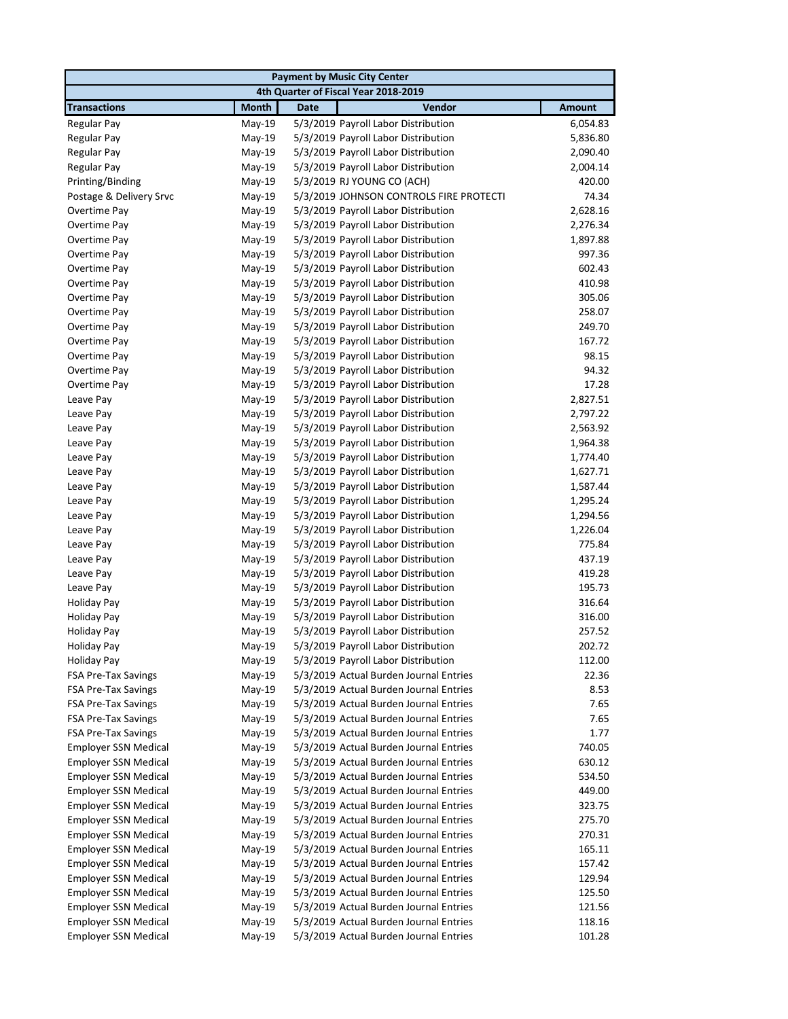| <b>Payment by Music City Center</b>      |                    |                                                                            |                  |  |
|------------------------------------------|--------------------|----------------------------------------------------------------------------|------------------|--|
|                                          |                    | 4th Quarter of Fiscal Year 2018-2019                                       |                  |  |
| <b>Transactions</b>                      | <b>Month</b>       | Vendor<br><b>Date</b>                                                      | <b>Amount</b>    |  |
| Regular Pay                              | May-19             | 5/3/2019 Payroll Labor Distribution                                        | 6,054.83         |  |
| <b>Regular Pay</b>                       | May-19             | 5/3/2019 Payroll Labor Distribution                                        | 5,836.80         |  |
| <b>Regular Pay</b>                       | May-19             | 5/3/2019 Payroll Labor Distribution                                        | 2,090.40         |  |
| <b>Regular Pay</b>                       | May-19             | 5/3/2019 Payroll Labor Distribution                                        | 2,004.14         |  |
| Printing/Binding                         | May-19             | 5/3/2019 RJ YOUNG CO (ACH)                                                 | 420.00           |  |
| Postage & Delivery Srvc                  | May-19             | 5/3/2019 JOHNSON CONTROLS FIRE PROTECTI                                    | 74.34            |  |
| Overtime Pay                             | May-19             | 5/3/2019 Payroll Labor Distribution                                        | 2,628.16         |  |
| Overtime Pay                             | May-19             | 5/3/2019 Payroll Labor Distribution                                        | 2,276.34         |  |
| Overtime Pay                             | May-19             | 5/3/2019 Payroll Labor Distribution                                        | 1,897.88         |  |
| Overtime Pay                             | May-19             | 5/3/2019 Payroll Labor Distribution                                        | 997.36           |  |
| Overtime Pay                             | May-19             | 5/3/2019 Payroll Labor Distribution                                        | 602.43           |  |
| Overtime Pay                             | May-19             | 5/3/2019 Payroll Labor Distribution                                        | 410.98           |  |
| Overtime Pay                             | May-19             | 5/3/2019 Payroll Labor Distribution                                        | 305.06           |  |
| Overtime Pay                             | May-19             | 5/3/2019 Payroll Labor Distribution                                        | 258.07           |  |
| Overtime Pay                             | $May-19$           | 5/3/2019 Payroll Labor Distribution                                        | 249.70           |  |
| Overtime Pay                             | May-19             | 5/3/2019 Payroll Labor Distribution                                        | 167.72           |  |
| Overtime Pay                             | $May-19$           | 5/3/2019 Payroll Labor Distribution                                        | 98.15            |  |
| Overtime Pay                             | May-19             | 5/3/2019 Payroll Labor Distribution                                        | 94.32            |  |
| Overtime Pay                             | May-19             | 5/3/2019 Payroll Labor Distribution                                        | 17.28            |  |
| Leave Pay                                | May-19             | 5/3/2019 Payroll Labor Distribution                                        | 2,827.51         |  |
| Leave Pay                                | May-19             | 5/3/2019 Payroll Labor Distribution                                        | 2,797.22         |  |
| Leave Pay                                | May-19             | 5/3/2019 Payroll Labor Distribution                                        | 2,563.92         |  |
| Leave Pay                                | May-19             | 5/3/2019 Payroll Labor Distribution                                        | 1,964.38         |  |
| Leave Pay                                | May-19             | 5/3/2019 Payroll Labor Distribution                                        | 1,774.40         |  |
| Leave Pay                                | May-19             | 5/3/2019 Payroll Labor Distribution                                        | 1,627.71         |  |
| Leave Pay                                | May-19             | 5/3/2019 Payroll Labor Distribution                                        | 1,587.44         |  |
| Leave Pay                                | May-19             | 5/3/2019 Payroll Labor Distribution                                        | 1,295.24         |  |
| Leave Pay                                | May-19             | 5/3/2019 Payroll Labor Distribution                                        | 1,294.56         |  |
| Leave Pay                                | May-19             | 5/3/2019 Payroll Labor Distribution                                        | 1,226.04         |  |
| Leave Pay                                | May-19             | 5/3/2019 Payroll Labor Distribution                                        | 775.84           |  |
| Leave Pay                                | May-19             | 5/3/2019 Payroll Labor Distribution                                        | 437.19           |  |
| Leave Pay                                | May-19             | 5/3/2019 Payroll Labor Distribution                                        | 419.28<br>195.73 |  |
| Leave Pay                                | May-19<br>$May-19$ | 5/3/2019 Payroll Labor Distribution                                        | 316.64           |  |
| Holiday Pay                              |                    | 5/3/2019 Payroll Labor Distribution                                        |                  |  |
| <b>Holiday Pay</b><br><b>Holiday Pay</b> | May-19<br>May-19   | 5/3/2019 Payroll Labor Distribution<br>5/3/2019 Payroll Labor Distribution | 316.00<br>257.52 |  |
| <b>Holiday Pay</b>                       | May-19             | 5/3/2019 Payroll Labor Distribution                                        | 202.72           |  |
| <b>Holiday Pay</b>                       | May-19             | 5/3/2019 Payroll Labor Distribution                                        | 112.00           |  |
| FSA Pre-Tax Savings                      | May-19             | 5/3/2019 Actual Burden Journal Entries                                     | 22.36            |  |
| <b>FSA Pre-Tax Savings</b>               | May-19             | 5/3/2019 Actual Burden Journal Entries                                     | 8.53             |  |
| <b>FSA Pre-Tax Savings</b>               | May-19             | 5/3/2019 Actual Burden Journal Entries                                     | 7.65             |  |
| <b>FSA Pre-Tax Savings</b>               | May-19             | 5/3/2019 Actual Burden Journal Entries                                     | 7.65             |  |
| <b>FSA Pre-Tax Savings</b>               | May-19             | 5/3/2019 Actual Burden Journal Entries                                     | 1.77             |  |
| <b>Employer SSN Medical</b>              | $May-19$           | 5/3/2019 Actual Burden Journal Entries                                     | 740.05           |  |
| <b>Employer SSN Medical</b>              | May-19             | 5/3/2019 Actual Burden Journal Entries                                     | 630.12           |  |
| <b>Employer SSN Medical</b>              | May-19             | 5/3/2019 Actual Burden Journal Entries                                     | 534.50           |  |
| <b>Employer SSN Medical</b>              | May-19             | 5/3/2019 Actual Burden Journal Entries                                     | 449.00           |  |
| <b>Employer SSN Medical</b>              | May-19             | 5/3/2019 Actual Burden Journal Entries                                     | 323.75           |  |
| <b>Employer SSN Medical</b>              | May-19             | 5/3/2019 Actual Burden Journal Entries                                     | 275.70           |  |
| <b>Employer SSN Medical</b>              | May-19             | 5/3/2019 Actual Burden Journal Entries                                     | 270.31           |  |
| <b>Employer SSN Medical</b>              | May-19             | 5/3/2019 Actual Burden Journal Entries                                     | 165.11           |  |
| <b>Employer SSN Medical</b>              | May-19             | 5/3/2019 Actual Burden Journal Entries                                     | 157.42           |  |
| <b>Employer SSN Medical</b>              | May-19             | 5/3/2019 Actual Burden Journal Entries                                     | 129.94           |  |
| <b>Employer SSN Medical</b>              | May-19             | 5/3/2019 Actual Burden Journal Entries                                     | 125.50           |  |
| <b>Employer SSN Medical</b>              | May-19             | 5/3/2019 Actual Burden Journal Entries                                     | 121.56           |  |
| Employer SSN Medical                     | May-19             | 5/3/2019 Actual Burden Journal Entries                                     | 118.16           |  |
| <b>Employer SSN Medical</b>              | May-19             | 5/3/2019 Actual Burden Journal Entries                                     | 101.28           |  |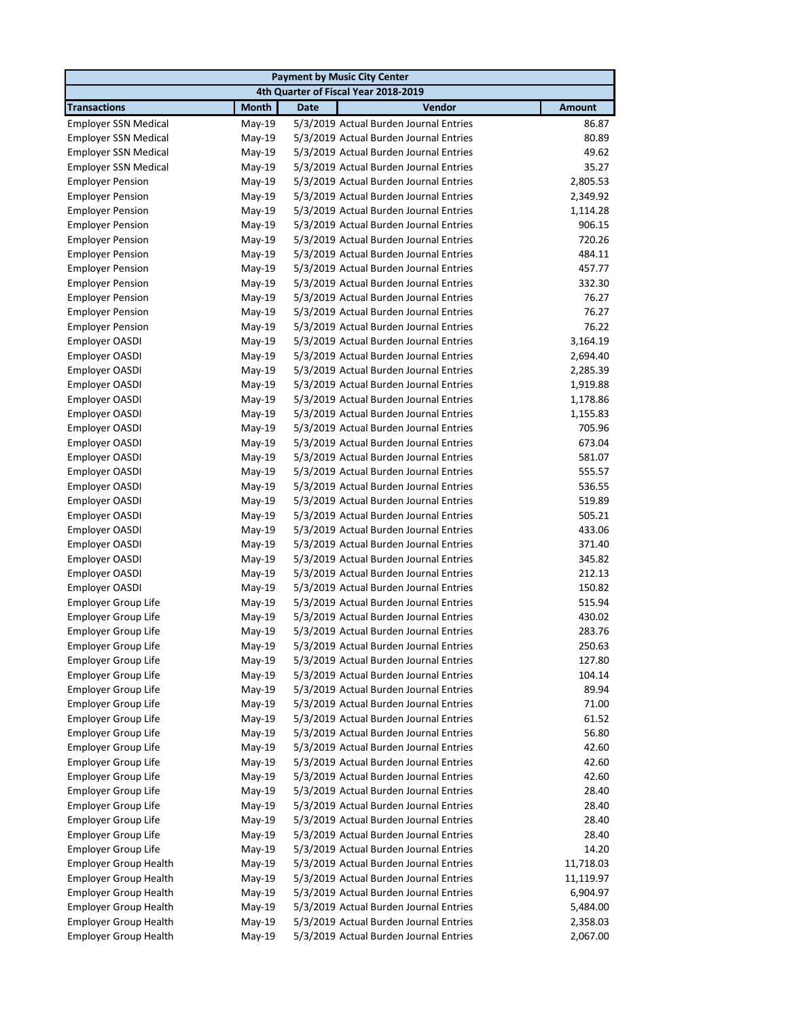|                                      |              | <b>Payment by Music City Center</b>    |               |  |  |
|--------------------------------------|--------------|----------------------------------------|---------------|--|--|
| 4th Quarter of Fiscal Year 2018-2019 |              |                                        |               |  |  |
| <b>Transactions</b>                  | <b>Month</b> | Vendor<br><b>Date</b>                  | <b>Amount</b> |  |  |
| <b>Employer SSN Medical</b>          | May-19       | 5/3/2019 Actual Burden Journal Entries | 86.87         |  |  |
| <b>Employer SSN Medical</b>          | May-19       | 5/3/2019 Actual Burden Journal Entries | 80.89         |  |  |
| <b>Employer SSN Medical</b>          | May-19       | 5/3/2019 Actual Burden Journal Entries | 49.62         |  |  |
| <b>Employer SSN Medical</b>          | May-19       | 5/3/2019 Actual Burden Journal Entries | 35.27         |  |  |
| <b>Employer Pension</b>              | May-19       | 5/3/2019 Actual Burden Journal Entries | 2,805.53      |  |  |
| <b>Employer Pension</b>              | May-19       | 5/3/2019 Actual Burden Journal Entries | 2,349.92      |  |  |
| <b>Employer Pension</b>              | May-19       | 5/3/2019 Actual Burden Journal Entries | 1,114.28      |  |  |
| <b>Employer Pension</b>              | May-19       | 5/3/2019 Actual Burden Journal Entries | 906.15        |  |  |
| <b>Employer Pension</b>              | May-19       | 5/3/2019 Actual Burden Journal Entries | 720.26        |  |  |
| <b>Employer Pension</b>              | May-19       | 5/3/2019 Actual Burden Journal Entries | 484.11        |  |  |
| <b>Employer Pension</b>              | May-19       | 5/3/2019 Actual Burden Journal Entries | 457.77        |  |  |
| <b>Employer Pension</b>              | May-19       | 5/3/2019 Actual Burden Journal Entries | 332.30        |  |  |
| <b>Employer Pension</b>              | May-19       | 5/3/2019 Actual Burden Journal Entries | 76.27         |  |  |
| <b>Employer Pension</b>              | $May-19$     | 5/3/2019 Actual Burden Journal Entries | 76.27         |  |  |
| <b>Employer Pension</b>              | May-19       | 5/3/2019 Actual Burden Journal Entries | 76.22         |  |  |
| <b>Employer OASDI</b>                | May-19       | 5/3/2019 Actual Burden Journal Entries | 3,164.19      |  |  |
| Employer OASDI                       | May-19       | 5/3/2019 Actual Burden Journal Entries | 2,694.40      |  |  |
| Employer OASDI                       | May-19       | 5/3/2019 Actual Burden Journal Entries | 2,285.39      |  |  |
| Employer OASDI                       | May-19       | 5/3/2019 Actual Burden Journal Entries | 1,919.88      |  |  |
| Employer OASDI                       | May-19       | 5/3/2019 Actual Burden Journal Entries | 1,178.86      |  |  |
| Employer OASDI                       | May-19       | 5/3/2019 Actual Burden Journal Entries | 1,155.83      |  |  |
| Employer OASDI                       | May-19       | 5/3/2019 Actual Burden Journal Entries | 705.96        |  |  |
| Employer OASDI                       | May-19       | 5/3/2019 Actual Burden Journal Entries | 673.04        |  |  |
| Employer OASDI                       | May-19       | 5/3/2019 Actual Burden Journal Entries | 581.07        |  |  |
| Employer OASDI                       | May-19       | 5/3/2019 Actual Burden Journal Entries | 555.57        |  |  |
| Employer OASDI                       | May-19       | 5/3/2019 Actual Burden Journal Entries | 536.55        |  |  |
| Employer OASDI                       | May-19       | 5/3/2019 Actual Burden Journal Entries | 519.89        |  |  |
| Employer OASDI                       | May-19       | 5/3/2019 Actual Burden Journal Entries | 505.21        |  |  |
| Employer OASDI                       | May-19       | 5/3/2019 Actual Burden Journal Entries | 433.06        |  |  |
| Employer OASDI                       | May-19       | 5/3/2019 Actual Burden Journal Entries | 371.40        |  |  |
| Employer OASDI                       | May-19       | 5/3/2019 Actual Burden Journal Entries | 345.82        |  |  |
| Employer OASDI                       | May-19       | 5/3/2019 Actual Burden Journal Entries | 212.13        |  |  |
| Employer OASDI                       | May-19       | 5/3/2019 Actual Burden Journal Entries | 150.82        |  |  |
| <b>Employer Group Life</b>           | May-19       | 5/3/2019 Actual Burden Journal Entries | 515.94        |  |  |
| <b>Employer Group Life</b>           | May-19       | 5/3/2019 Actual Burden Journal Entries | 430.02        |  |  |
| <b>Employer Group Life</b>           | May-19       | 5/3/2019 Actual Burden Journal Entries | 283.76        |  |  |
| Employer Group Life                  | May-19       | 5/3/2019 Actual Burden Journal Entries | 250.63        |  |  |
| <b>Employer Group Life</b>           | May-19       | 5/3/2019 Actual Burden Journal Entries | 127.80        |  |  |
| <b>Employer Group Life</b>           | May-19       | 5/3/2019 Actual Burden Journal Entries | 104.14        |  |  |
| <b>Employer Group Life</b>           | May-19       | 5/3/2019 Actual Burden Journal Entries | 89.94         |  |  |
| Employer Group Life                  | May-19       | 5/3/2019 Actual Burden Journal Entries | 71.00         |  |  |
| <b>Employer Group Life</b>           | $May-19$     | 5/3/2019 Actual Burden Journal Entries | 61.52         |  |  |
| <b>Employer Group Life</b>           | May-19       | 5/3/2019 Actual Burden Journal Entries | 56.80         |  |  |
| <b>Employer Group Life</b>           | May-19       | 5/3/2019 Actual Burden Journal Entries | 42.60         |  |  |
| <b>Employer Group Life</b>           | May-19       | 5/3/2019 Actual Burden Journal Entries | 42.60         |  |  |
| <b>Employer Group Life</b>           | May-19       | 5/3/2019 Actual Burden Journal Entries | 42.60         |  |  |
| <b>Employer Group Life</b>           | May-19       | 5/3/2019 Actual Burden Journal Entries | 28.40         |  |  |
| <b>Employer Group Life</b>           | May-19       | 5/3/2019 Actual Burden Journal Entries | 28.40         |  |  |
| <b>Employer Group Life</b>           | May-19       | 5/3/2019 Actual Burden Journal Entries | 28.40         |  |  |
| <b>Employer Group Life</b>           | May-19       | 5/3/2019 Actual Burden Journal Entries | 28.40         |  |  |
| <b>Employer Group Life</b>           | May-19       | 5/3/2019 Actual Burden Journal Entries | 14.20         |  |  |
| <b>Employer Group Health</b>         | May-19       | 5/3/2019 Actual Burden Journal Entries | 11,718.03     |  |  |
| <b>Employer Group Health</b>         | May-19       | 5/3/2019 Actual Burden Journal Entries | 11,119.97     |  |  |
| <b>Employer Group Health</b>         | May-19       | 5/3/2019 Actual Burden Journal Entries | 6,904.97      |  |  |
|                                      |              |                                        |               |  |  |
| <b>Employer Group Health</b>         | May-19       | 5/3/2019 Actual Burden Journal Entries | 5,484.00      |  |  |
| <b>Employer Group Health</b>         | May-19       | 5/3/2019 Actual Burden Journal Entries | 2,358.03      |  |  |
| <b>Employer Group Health</b>         | May-19       | 5/3/2019 Actual Burden Journal Entries | 2,067.00      |  |  |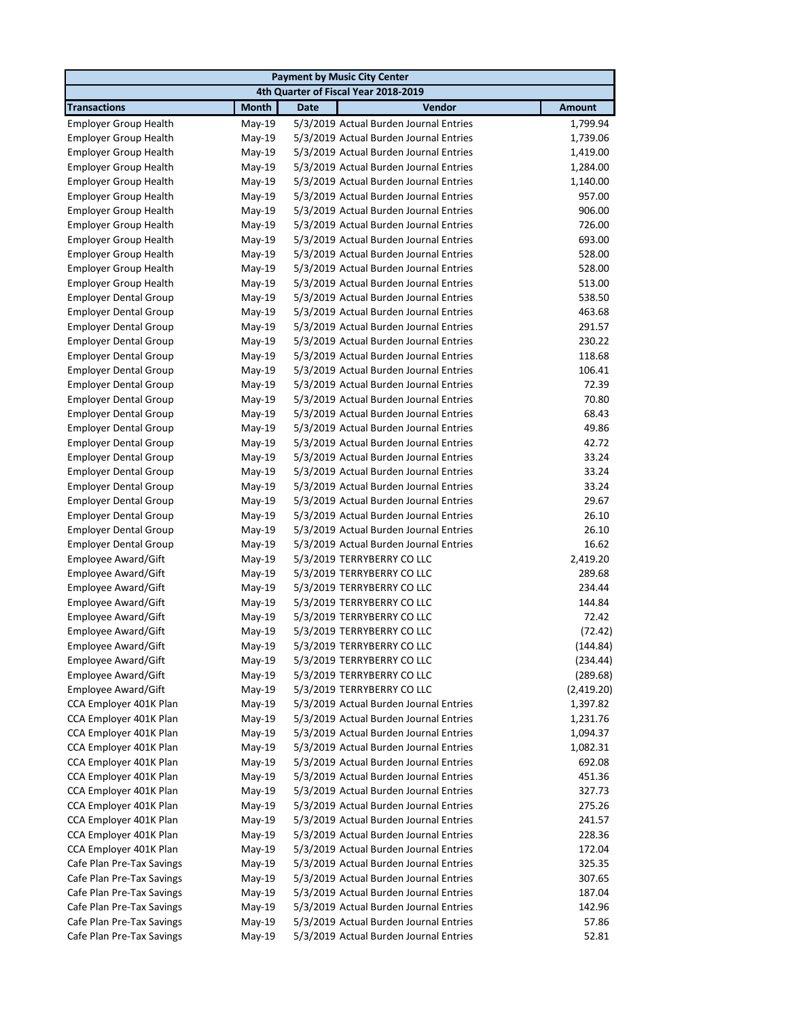| <b>Payment by Music City Center</b>                          |                  |                                                                                  |                |  |
|--------------------------------------------------------------|------------------|----------------------------------------------------------------------------------|----------------|--|
|                                                              |                  | 4th Quarter of Fiscal Year 2018-2019                                             |                |  |
| <b>Transactions</b>                                          | <b>Month</b>     | Vendor<br><b>Date</b>                                                            | <b>Amount</b>  |  |
| <b>Employer Group Health</b>                                 | May-19           | 5/3/2019 Actual Burden Journal Entries                                           | 1,799.94       |  |
| <b>Employer Group Health</b>                                 | May-19           | 5/3/2019 Actual Burden Journal Entries                                           | 1,739.06       |  |
| <b>Employer Group Health</b>                                 | May-19           | 5/3/2019 Actual Burden Journal Entries                                           | 1,419.00       |  |
| <b>Employer Group Health</b>                                 | May-19           | 5/3/2019 Actual Burden Journal Entries                                           | 1,284.00       |  |
| <b>Employer Group Health</b>                                 | May-19           | 5/3/2019 Actual Burden Journal Entries                                           | 1,140.00       |  |
| <b>Employer Group Health</b>                                 | May-19           | 5/3/2019 Actual Burden Journal Entries                                           | 957.00         |  |
| <b>Employer Group Health</b>                                 | May-19           | 5/3/2019 Actual Burden Journal Entries                                           | 906.00         |  |
| <b>Employer Group Health</b>                                 | May-19           | 5/3/2019 Actual Burden Journal Entries                                           | 726.00         |  |
| <b>Employer Group Health</b>                                 | May-19           | 5/3/2019 Actual Burden Journal Entries                                           | 693.00         |  |
| <b>Employer Group Health</b>                                 | May-19           | 5/3/2019 Actual Burden Journal Entries                                           | 528.00         |  |
| <b>Employer Group Health</b>                                 | May-19           | 5/3/2019 Actual Burden Journal Entries                                           | 528.00         |  |
| <b>Employer Group Health</b>                                 | $May-19$         | 5/3/2019 Actual Burden Journal Entries                                           | 513.00         |  |
| <b>Employer Dental Group</b>                                 | $May-19$         | 5/3/2019 Actual Burden Journal Entries                                           | 538.50         |  |
| <b>Employer Dental Group</b>                                 | May-19           | 5/3/2019 Actual Burden Journal Entries                                           | 463.68         |  |
| <b>Employer Dental Group</b>                                 | May-19           | 5/3/2019 Actual Burden Journal Entries                                           | 291.57         |  |
| <b>Employer Dental Group</b>                                 | May-19           | 5/3/2019 Actual Burden Journal Entries                                           | 230.22         |  |
| <b>Employer Dental Group</b>                                 | May-19           | 5/3/2019 Actual Burden Journal Entries                                           | 118.68         |  |
| <b>Employer Dental Group</b>                                 | May-19           | 5/3/2019 Actual Burden Journal Entries                                           | 106.41         |  |
| <b>Employer Dental Group</b>                                 | May-19           | 5/3/2019 Actual Burden Journal Entries                                           | 72.39          |  |
| <b>Employer Dental Group</b>                                 | May-19           | 5/3/2019 Actual Burden Journal Entries                                           | 70.80          |  |
| <b>Employer Dental Group</b>                                 | May-19           | 5/3/2019 Actual Burden Journal Entries<br>5/3/2019 Actual Burden Journal Entries | 68.43          |  |
| <b>Employer Dental Group</b>                                 | May-19           | 5/3/2019 Actual Burden Journal Entries                                           | 49.86<br>42.72 |  |
| <b>Employer Dental Group</b>                                 | May-19           | 5/3/2019 Actual Burden Journal Entries                                           | 33.24          |  |
| <b>Employer Dental Group</b>                                 | May-19           | 5/3/2019 Actual Burden Journal Entries                                           | 33.24          |  |
| <b>Employer Dental Group</b><br><b>Employer Dental Group</b> | May-19<br>May-19 | 5/3/2019 Actual Burden Journal Entries                                           | 33.24          |  |
| <b>Employer Dental Group</b>                                 | May-19           | 5/3/2019 Actual Burden Journal Entries                                           | 29.67          |  |
| <b>Employer Dental Group</b>                                 | May-19           | 5/3/2019 Actual Burden Journal Entries                                           | 26.10          |  |
| <b>Employer Dental Group</b>                                 | May-19           | 5/3/2019 Actual Burden Journal Entries                                           | 26.10          |  |
| <b>Employer Dental Group</b>                                 | May-19           | 5/3/2019 Actual Burden Journal Entries                                           | 16.62          |  |
| Employee Award/Gift                                          | May-19           | 5/3/2019 TERRYBERRY CO LLC                                                       | 2,419.20       |  |
| Employee Award/Gift                                          | May-19           | 5/3/2019 TERRYBERRY CO LLC                                                       | 289.68         |  |
| Employee Award/Gift                                          | May-19           | 5/3/2019 TERRYBERRY CO LLC                                                       | 234.44         |  |
| Employee Award/Gift                                          | May-19           | 5/3/2019 TERRYBERRY CO LLC                                                       | 144.84         |  |
| Employee Award/Gift                                          | May-19           | 5/3/2019 TERRYBERRY CO LLC                                                       | 72.42          |  |
| Employee Award/Gift                                          | May-19           | 5/3/2019 TERRYBERRY CO LLC                                                       | (72.42)        |  |
| Employee Award/Gift                                          | May-19           | 5/3/2019 TERRYBERRY CO LLC                                                       | (144.84)       |  |
| Employee Award/Gift                                          | $May-19$         | 5/3/2019 TERRYBERRY CO LLC                                                       | (234.44)       |  |
| Employee Award/Gift                                          | May-19           | 5/3/2019 TERRYBERRY CO LLC                                                       | (289.68)       |  |
| Employee Award/Gift                                          | May-19           | 5/3/2019 TERRYBERRY CO LLC                                                       | (2,419.20)     |  |
| CCA Employer 401K Plan                                       | May-19           | 5/3/2019 Actual Burden Journal Entries                                           | 1,397.82       |  |
| CCA Employer 401K Plan                                       | May-19           | 5/3/2019 Actual Burden Journal Entries                                           | 1,231.76       |  |
| CCA Employer 401K Plan                                       | May-19           | 5/3/2019 Actual Burden Journal Entries                                           | 1,094.37       |  |
| CCA Employer 401K Plan                                       | May-19           | 5/3/2019 Actual Burden Journal Entries                                           | 1,082.31       |  |
| CCA Employer 401K Plan                                       | $May-19$         | 5/3/2019 Actual Burden Journal Entries                                           | 692.08         |  |
| CCA Employer 401K Plan                                       | May-19           | 5/3/2019 Actual Burden Journal Entries                                           | 451.36         |  |
| CCA Employer 401K Plan                                       | May-19           | 5/3/2019 Actual Burden Journal Entries                                           | 327.73         |  |
| CCA Employer 401K Plan                                       | May-19           | 5/3/2019 Actual Burden Journal Entries                                           | 275.26         |  |
| CCA Employer 401K Plan                                       | May-19           | 5/3/2019 Actual Burden Journal Entries                                           | 241.57         |  |
| CCA Employer 401K Plan                                       | May-19           | 5/3/2019 Actual Burden Journal Entries                                           | 228.36         |  |
| CCA Employer 401K Plan                                       | May-19           | 5/3/2019 Actual Burden Journal Entries                                           | 172.04         |  |
| Cafe Plan Pre-Tax Savings                                    | May-19           | 5/3/2019 Actual Burden Journal Entries                                           | 325.35         |  |
| Cafe Plan Pre-Tax Savings                                    | May-19           | 5/3/2019 Actual Burden Journal Entries                                           | 307.65         |  |
| Cafe Plan Pre-Tax Savings                                    | May-19           | 5/3/2019 Actual Burden Journal Entries                                           | 187.04         |  |
| Cafe Plan Pre-Tax Savings                                    | May-19           | 5/3/2019 Actual Burden Journal Entries                                           | 142.96         |  |
| Cafe Plan Pre-Tax Savings                                    | May-19           | 5/3/2019 Actual Burden Journal Entries                                           | 57.86          |  |
| Cafe Plan Pre-Tax Savings                                    | May-19           | 5/3/2019 Actual Burden Journal Entries                                           | 52.81          |  |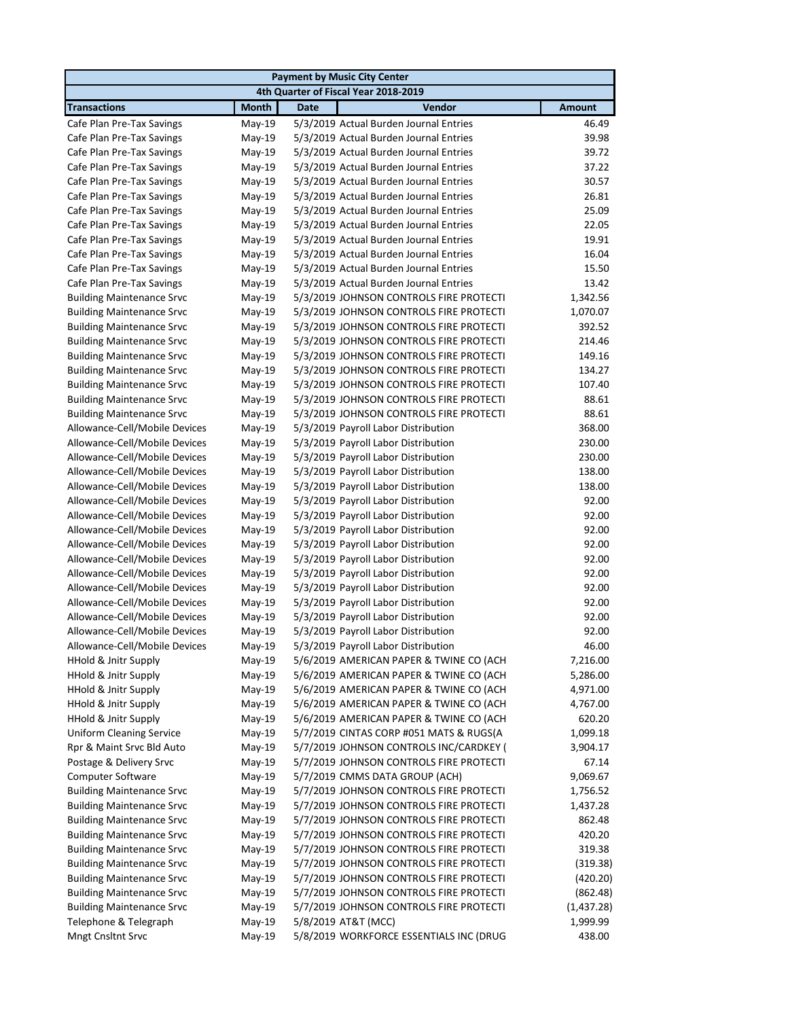| <b>Payment by Music City Center</b> |              |                                         |               |  |
|-------------------------------------|--------------|-----------------------------------------|---------------|--|
|                                     |              | 4th Quarter of Fiscal Year 2018-2019    |               |  |
| <b>Transactions</b>                 | <b>Month</b> | <b>Date</b><br>Vendor                   | <b>Amount</b> |  |
| Cafe Plan Pre-Tax Savings           | May-19       | 5/3/2019 Actual Burden Journal Entries  | 46.49         |  |
| Cafe Plan Pre-Tax Savings           | May-19       | 5/3/2019 Actual Burden Journal Entries  | 39.98         |  |
| Cafe Plan Pre-Tax Savings           | May-19       | 5/3/2019 Actual Burden Journal Entries  | 39.72         |  |
| Cafe Plan Pre-Tax Savings           | May-19       | 5/3/2019 Actual Burden Journal Entries  | 37.22         |  |
| Cafe Plan Pre-Tax Savings           | $May-19$     | 5/3/2019 Actual Burden Journal Entries  | 30.57         |  |
| Cafe Plan Pre-Tax Savings           | May-19       | 5/3/2019 Actual Burden Journal Entries  | 26.81         |  |
| Cafe Plan Pre-Tax Savings           | $May-19$     | 5/3/2019 Actual Burden Journal Entries  | 25.09         |  |
| Cafe Plan Pre-Tax Savings           | May-19       | 5/3/2019 Actual Burden Journal Entries  | 22.05         |  |
| Cafe Plan Pre-Tax Savings           | May-19       | 5/3/2019 Actual Burden Journal Entries  | 19.91         |  |
| Cafe Plan Pre-Tax Savings           | $May-19$     | 5/3/2019 Actual Burden Journal Entries  | 16.04         |  |
| Cafe Plan Pre-Tax Savings           | May-19       | 5/3/2019 Actual Burden Journal Entries  | 15.50         |  |
| Cafe Plan Pre-Tax Savings           | $May-19$     | 5/3/2019 Actual Burden Journal Entries  | 13.42         |  |
| <b>Building Maintenance Srvc</b>    | $May-19$     | 5/3/2019 JOHNSON CONTROLS FIRE PROTECTI | 1,342.56      |  |
| <b>Building Maintenance Srvc</b>    | May-19       | 5/3/2019 JOHNSON CONTROLS FIRE PROTECTI | 1,070.07      |  |
| <b>Building Maintenance Srvc</b>    | $May-19$     | 5/3/2019 JOHNSON CONTROLS FIRE PROTECTI | 392.52        |  |
| <b>Building Maintenance Srvc</b>    | May-19       | 5/3/2019 JOHNSON CONTROLS FIRE PROTECTI | 214.46        |  |
| <b>Building Maintenance Srvc</b>    | May-19       | 5/3/2019 JOHNSON CONTROLS FIRE PROTECTI | 149.16        |  |
| <b>Building Maintenance Srvc</b>    | May-19       | 5/3/2019 JOHNSON CONTROLS FIRE PROTECTI | 134.27        |  |
| <b>Building Maintenance Srvc</b>    | May-19       | 5/3/2019 JOHNSON CONTROLS FIRE PROTECTI | 107.40        |  |
| <b>Building Maintenance Srvc</b>    | May-19       | 5/3/2019 JOHNSON CONTROLS FIRE PROTECTI | 88.61         |  |
| <b>Building Maintenance Srvc</b>    | May-19       | 5/3/2019 JOHNSON CONTROLS FIRE PROTECTI | 88.61         |  |
| Allowance-Cell/Mobile Devices       | May-19       | 5/3/2019 Payroll Labor Distribution     | 368.00        |  |
| Allowance-Cell/Mobile Devices       | May-19       | 5/3/2019 Payroll Labor Distribution     | 230.00        |  |
| Allowance-Cell/Mobile Devices       | $May-19$     | 5/3/2019 Payroll Labor Distribution     | 230.00        |  |
| Allowance-Cell/Mobile Devices       | May-19       | 5/3/2019 Payroll Labor Distribution     | 138.00        |  |
| Allowance-Cell/Mobile Devices       | May-19       | 5/3/2019 Payroll Labor Distribution     | 138.00        |  |
| Allowance-Cell/Mobile Devices       | May-19       | 5/3/2019 Payroll Labor Distribution     | 92.00         |  |
| Allowance-Cell/Mobile Devices       | May-19       | 5/3/2019 Payroll Labor Distribution     | 92.00         |  |
| Allowance-Cell/Mobile Devices       | May-19       | 5/3/2019 Payroll Labor Distribution     | 92.00         |  |
| Allowance-Cell/Mobile Devices       | $May-19$     | 5/3/2019 Payroll Labor Distribution     | 92.00         |  |
| Allowance-Cell/Mobile Devices       | May-19       | 5/3/2019 Payroll Labor Distribution     | 92.00         |  |
| Allowance-Cell/Mobile Devices       | $May-19$     | 5/3/2019 Payroll Labor Distribution     | 92.00         |  |
| Allowance-Cell/Mobile Devices       | May-19       | 5/3/2019 Payroll Labor Distribution     | 92.00         |  |
| Allowance-Cell/Mobile Devices       | May-19       | 5/3/2019 Payroll Labor Distribution     | 92.00         |  |
| Allowance-Cell/Mobile Devices       | May-19       | 5/3/2019 Payroll Labor Distribution     | 92.00         |  |
| Allowance-Cell/Mobile Devices       | May-19       | 5/3/2019 Payroll Labor Distribution     | 92.00         |  |
| Allowance-Cell/Mobile Devices       | May-19       | 5/3/2019 Payroll Labor Distribution     | 46.00         |  |
| HHold & Jnitr Supply                | May-19       | 5/6/2019 AMERICAN PAPER & TWINE CO (ACH | 7,216.00      |  |
| HHold & Jnitr Supply                | May-19       | 5/6/2019 AMERICAN PAPER & TWINE CO (ACH | 5,286.00      |  |
| HHold & Jnitr Supply                | May-19       | 5/6/2019 AMERICAN PAPER & TWINE CO (ACH | 4,971.00      |  |
| <b>HHold &amp; Jnitr Supply</b>     | $May-19$     | 5/6/2019 AMERICAN PAPER & TWINE CO (ACH | 4,767.00      |  |
| HHold & Jnitr Supply                | May-19       | 5/6/2019 AMERICAN PAPER & TWINE CO (ACH | 620.20        |  |
| <b>Uniform Cleaning Service</b>     | May-19       | 5/7/2019 CINTAS CORP #051 MATS & RUGS(A | 1,099.18      |  |
| Rpr & Maint Srvc Bld Auto           | May-19       | 5/7/2019 JOHNSON CONTROLS INC/CARDKEY ( | 3,904.17      |  |
| Postage & Delivery Srvc             | May-19       | 5/7/2019 JOHNSON CONTROLS FIRE PROTECTI | 67.14         |  |
| Computer Software                   | May-19       | 5/7/2019 CMMS DATA GROUP (ACH)          | 9,069.67      |  |
| <b>Building Maintenance Srvc</b>    | May-19       | 5/7/2019 JOHNSON CONTROLS FIRE PROTECTI | 1,756.52      |  |
| <b>Building Maintenance Srvc</b>    | May-19       | 5/7/2019 JOHNSON CONTROLS FIRE PROTECTI | 1,437.28      |  |
| <b>Building Maintenance Srvc</b>    | $May-19$     | 5/7/2019 JOHNSON CONTROLS FIRE PROTECTI | 862.48        |  |
| <b>Building Maintenance Srvc</b>    | May-19       | 5/7/2019 JOHNSON CONTROLS FIRE PROTECTI | 420.20        |  |
| <b>Building Maintenance Srvc</b>    | May-19       | 5/7/2019 JOHNSON CONTROLS FIRE PROTECTI | 319.38        |  |
| <b>Building Maintenance Srvc</b>    | May-19       | 5/7/2019 JOHNSON CONTROLS FIRE PROTECTI | (319.38)      |  |
| <b>Building Maintenance Srvc</b>    | May-19       | 5/7/2019 JOHNSON CONTROLS FIRE PROTECTI | (420.20)      |  |
| <b>Building Maintenance Srvc</b>    | May-19       | 5/7/2019 JOHNSON CONTROLS FIRE PROTECTI | (862.48)      |  |
| <b>Building Maintenance Srvc</b>    | May-19       | 5/7/2019 JOHNSON CONTROLS FIRE PROTECTI | (1,437.28)    |  |
| Telephone & Telegraph               | May-19       | 5/8/2019 AT&T (MCC)                     | 1,999.99      |  |
| Mngt Cnsltnt Srvc                   | May-19       | 5/8/2019 WORKFORCE ESSENTIALS INC (DRUG | 438.00        |  |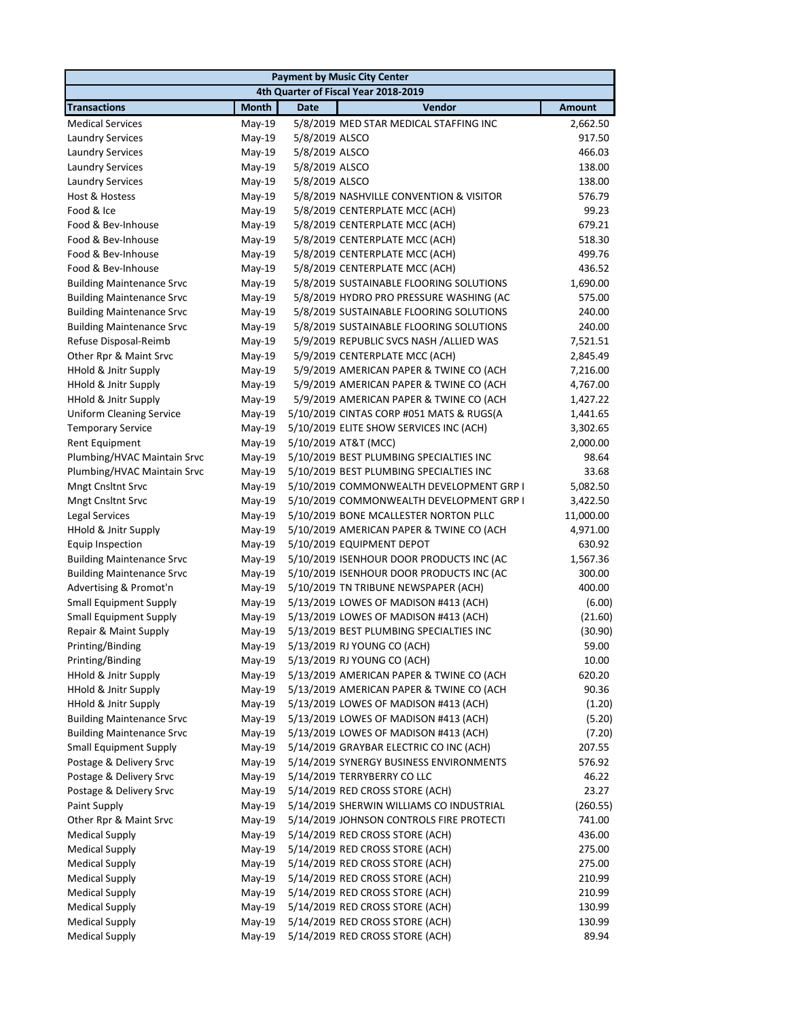|                                                            |                  |                | <b>Payment by Music City Center</b>                                                  |                  |  |
|------------------------------------------------------------|------------------|----------------|--------------------------------------------------------------------------------------|------------------|--|
| 4th Quarter of Fiscal Year 2018-2019                       |                  |                |                                                                                      |                  |  |
| <b>Transactions</b>                                        | <b>Month</b>     | <b>Date</b>    | Vendor                                                                               | <b>Amount</b>    |  |
| <b>Medical Services</b>                                    | May-19           |                | 5/8/2019 MED STAR MEDICAL STAFFING INC                                               | 2,662.50         |  |
| Laundry Services                                           | May-19           | 5/8/2019 ALSCO |                                                                                      | 917.50           |  |
| <b>Laundry Services</b>                                    | May-19           | 5/8/2019 ALSCO |                                                                                      | 466.03           |  |
| <b>Laundry Services</b>                                    | May-19           | 5/8/2019 ALSCO |                                                                                      | 138.00           |  |
| <b>Laundry Services</b>                                    | May-19           | 5/8/2019 ALSCO |                                                                                      | 138.00           |  |
| Host & Hostess                                             | $May-19$         |                | 5/8/2019 NASHVILLE CONVENTION & VISITOR                                              | 576.79           |  |
| Food & Ice                                                 | $May-19$         |                | 5/8/2019 CENTERPLATE MCC (ACH)                                                       | 99.23            |  |
| Food & Bev-Inhouse                                         | $May-19$         |                | 5/8/2019 CENTERPLATE MCC (ACH)                                                       | 679.21           |  |
| Food & Bev-Inhouse                                         | May-19           |                | 5/8/2019 CENTERPLATE MCC (ACH)                                                       | 518.30           |  |
| Food & Bev-Inhouse                                         | $May-19$         |                | 5/8/2019 CENTERPLATE MCC (ACH)                                                       | 499.76           |  |
| Food & Bev-Inhouse                                         | $May-19$         |                | 5/8/2019 CENTERPLATE MCC (ACH)                                                       | 436.52           |  |
| <b>Building Maintenance Srvc</b>                           | $May-19$         |                | 5/8/2019 SUSTAINABLE FLOORING SOLUTIONS                                              | 1,690.00         |  |
| <b>Building Maintenance Srvc</b>                           | May-19           |                | 5/8/2019 HYDRO PRO PRESSURE WASHING (AC                                              | 575.00           |  |
| <b>Building Maintenance Srvc</b>                           | May-19           |                | 5/8/2019 SUSTAINABLE FLOORING SOLUTIONS                                              | 240.00           |  |
| <b>Building Maintenance Srvc</b>                           | $May-19$         |                | 5/8/2019 SUSTAINABLE FLOORING SOLUTIONS                                              | 240.00           |  |
| Refuse Disposal-Reimb                                      | $May-19$         |                | 5/9/2019 REPUBLIC SVCS NASH /ALLIED WAS                                              | 7,521.51         |  |
| Other Rpr & Maint Srvc                                     | May-19           |                | 5/9/2019 CENTERPLATE MCC (ACH)                                                       | 2,845.49         |  |
| <b>HHold &amp; Jnitr Supply</b>                            | May-19           |                | 5/9/2019 AMERICAN PAPER & TWINE CO (ACH                                              | 7,216.00         |  |
| HHold & Jnitr Supply                                       | May-19           |                | 5/9/2019 AMERICAN PAPER & TWINE CO (ACH                                              | 4,767.00         |  |
| <b>HHold &amp; Jnitr Supply</b>                            | $May-19$         |                | 5/9/2019 AMERICAN PAPER & TWINE CO (ACH                                              | 1,427.22         |  |
| <b>Uniform Cleaning Service</b>                            | May-19           |                | 5/10/2019 CINTAS CORP #051 MATS & RUGS(A                                             | 1,441.65         |  |
| <b>Temporary Service</b>                                   | May-19           |                | 5/10/2019 ELITE SHOW SERVICES INC (ACH)                                              | 3,302.65         |  |
| <b>Rent Equipment</b>                                      | $May-19$         |                | 5/10/2019 AT&T (MCC)                                                                 | 2,000.00         |  |
| Plumbing/HVAC Maintain Srvc                                | May-19           |                | 5/10/2019 BEST PLUMBING SPECIALTIES INC                                              | 98.64            |  |
| Plumbing/HVAC Maintain Srvc                                | May-19           |                | 5/10/2019 BEST PLUMBING SPECIALTIES INC                                              | 33.68            |  |
| Mngt Cnsltnt Srvc                                          | May-19           |                | 5/10/2019 COMMONWEALTH DEVELOPMENT GRP I                                             | 5,082.50         |  |
| <b>Mngt Cnsltnt Srvc</b>                                   | May-19           |                | 5/10/2019 COMMONWEALTH DEVELOPMENT GRP I                                             | 3,422.50         |  |
| Legal Services                                             | May-19           |                | 5/10/2019 BONE MCALLESTER NORTON PLLC                                                | 11,000.00        |  |
| HHold & Jnitr Supply                                       | May-19           |                | 5/10/2019 AMERICAN PAPER & TWINE CO (ACH                                             | 4,971.00         |  |
| Equip Inspection                                           | May-19           |                | 5/10/2019 EQUIPMENT DEPOT                                                            | 630.92           |  |
| <b>Building Maintenance Srvc</b>                           | May-19           |                | 5/10/2019 ISENHOUR DOOR PRODUCTS INC (AC<br>5/10/2019 ISENHOUR DOOR PRODUCTS INC (AC | 1,567.36         |  |
| <b>Building Maintenance Srvc</b><br>Advertising & Promot'n | May-19<br>May-19 |                | 5/10/2019 TN TRIBUNE NEWSPAPER (ACH)                                                 | 300.00<br>400.00 |  |
| <b>Small Equipment Supply</b>                              | May-19           |                | 5/13/2019 LOWES OF MADISON #413 (ACH)                                                | (6.00)           |  |
| <b>Small Equipment Supply</b>                              | May-19           |                | 5/13/2019 LOWES OF MADISON #413 (ACH)                                                | (21.60)          |  |
| Repair & Maint Supply                                      | May-19           |                | 5/13/2019 BEST PLUMBING SPECIALTIES INC                                              | (30.90)          |  |
| Printing/Binding                                           | May-19           |                | 5/13/2019 RJ YOUNG CO (ACH)                                                          | 59.00            |  |
| Printing/Binding                                           | May-19           |                | 5/13/2019 RJ YOUNG CO (ACH)                                                          | 10.00            |  |
| HHold & Jnitr Supply                                       | May-19           |                | 5/13/2019 AMERICAN PAPER & TWINE CO (ACH                                             | 620.20           |  |
| HHold & Jnitr Supply                                       | May-19           |                | 5/13/2019 AMERICAN PAPER & TWINE CO (ACH                                             | 90.36            |  |
| HHold & Jnitr Supply                                       | May-19           |                | 5/13/2019 LOWES OF MADISON #413 (ACH)                                                | (1.20)           |  |
| <b>Building Maintenance Srvc</b>                           | May-19           |                | 5/13/2019 LOWES OF MADISON #413 (ACH)                                                | (5.20)           |  |
| <b>Building Maintenance Srvc</b>                           | May-19           |                | 5/13/2019 LOWES OF MADISON #413 (ACH)                                                | (7.20)           |  |
| <b>Small Equipment Supply</b>                              | May-19           |                | 5/14/2019 GRAYBAR ELECTRIC CO INC (ACH)                                              | 207.55           |  |
| Postage & Delivery Srvc                                    | May-19           |                | 5/14/2019 SYNERGY BUSINESS ENVIRONMENTS                                              | 576.92           |  |
| Postage & Delivery Srvc                                    | May-19           |                | 5/14/2019 TERRYBERRY CO LLC                                                          | 46.22            |  |
| Postage & Delivery Srvc                                    | May-19           |                | 5/14/2019 RED CROSS STORE (ACH)                                                      | 23.27            |  |
| Paint Supply                                               | May-19           |                | 5/14/2019 SHERWIN WILLIAMS CO INDUSTRIAL                                             | (260.55)         |  |
| Other Rpr & Maint Srvc                                     | May-19           |                | 5/14/2019 JOHNSON CONTROLS FIRE PROTECTI                                             | 741.00           |  |
| <b>Medical Supply</b>                                      | May-19           |                | 5/14/2019 RED CROSS STORE (ACH)                                                      | 436.00           |  |
| <b>Medical Supply</b>                                      | May-19           |                | 5/14/2019 RED CROSS STORE (ACH)                                                      | 275.00           |  |
| <b>Medical Supply</b>                                      | May-19           |                | 5/14/2019 RED CROSS STORE (ACH)                                                      | 275.00           |  |
| <b>Medical Supply</b>                                      | May-19           |                | 5/14/2019 RED CROSS STORE (ACH)                                                      | 210.99           |  |
| <b>Medical Supply</b>                                      | May-19           |                | 5/14/2019 RED CROSS STORE (ACH)                                                      | 210.99           |  |
| <b>Medical Supply</b>                                      | May-19           |                | 5/14/2019 RED CROSS STORE (ACH)                                                      | 130.99           |  |
| <b>Medical Supply</b>                                      | $May-19$         |                | 5/14/2019 RED CROSS STORE (ACH)                                                      | 130.99           |  |
| <b>Medical Supply</b>                                      | May-19           |                | 5/14/2019 RED CROSS STORE (ACH)                                                      | 89.94            |  |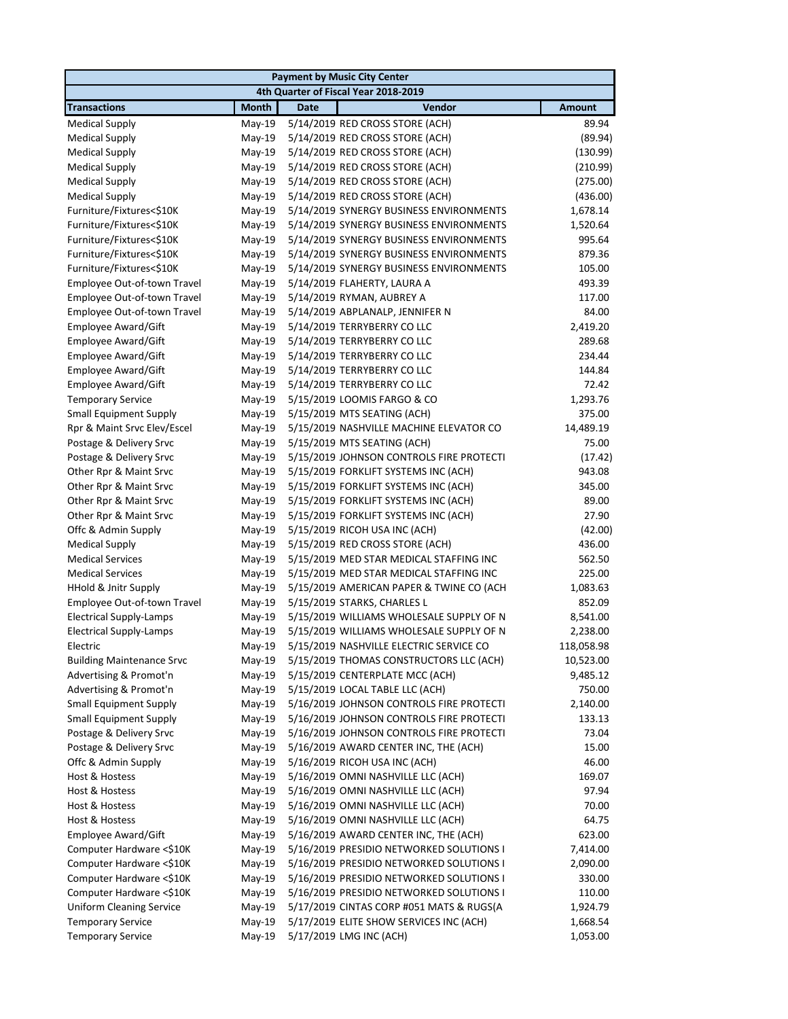|                                               | <b>Payment by Music City Center</b> |             |                                                                       |                 |  |
|-----------------------------------------------|-------------------------------------|-------------|-----------------------------------------------------------------------|-----------------|--|
|                                               |                                     |             | 4th Quarter of Fiscal Year 2018-2019                                  |                 |  |
| <b>Transactions</b>                           | <b>Month</b>                        | <b>Date</b> | Vendor                                                                | <b>Amount</b>   |  |
| <b>Medical Supply</b>                         | May-19                              |             | 5/14/2019 RED CROSS STORE (ACH)                                       | 89.94           |  |
| <b>Medical Supply</b>                         | May-19                              |             | 5/14/2019 RED CROSS STORE (ACH)                                       | (89.94)         |  |
| <b>Medical Supply</b>                         | May-19                              |             | 5/14/2019 RED CROSS STORE (ACH)                                       | (130.99)        |  |
| <b>Medical Supply</b>                         | May-19                              |             | 5/14/2019 RED CROSS STORE (ACH)                                       | (210.99)        |  |
| <b>Medical Supply</b>                         | $May-19$                            |             | 5/14/2019 RED CROSS STORE (ACH)                                       | (275.00)        |  |
| <b>Medical Supply</b>                         | May-19                              |             | 5/14/2019 RED CROSS STORE (ACH)                                       | (436.00)        |  |
| Furniture/Fixtures<\$10K                      | May-19                              |             | 5/14/2019 SYNERGY BUSINESS ENVIRONMENTS                               | 1,678.14        |  |
| Furniture/Fixtures<\$10K                      | May-19                              |             | 5/14/2019 SYNERGY BUSINESS ENVIRONMENTS                               | 1,520.64        |  |
| Furniture/Fixtures<\$10K                      | May-19                              |             | 5/14/2019 SYNERGY BUSINESS ENVIRONMENTS                               | 995.64          |  |
| Furniture/Fixtures<\$10K                      | May-19                              |             | 5/14/2019 SYNERGY BUSINESS ENVIRONMENTS                               | 879.36          |  |
| Furniture/Fixtures<\$10K                      | May-19                              |             | 5/14/2019 SYNERGY BUSINESS ENVIRONMENTS                               | 105.00          |  |
| Employee Out-of-town Travel                   | $May-19$                            |             | 5/14/2019 FLAHERTY, LAURA A                                           | 493.39          |  |
| Employee Out-of-town Travel                   | May-19                              |             | 5/14/2019 RYMAN, AUBREY A                                             | 117.00          |  |
| Employee Out-of-town Travel                   | $May-19$                            |             | 5/14/2019 ABPLANALP, JENNIFER N                                       | 84.00           |  |
| Employee Award/Gift                           | May-19                              |             | 5/14/2019 TERRYBERRY CO LLC                                           | 2,419.20        |  |
| Employee Award/Gift                           | May-19                              |             | 5/14/2019 TERRYBERRY CO LLC                                           | 289.68          |  |
| Employee Award/Gift                           | May-19                              |             | 5/14/2019 TERRYBERRY CO LLC                                           | 234.44          |  |
| Employee Award/Gift                           | May-19                              |             | 5/14/2019 TERRYBERRY CO LLC                                           | 144.84          |  |
| Employee Award/Gift                           | May-19                              |             | 5/14/2019 TERRYBERRY CO LLC                                           | 72.42           |  |
| <b>Temporary Service</b>                      | May-19                              |             | 5/15/2019 LOOMIS FARGO & CO                                           | 1,293.76        |  |
| <b>Small Equipment Supply</b>                 | May-19                              |             | 5/15/2019 MTS SEATING (ACH)                                           | 375.00          |  |
| Rpr & Maint Srvc Elev/Escel                   | May-19                              |             | 5/15/2019 NASHVILLE MACHINE ELEVATOR CO                               | 14,489.19       |  |
| Postage & Delivery Srvc                       | May-19                              |             | 5/15/2019 MTS SEATING (ACH)                                           | 75.00           |  |
| Postage & Delivery Srvc                       | May-19                              |             | 5/15/2019 JOHNSON CONTROLS FIRE PROTECTI                              | (17.42)         |  |
| Other Rpr & Maint Srvc                        | May-19                              |             | 5/15/2019 FORKLIFT SYSTEMS INC (ACH)                                  | 943.08          |  |
| Other Rpr & Maint Srvc                        | May-19                              |             | 5/15/2019 FORKLIFT SYSTEMS INC (ACH)                                  | 345.00<br>89.00 |  |
| Other Rpr & Maint Srvc                        | May-19                              |             | 5/15/2019 FORKLIFT SYSTEMS INC (ACH)                                  | 27.90           |  |
| Other Rpr & Maint Srvc<br>Offc & Admin Supply | May-19<br>May-19                    |             | 5/15/2019 FORKLIFT SYSTEMS INC (ACH)<br>5/15/2019 RICOH USA INC (ACH) | (42.00)         |  |
| <b>Medical Supply</b>                         | $May-19$                            |             | 5/15/2019 RED CROSS STORE (ACH)                                       | 436.00          |  |
| <b>Medical Services</b>                       | May-19                              |             | 5/15/2019 MED STAR MEDICAL STAFFING INC                               | 562.50          |  |
| <b>Medical Services</b>                       | May-19                              |             | 5/15/2019 MED STAR MEDICAL STAFFING INC                               | 225.00          |  |
| HHold & Jnitr Supply                          | May-19                              |             | 5/15/2019 AMERICAN PAPER & TWINE CO (ACH                              | 1,083.63        |  |
| Employee Out-of-town Travel                   | May-19                              |             | 5/15/2019 STARKS, CHARLES L                                           | 852.09          |  |
| <b>Electrical Supply-Lamps</b>                | May-19                              |             | 5/15/2019 WILLIAMS WHOLESALE SUPPLY OF N                              | 8,541.00        |  |
| <b>Electrical Supply-Lamps</b>                | May-19                              |             | 5/15/2019 WILLIAMS WHOLESALE SUPPLY OF N                              | 2,238.00        |  |
| Electric                                      | May-19                              |             | 5/15/2019 NASHVILLE ELECTRIC SERVICE CO                               | 118,058.98      |  |
| <b>Building Maintenance Srvc</b>              | May-19                              |             | 5/15/2019 THOMAS CONSTRUCTORS LLC (ACH)                               | 10,523.00       |  |
| Advertising & Promot'n                        | $May-19$                            |             | 5/15/2019 CENTERPLATE MCC (ACH)                                       | 9,485.12        |  |
| Advertising & Promot'n                        | May-19                              |             | 5/15/2019 LOCAL TABLE LLC (ACH)                                       | 750.00          |  |
| <b>Small Equipment Supply</b>                 | May-19                              |             | 5/16/2019 JOHNSON CONTROLS FIRE PROTECTI                              | 2,140.00        |  |
| <b>Small Equipment Supply</b>                 | $May-19$                            |             | 5/16/2019 JOHNSON CONTROLS FIRE PROTECTI                              | 133.13          |  |
| Postage & Delivery Srvc                       | May-19                              |             | 5/16/2019 JOHNSON CONTROLS FIRE PROTECTI                              | 73.04           |  |
| Postage & Delivery Srvc                       | May-19                              |             | 5/16/2019 AWARD CENTER INC, THE (ACH)                                 | 15.00           |  |
| Offc & Admin Supply                           | $May-19$                            |             | 5/16/2019 RICOH USA INC (ACH)                                         | 46.00           |  |
| Host & Hostess                                | May-19                              |             | 5/16/2019 OMNI NASHVILLE LLC (ACH)                                    | 169.07          |  |
| Host & Hostess                                | $May-19$                            |             | 5/16/2019 OMNI NASHVILLE LLC (ACH)                                    | 97.94           |  |
| Host & Hostess                                | May-19                              |             | 5/16/2019 OMNI NASHVILLE LLC (ACH)                                    | 70.00           |  |
| Host & Hostess                                | $May-19$                            |             | 5/16/2019 OMNI NASHVILLE LLC (ACH)                                    | 64.75           |  |
| Employee Award/Gift                           | May-19                              |             | 5/16/2019 AWARD CENTER INC, THE (ACH)                                 | 623.00          |  |
| Computer Hardware <\$10K                      | May-19                              |             | 5/16/2019 PRESIDIO NETWORKED SOLUTIONS I                              | 7,414.00        |  |
| Computer Hardware <\$10K                      | May-19                              |             | 5/16/2019 PRESIDIO NETWORKED SOLUTIONS I                              | 2,090.00        |  |
| Computer Hardware <\$10K                      | May-19                              |             | 5/16/2019 PRESIDIO NETWORKED SOLUTIONS I                              | 330.00          |  |
| Computer Hardware <\$10K                      | May-19                              |             | 5/16/2019 PRESIDIO NETWORKED SOLUTIONS I                              | 110.00          |  |
| <b>Uniform Cleaning Service</b>               | May-19                              |             | 5/17/2019 CINTAS CORP #051 MATS & RUGS(A                              | 1,924.79        |  |
| <b>Temporary Service</b>                      | May-19                              |             | 5/17/2019 ELITE SHOW SERVICES INC (ACH)                               | 1,668.54        |  |
| <b>Temporary Service</b>                      | $May-19$                            |             | 5/17/2019 LMG INC (ACH)                                               | 1,053.00        |  |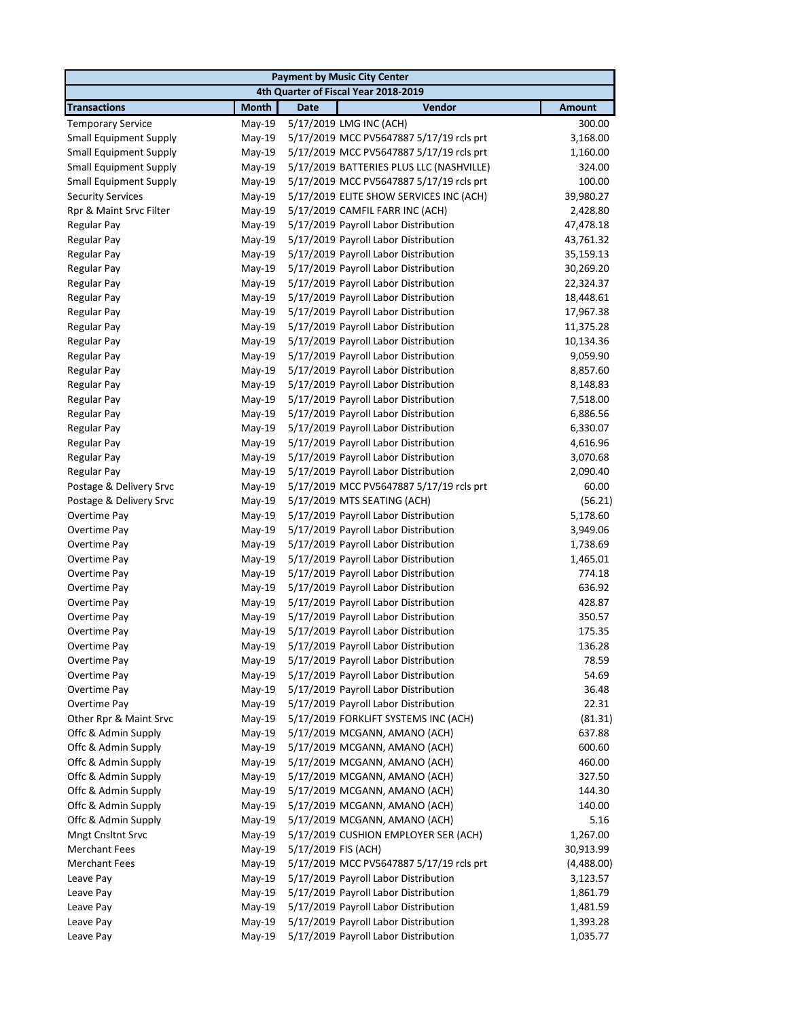| <b>Payment by Music City Center</b>  |              |                                          |               |  |  |  |
|--------------------------------------|--------------|------------------------------------------|---------------|--|--|--|
| 4th Quarter of Fiscal Year 2018-2019 |              |                                          |               |  |  |  |
| <b>Transactions</b>                  | <b>Month</b> | Vendor<br><b>Date</b>                    | <b>Amount</b> |  |  |  |
| <b>Temporary Service</b>             | May-19       | 5/17/2019 LMG INC (ACH)                  | 300.00        |  |  |  |
| <b>Small Equipment Supply</b>        | May-19       | 5/17/2019 MCC PV5647887 5/17/19 rcls prt | 3,168.00      |  |  |  |
| <b>Small Equipment Supply</b>        | May-19       | 5/17/2019 MCC PV5647887 5/17/19 rcls prt | 1,160.00      |  |  |  |
| <b>Small Equipment Supply</b>        | May-19       | 5/17/2019 BATTERIES PLUS LLC (NASHVILLE) | 324.00        |  |  |  |
| <b>Small Equipment Supply</b>        | May-19       | 5/17/2019 MCC PV5647887 5/17/19 rcls prt | 100.00        |  |  |  |
| <b>Security Services</b>             | May-19       | 5/17/2019 ELITE SHOW SERVICES INC (ACH)  | 39,980.27     |  |  |  |
| Rpr & Maint Srvc Filter              | May-19       | 5/17/2019 CAMFIL FARR INC (ACH)          | 2,428.80      |  |  |  |
| Regular Pay                          | May-19       | 5/17/2019 Payroll Labor Distribution     | 47,478.18     |  |  |  |
| Regular Pay                          | May-19       | 5/17/2019 Payroll Labor Distribution     | 43,761.32     |  |  |  |
| Regular Pay                          | May-19       | 5/17/2019 Payroll Labor Distribution     | 35,159.13     |  |  |  |
| Regular Pay                          | May-19       | 5/17/2019 Payroll Labor Distribution     | 30,269.20     |  |  |  |
| Regular Pay                          | May-19       | 5/17/2019 Payroll Labor Distribution     | 22,324.37     |  |  |  |
| Regular Pay                          | May-19       | 5/17/2019 Payroll Labor Distribution     | 18,448.61     |  |  |  |
| <b>Regular Pay</b>                   | $May-19$     | 5/17/2019 Payroll Labor Distribution     | 17,967.38     |  |  |  |
| Regular Pay                          | May-19       | 5/17/2019 Payroll Labor Distribution     | 11,375.28     |  |  |  |
| Regular Pay                          | May-19       | 5/17/2019 Payroll Labor Distribution     | 10,134.36     |  |  |  |
| Regular Pay                          | $May-19$     | 5/17/2019 Payroll Labor Distribution     | 9,059.90      |  |  |  |
| <b>Regular Pay</b>                   | May-19       | 5/17/2019 Payroll Labor Distribution     | 8,857.60      |  |  |  |
| Regular Pay                          | May-19       | 5/17/2019 Payroll Labor Distribution     | 8,148.83      |  |  |  |
| Regular Pay                          | May-19       | 5/17/2019 Payroll Labor Distribution     | 7,518.00      |  |  |  |
| Regular Pay                          | May-19       | 5/17/2019 Payroll Labor Distribution     | 6,886.56      |  |  |  |
| <b>Regular Pay</b>                   | May-19       | 5/17/2019 Payroll Labor Distribution     | 6,330.07      |  |  |  |
| Regular Pay                          | May-19       | 5/17/2019 Payroll Labor Distribution     | 4,616.96      |  |  |  |
| Regular Pay                          | May-19       | 5/17/2019 Payroll Labor Distribution     | 3,070.68      |  |  |  |
| Regular Pay                          | May-19       | 5/17/2019 Payroll Labor Distribution     | 2,090.40      |  |  |  |
| Postage & Delivery Srvc              | May-19       | 5/17/2019 MCC PV5647887 5/17/19 rcls prt | 60.00         |  |  |  |
| Postage & Delivery Srvc              | May-19       | 5/17/2019 MTS SEATING (ACH)              | (56.21)       |  |  |  |
| Overtime Pay                         | May-19       | 5/17/2019 Payroll Labor Distribution     | 5,178.60      |  |  |  |
| Overtime Pay                         | May-19       | 5/17/2019 Payroll Labor Distribution     | 3,949.06      |  |  |  |
| Overtime Pay                         | May-19       | 5/17/2019 Payroll Labor Distribution     | 1,738.69      |  |  |  |
| Overtime Pay                         | May-19       | 5/17/2019 Payroll Labor Distribution     | 1,465.01      |  |  |  |
| Overtime Pay                         | May-19       | 5/17/2019 Payroll Labor Distribution     | 774.18        |  |  |  |
| Overtime Pay                         | May-19       | 5/17/2019 Payroll Labor Distribution     | 636.92        |  |  |  |
| Overtime Pay                         | $May-19$     | 5/17/2019 Payroll Labor Distribution     | 428.87        |  |  |  |
| Overtime Pay                         | May-19       | 5/17/2019 Payroll Labor Distribution     | 350.57        |  |  |  |
| Overtime Pay                         | $May-19$     | 5/17/2019 Payroll Labor Distribution     | 175.35        |  |  |  |
| Overtime Pay                         | May-19       | 5/17/2019 Payroll Labor Distribution     | 136.28        |  |  |  |
| Overtime Pay                         | May-19       | 5/17/2019 Payroll Labor Distribution     | 78.59         |  |  |  |
| Overtime Pay                         | $May-19$     | 5/17/2019 Payroll Labor Distribution     | 54.69         |  |  |  |
| Overtime Pay                         | May-19       | 5/17/2019 Payroll Labor Distribution     | 36.48         |  |  |  |
| Overtime Pay                         | $May-19$     | 5/17/2019 Payroll Labor Distribution     | 22.31         |  |  |  |
| Other Rpr & Maint Srvc               | May-19       | 5/17/2019 FORKLIFT SYSTEMS INC (ACH)     | (81.31)       |  |  |  |
| Offc & Admin Supply                  | May-19       | 5/17/2019 MCGANN, AMANO (ACH)            | 637.88        |  |  |  |
| Offc & Admin Supply                  | May-19       | 5/17/2019 MCGANN, AMANO (ACH)            | 600.60        |  |  |  |
| Offc & Admin Supply                  | May-19       | 5/17/2019 MCGANN, AMANO (ACH)            | 460.00        |  |  |  |
| Offc & Admin Supply                  | May-19       | 5/17/2019 MCGANN, AMANO (ACH)            | 327.50        |  |  |  |
| Offc & Admin Supply                  | May-19       | 5/17/2019 MCGANN, AMANO (ACH)            | 144.30        |  |  |  |
| Offc & Admin Supply                  | May-19       | 5/17/2019 MCGANN, AMANO (ACH)            | 140.00        |  |  |  |
| Offc & Admin Supply                  | May-19       | 5/17/2019 MCGANN, AMANO (ACH)            | 5.16          |  |  |  |
| <b>Mngt Cnsltnt Srvc</b>             | May-19       | 5/17/2019 CUSHION EMPLOYER SER (ACH)     | 1,267.00      |  |  |  |
| <b>Merchant Fees</b>                 | May-19       | 5/17/2019 FIS (ACH)                      | 30,913.99     |  |  |  |
| <b>Merchant Fees</b>                 | May-19       | 5/17/2019 MCC PV5647887 5/17/19 rcls prt | (4,488.00)    |  |  |  |
| Leave Pay                            | May-19       | 5/17/2019 Payroll Labor Distribution     | 3,123.57      |  |  |  |
| Leave Pay                            | May-19       | 5/17/2019 Payroll Labor Distribution     | 1,861.79      |  |  |  |
| Leave Pay                            | May-19       | 5/17/2019 Payroll Labor Distribution     | 1,481.59      |  |  |  |
| Leave Pay                            | May-19       | 5/17/2019 Payroll Labor Distribution     | 1,393.28      |  |  |  |
| Leave Pay                            | $May-19$     | 5/17/2019 Payroll Labor Distribution     | 1,035.77      |  |  |  |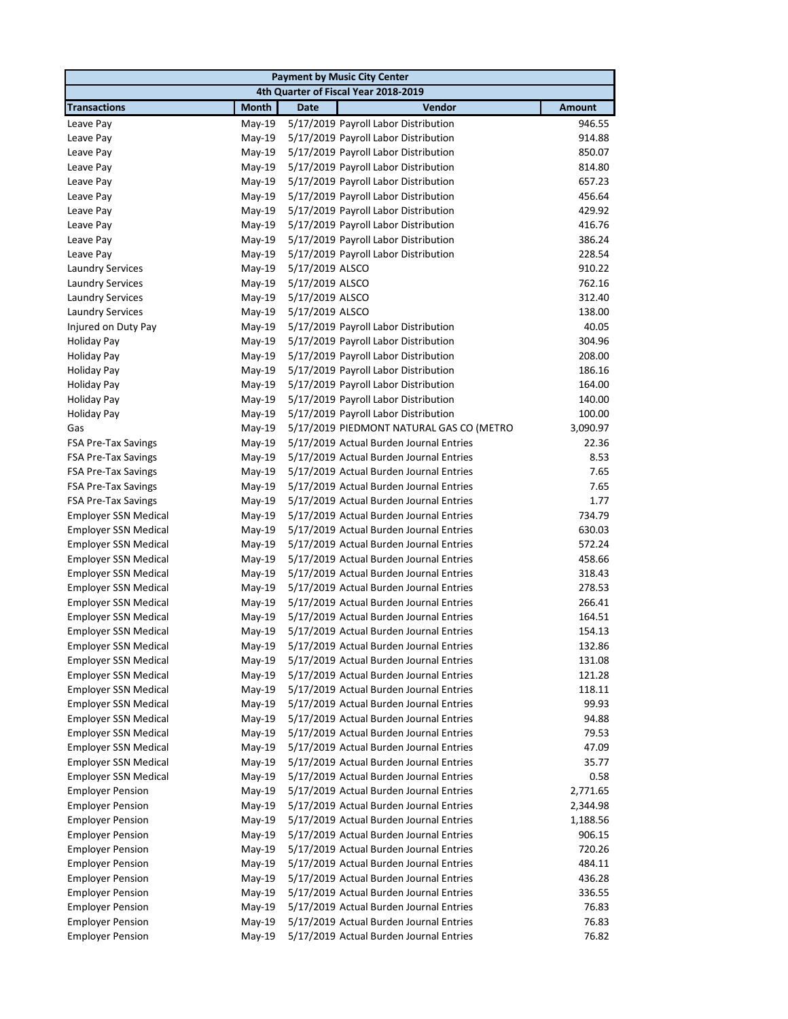|                             |              | <b>Payment by Music City Center</b>            |               |
|-----------------------------|--------------|------------------------------------------------|---------------|
|                             |              | 4th Quarter of Fiscal Year 2018-2019           |               |
| <b>Transactions</b>         | <b>Month</b> | <b>Date</b><br>Vendor                          | <b>Amount</b> |
| Leave Pay                   | $May-19$     | 5/17/2019 Payroll Labor Distribution           | 946.55        |
| Leave Pay                   | $May-19$     | 5/17/2019 Payroll Labor Distribution           | 914.88        |
| Leave Pay                   | May-19       | 5/17/2019 Payroll Labor Distribution           | 850.07        |
| Leave Pay                   | $May-19$     | 5/17/2019 Payroll Labor Distribution           | 814.80        |
| Leave Pay                   | $May-19$     | 5/17/2019 Payroll Labor Distribution           | 657.23        |
| Leave Pay                   | $May-19$     | 5/17/2019 Payroll Labor Distribution           | 456.64        |
| Leave Pay                   | $May-19$     | 5/17/2019 Payroll Labor Distribution           | 429.92        |
| Leave Pay                   | $May-19$     | 5/17/2019 Payroll Labor Distribution           | 416.76        |
| Leave Pay                   | $May-19$     | 5/17/2019 Payroll Labor Distribution           | 386.24        |
| Leave Pay                   | $May-19$     | 5/17/2019 Payroll Labor Distribution           | 228.54        |
| <b>Laundry Services</b>     | $May-19$     | 5/17/2019 ALSCO                                | 910.22        |
| <b>Laundry Services</b>     | $May-19$     | 5/17/2019 ALSCO                                | 762.16        |
| <b>Laundry Services</b>     | $May-19$     | 5/17/2019 ALSCO                                | 312.40        |
| <b>Laundry Services</b>     | $May-19$     | 5/17/2019 ALSCO                                | 138.00        |
| Injured on Duty Pay         | $May-19$     | 5/17/2019 Payroll Labor Distribution           | 40.05         |
| <b>Holiday Pay</b>          | $May-19$     | 5/17/2019 Payroll Labor Distribution           | 304.96        |
| <b>Holiday Pay</b>          | $May-19$     | 5/17/2019 Payroll Labor Distribution           | 208.00        |
| <b>Holiday Pay</b>          | $May-19$     | 5/17/2019 Payroll Labor Distribution           | 186.16        |
| <b>Holiday Pay</b>          | May-19       | 5/17/2019 Payroll Labor Distribution           | 164.00        |
| <b>Holiday Pay</b>          | $May-19$     | 5/17/2019 Payroll Labor Distribution           | 140.00        |
| <b>Holiday Pay</b>          | $May-19$     | 5/17/2019 Payroll Labor Distribution           | 100.00        |
| Gas                         | $May-19$     | 5/17/2019 PIEDMONT NATURAL GAS CO (METRO       | 3,090.97      |
| <b>FSA Pre-Tax Savings</b>  | $May-19$     | 5/17/2019 Actual Burden Journal Entries        | 22.36         |
| <b>FSA Pre-Tax Savings</b>  | May-19       | 5/17/2019 Actual Burden Journal Entries        | 8.53          |
| <b>FSA Pre-Tax Savings</b>  | $May-19$     | 5/17/2019 Actual Burden Journal Entries        | 7.65          |
| FSA Pre-Tax Savings         | $May-19$     | 5/17/2019 Actual Burden Journal Entries        | 7.65          |
| <b>FSA Pre-Tax Savings</b>  | May-19       | 5/17/2019 Actual Burden Journal Entries        | 1.77          |
| <b>Employer SSN Medical</b> | May-19       | 5/17/2019 Actual Burden Journal Entries        | 734.79        |
| <b>Employer SSN Medical</b> | $May-19$     | 5/17/2019 Actual Burden Journal Entries        | 630.03        |
| <b>Employer SSN Medical</b> | $May-19$     | 5/17/2019 Actual Burden Journal Entries        | 572.24        |
| <b>Employer SSN Medical</b> | May-19       | 5/17/2019 Actual Burden Journal Entries        | 458.66        |
| <b>Employer SSN Medical</b> | $May-19$     | 5/17/2019 Actual Burden Journal Entries        | 318.43        |
| <b>Employer SSN Medical</b> | $May-19$     | 5/17/2019 Actual Burden Journal Entries        | 278.53        |
| <b>Employer SSN Medical</b> | $May-19$     | 5/17/2019 Actual Burden Journal Entries        | 266.41        |
| <b>Employer SSN Medical</b> | $May-19$     | 5/17/2019 Actual Burden Journal Entries        | 164.51        |
| <b>Employer SSN Medical</b> | May-19       | 5/17/2019 Actual Burden Journal Entries        | 154.13        |
| <b>Employer SSN Medical</b> |              | May-19 5/17/2019 Actual Burden Journal Entries | 132.86        |
| <b>Employer SSN Medical</b> | $May-19$     | 5/17/2019 Actual Burden Journal Entries        | 131.08        |
| <b>Employer SSN Medical</b> | May-19       | 5/17/2019 Actual Burden Journal Entries        | 121.28        |
| <b>Employer SSN Medical</b> | May-19       | 5/17/2019 Actual Burden Journal Entries        | 118.11        |
| <b>Employer SSN Medical</b> | May-19       | 5/17/2019 Actual Burden Journal Entries        | 99.93         |
| <b>Employer SSN Medical</b> | May-19       | 5/17/2019 Actual Burden Journal Entries        | 94.88         |
| <b>Employer SSN Medical</b> | May-19       | 5/17/2019 Actual Burden Journal Entries        | 79.53         |
| <b>Employer SSN Medical</b> | $May-19$     | 5/17/2019 Actual Burden Journal Entries        | 47.09         |
| <b>Employer SSN Medical</b> | May-19       | 5/17/2019 Actual Burden Journal Entries        | 35.77         |
| <b>Employer SSN Medical</b> | May-19       | 5/17/2019 Actual Burden Journal Entries        | 0.58          |
| <b>Employer Pension</b>     | May-19       | 5/17/2019 Actual Burden Journal Entries        | 2,771.65      |
| <b>Employer Pension</b>     | May-19       | 5/17/2019 Actual Burden Journal Entries        | 2,344.98      |
| <b>Employer Pension</b>     | May-19       | 5/17/2019 Actual Burden Journal Entries        | 1,188.56      |
| <b>Employer Pension</b>     | May-19       | 5/17/2019 Actual Burden Journal Entries        | 906.15        |
| <b>Employer Pension</b>     | May-19       | 5/17/2019 Actual Burden Journal Entries        | 720.26        |
| <b>Employer Pension</b>     | May-19       | 5/17/2019 Actual Burden Journal Entries        | 484.11        |
| <b>Employer Pension</b>     | May-19       | 5/17/2019 Actual Burden Journal Entries        | 436.28        |
| <b>Employer Pension</b>     | May-19       | 5/17/2019 Actual Burden Journal Entries        | 336.55        |
| <b>Employer Pension</b>     | May-19       | 5/17/2019 Actual Burden Journal Entries        | 76.83         |
| <b>Employer Pension</b>     | May-19       | 5/17/2019 Actual Burden Journal Entries        | 76.83         |
| <b>Employer Pension</b>     | May-19       | 5/17/2019 Actual Burden Journal Entries        | 76.82         |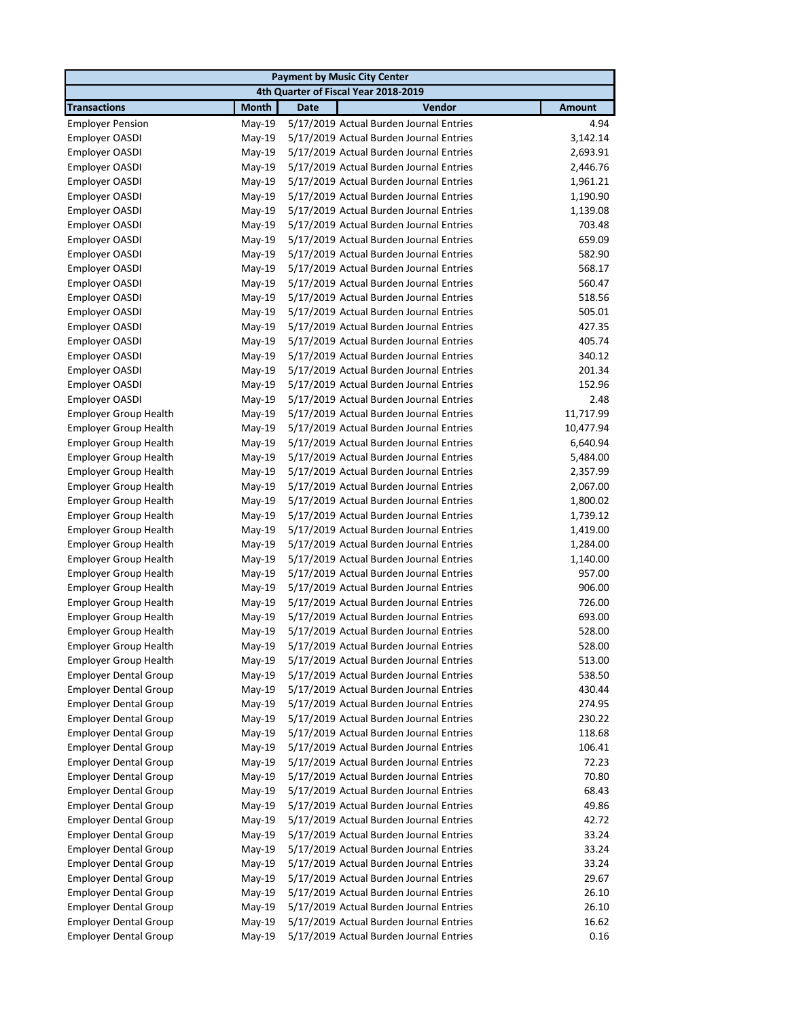|                              |              |             | <b>Payment by Music City Center</b>     |               |
|------------------------------|--------------|-------------|-----------------------------------------|---------------|
|                              |              |             | 4th Quarter of Fiscal Year 2018-2019    |               |
| <b>Transactions</b>          | <b>Month</b> | <b>Date</b> | Vendor                                  | <b>Amount</b> |
| <b>Employer Pension</b>      | May-19       |             | 5/17/2019 Actual Burden Journal Entries | 4.94          |
| Employer OASDI               | May-19       |             | 5/17/2019 Actual Burden Journal Entries | 3,142.14      |
| Employer OASDI               | May-19       |             | 5/17/2019 Actual Burden Journal Entries | 2,693.91      |
| Employer OASDI               | May-19       |             | 5/17/2019 Actual Burden Journal Entries | 2,446.76      |
| Employer OASDI               | May-19       |             | 5/17/2019 Actual Burden Journal Entries | 1,961.21      |
| Employer OASDI               | May-19       |             | 5/17/2019 Actual Burden Journal Entries | 1,190.90      |
| Employer OASDI               | May-19       |             | 5/17/2019 Actual Burden Journal Entries | 1,139.08      |
| Employer OASDI               | May-19       |             | 5/17/2019 Actual Burden Journal Entries | 703.48        |
| Employer OASDI               | $May-19$     |             | 5/17/2019 Actual Burden Journal Entries | 659.09        |
| Employer OASDI               | May-19       |             | 5/17/2019 Actual Burden Journal Entries | 582.90        |
| Employer OASDI               | May-19       |             | 5/17/2019 Actual Burden Journal Entries | 568.17        |
| Employer OASDI               | $May-19$     |             | 5/17/2019 Actual Burden Journal Entries | 560.47        |
| Employer OASDI               | $May-19$     |             | 5/17/2019 Actual Burden Journal Entries | 518.56        |
| Employer OASDI               | $May-19$     |             | 5/17/2019 Actual Burden Journal Entries | 505.01        |
| Employer OASDI               | $May-19$     |             | 5/17/2019 Actual Burden Journal Entries | 427.35        |
| Employer OASDI               | May-19       |             | 5/17/2019 Actual Burden Journal Entries | 405.74        |
| Employer OASDI               | $May-19$     |             | 5/17/2019 Actual Burden Journal Entries | 340.12        |
| Employer OASDI               | $May-19$     |             | 5/17/2019 Actual Burden Journal Entries | 201.34        |
| Employer OASDI               | May-19       |             | 5/17/2019 Actual Burden Journal Entries | 152.96        |
| <b>Employer OASDI</b>        | $May-19$     |             | 5/17/2019 Actual Burden Journal Entries | 2.48          |
| <b>Employer Group Health</b> | $May-19$     |             | 5/17/2019 Actual Burden Journal Entries | 11,717.99     |
| <b>Employer Group Health</b> | May-19       |             | 5/17/2019 Actual Burden Journal Entries | 10,477.94     |
| <b>Employer Group Health</b> | May-19       |             | 5/17/2019 Actual Burden Journal Entries | 6,640.94      |
| <b>Employer Group Health</b> | May-19       |             | 5/17/2019 Actual Burden Journal Entries | 5,484.00      |
| <b>Employer Group Health</b> | May-19       |             | 5/17/2019 Actual Burden Journal Entries | 2,357.99      |
| <b>Employer Group Health</b> | May-19       |             | 5/17/2019 Actual Burden Journal Entries | 2,067.00      |
| <b>Employer Group Health</b> | May-19       |             | 5/17/2019 Actual Burden Journal Entries | 1,800.02      |
| <b>Employer Group Health</b> | May-19       |             | 5/17/2019 Actual Burden Journal Entries | 1,739.12      |
| <b>Employer Group Health</b> | May-19       |             | 5/17/2019 Actual Burden Journal Entries | 1,419.00      |
| <b>Employer Group Health</b> | May-19       |             | 5/17/2019 Actual Burden Journal Entries | 1,284.00      |
| <b>Employer Group Health</b> | May-19       |             | 5/17/2019 Actual Burden Journal Entries | 1,140.00      |
| <b>Employer Group Health</b> | May-19       |             | 5/17/2019 Actual Burden Journal Entries | 957.00        |
| <b>Employer Group Health</b> | May-19       |             | 5/17/2019 Actual Burden Journal Entries | 906.00        |
| <b>Employer Group Health</b> | May-19       |             | 5/17/2019 Actual Burden Journal Entries | 726.00        |
| <b>Employer Group Health</b> | May-19       |             | 5/17/2019 Actual Burden Journal Entries | 693.00        |
| <b>Employer Group Health</b> | May-19       |             | 5/17/2019 Actual Burden Journal Entries | 528.00        |
| Employer Group Health        | May-19       |             | 5/17/2019 Actual Burden Journal Entries | 528.00        |
| <b>Employer Group Health</b> | May-19       |             | 5/17/2019 Actual Burden Journal Entries | 513.00        |
| <b>Employer Dental Group</b> | $May-19$     |             | 5/17/2019 Actual Burden Journal Entries | 538.50        |
| <b>Employer Dental Group</b> | May-19       |             | 5/17/2019 Actual Burden Journal Entries | 430.44        |
| <b>Employer Dental Group</b> | May-19       |             | 5/17/2019 Actual Burden Journal Entries | 274.95        |
| <b>Employer Dental Group</b> | May-19       |             | 5/17/2019 Actual Burden Journal Entries | 230.22        |
| <b>Employer Dental Group</b> | May-19       |             | 5/17/2019 Actual Burden Journal Entries | 118.68        |
| <b>Employer Dental Group</b> | May-19       |             | 5/17/2019 Actual Burden Journal Entries | 106.41        |
| <b>Employer Dental Group</b> | May-19       |             | 5/17/2019 Actual Burden Journal Entries | 72.23         |
| <b>Employer Dental Group</b> | May-19       |             | 5/17/2019 Actual Burden Journal Entries | 70.80         |
| <b>Employer Dental Group</b> | May-19       |             | 5/17/2019 Actual Burden Journal Entries | 68.43         |
| <b>Employer Dental Group</b> | May-19       |             | 5/17/2019 Actual Burden Journal Entries | 49.86         |
| <b>Employer Dental Group</b> | May-19       |             | 5/17/2019 Actual Burden Journal Entries | 42.72         |
| <b>Employer Dental Group</b> | May-19       |             | 5/17/2019 Actual Burden Journal Entries | 33.24         |
| <b>Employer Dental Group</b> | May-19       |             | 5/17/2019 Actual Burden Journal Entries | 33.24         |
| <b>Employer Dental Group</b> | May-19       |             | 5/17/2019 Actual Burden Journal Entries | 33.24         |
| <b>Employer Dental Group</b> | May-19       |             | 5/17/2019 Actual Burden Journal Entries | 29.67         |
| <b>Employer Dental Group</b> | May-19       |             | 5/17/2019 Actual Burden Journal Entries | 26.10         |
| <b>Employer Dental Group</b> | May-19       |             | 5/17/2019 Actual Burden Journal Entries | 26.10         |
| <b>Employer Dental Group</b> | May-19       |             | 5/17/2019 Actual Burden Journal Entries | 16.62         |
| <b>Employer Dental Group</b> | May-19       |             | 5/17/2019 Actual Burden Journal Entries | 0.16          |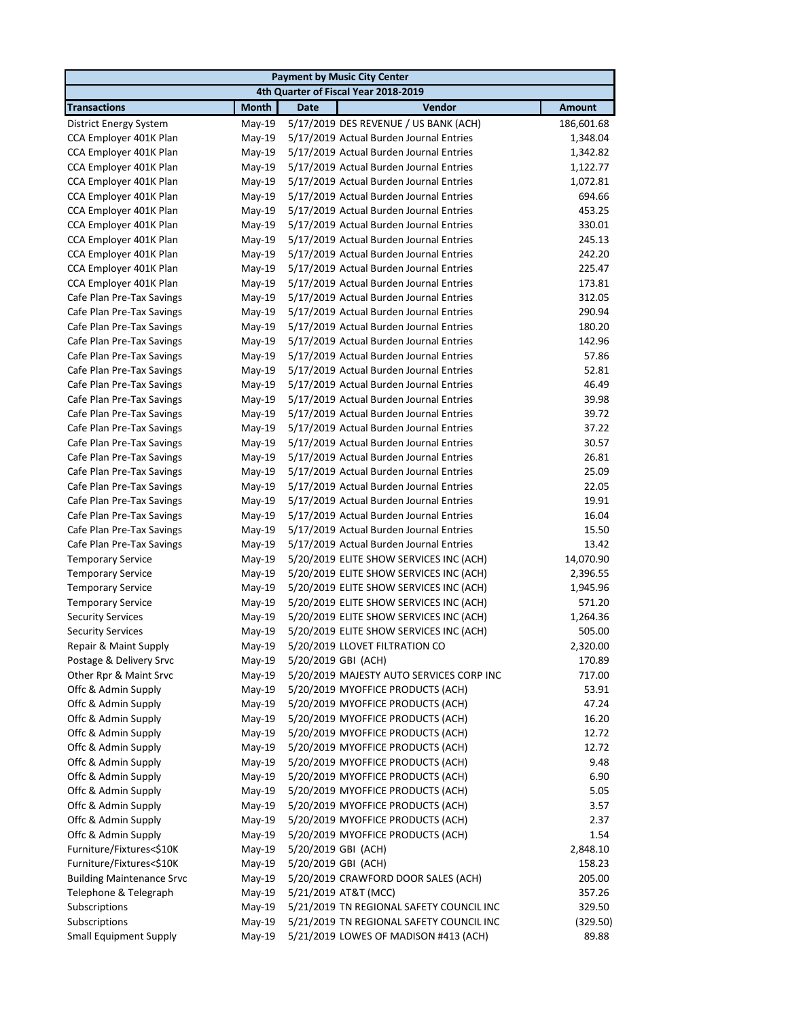| <b>Payment by Music City Center</b> |              |                                          |               |  |  |
|-------------------------------------|--------------|------------------------------------------|---------------|--|--|
|                                     |              | 4th Quarter of Fiscal Year 2018-2019     |               |  |  |
| <b>Transactions</b>                 | <b>Month</b> | Vendor<br><b>Date</b>                    | <b>Amount</b> |  |  |
| District Energy System              | $May-19$     | 5/17/2019 DES REVENUE / US BANK (ACH)    | 186,601.68    |  |  |
| CCA Employer 401K Plan              | May-19       | 5/17/2019 Actual Burden Journal Entries  | 1,348.04      |  |  |
| CCA Employer 401K Plan              | May-19       | 5/17/2019 Actual Burden Journal Entries  | 1,342.82      |  |  |
| CCA Employer 401K Plan              | $May-19$     | 5/17/2019 Actual Burden Journal Entries  | 1,122.77      |  |  |
| CCA Employer 401K Plan              | $May-19$     | 5/17/2019 Actual Burden Journal Entries  | 1,072.81      |  |  |
| CCA Employer 401K Plan              | $May-19$     | 5/17/2019 Actual Burden Journal Entries  | 694.66        |  |  |
| CCA Employer 401K Plan              | $May-19$     | 5/17/2019 Actual Burden Journal Entries  | 453.25        |  |  |
| CCA Employer 401K Plan              | $May-19$     | 5/17/2019 Actual Burden Journal Entries  | 330.01        |  |  |
| CCA Employer 401K Plan              | May-19       | 5/17/2019 Actual Burden Journal Entries  | 245.13        |  |  |
| CCA Employer 401K Plan              | May-19       | 5/17/2019 Actual Burden Journal Entries  | 242.20        |  |  |
| CCA Employer 401K Plan              | $May-19$     | 5/17/2019 Actual Burden Journal Entries  | 225.47        |  |  |
| CCA Employer 401K Plan              | $May-19$     | 5/17/2019 Actual Burden Journal Entries  | 173.81        |  |  |
| Cafe Plan Pre-Tax Savings           | $May-19$     | 5/17/2019 Actual Burden Journal Entries  | 312.05        |  |  |
| Cafe Plan Pre-Tax Savings           | $May-19$     | 5/17/2019 Actual Burden Journal Entries  | 290.94        |  |  |
| Cafe Plan Pre-Tax Savings           | May-19       | 5/17/2019 Actual Burden Journal Entries  | 180.20        |  |  |
| Cafe Plan Pre-Tax Savings           | May-19       | 5/17/2019 Actual Burden Journal Entries  | 142.96        |  |  |
| Cafe Plan Pre-Tax Savings           | May-19       | 5/17/2019 Actual Burden Journal Entries  | 57.86         |  |  |
| Cafe Plan Pre-Tax Savings           | May-19       | 5/17/2019 Actual Burden Journal Entries  | 52.81         |  |  |
| Cafe Plan Pre-Tax Savings           | May-19       | 5/17/2019 Actual Burden Journal Entries  | 46.49         |  |  |
| Cafe Plan Pre-Tax Savings           | $May-19$     | 5/17/2019 Actual Burden Journal Entries  | 39.98         |  |  |
| Cafe Plan Pre-Tax Savings           | May-19       | 5/17/2019 Actual Burden Journal Entries  | 39.72         |  |  |
| Cafe Plan Pre-Tax Savings           | May-19       | 5/17/2019 Actual Burden Journal Entries  | 37.22         |  |  |
| Cafe Plan Pre-Tax Savings           | May-19       | 5/17/2019 Actual Burden Journal Entries  | 30.57         |  |  |
| Cafe Plan Pre-Tax Savings           | $May-19$     | 5/17/2019 Actual Burden Journal Entries  | 26.81         |  |  |
| Cafe Plan Pre-Tax Savings           | May-19       | 5/17/2019 Actual Burden Journal Entries  | 25.09         |  |  |
| Cafe Plan Pre-Tax Savings           | May-19       | 5/17/2019 Actual Burden Journal Entries  | 22.05         |  |  |
| Cafe Plan Pre-Tax Savings           | May-19       | 5/17/2019 Actual Burden Journal Entries  | 19.91         |  |  |
| Cafe Plan Pre-Tax Savings           | May-19       | 5/17/2019 Actual Burden Journal Entries  | 16.04         |  |  |
| Cafe Plan Pre-Tax Savings           | May-19       | 5/17/2019 Actual Burden Journal Entries  | 15.50         |  |  |
| Cafe Plan Pre-Tax Savings           | May-19       | 5/17/2019 Actual Burden Journal Entries  | 13.42         |  |  |
| <b>Temporary Service</b>            | May-19       | 5/20/2019 ELITE SHOW SERVICES INC (ACH)  | 14,070.90     |  |  |
| <b>Temporary Service</b>            | May-19       | 5/20/2019 ELITE SHOW SERVICES INC (ACH)  | 2,396.55      |  |  |
| <b>Temporary Service</b>            | May-19       | 5/20/2019 ELITE SHOW SERVICES INC (ACH)  | 1,945.96      |  |  |
| <b>Temporary Service</b>            | $May-19$     | 5/20/2019 ELITE SHOW SERVICES INC (ACH)  | 571.20        |  |  |
| <b>Security Services</b>            | May-19       | 5/20/2019 ELITE SHOW SERVICES INC (ACH)  | 1,264.36      |  |  |
| <b>Security Services</b>            | $May-19$     | 5/20/2019 ELITE SHOW SERVICES INC (ACH)  | 505.00        |  |  |
| Repair & Maint Supply               | May-19       | 5/20/2019 LLOVET FILTRATION CO           | 2,320.00      |  |  |
| Postage & Delivery Srvc             | $May-19$     | 5/20/2019 GBI (ACH)                      | 170.89        |  |  |
| Other Rpr & Maint Srvc              | $May-19$     | 5/20/2019 MAJESTY AUTO SERVICES CORP INC | 717.00        |  |  |
| Offc & Admin Supply                 | $May-19$     | 5/20/2019 MYOFFICE PRODUCTS (ACH)        | 53.91         |  |  |
| Offc & Admin Supply                 | May-19       | 5/20/2019 MYOFFICE PRODUCTS (ACH)        | 47.24         |  |  |
| Offc & Admin Supply                 | May-19       | 5/20/2019 MYOFFICE PRODUCTS (ACH)        | 16.20         |  |  |
| Offc & Admin Supply                 | May-19       | 5/20/2019 MYOFFICE PRODUCTS (ACH)        | 12.72         |  |  |
| Offc & Admin Supply                 | May-19       | 5/20/2019 MYOFFICE PRODUCTS (ACH)        | 12.72         |  |  |
| Offc & Admin Supply                 | May-19       | 5/20/2019 MYOFFICE PRODUCTS (ACH)        | 9.48          |  |  |
| Offc & Admin Supply                 | May-19       | 5/20/2019 MYOFFICE PRODUCTS (ACH)        | 6.90          |  |  |
| Offc & Admin Supply                 | $May-19$     | 5/20/2019 MYOFFICE PRODUCTS (ACH)        | 5.05          |  |  |
| Offc & Admin Supply                 |              |                                          |               |  |  |
|                                     | $May-19$     | 5/20/2019 MYOFFICE PRODUCTS (ACH)        | 3.57          |  |  |
| Offc & Admin Supply                 | $May-19$     | 5/20/2019 MYOFFICE PRODUCTS (ACH)        | 2.37          |  |  |
| Offc & Admin Supply                 | May-19       | 5/20/2019 MYOFFICE PRODUCTS (ACH)        | 1.54          |  |  |
| Furniture/Fixtures<\$10K            | $May-19$     | 5/20/2019 GBI (ACH)                      | 2,848.10      |  |  |
| Furniture/Fixtures<\$10K            | May-19       | 5/20/2019 GBI (ACH)                      | 158.23        |  |  |
| <b>Building Maintenance Srvc</b>    | $May-19$     | 5/20/2019 CRAWFORD DOOR SALES (ACH)      | 205.00        |  |  |
| Telephone & Telegraph               | May-19       | 5/21/2019 AT&T (MCC)                     | 357.26        |  |  |
| Subscriptions                       | $May-19$     | 5/21/2019 TN REGIONAL SAFETY COUNCIL INC | 329.50        |  |  |
| Subscriptions                       | May-19       | 5/21/2019 TN REGIONAL SAFETY COUNCIL INC | (329.50)      |  |  |
| <b>Small Equipment Supply</b>       | $May-19$     | 5/21/2019 LOWES OF MADISON #413 (ACH)    | 89.88         |  |  |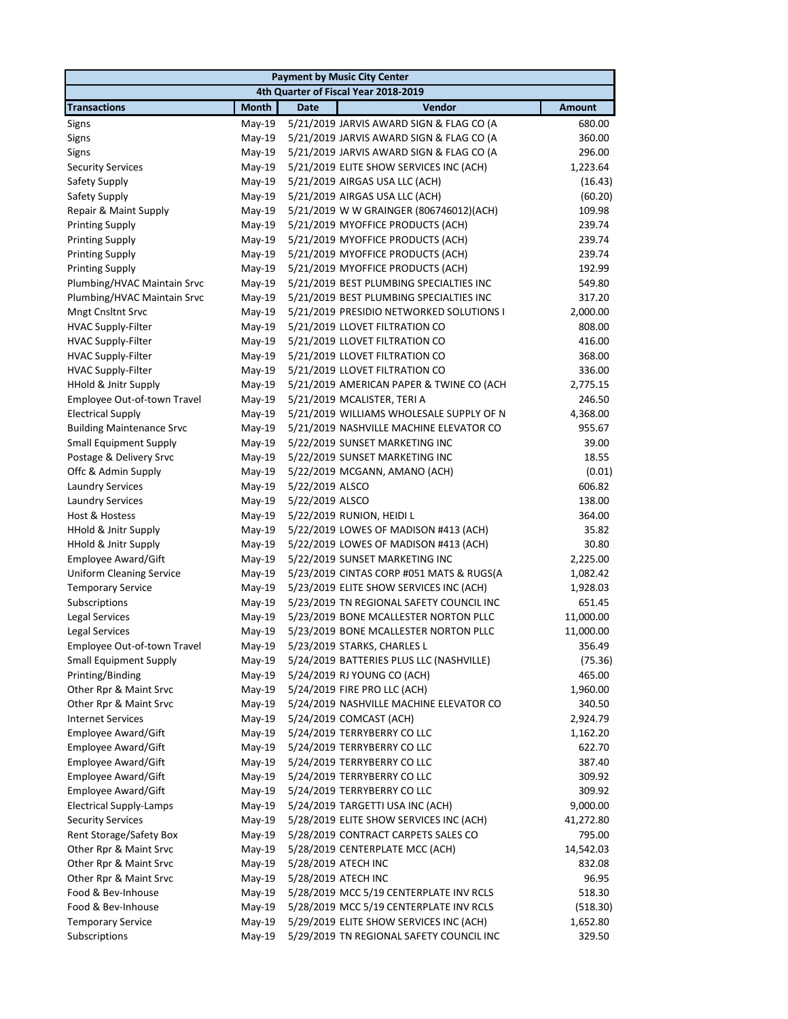|                                  |              | <b>Payment by Music City Center</b>      |               |
|----------------------------------|--------------|------------------------------------------|---------------|
|                                  |              | 4th Quarter of Fiscal Year 2018-2019     |               |
| <b>Transactions</b>              | <b>Month</b> | Vendor<br><b>Date</b>                    | <b>Amount</b> |
| Signs                            | May-19       | 5/21/2019 JARVIS AWARD SIGN & FLAG CO (A | 680.00        |
| Signs                            | May-19       | 5/21/2019 JARVIS AWARD SIGN & FLAG CO (A | 360.00        |
| Signs                            | May-19       | 5/21/2019 JARVIS AWARD SIGN & FLAG CO (A | 296.00        |
| <b>Security Services</b>         | May-19       | 5/21/2019 ELITE SHOW SERVICES INC (ACH)  | 1,223.64      |
| Safety Supply                    | May-19       | 5/21/2019 AIRGAS USA LLC (ACH)           | (16.43)       |
| Safety Supply                    | $May-19$     | 5/21/2019 AIRGAS USA LLC (ACH)           | (60.20)       |
| Repair & Maint Supply            | May-19       | 5/21/2019 W W GRAINGER (806746012)(ACH)  | 109.98        |
| <b>Printing Supply</b>           | $May-19$     | 5/21/2019 MYOFFICE PRODUCTS (ACH)        | 239.74        |
| <b>Printing Supply</b>           | May-19       | 5/21/2019 MYOFFICE PRODUCTS (ACH)        | 239.74        |
| <b>Printing Supply</b>           | May-19       | 5/21/2019 MYOFFICE PRODUCTS (ACH)        | 239.74        |
| <b>Printing Supply</b>           | May-19       | 5/21/2019 MYOFFICE PRODUCTS (ACH)        | 192.99        |
| Plumbing/HVAC Maintain Srvc      | May-19       | 5/21/2019 BEST PLUMBING SPECIALTIES INC  | 549.80        |
| Plumbing/HVAC Maintain Srvc      | May-19       | 5/21/2019 BEST PLUMBING SPECIALTIES INC  | 317.20        |
| Mngt Cnsltnt Srvc                | May-19       | 5/21/2019 PRESIDIO NETWORKED SOLUTIONS I | 2,000.00      |
| HVAC Supply-Filter               | $May-19$     | 5/21/2019 LLOVET FILTRATION CO           | 808.00        |
| HVAC Supply-Filter               | May-19       | 5/21/2019 LLOVET FILTRATION CO           | 416.00        |
| <b>HVAC Supply-Filter</b>        | May-19       | 5/21/2019 LLOVET FILTRATION CO           | 368.00        |
| <b>HVAC Supply-Filter</b>        | May-19       | 5/21/2019 LLOVET FILTRATION CO           | 336.00        |
| HHold & Jnitr Supply             | May-19       | 5/21/2019 AMERICAN PAPER & TWINE CO (ACH | 2,775.15      |
| Employee Out-of-town Travel      | May-19       | 5/21/2019 MCALISTER, TERI A              | 246.50        |
| <b>Electrical Supply</b>         | May-19       | 5/21/2019 WILLIAMS WHOLESALE SUPPLY OF N | 4,368.00      |
| <b>Building Maintenance Srvc</b> | May-19       | 5/21/2019 NASHVILLE MACHINE ELEVATOR CO  | 955.67        |
| <b>Small Equipment Supply</b>    | $May-19$     | 5/22/2019 SUNSET MARKETING INC           | 39.00         |
| Postage & Delivery Srvc          | $May-19$     | 5/22/2019 SUNSET MARKETING INC           | 18.55         |
| Offc & Admin Supply              | $May-19$     | 5/22/2019 MCGANN, AMANO (ACH)            | (0.01)        |
| <b>Laundry Services</b>          | May-19       | 5/22/2019 ALSCO                          | 606.82        |
| <b>Laundry Services</b>          | May-19       | 5/22/2019 ALSCO                          | 138.00        |
| Host & Hostess                   | May-19       | 5/22/2019 RUNION, HEIDI L                | 364.00        |
| <b>HHold &amp; Jnitr Supply</b>  | $May-19$     | 5/22/2019 LOWES OF MADISON #413 (ACH)    | 35.82         |
| HHold & Jnitr Supply             | May-19       | 5/22/2019 LOWES OF MADISON #413 (ACH)    | 30.80         |
| Employee Award/Gift              | $May-19$     | 5/22/2019 SUNSET MARKETING INC           | 2,225.00      |
| <b>Uniform Cleaning Service</b>  | $May-19$     | 5/23/2019 CINTAS CORP #051 MATS & RUGS(A | 1,082.42      |
| <b>Temporary Service</b>         | $May-19$     | 5/23/2019 ELITE SHOW SERVICES INC (ACH)  | 1,928.03      |
| Subscriptions                    | May-19       | 5/23/2019 TN REGIONAL SAFETY COUNCIL INC | 651.45        |
| Legal Services                   | $May-19$     | 5/23/2019 BONE MCALLESTER NORTON PLLC    | 11,000.00     |
| <b>Legal Services</b>            | May-19       | 5/23/2019 BONE MCALLESTER NORTON PLLC    | 11,000.00     |
| Employee Out-of-town Travel      |              | May-19 5/23/2019 STARKS, CHARLES L       | 356.49        |
| <b>Small Equipment Supply</b>    | May-19       | 5/24/2019 BATTERIES PLUS LLC (NASHVILLE) | (75.36)       |
| Printing/Binding                 | May-19       | 5/24/2019 RJ YOUNG CO (ACH)              | 465.00        |
| Other Rpr & Maint Srvc           | May-19       | 5/24/2019 FIRE PRO LLC (ACH)             | 1,960.00      |
| Other Rpr & Maint Srvc           | $May-19$     | 5/24/2019 NASHVILLE MACHINE ELEVATOR CO  | 340.50        |
| <b>Internet Services</b>         | $May-19$     | 5/24/2019 COMCAST (ACH)                  | 2,924.79      |
| Employee Award/Gift              | $May-19$     | 5/24/2019 TERRYBERRY CO LLC              | 1,162.20      |
| Employee Award/Gift              | May-19       | 5/24/2019 TERRYBERRY CO LLC              | 622.70        |
| Employee Award/Gift              | May-19       | 5/24/2019 TERRYBERRY CO LLC              | 387.40        |
| Employee Award/Gift              | May-19       | 5/24/2019 TERRYBERRY CO LLC              | 309.92        |
| Employee Award/Gift              | May-19       | 5/24/2019 TERRYBERRY CO LLC              | 309.92        |
| <b>Electrical Supply-Lamps</b>   | $May-19$     | 5/24/2019 TARGETTI USA INC (ACH)         | 9,000.00      |
| <b>Security Services</b>         | $May-19$     | 5/28/2019 ELITE SHOW SERVICES INC (ACH)  | 41,272.80     |
| Rent Storage/Safety Box          | $May-19$     | 5/28/2019 CONTRACT CARPETS SALES CO      | 795.00        |
| Other Rpr & Maint Srvc           | $May-19$     | 5/28/2019 CENTERPLATE MCC (ACH)          | 14,542.03     |
| Other Rpr & Maint Srvc           | $May-19$     | 5/28/2019 ATECH INC                      | 832.08        |
| Other Rpr & Maint Srvc           | May-19       | 5/28/2019 ATECH INC                      | 96.95         |
| Food & Bev-Inhouse               | $May-19$     | 5/28/2019 MCC 5/19 CENTERPLATE INV RCLS  | 518.30        |
| Food & Bev-Inhouse               | May-19       | 5/28/2019 MCC 5/19 CENTERPLATE INV RCLS  | (518.30)      |
| <b>Temporary Service</b>         | May-19       | 5/29/2019 ELITE SHOW SERVICES INC (ACH)  | 1,652.80      |
| Subscriptions                    | May-19       | 5/29/2019 TN REGIONAL SAFETY COUNCIL INC | 329.50        |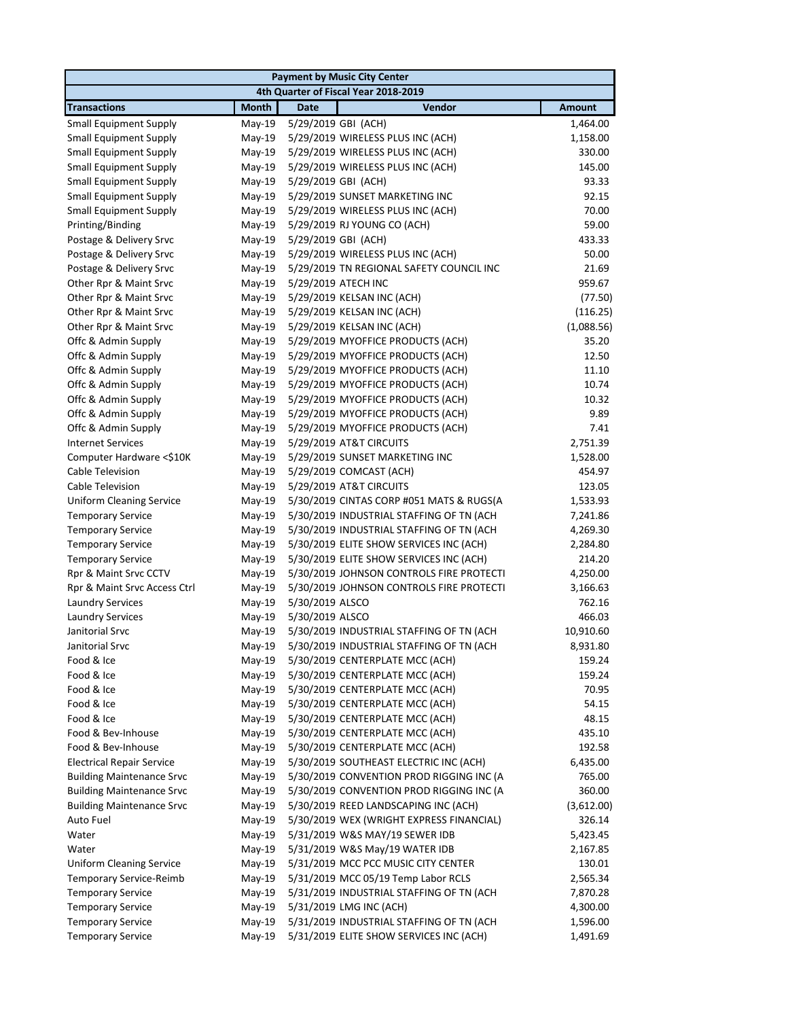|                                      | <b>Payment by Music City Center</b> |                                          |               |  |  |  |
|--------------------------------------|-------------------------------------|------------------------------------------|---------------|--|--|--|
| 4th Quarter of Fiscal Year 2018-2019 |                                     |                                          |               |  |  |  |
| <b>Transactions</b>                  | <b>Month</b>                        | Vendor<br><b>Date</b>                    | <b>Amount</b> |  |  |  |
| <b>Small Equipment Supply</b>        | May-19                              | 5/29/2019 GBI (ACH)                      | 1,464.00      |  |  |  |
| <b>Small Equipment Supply</b>        | $May-19$                            | 5/29/2019 WIRELESS PLUS INC (ACH)        | 1,158.00      |  |  |  |
| <b>Small Equipment Supply</b>        | May-19                              | 5/29/2019 WIRELESS PLUS INC (ACH)        | 330.00        |  |  |  |
| <b>Small Equipment Supply</b>        | May-19                              | 5/29/2019 WIRELESS PLUS INC (ACH)        | 145.00        |  |  |  |
| <b>Small Equipment Supply</b>        | May-19                              | 5/29/2019 GBI (ACH)                      | 93.33         |  |  |  |
| <b>Small Equipment Supply</b>        | May-19                              | 5/29/2019 SUNSET MARKETING INC           | 92.15         |  |  |  |
| <b>Small Equipment Supply</b>        | May-19                              | 5/29/2019 WIRELESS PLUS INC (ACH)        | 70.00         |  |  |  |
| Printing/Binding                     | $May-19$                            | 5/29/2019 RJ YOUNG CO (ACH)              | 59.00         |  |  |  |
| Postage & Delivery Srvc              | May-19                              | 5/29/2019 GBI (ACH)                      | 433.33        |  |  |  |
| Postage & Delivery Srvc              | $May-19$                            | 5/29/2019 WIRELESS PLUS INC (ACH)        | 50.00         |  |  |  |
| Postage & Delivery Srvc              | May-19                              | 5/29/2019 TN REGIONAL SAFETY COUNCIL INC | 21.69         |  |  |  |
| Other Rpr & Maint Srvc               | May-19                              | 5/29/2019 ATECH INC                      | 959.67        |  |  |  |
| Other Rpr & Maint Srvc               | May-19                              | 5/29/2019 KELSAN INC (ACH)               | (77.50)       |  |  |  |
| Other Rpr & Maint Srvc               | May-19                              | 5/29/2019 KELSAN INC (ACH)               | (116.25)      |  |  |  |
| Other Rpr & Maint Srvc               | $May-19$                            | 5/29/2019 KELSAN INC (ACH)               | (1,088.56)    |  |  |  |
| Offc & Admin Supply                  | May-19                              | 5/29/2019 MYOFFICE PRODUCTS (ACH)        | 35.20         |  |  |  |
| Offc & Admin Supply                  | May-19                              | 5/29/2019 MYOFFICE PRODUCTS (ACH)        | 12.50         |  |  |  |
| Offc & Admin Supply                  | May-19                              | 5/29/2019 MYOFFICE PRODUCTS (ACH)        | 11.10         |  |  |  |
| Offc & Admin Supply                  | $May-19$                            | 5/29/2019 MYOFFICE PRODUCTS (ACH)        | 10.74         |  |  |  |
| Offc & Admin Supply                  | May-19                              | 5/29/2019 MYOFFICE PRODUCTS (ACH)        | 10.32         |  |  |  |
| Offc & Admin Supply                  | May-19                              | 5/29/2019 MYOFFICE PRODUCTS (ACH)        | 9.89          |  |  |  |
| Offc & Admin Supply                  | May-19                              | 5/29/2019 MYOFFICE PRODUCTS (ACH)        | 7.41          |  |  |  |
| <b>Internet Services</b>             | May-19                              | 5/29/2019 AT&T CIRCUITS                  | 2,751.39      |  |  |  |
| Computer Hardware <\$10K             | May-19                              | 5/29/2019 SUNSET MARKETING INC           | 1,528.00      |  |  |  |
| Cable Television                     | May-19                              | 5/29/2019 COMCAST (ACH)                  | 454.97        |  |  |  |
| Cable Television                     | May-19                              | 5/29/2019 AT&T CIRCUITS                  | 123.05        |  |  |  |
| <b>Uniform Cleaning Service</b>      | May-19                              | 5/30/2019 CINTAS CORP #051 MATS & RUGS(A | 1,533.93      |  |  |  |
| <b>Temporary Service</b>             | May-19                              | 5/30/2019 INDUSTRIAL STAFFING OF TN (ACH | 7,241.86      |  |  |  |
| <b>Temporary Service</b>             | May-19                              | 5/30/2019 INDUSTRIAL STAFFING OF TN (ACH | 4,269.30      |  |  |  |
| <b>Temporary Service</b>             | May-19                              | 5/30/2019 ELITE SHOW SERVICES INC (ACH)  | 2,284.80      |  |  |  |
| <b>Temporary Service</b>             | May-19                              | 5/30/2019 ELITE SHOW SERVICES INC (ACH)  | 214.20        |  |  |  |
| Rpr & Maint Srvc CCTV                | May-19                              | 5/30/2019 JOHNSON CONTROLS FIRE PROTECTI | 4,250.00      |  |  |  |
| Rpr & Maint Srvc Access Ctrl         | May-19                              | 5/30/2019 JOHNSON CONTROLS FIRE PROTECTI | 3,166.63      |  |  |  |
| <b>Laundry Services</b>              | May-19                              | 5/30/2019 ALSCO                          | 762.16        |  |  |  |
| <b>Laundry Services</b>              | May-19                              | 5/30/2019 ALSCO                          | 466.03        |  |  |  |
| Janitorial Srvc                      | May-19                              | 5/30/2019 INDUSTRIAL STAFFING OF TN (ACH | 10,910.60     |  |  |  |
| Janitorial Srvc                      | May-19                              | 5/30/2019 INDUSTRIAL STAFFING OF TN (ACH | 8,931.80      |  |  |  |
| Food & Ice                           | May-19                              | 5/30/2019 CENTERPLATE MCC (ACH)          | 159.24        |  |  |  |
| Food & Ice                           | $May-19$                            | 5/30/2019 CENTERPLATE MCC (ACH)          | 159.24        |  |  |  |
| Food & Ice                           | May-19                              | 5/30/2019 CENTERPLATE MCC (ACH)          | 70.95         |  |  |  |
| Food & Ice                           | May-19                              | 5/30/2019 CENTERPLATE MCC (ACH)          | 54.15         |  |  |  |
| Food & Ice                           | May-19                              | 5/30/2019 CENTERPLATE MCC (ACH)          | 48.15         |  |  |  |
| Food & Bev-Inhouse                   | $May-19$                            | 5/30/2019 CENTERPLATE MCC (ACH)          | 435.10        |  |  |  |
| Food & Bev-Inhouse                   | May-19                              | 5/30/2019 CENTERPLATE MCC (ACH)          | 192.58        |  |  |  |
| <b>Electrical Repair Service</b>     | $May-19$                            | 5/30/2019 SOUTHEAST ELECTRIC INC (ACH)   | 6,435.00      |  |  |  |
| <b>Building Maintenance Srvc</b>     | May-19                              | 5/30/2019 CONVENTION PROD RIGGING INC (A | 765.00        |  |  |  |
| <b>Building Maintenance Srvc</b>     | $May-19$                            | 5/30/2019 CONVENTION PROD RIGGING INC (A | 360.00        |  |  |  |
| <b>Building Maintenance Srvc</b>     | $May-19$                            | 5/30/2019 REED LANDSCAPING INC (ACH)     | (3,612.00)    |  |  |  |
| Auto Fuel                            | May-19                              | 5/30/2019 WEX (WRIGHT EXPRESS FINANCIAL) | 326.14        |  |  |  |
| Water                                | $May-19$                            | 5/31/2019 W&S MAY/19 SEWER IDB           | 5,423.45      |  |  |  |
| Water                                | $May-19$                            | 5/31/2019 W&S May/19 WATER IDB           | 2,167.85      |  |  |  |
| <b>Uniform Cleaning Service</b>      | May-19                              | 5/31/2019 MCC PCC MUSIC CITY CENTER      | 130.01        |  |  |  |
| Temporary Service-Reimb              | $May-19$                            | 5/31/2019 MCC 05/19 Temp Labor RCLS      | 2,565.34      |  |  |  |
| <b>Temporary Service</b>             | $May-19$                            | 5/31/2019 INDUSTRIAL STAFFING OF TN (ACH | 7,870.28      |  |  |  |
| <b>Temporary Service</b>             | $May-19$                            | 5/31/2019 LMG INC (ACH)                  | 4,300.00      |  |  |  |
| <b>Temporary Service</b>             | $May-19$                            | 5/31/2019 INDUSTRIAL STAFFING OF TN (ACH | 1,596.00      |  |  |  |
| <b>Temporary Service</b>             | $May-19$                            | 5/31/2019 ELITE SHOW SERVICES INC (ACH)  | 1,491.69      |  |  |  |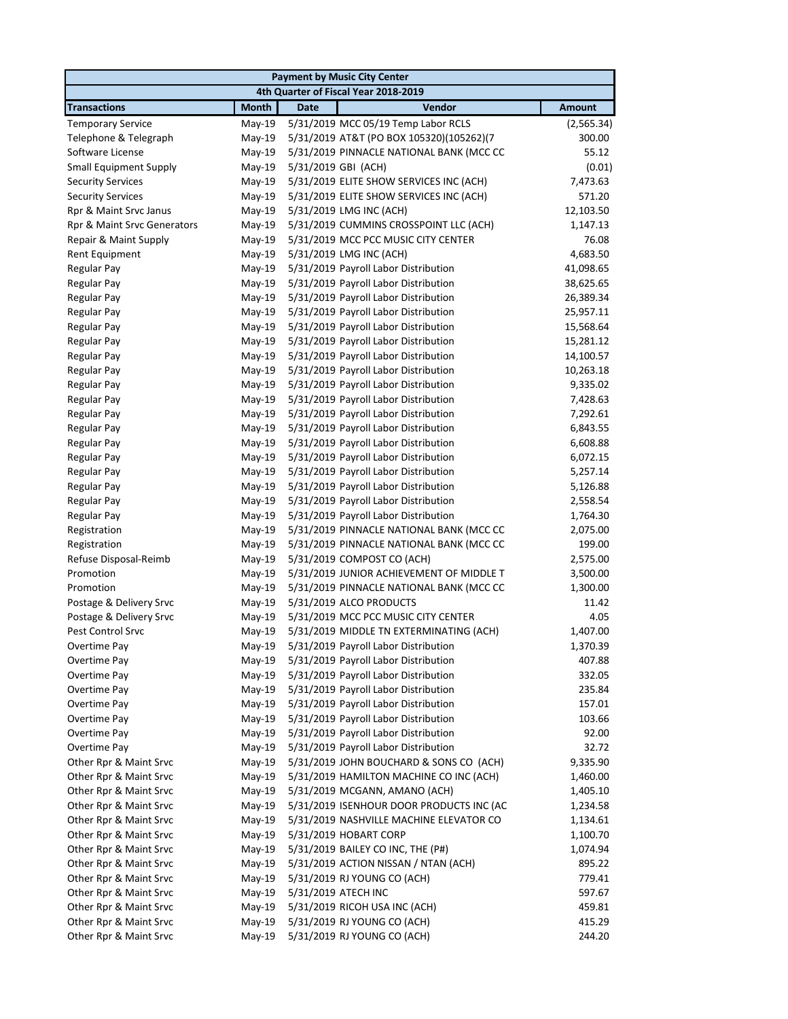| <b>Payment by Music City Center</b>  |              |             |                                          |               |  |  |
|--------------------------------------|--------------|-------------|------------------------------------------|---------------|--|--|
| 4th Quarter of Fiscal Year 2018-2019 |              |             |                                          |               |  |  |
| <b>Transactions</b>                  | <b>Month</b> | <b>Date</b> | Vendor                                   | <b>Amount</b> |  |  |
| <b>Temporary Service</b>             | May-19       |             | 5/31/2019 MCC 05/19 Temp Labor RCLS      | (2, 565.34)   |  |  |
| Telephone & Telegraph                | May-19       |             | 5/31/2019 AT&T (PO BOX 105320)(105262)(7 | 300.00        |  |  |
| Software License                     | May-19       |             | 5/31/2019 PINNACLE NATIONAL BANK (MCC CC | 55.12         |  |  |
| <b>Small Equipment Supply</b>        | May-19       |             | 5/31/2019 GBI (ACH)                      | (0.01)        |  |  |
| <b>Security Services</b>             | May-19       |             | 5/31/2019 ELITE SHOW SERVICES INC (ACH)  | 7,473.63      |  |  |
| <b>Security Services</b>             | May-19       |             | 5/31/2019 ELITE SHOW SERVICES INC (ACH)  | 571.20        |  |  |
| Rpr & Maint Srvc Janus               | May-19       |             | 5/31/2019 LMG INC (ACH)                  | 12,103.50     |  |  |
| Rpr & Maint Srvc Generators          | May-19       |             | 5/31/2019 CUMMINS CROSSPOINT LLC (ACH)   | 1,147.13      |  |  |
| Repair & Maint Supply                | May-19       |             | 5/31/2019 MCC PCC MUSIC CITY CENTER      | 76.08         |  |  |
| Rent Equipment                       | May-19       |             | 5/31/2019 LMG INC (ACH)                  | 4,683.50      |  |  |
| <b>Regular Pay</b>                   | May-19       |             | 5/31/2019 Payroll Labor Distribution     | 41,098.65     |  |  |
| <b>Regular Pay</b>                   | May-19       |             | 5/31/2019 Payroll Labor Distribution     | 38,625.65     |  |  |
| Regular Pay                          | $May-19$     |             | 5/31/2019 Payroll Labor Distribution     | 26,389.34     |  |  |
| <b>Regular Pay</b>                   | $May-19$     |             | 5/31/2019 Payroll Labor Distribution     | 25,957.11     |  |  |
| Regular Pay                          | May-19       |             | 5/31/2019 Payroll Labor Distribution     | 15,568.64     |  |  |
| <b>Regular Pay</b>                   | May-19       |             | 5/31/2019 Payroll Labor Distribution     | 15,281.12     |  |  |
| <b>Regular Pay</b>                   | May-19       |             | 5/31/2019 Payroll Labor Distribution     | 14,100.57     |  |  |
| <b>Regular Pay</b>                   | May-19       |             | 5/31/2019 Payroll Labor Distribution     | 10,263.18     |  |  |
| Regular Pay                          | May-19       |             | 5/31/2019 Payroll Labor Distribution     | 9,335.02      |  |  |
| <b>Regular Pay</b>                   | May-19       |             | 5/31/2019 Payroll Labor Distribution     | 7,428.63      |  |  |
| Regular Pay                          | May-19       |             | 5/31/2019 Payroll Labor Distribution     | 7,292.61      |  |  |
| <b>Regular Pay</b>                   | May-19       |             | 5/31/2019 Payroll Labor Distribution     | 6,843.55      |  |  |
| Regular Pay                          | $May-19$     |             | 5/31/2019 Payroll Labor Distribution     | 6,608.88      |  |  |
| <b>Regular Pay</b>                   | May-19       |             | 5/31/2019 Payroll Labor Distribution     | 6,072.15      |  |  |
| <b>Regular Pay</b>                   | May-19       |             | 5/31/2019 Payroll Labor Distribution     | 5,257.14      |  |  |
| <b>Regular Pay</b>                   | May-19       |             | 5/31/2019 Payroll Labor Distribution     | 5,126.88      |  |  |
| Regular Pay                          | May-19       |             | 5/31/2019 Payroll Labor Distribution     | 2,558.54      |  |  |
| Regular Pay                          | May-19       |             | 5/31/2019 Payroll Labor Distribution     | 1,764.30      |  |  |
| Registration                         | May-19       |             | 5/31/2019 PINNACLE NATIONAL BANK (MCC CC | 2,075.00      |  |  |
| Registration                         | May-19       |             | 5/31/2019 PINNACLE NATIONAL BANK (MCC CC | 199.00        |  |  |
| Refuse Disposal-Reimb                | May-19       |             | 5/31/2019 COMPOST CO (ACH)               | 2,575.00      |  |  |
| Promotion                            | May-19       |             | 5/31/2019 JUNIOR ACHIEVEMENT OF MIDDLE T | 3,500.00      |  |  |
| Promotion                            | May-19       |             | 5/31/2019 PINNACLE NATIONAL BANK (MCC CC | 1,300.00      |  |  |
| Postage & Delivery Srvc              | May-19       |             | 5/31/2019 ALCO PRODUCTS                  | 11.42         |  |  |
| Postage & Delivery Srvc              | $May-19$     |             | 5/31/2019 MCC PCC MUSIC CITY CENTER      | 4.05          |  |  |
| <b>Pest Control Srvc</b>             | May-19       |             | 5/31/2019 MIDDLE TN EXTERMINATING (ACH)  | 1,407.00      |  |  |
| Overtime Pay                         | May-19       |             | 5/31/2019 Payroll Labor Distribution     | 1,370.39      |  |  |
| Overtime Pay                         | May-19       |             | 5/31/2019 Payroll Labor Distribution     | 407.88        |  |  |
| Overtime Pay                         | $May-19$     |             | 5/31/2019 Payroll Labor Distribution     | 332.05        |  |  |
| Overtime Pay                         | May-19       |             | 5/31/2019 Payroll Labor Distribution     | 235.84        |  |  |
| Overtime Pay                         | May-19       |             | 5/31/2019 Payroll Labor Distribution     | 157.01        |  |  |
| Overtime Pay                         | May-19       |             | 5/31/2019 Payroll Labor Distribution     | 103.66        |  |  |
| Overtime Pay                         | May-19       |             | 5/31/2019 Payroll Labor Distribution     | 92.00         |  |  |
| Overtime Pay                         | May-19       |             | 5/31/2019 Payroll Labor Distribution     | 32.72         |  |  |
| Other Rpr & Maint Srvc               | May-19       |             | 5/31/2019 JOHN BOUCHARD & SONS CO (ACH)  | 9,335.90      |  |  |
| Other Rpr & Maint Srvc               | May-19       |             | 5/31/2019 HAMILTON MACHINE CO INC (ACH)  | 1,460.00      |  |  |
| Other Rpr & Maint Srvc               | May-19       |             | 5/31/2019 MCGANN, AMANO (ACH)            | 1,405.10      |  |  |
| Other Rpr & Maint Srvc               | May-19       |             | 5/31/2019 ISENHOUR DOOR PRODUCTS INC (AC | 1,234.58      |  |  |
| Other Rpr & Maint Srvc               | May-19       |             | 5/31/2019 NASHVILLE MACHINE ELEVATOR CO  | 1,134.61      |  |  |
| Other Rpr & Maint Srvc               | May-19       |             | 5/31/2019 HOBART CORP                    | 1,100.70      |  |  |
| Other Rpr & Maint Srvc               | May-19       |             | 5/31/2019 BAILEY CO INC, THE (P#)        | 1,074.94      |  |  |
| Other Rpr & Maint Srvc               | May-19       |             | 5/31/2019 ACTION NISSAN / NTAN (ACH)     | 895.22        |  |  |
| Other Rpr & Maint Srvc               | May-19       |             | 5/31/2019 RJ YOUNG CO (ACH)              | 779.41        |  |  |
| Other Rpr & Maint Srvc               | May-19       |             | 5/31/2019 ATECH INC                      | 597.67        |  |  |
| Other Rpr & Maint Srvc               | May-19       |             | 5/31/2019 RICOH USA INC (ACH)            | 459.81        |  |  |
| Other Rpr & Maint Srvc               | May-19       |             | 5/31/2019 RJ YOUNG CO (ACH)              | 415.29        |  |  |
| Other Rpr & Maint Srvc               | May-19       |             | 5/31/2019 RJ YOUNG CO (ACH)              | 244.20        |  |  |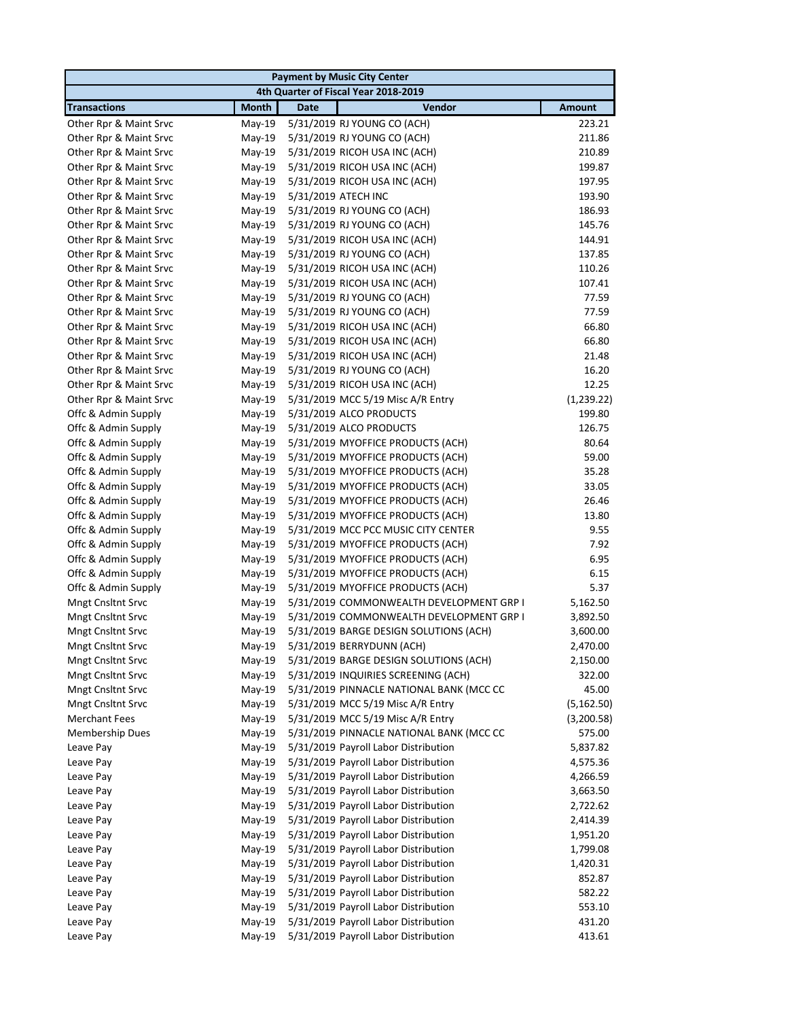|                          |              | <b>Payment by Music City Center</b>      |               |
|--------------------------|--------------|------------------------------------------|---------------|
|                          |              | 4th Quarter of Fiscal Year 2018-2019     |               |
| <b>Transactions</b>      | <b>Month</b> | Vendor<br><b>Date</b>                    | <b>Amount</b> |
| Other Rpr & Maint Srvc   | May-19       | 5/31/2019 RJ YOUNG CO (ACH)              | 223.21        |
| Other Rpr & Maint Srvc   | $May-19$     | 5/31/2019 RJ YOUNG CO (ACH)              | 211.86        |
| Other Rpr & Maint Srvc   | May-19       | 5/31/2019 RICOH USA INC (ACH)            | 210.89        |
| Other Rpr & Maint Srvc   | May-19       | 5/31/2019 RICOH USA INC (ACH)            | 199.87        |
| Other Rpr & Maint Srvc   | May-19       | 5/31/2019 RICOH USA INC (ACH)            | 197.95        |
| Other Rpr & Maint Srvc   | May-19       | 5/31/2019 ATECH INC                      | 193.90        |
| Other Rpr & Maint Srvc   | May-19       | 5/31/2019 RJ YOUNG CO (ACH)              | 186.93        |
| Other Rpr & Maint Srvc   | May-19       | 5/31/2019 RJ YOUNG CO (ACH)              | 145.76        |
| Other Rpr & Maint Srvc   | May-19       | 5/31/2019 RICOH USA INC (ACH)            | 144.91        |
| Other Rpr & Maint Srvc   | May-19       | 5/31/2019 RJ YOUNG CO (ACH)              | 137.85        |
| Other Rpr & Maint Srvc   | May-19       | 5/31/2019 RICOH USA INC (ACH)            | 110.26        |
| Other Rpr & Maint Srvc   | May-19       | 5/31/2019 RICOH USA INC (ACH)            | 107.41        |
| Other Rpr & Maint Srvc   | May-19       | 5/31/2019 RJ YOUNG CO (ACH)              | 77.59         |
| Other Rpr & Maint Srvc   | $May-19$     | 5/31/2019 RJ YOUNG CO (ACH)              | 77.59         |
| Other Rpr & Maint Srvc   | May-19       | 5/31/2019 RICOH USA INC (ACH)            | 66.80         |
| Other Rpr & Maint Srvc   | May-19       | 5/31/2019 RICOH USA INC (ACH)            | 66.80         |
| Other Rpr & Maint Srvc   | May-19       | 5/31/2019 RICOH USA INC (ACH)            | 21.48         |
| Other Rpr & Maint Srvc   | May-19       | 5/31/2019 RJ YOUNG CO (ACH)              | 16.20         |
| Other Rpr & Maint Srvc   | May-19       | 5/31/2019 RICOH USA INC (ACH)            | 12.25         |
| Other Rpr & Maint Srvc   | May-19       | 5/31/2019 MCC 5/19 Misc A/R Entry        | (1, 239.22)   |
| Offc & Admin Supply      | May-19       | 5/31/2019 ALCO PRODUCTS                  | 199.80        |
| Offc & Admin Supply      | May-19       | 5/31/2019 ALCO PRODUCTS                  | 126.75        |
| Offc & Admin Supply      | May-19       | 5/31/2019 MYOFFICE PRODUCTS (ACH)        | 80.64         |
| Offc & Admin Supply      | May-19       | 5/31/2019 MYOFFICE PRODUCTS (ACH)        | 59.00         |
| Offc & Admin Supply      | May-19       | 5/31/2019 MYOFFICE PRODUCTS (ACH)        | 35.28         |
| Offc & Admin Supply      | May-19       | 5/31/2019 MYOFFICE PRODUCTS (ACH)        | 33.05         |
| Offc & Admin Supply      | May-19       | 5/31/2019 MYOFFICE PRODUCTS (ACH)        | 26.46         |
| Offc & Admin Supply      | May-19       | 5/31/2019 MYOFFICE PRODUCTS (ACH)        | 13.80         |
| Offc & Admin Supply      | May-19       | 5/31/2019 MCC PCC MUSIC CITY CENTER      | 9.55          |
| Offc & Admin Supply      | May-19       | 5/31/2019 MYOFFICE PRODUCTS (ACH)        | 7.92          |
| Offc & Admin Supply      | May-19       | 5/31/2019 MYOFFICE PRODUCTS (ACH)        | 6.95          |
| Offc & Admin Supply      | May-19       | 5/31/2019 MYOFFICE PRODUCTS (ACH)        | 6.15          |
| Offc & Admin Supply      | May-19       | 5/31/2019 MYOFFICE PRODUCTS (ACH)        | 5.37          |
| <b>Mngt Cnsltnt Srvc</b> | May-19       | 5/31/2019 COMMONWEALTH DEVELOPMENT GRP I | 5,162.50      |
| <b>Mngt Cnsltnt Srvc</b> | May-19       | 5/31/2019 COMMONWEALTH DEVELOPMENT GRP I | 3,892.50      |
| <b>Mngt Cnsltnt Srvc</b> | May-19       | 5/31/2019 BARGE DESIGN SOLUTIONS (ACH)   | 3,600.00      |
| <b>Mngt Cnsltnt Srvc</b> | May-19       | 5/31/2019 BERRYDUNN (ACH)                | 2,470.00      |
| <b>Mngt Cnsltnt Srvc</b> | May-19       | 5/31/2019 BARGE DESIGN SOLUTIONS (ACH)   | 2,150.00      |
| Mngt Cnsltnt Srvc        | $May-19$     | 5/31/2019 INQUIRIES SCREENING (ACH)      | 322.00        |
| <b>Mngt Cnsltnt Srvc</b> | May-19       | 5/31/2019 PINNACLE NATIONAL BANK (MCC CC | 45.00         |
| <b>Mngt Cnsltnt Srvc</b> | May-19       | 5/31/2019 MCC 5/19 Misc A/R Entry        | (5, 162.50)   |
| <b>Merchant Fees</b>     | May-19       | 5/31/2019 MCC 5/19 Misc A/R Entry        | (3,200.58)    |
| <b>Membership Dues</b>   | $May-19$     | 5/31/2019 PINNACLE NATIONAL BANK (MCC CC | 575.00        |
| Leave Pay                | May-19       | 5/31/2019 Payroll Labor Distribution     | 5,837.82      |
| Leave Pay                | May-19       | 5/31/2019 Payroll Labor Distribution     | 4,575.36      |
| Leave Pay                | May-19       | 5/31/2019 Payroll Labor Distribution     | 4,266.59      |
| Leave Pay                | May-19       | 5/31/2019 Payroll Labor Distribution     | 3,663.50      |
| Leave Pay                | $May-19$     | 5/31/2019 Payroll Labor Distribution     | 2,722.62      |
| Leave Pay                | May-19       | 5/31/2019 Payroll Labor Distribution     | 2,414.39      |
| Leave Pay                | May-19       | 5/31/2019 Payroll Labor Distribution     | 1,951.20      |
| Leave Pay                | May-19       | 5/31/2019 Payroll Labor Distribution     | 1,799.08      |
| Leave Pay                | May-19       | 5/31/2019 Payroll Labor Distribution     | 1,420.31      |
| Leave Pay                | May-19       | 5/31/2019 Payroll Labor Distribution     | 852.87        |
| Leave Pay                | May-19       | 5/31/2019 Payroll Labor Distribution     | 582.22        |
| Leave Pay                | May-19       | 5/31/2019 Payroll Labor Distribution     | 553.10        |
| Leave Pay                | May-19       | 5/31/2019 Payroll Labor Distribution     | 431.20        |
| Leave Pay                | May-19       | 5/31/2019 Payroll Labor Distribution     | 413.61        |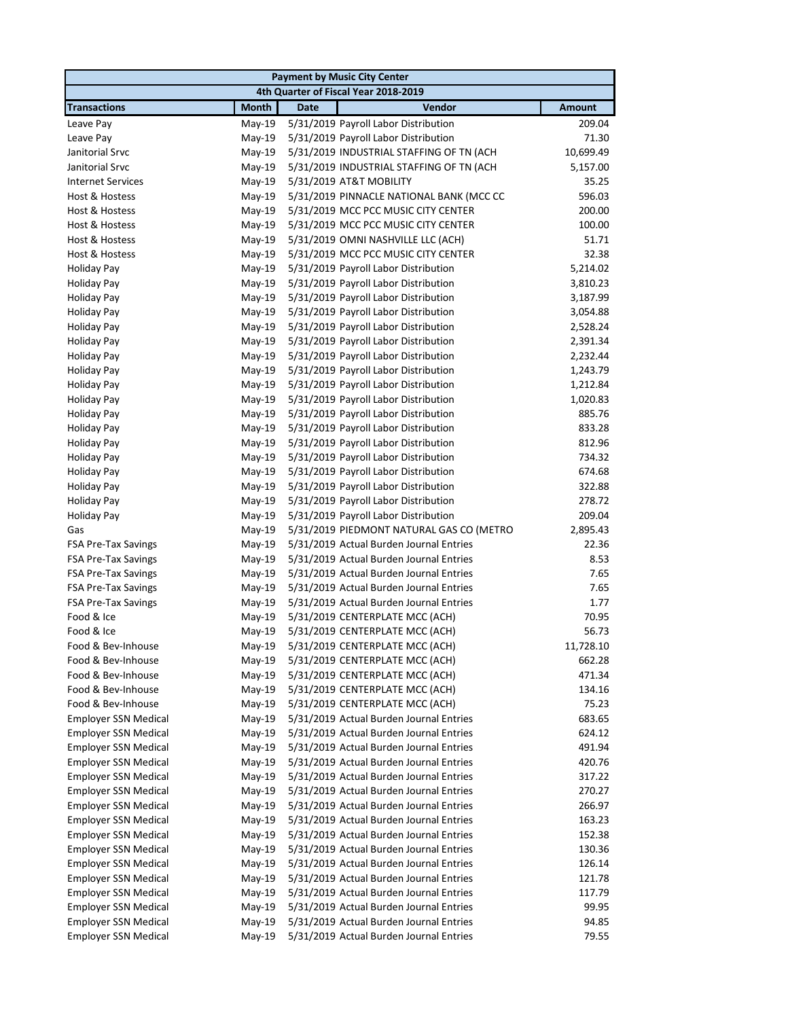|                                          |                      |             | <b>Payment by Music City Center</b>                                |               |
|------------------------------------------|----------------------|-------------|--------------------------------------------------------------------|---------------|
|                                          |                      |             | 4th Quarter of Fiscal Year 2018-2019                               |               |
| <b>Transactions</b>                      | <b>Month</b>         | <b>Date</b> | Vendor                                                             | <b>Amount</b> |
| Leave Pay                                | $May-19$             |             | 5/31/2019 Payroll Labor Distribution                               | 209.04        |
| Leave Pay                                | May-19               |             | 5/31/2019 Payroll Labor Distribution                               | 71.30         |
| Janitorial Srvc                          | $May-19$             |             | 5/31/2019 INDUSTRIAL STAFFING OF TN (ACH                           | 10,699.49     |
| Janitorial Srvc                          | May-19               |             | 5/31/2019 INDUSTRIAL STAFFING OF TN (ACH                           | 5,157.00      |
| <b>Internet Services</b>                 | May-19               |             | 5/31/2019 AT&T MOBILITY                                            | 35.25         |
| Host & Hostess                           | May-19               |             | 5/31/2019 PINNACLE NATIONAL BANK (MCC CC                           | 596.03        |
| Host & Hostess                           | $May-19$             |             | 5/31/2019 MCC PCC MUSIC CITY CENTER                                | 200.00        |
| Host & Hostess                           | $May-19$             |             | 5/31/2019 MCC PCC MUSIC CITY CENTER                                | 100.00        |
| Host & Hostess                           | May-19               |             | 5/31/2019 OMNI NASHVILLE LLC (ACH)                                 | 51.71         |
| Host & Hostess                           | $May-19$             |             | 5/31/2019 MCC PCC MUSIC CITY CENTER                                | 32.38         |
| <b>Holiday Pay</b>                       | $May-19$             |             | 5/31/2019 Payroll Labor Distribution                               | 5,214.02      |
| <b>Holiday Pay</b>                       | $May-19$             |             | 5/31/2019 Payroll Labor Distribution                               | 3,810.23      |
| <b>Holiday Pay</b>                       | $May-19$             |             | 5/31/2019 Payroll Labor Distribution                               | 3,187.99      |
| Holiday Pay                              | $May-19$             |             | 5/31/2019 Payroll Labor Distribution                               | 3,054.88      |
| <b>Holiday Pay</b>                       | $May-19$             |             | 5/31/2019 Payroll Labor Distribution                               | 2,528.24      |
| <b>Holiday Pay</b>                       | May-19               |             | 5/31/2019 Payroll Labor Distribution                               | 2,391.34      |
| <b>Holiday Pay</b>                       | May-19               |             | 5/31/2019 Payroll Labor Distribution                               | 2,232.44      |
| <b>Holiday Pay</b>                       | May-19               |             | 5/31/2019 Payroll Labor Distribution                               | 1,243.79      |
| <b>Holiday Pay</b>                       | May-19               |             | 5/31/2019 Payroll Labor Distribution                               | 1,212.84      |
| <b>Holiday Pay</b>                       | $May-19$             |             | 5/31/2019 Payroll Labor Distribution                               | 1,020.83      |
| Holiday Pay                              | May-19               |             | 5/31/2019 Payroll Labor Distribution                               | 885.76        |
| <b>Holiday Pay</b>                       | $May-19$             |             | 5/31/2019 Payroll Labor Distribution                               | 833.28        |
| <b>Holiday Pay</b>                       | $May-19$             |             | 5/31/2019 Payroll Labor Distribution                               | 812.96        |
| <b>Holiday Pay</b>                       | $May-19$             |             | 5/31/2019 Payroll Labor Distribution                               | 734.32        |
| <b>Holiday Pay</b>                       | May-19               |             | 5/31/2019 Payroll Labor Distribution                               | 674.68        |
| <b>Holiday Pay</b>                       | May-19               |             | 5/31/2019 Payroll Labor Distribution                               | 322.88        |
| <b>Holiday Pay</b>                       | May-19               |             | 5/31/2019 Payroll Labor Distribution                               | 278.72        |
| <b>Holiday Pay</b>                       | $May-19$             |             | 5/31/2019 Payroll Labor Distribution                               | 209.04        |
| Gas                                      | May-19               |             | 5/31/2019 PIEDMONT NATURAL GAS CO (METRO                           | 2,895.43      |
| FSA Pre-Tax Savings                      | May-19               |             | 5/31/2019 Actual Burden Journal Entries                            | 22.36         |
| <b>FSA Pre-Tax Savings</b>               | May-19               |             | 5/31/2019 Actual Burden Journal Entries                            | 8.53          |
| <b>FSA Pre-Tax Savings</b>               | $May-19$             |             | 5/31/2019 Actual Burden Journal Entries                            | 7.65          |
| <b>FSA Pre-Tax Savings</b>               | $May-19$             |             | 5/31/2019 Actual Burden Journal Entries                            | 7.65          |
| <b>FSA Pre-Tax Savings</b><br>Food & Ice | May-19               |             | 5/31/2019 Actual Burden Journal Entries                            | 1.77<br>70.95 |
| Food & Ice                               | $May-19$<br>$May-19$ |             | 5/31/2019 CENTERPLATE MCC (ACH)<br>5/31/2019 CENTERPLATE MCC (ACH) | 56.73         |
|                                          |                      |             |                                                                    | 11,728.10     |
| Food & Bev-Inhouse<br>Food & Bev-Inhouse | May-19<br>May-19     |             | 5/31/2019 CENTERPLATE MCC (ACH)<br>5/31/2019 CENTERPLATE MCC (ACH) | 662.28        |
| Food & Bev-Inhouse                       | May-19               |             | 5/31/2019 CENTERPLATE MCC (ACH)                                    | 471.34        |
| Food & Bev-Inhouse                       | May-19               |             | 5/31/2019 CENTERPLATE MCC (ACH)                                    | 134.16        |
| Food & Bev-Inhouse                       | May-19               |             | 5/31/2019 CENTERPLATE MCC (ACH)                                    | 75.23         |
| <b>Employer SSN Medical</b>              | May-19               |             | 5/31/2019 Actual Burden Journal Entries                            | 683.65        |
| <b>Employer SSN Medical</b>              | May-19               |             | 5/31/2019 Actual Burden Journal Entries                            | 624.12        |
| <b>Employer SSN Medical</b>              | May-19               |             | 5/31/2019 Actual Burden Journal Entries                            | 491.94        |
| <b>Employer SSN Medical</b>              | May-19               |             | 5/31/2019 Actual Burden Journal Entries                            | 420.76        |
| <b>Employer SSN Medical</b>              | May-19               |             | 5/31/2019 Actual Burden Journal Entries                            | 317.22        |
| Employer SSN Medical                     | May-19               |             | 5/31/2019 Actual Burden Journal Entries                            | 270.27        |
| <b>Employer SSN Medical</b>              | May-19               |             | 5/31/2019 Actual Burden Journal Entries                            | 266.97        |
| <b>Employer SSN Medical</b>              | May-19               |             | 5/31/2019 Actual Burden Journal Entries                            | 163.23        |
| <b>Employer SSN Medical</b>              | May-19               |             | 5/31/2019 Actual Burden Journal Entries                            | 152.38        |
| <b>Employer SSN Medical</b>              | May-19               |             | 5/31/2019 Actual Burden Journal Entries                            | 130.36        |
| <b>Employer SSN Medical</b>              | May-19               |             | 5/31/2019 Actual Burden Journal Entries                            | 126.14        |
| <b>Employer SSN Medical</b>              | $May-19$             |             | 5/31/2019 Actual Burden Journal Entries                            | 121.78        |
| <b>Employer SSN Medical</b>              | May-19               |             | 5/31/2019 Actual Burden Journal Entries                            | 117.79        |
| <b>Employer SSN Medical</b>              | May-19               |             | 5/31/2019 Actual Burden Journal Entries                            | 99.95         |
| <b>Employer SSN Medical</b>              | May-19               |             | 5/31/2019 Actual Burden Journal Entries                            | 94.85         |
| <b>Employer SSN Medical</b>              | May-19               |             | 5/31/2019 Actual Burden Journal Entries                            | 79.55         |
|                                          |                      |             |                                                                    |               |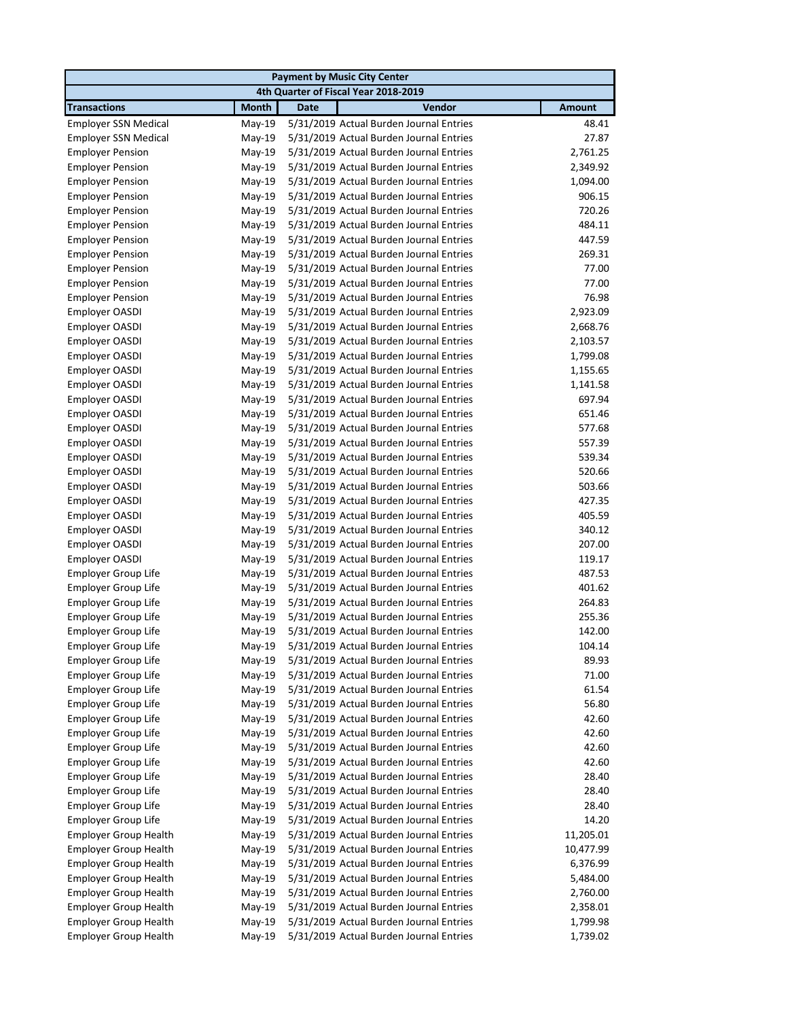|                                                          |                  |             | <b>Payment by Music City Center</b>                                                |                |
|----------------------------------------------------------|------------------|-------------|------------------------------------------------------------------------------------|----------------|
|                                                          |                  |             | 4th Quarter of Fiscal Year 2018-2019                                               |                |
| <b>Transactions</b>                                      | <b>Month</b>     | <b>Date</b> | Vendor                                                                             | <b>Amount</b>  |
| <b>Employer SSN Medical</b>                              | May-19           |             | 5/31/2019 Actual Burden Journal Entries                                            | 48.41          |
| <b>Employer SSN Medical</b>                              | May-19           |             | 5/31/2019 Actual Burden Journal Entries                                            | 27.87          |
| <b>Employer Pension</b>                                  | May-19           |             | 5/31/2019 Actual Burden Journal Entries                                            | 2,761.25       |
| <b>Employer Pension</b>                                  | May-19           |             | 5/31/2019 Actual Burden Journal Entries                                            | 2,349.92       |
| <b>Employer Pension</b>                                  | May-19           |             | 5/31/2019 Actual Burden Journal Entries                                            | 1,094.00       |
| <b>Employer Pension</b>                                  | May-19           |             | 5/31/2019 Actual Burden Journal Entries                                            | 906.15         |
| <b>Employer Pension</b>                                  | May-19           |             | 5/31/2019 Actual Burden Journal Entries                                            | 720.26         |
| <b>Employer Pension</b>                                  | May-19           |             | 5/31/2019 Actual Burden Journal Entries                                            | 484.11         |
| <b>Employer Pension</b>                                  | May-19           |             | 5/31/2019 Actual Burden Journal Entries                                            | 447.59         |
| <b>Employer Pension</b>                                  | May-19           |             | 5/31/2019 Actual Burden Journal Entries                                            | 269.31         |
| <b>Employer Pension</b>                                  | May-19           |             | 5/31/2019 Actual Burden Journal Entries                                            | 77.00          |
| <b>Employer Pension</b>                                  | $May-19$         |             | 5/31/2019 Actual Burden Journal Entries                                            | 77.00          |
| <b>Employer Pension</b>                                  | $May-19$         |             | 5/31/2019 Actual Burden Journal Entries                                            | 76.98          |
| Employer OASDI                                           | $May-19$         |             | 5/31/2019 Actual Burden Journal Entries                                            | 2,923.09       |
| Employer OASDI                                           | May-19           |             | 5/31/2019 Actual Burden Journal Entries                                            | 2,668.76       |
| Employer OASDI                                           | May-19           |             | 5/31/2019 Actual Burden Journal Entries                                            | 2,103.57       |
| Employer OASDI                                           | May-19           |             | 5/31/2019 Actual Burden Journal Entries                                            | 1,799.08       |
| Employer OASDI                                           | $May-19$         |             | 5/31/2019 Actual Burden Journal Entries                                            | 1,155.65       |
| Employer OASDI                                           | May-19           |             | 5/31/2019 Actual Burden Journal Entries                                            | 1,141.58       |
| Employer OASDI                                           | May-19           |             | 5/31/2019 Actual Burden Journal Entries                                            | 697.94         |
| Employer OASDI                                           | May-19           |             | 5/31/2019 Actual Burden Journal Entries                                            | 651.46         |
| Employer OASDI                                           | $May-19$         |             | 5/31/2019 Actual Burden Journal Entries                                            | 577.68         |
| Employer OASDI                                           | May-19           |             | 5/31/2019 Actual Burden Journal Entries                                            | 557.39         |
| Employer OASDI                                           | May-19           |             | 5/31/2019 Actual Burden Journal Entries                                            | 539.34         |
| Employer OASDI                                           | May-19           |             | 5/31/2019 Actual Burden Journal Entries                                            | 520.66         |
| Employer OASDI                                           | May-19           |             | 5/31/2019 Actual Burden Journal Entries                                            | 503.66         |
| Employer OASDI                                           | May-19           |             | 5/31/2019 Actual Burden Journal Entries                                            | 427.35         |
| Employer OASDI                                           | May-19           |             | 5/31/2019 Actual Burden Journal Entries                                            | 405.59         |
| Employer OASDI                                           | May-19           |             | 5/31/2019 Actual Burden Journal Entries                                            | 340.12         |
| Employer OASDI                                           | May-19           |             | 5/31/2019 Actual Burden Journal Entries                                            | 207.00         |
| Employer OASDI                                           | May-19           |             | 5/31/2019 Actual Burden Journal Entries                                            | 119.17         |
| <b>Employer Group Life</b>                               | May-19           |             | 5/31/2019 Actual Burden Journal Entries                                            | 487.53         |
| Employer Group Life                                      | May-19           |             | 5/31/2019 Actual Burden Journal Entries                                            | 401.62         |
| <b>Employer Group Life</b>                               | $May-19$         |             | 5/31/2019 Actual Burden Journal Entries                                            | 264.83         |
| <b>Employer Group Life</b>                               | May-19           |             | 5/31/2019 Actual Burden Journal Entries                                            | 255.36         |
| <b>Employer Group Life</b>                               | May-19           |             | 5/31/2019 Actual Burden Journal Entries                                            | 142.00         |
| Employer Group Life                                      | May-19           |             | 5/31/2019 Actual Burden Journal Entries                                            | 104.14         |
| <b>Employer Group Life</b>                               | May-19           |             | 5/31/2019 Actual Burden Journal Entries                                            | 89.93          |
| <b>Employer Group Life</b>                               | $May-19$         |             | 5/31/2019 Actual Burden Journal Entries                                            | 71.00          |
| <b>Employer Group Life</b>                               | May-19           |             | 5/31/2019 Actual Burden Journal Entries                                            | 61.54          |
| <b>Employer Group Life</b><br><b>Employer Group Life</b> | May-19           |             | 5/31/2019 Actual Burden Journal Entries<br>5/31/2019 Actual Burden Journal Entries | 56.80          |
| <b>Employer Group Life</b>                               | May-19<br>May-19 |             | 5/31/2019 Actual Burden Journal Entries                                            | 42.60<br>42.60 |
| <b>Employer Group Life</b>                               | May-19           |             | 5/31/2019 Actual Burden Journal Entries                                            | 42.60          |
| <b>Employer Group Life</b>                               | May-19           |             | 5/31/2019 Actual Burden Journal Entries                                            | 42.60          |
| <b>Employer Group Life</b>                               | May-19           |             | 5/31/2019 Actual Burden Journal Entries                                            | 28.40          |
| <b>Employer Group Life</b>                               | May-19           |             | 5/31/2019 Actual Burden Journal Entries                                            | 28.40          |
| <b>Employer Group Life</b>                               | May-19           |             | 5/31/2019 Actual Burden Journal Entries                                            | 28.40          |
| <b>Employer Group Life</b>                               | May-19           |             | 5/31/2019 Actual Burden Journal Entries                                            | 14.20          |
| <b>Employer Group Health</b>                             | May-19           |             | 5/31/2019 Actual Burden Journal Entries                                            | 11,205.01      |
| <b>Employer Group Health</b>                             | May-19           |             | 5/31/2019 Actual Burden Journal Entries                                            | 10,477.99      |
| <b>Employer Group Health</b>                             | May-19           |             | 5/31/2019 Actual Burden Journal Entries                                            | 6,376.99       |
| <b>Employer Group Health</b>                             | May-19           |             | 5/31/2019 Actual Burden Journal Entries                                            | 5,484.00       |
| <b>Employer Group Health</b>                             | May-19           |             | 5/31/2019 Actual Burden Journal Entries                                            | 2,760.00       |
| <b>Employer Group Health</b>                             | May-19           |             | 5/31/2019 Actual Burden Journal Entries                                            | 2,358.01       |
| <b>Employer Group Health</b>                             | May-19           |             | 5/31/2019 Actual Burden Journal Entries                                            | 1,799.98       |
| <b>Employer Group Health</b>                             | May-19           |             | 5/31/2019 Actual Burden Journal Entries                                            | 1,739.02       |
|                                                          |                  |             |                                                                                    |                |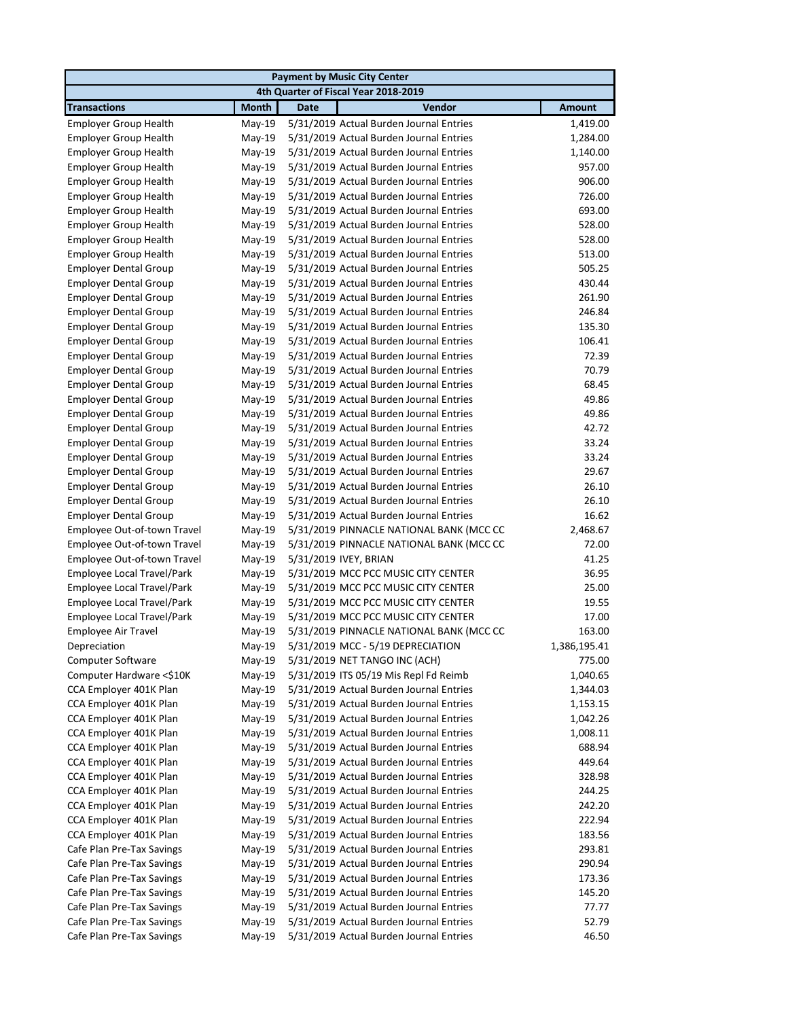| <b>Payment by Music City Center</b> |              |             |                                          |               |  |  |
|-------------------------------------|--------------|-------------|------------------------------------------|---------------|--|--|
|                                     |              |             | 4th Quarter of Fiscal Year 2018-2019     |               |  |  |
| <b>Transactions</b>                 | <b>Month</b> | <b>Date</b> | Vendor                                   | <b>Amount</b> |  |  |
| <b>Employer Group Health</b>        | $May-19$     |             | 5/31/2019 Actual Burden Journal Entries  | 1,419.00      |  |  |
| <b>Employer Group Health</b>        | May-19       |             | 5/31/2019 Actual Burden Journal Entries  | 1,284.00      |  |  |
| <b>Employer Group Health</b>        | May-19       |             | 5/31/2019 Actual Burden Journal Entries  | 1,140.00      |  |  |
| <b>Employer Group Health</b>        | May-19       |             | 5/31/2019 Actual Burden Journal Entries  | 957.00        |  |  |
| <b>Employer Group Health</b>        | May-19       |             | 5/31/2019 Actual Burden Journal Entries  | 906.00        |  |  |
| <b>Employer Group Health</b>        | May-19       |             | 5/31/2019 Actual Burden Journal Entries  | 726.00        |  |  |
| <b>Employer Group Health</b>        | May-19       |             | 5/31/2019 Actual Burden Journal Entries  | 693.00        |  |  |
| <b>Employer Group Health</b>        | May-19       |             | 5/31/2019 Actual Burden Journal Entries  | 528.00        |  |  |
| <b>Employer Group Health</b>        | May-19       |             | 5/31/2019 Actual Burden Journal Entries  | 528.00        |  |  |
| <b>Employer Group Health</b>        | May-19       |             | 5/31/2019 Actual Burden Journal Entries  | 513.00        |  |  |
| <b>Employer Dental Group</b>        | May-19       |             | 5/31/2019 Actual Burden Journal Entries  | 505.25        |  |  |
| <b>Employer Dental Group</b>        | $May-19$     |             | 5/31/2019 Actual Burden Journal Entries  | 430.44        |  |  |
| <b>Employer Dental Group</b>        | $May-19$     |             | 5/31/2019 Actual Burden Journal Entries  | 261.90        |  |  |
| <b>Employer Dental Group</b>        | May-19       |             | 5/31/2019 Actual Burden Journal Entries  | 246.84        |  |  |
| <b>Employer Dental Group</b>        | May-19       |             | 5/31/2019 Actual Burden Journal Entries  | 135.30        |  |  |
| <b>Employer Dental Group</b>        | May-19       |             | 5/31/2019 Actual Burden Journal Entries  | 106.41        |  |  |
| <b>Employer Dental Group</b>        | May-19       |             | 5/31/2019 Actual Burden Journal Entries  | 72.39         |  |  |
| <b>Employer Dental Group</b>        | May-19       |             | 5/31/2019 Actual Burden Journal Entries  | 70.79         |  |  |
| <b>Employer Dental Group</b>        | $May-19$     |             | 5/31/2019 Actual Burden Journal Entries  | 68.45         |  |  |
| <b>Employer Dental Group</b>        | May-19       |             | 5/31/2019 Actual Burden Journal Entries  | 49.86         |  |  |
| <b>Employer Dental Group</b>        | May-19       |             | 5/31/2019 Actual Burden Journal Entries  | 49.86         |  |  |
| <b>Employer Dental Group</b>        | May-19       |             | 5/31/2019 Actual Burden Journal Entries  | 42.72         |  |  |
| <b>Employer Dental Group</b>        | May-19       |             | 5/31/2019 Actual Burden Journal Entries  | 33.24         |  |  |
| <b>Employer Dental Group</b>        | May-19       |             | 5/31/2019 Actual Burden Journal Entries  | 33.24         |  |  |
| <b>Employer Dental Group</b>        | May-19       |             | 5/31/2019 Actual Burden Journal Entries  | 29.67         |  |  |
| <b>Employer Dental Group</b>        | May-19       |             | 5/31/2019 Actual Burden Journal Entries  | 26.10         |  |  |
| <b>Employer Dental Group</b>        | May-19       |             | 5/31/2019 Actual Burden Journal Entries  | 26.10         |  |  |
| <b>Employer Dental Group</b>        | May-19       |             | 5/31/2019 Actual Burden Journal Entries  | 16.62         |  |  |
| Employee Out-of-town Travel         | May-19       |             | 5/31/2019 PINNACLE NATIONAL BANK (MCC CC | 2,468.67      |  |  |
| Employee Out-of-town Travel         | May-19       |             | 5/31/2019 PINNACLE NATIONAL BANK (MCC CC | 72.00         |  |  |
| Employee Out-of-town Travel         | May-19       |             | 5/31/2019 IVEY, BRIAN                    | 41.25         |  |  |
| Employee Local Travel/Park          | May-19       |             | 5/31/2019 MCC PCC MUSIC CITY CENTER      | 36.95         |  |  |
| Employee Local Travel/Park          | May-19       |             | 5/31/2019 MCC PCC MUSIC CITY CENTER      | 25.00         |  |  |
| Employee Local Travel/Park          | May-19       |             | 5/31/2019 MCC PCC MUSIC CITY CENTER      | 19.55         |  |  |
| Employee Local Travel/Park          | May-19       |             | 5/31/2019 MCC PCC MUSIC CITY CENTER      | 17.00         |  |  |
| Employee Air Travel                 | May-19       |             | 5/31/2019 PINNACLE NATIONAL BANK (MCC CC | 163.00        |  |  |
| Depreciation                        | May-19       |             | 5/31/2019 MCC - 5/19 DEPRECIATION        | 1,386,195.41  |  |  |
| Computer Software                   | May-19       |             | 5/31/2019 NET TANGO INC (ACH)            | 775.00        |  |  |
| Computer Hardware <\$10K            | May-19       |             | 5/31/2019 ITS 05/19 Mis Repl Fd Reimb    | 1,040.65      |  |  |
| CCA Employer 401K Plan              | May-19       |             | 5/31/2019 Actual Burden Journal Entries  | 1,344.03      |  |  |
| CCA Employer 401K Plan              | May-19       |             | 5/31/2019 Actual Burden Journal Entries  | 1,153.15      |  |  |
| CCA Employer 401K Plan              | May-19       |             | 5/31/2019 Actual Burden Journal Entries  | 1,042.26      |  |  |
| CCA Employer 401K Plan              | May-19       |             | 5/31/2019 Actual Burden Journal Entries  | 1,008.11      |  |  |
| CCA Employer 401K Plan              | May-19       |             | 5/31/2019 Actual Burden Journal Entries  | 688.94        |  |  |
| CCA Employer 401K Plan              | May-19       |             | 5/31/2019 Actual Burden Journal Entries  | 449.64        |  |  |
| CCA Employer 401K Plan              | May-19       |             | 5/31/2019 Actual Burden Journal Entries  | 328.98        |  |  |
| CCA Employer 401K Plan              | May-19       |             | 5/31/2019 Actual Burden Journal Entries  | 244.25        |  |  |
| CCA Employer 401K Plan              | May-19       |             | 5/31/2019 Actual Burden Journal Entries  | 242.20        |  |  |
| CCA Employer 401K Plan              | May-19       |             | 5/31/2019 Actual Burden Journal Entries  | 222.94        |  |  |
| CCA Employer 401K Plan              | May-19       |             | 5/31/2019 Actual Burden Journal Entries  | 183.56        |  |  |
| Cafe Plan Pre-Tax Savings           | May-19       |             | 5/31/2019 Actual Burden Journal Entries  | 293.81        |  |  |
| Cafe Plan Pre-Tax Savings           | May-19       |             | 5/31/2019 Actual Burden Journal Entries  | 290.94        |  |  |
| Cafe Plan Pre-Tax Savings           | May-19       |             | 5/31/2019 Actual Burden Journal Entries  | 173.36        |  |  |
| Cafe Plan Pre-Tax Savings           | May-19       |             | 5/31/2019 Actual Burden Journal Entries  | 145.20        |  |  |
| Cafe Plan Pre-Tax Savings           | May-19       |             | 5/31/2019 Actual Burden Journal Entries  | 77.77         |  |  |
| Cafe Plan Pre-Tax Savings           | May-19       |             | 5/31/2019 Actual Burden Journal Entries  | 52.79         |  |  |
| Cafe Plan Pre-Tax Savings           | May-19       |             | 5/31/2019 Actual Burden Journal Entries  | 46.50         |  |  |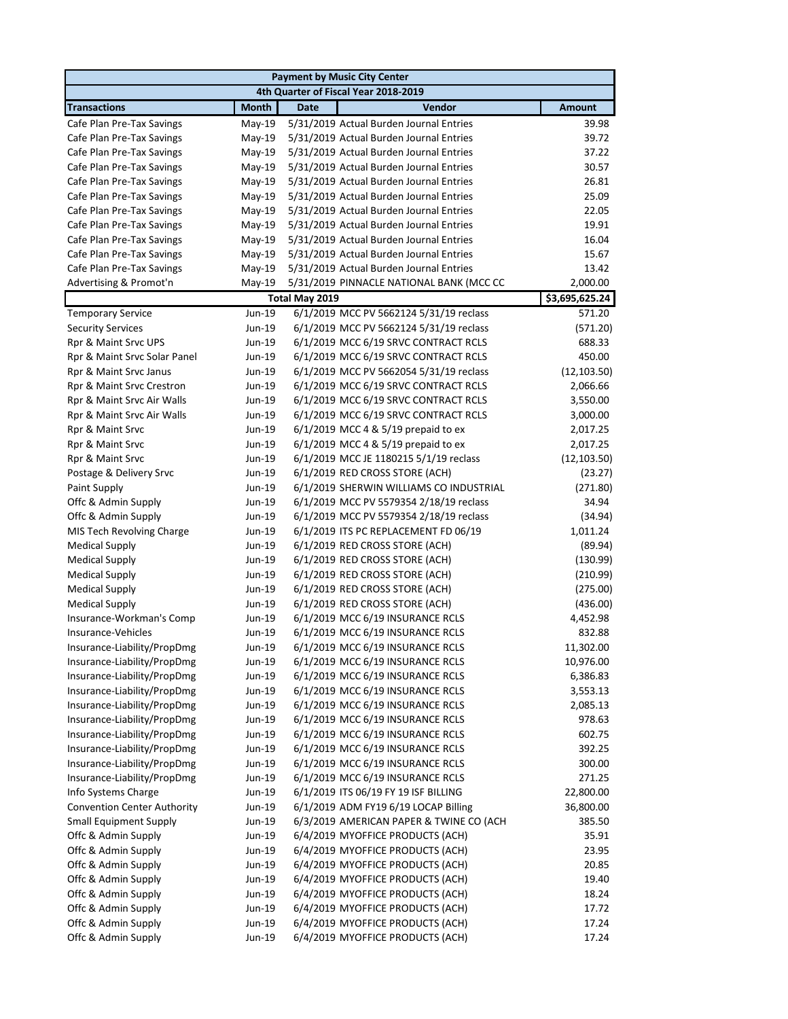|                                      |              |                | <b>Payment by Music City Center</b>      |                |  |  |  |
|--------------------------------------|--------------|----------------|------------------------------------------|----------------|--|--|--|
| 4th Quarter of Fiscal Year 2018-2019 |              |                |                                          |                |  |  |  |
| <b>Transactions</b>                  | <b>Month</b> | <b>Date</b>    | Vendor                                   | <b>Amount</b>  |  |  |  |
| Cafe Plan Pre-Tax Savings            | May-19       |                | 5/31/2019 Actual Burden Journal Entries  | 39.98          |  |  |  |
| Cafe Plan Pre-Tax Savings            | May-19       |                | 5/31/2019 Actual Burden Journal Entries  | 39.72          |  |  |  |
| Cafe Plan Pre-Tax Savings            | May-19       |                | 5/31/2019 Actual Burden Journal Entries  | 37.22          |  |  |  |
| Cafe Plan Pre-Tax Savings            | May-19       |                | 5/31/2019 Actual Burden Journal Entries  | 30.57          |  |  |  |
| Cafe Plan Pre-Tax Savings            | May-19       |                | 5/31/2019 Actual Burden Journal Entries  | 26.81          |  |  |  |
| Cafe Plan Pre-Tax Savings            | May-19       |                | 5/31/2019 Actual Burden Journal Entries  | 25.09          |  |  |  |
| Cafe Plan Pre-Tax Savings            | May-19       |                | 5/31/2019 Actual Burden Journal Entries  | 22.05          |  |  |  |
| Cafe Plan Pre-Tax Savings            | May-19       |                | 5/31/2019 Actual Burden Journal Entries  | 19.91          |  |  |  |
| Cafe Plan Pre-Tax Savings            | May-19       |                | 5/31/2019 Actual Burden Journal Entries  | 16.04          |  |  |  |
| Cafe Plan Pre-Tax Savings            | May-19       |                | 5/31/2019 Actual Burden Journal Entries  | 15.67          |  |  |  |
| Cafe Plan Pre-Tax Savings            | May-19       |                | 5/31/2019 Actual Burden Journal Entries  | 13.42          |  |  |  |
| Advertising & Promot'n               | May-19       |                | 5/31/2019 PINNACLE NATIONAL BANK (MCC CC | 2,000.00       |  |  |  |
|                                      |              | Total May 2019 |                                          | \$3,695,625.24 |  |  |  |
| <b>Temporary Service</b>             | Jun-19       |                | 6/1/2019 MCC PV 5662124 5/31/19 reclass  | 571.20         |  |  |  |
| <b>Security Services</b>             | Jun-19       |                | 6/1/2019 MCC PV 5662124 5/31/19 reclass  | (571.20)       |  |  |  |
| Rpr & Maint Srvc UPS                 | Jun-19       |                | 6/1/2019 MCC 6/19 SRVC CONTRACT RCLS     | 688.33         |  |  |  |
| Rpr & Maint Srvc Solar Panel         | Jun-19       |                | 6/1/2019 MCC 6/19 SRVC CONTRACT RCLS     | 450.00         |  |  |  |
| Rpr & Maint Srvc Janus               | Jun-19       |                | 6/1/2019 MCC PV 5662054 5/31/19 reclass  | (12, 103.50)   |  |  |  |
| Rpr & Maint Srvc Crestron            | Jun-19       |                | 6/1/2019 MCC 6/19 SRVC CONTRACT RCLS     | 2,066.66       |  |  |  |
| Rpr & Maint Srvc Air Walls           | Jun-19       |                | 6/1/2019 MCC 6/19 SRVC CONTRACT RCLS     | 3,550.00       |  |  |  |
| Rpr & Maint Srvc Air Walls           | Jun-19       |                | 6/1/2019 MCC 6/19 SRVC CONTRACT RCLS     | 3,000.00       |  |  |  |
| Rpr & Maint Srvc                     | Jun-19       |                | 6/1/2019 MCC 4 & 5/19 prepaid to ex      | 2,017.25       |  |  |  |
| Rpr & Maint Srvc                     | Jun-19       |                | 6/1/2019 MCC 4 & 5/19 prepaid to ex      | 2,017.25       |  |  |  |
| Rpr & Maint Srvc                     | Jun-19       |                | 6/1/2019 MCC JE 1180215 5/1/19 reclass   | (12, 103.50)   |  |  |  |
| Postage & Delivery Srvc              | Jun-19       |                | 6/1/2019 RED CROSS STORE (ACH)           | (23.27)        |  |  |  |
| Paint Supply                         | Jun-19       |                | 6/1/2019 SHERWIN WILLIAMS CO INDUSTRIAL  | (271.80)       |  |  |  |
| Offc & Admin Supply                  | Jun-19       |                | 6/1/2019 MCC PV 5579354 2/18/19 reclass  | 34.94          |  |  |  |
| Offc & Admin Supply                  | Jun-19       |                | 6/1/2019 MCC PV 5579354 2/18/19 reclass  | (34.94)        |  |  |  |
| MIS Tech Revolving Charge            | Jun-19       |                | 6/1/2019 ITS PC REPLACEMENT FD 06/19     | 1,011.24       |  |  |  |
| <b>Medical Supply</b>                | Jun-19       |                | 6/1/2019 RED CROSS STORE (ACH)           | (89.94)        |  |  |  |
| <b>Medical Supply</b>                | Jun-19       |                | 6/1/2019 RED CROSS STORE (ACH)           | (130.99)       |  |  |  |
| <b>Medical Supply</b>                | Jun-19       |                | 6/1/2019 RED CROSS STORE (ACH)           | (210.99)       |  |  |  |
| <b>Medical Supply</b>                | Jun-19       |                | 6/1/2019 RED CROSS STORE (ACH)           | (275.00)       |  |  |  |
| <b>Medical Supply</b>                | Jun-19       |                | 6/1/2019 RED CROSS STORE (ACH)           | (436.00)       |  |  |  |
| Insurance-Workman's Comp             | Jun-19       |                | 6/1/2019 MCC 6/19 INSURANCE RCLS         | 4,452.98       |  |  |  |
| Insurance-Vehicles                   | Jun-19       |                | 6/1/2019 MCC 6/19 INSURANCE RCLS         | 832.88         |  |  |  |
| Insurance-Liability/PropDmg          | Jun-19       |                | 6/1/2019 MCC 6/19 INSURANCE RCLS         | 11,302.00      |  |  |  |
| Insurance-Liability/PropDmg          | Jun-19       |                | 6/1/2019 MCC 6/19 INSURANCE RCLS         | 10,976.00      |  |  |  |
| Insurance-Liability/PropDmg          | Jun-19       |                | 6/1/2019 MCC 6/19 INSURANCE RCLS         | 6,386.83       |  |  |  |
| Insurance-Liability/PropDmg          | Jun-19       |                | 6/1/2019 MCC 6/19 INSURANCE RCLS         | 3,553.13       |  |  |  |
| Insurance-Liability/PropDmg          | Jun-19       |                | 6/1/2019 MCC 6/19 INSURANCE RCLS         | 2,085.13       |  |  |  |
| Insurance-Liability/PropDmg          | Jun-19       |                | 6/1/2019 MCC 6/19 INSURANCE RCLS         | 978.63         |  |  |  |
| Insurance-Liability/PropDmg          | Jun-19       |                | 6/1/2019 MCC 6/19 INSURANCE RCLS         | 602.75         |  |  |  |
| Insurance-Liability/PropDmg          | Jun-19       |                | 6/1/2019 MCC 6/19 INSURANCE RCLS         | 392.25         |  |  |  |
| Insurance-Liability/PropDmg          | Jun-19       |                | 6/1/2019 MCC 6/19 INSURANCE RCLS         | 300.00         |  |  |  |
| Insurance-Liability/PropDmg          | Jun-19       |                | 6/1/2019 MCC 6/19 INSURANCE RCLS         | 271.25         |  |  |  |
| Info Systems Charge                  | Jun-19       |                | 6/1/2019 ITS 06/19 FY 19 ISF BILLING     | 22,800.00      |  |  |  |
| <b>Convention Center Authority</b>   | Jun-19       |                | 6/1/2019 ADM FY19 6/19 LOCAP Billing     | 36,800.00      |  |  |  |
| <b>Small Equipment Supply</b>        | Jun-19       |                | 6/3/2019 AMERICAN PAPER & TWINE CO (ACH  | 385.50         |  |  |  |
| Offc & Admin Supply                  | Jun-19       |                | 6/4/2019 MYOFFICE PRODUCTS (ACH)         | 35.91          |  |  |  |
| Offc & Admin Supply                  | Jun-19       |                | 6/4/2019 MYOFFICE PRODUCTS (ACH)         | 23.95          |  |  |  |
| Offc & Admin Supply                  | Jun-19       |                | 6/4/2019 MYOFFICE PRODUCTS (ACH)         | 20.85          |  |  |  |
| Offc & Admin Supply                  | Jun-19       |                | 6/4/2019 MYOFFICE PRODUCTS (ACH)         | 19.40          |  |  |  |
| Offc & Admin Supply                  | Jun-19       |                | 6/4/2019 MYOFFICE PRODUCTS (ACH)         | 18.24          |  |  |  |
| Offc & Admin Supply                  | Jun-19       |                | 6/4/2019 MYOFFICE PRODUCTS (ACH)         | 17.72          |  |  |  |
| Offc & Admin Supply                  | Jun-19       |                | 6/4/2019 MYOFFICE PRODUCTS (ACH)         | 17.24          |  |  |  |
| Offc & Admin Supply                  | Jun-19       |                | 6/4/2019 MYOFFICE PRODUCTS (ACH)         | 17.24          |  |  |  |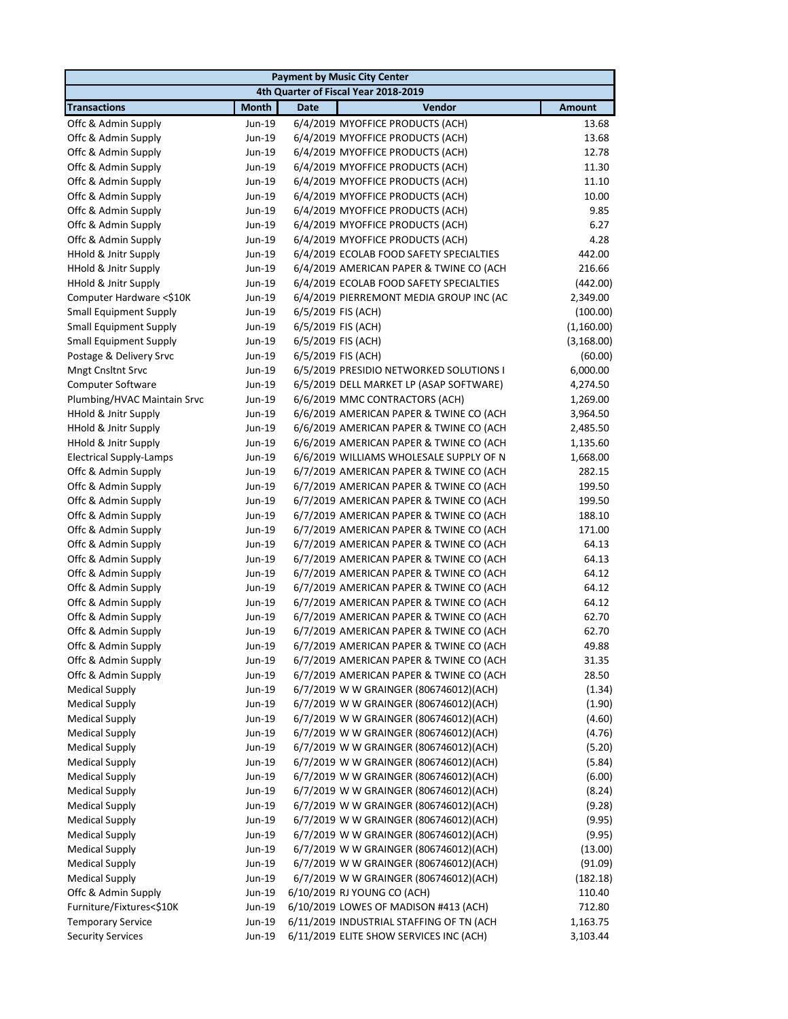|                                 |                  | <b>Payment by Music City Center</b>                                               |               |
|---------------------------------|------------------|-----------------------------------------------------------------------------------|---------------|
|                                 |                  | 4th Quarter of Fiscal Year 2018-2019                                              |               |
| <b>Transactions</b>             | <b>Month</b>     | Vendor<br><b>Date</b>                                                             | <b>Amount</b> |
| Offc & Admin Supply             | Jun-19           | 6/4/2019 MYOFFICE PRODUCTS (ACH)                                                  | 13.68         |
| Offc & Admin Supply             | Jun-19           | 6/4/2019 MYOFFICE PRODUCTS (ACH)                                                  | 13.68         |
| Offc & Admin Supply             | Jun-19           | 6/4/2019 MYOFFICE PRODUCTS (ACH)                                                  | 12.78         |
| Offc & Admin Supply             | Jun-19           | 6/4/2019 MYOFFICE PRODUCTS (ACH)                                                  | 11.30         |
| Offc & Admin Supply             | Jun-19           | 6/4/2019 MYOFFICE PRODUCTS (ACH)                                                  | 11.10         |
| Offc & Admin Supply             | Jun-19           | 6/4/2019 MYOFFICE PRODUCTS (ACH)                                                  | 10.00         |
| Offc & Admin Supply             | Jun-19           | 6/4/2019 MYOFFICE PRODUCTS (ACH)                                                  | 9.85          |
| Offc & Admin Supply             | Jun-19           | 6/4/2019 MYOFFICE PRODUCTS (ACH)                                                  | 6.27          |
| Offc & Admin Supply             | Jun-19           | 6/4/2019 MYOFFICE PRODUCTS (ACH)                                                  | 4.28          |
| HHold & Jnitr Supply            | Jun-19           | 6/4/2019 ECOLAB FOOD SAFETY SPECIALTIES                                           | 442.00        |
| HHold & Jnitr Supply            | Jun-19           | 6/4/2019 AMERICAN PAPER & TWINE CO (ACH                                           | 216.66        |
| <b>HHold &amp; Jnitr Supply</b> | Jun-19           | 6/4/2019 ECOLAB FOOD SAFETY SPECIALTIES                                           | (442.00)      |
| Computer Hardware <\$10K        | Jun-19           | 6/4/2019 PIERREMONT MEDIA GROUP INC (AC                                           | 2,349.00      |
| <b>Small Equipment Supply</b>   | Jun-19           | 6/5/2019 FIS (ACH)                                                                | (100.00)      |
| <b>Small Equipment Supply</b>   | Jun-19           | 6/5/2019 FIS (ACH)                                                                | (1,160.00)    |
| <b>Small Equipment Supply</b>   | Jun-19           | 6/5/2019 FIS (ACH)                                                                | (3, 168.00)   |
| Postage & Delivery Srvc         | Jun-19           | 6/5/2019 FIS (ACH)                                                                | (60.00)       |
| Mngt Cnsltnt Srvc               | Jun-19           | 6/5/2019 PRESIDIO NETWORKED SOLUTIONS I                                           | 6,000.00      |
| <b>Computer Software</b>        | Jun-19           | 6/5/2019 DELL MARKET LP (ASAP SOFTWARE)                                           | 4,274.50      |
| Plumbing/HVAC Maintain Srvc     | Jun-19           | 6/6/2019 MMC CONTRACTORS (ACH)                                                    | 1,269.00      |
| HHold & Jnitr Supply            | Jun-19           | 6/6/2019 AMERICAN PAPER & TWINE CO (ACH                                           | 3,964.50      |
| HHold & Jnitr Supply            | Jun-19           | 6/6/2019 AMERICAN PAPER & TWINE CO (ACH                                           | 2,485.50      |
| HHold & Jnitr Supply            | Jun-19           | 6/6/2019 AMERICAN PAPER & TWINE CO (ACH                                           | 1,135.60      |
| <b>Electrical Supply-Lamps</b>  | Jun-19           | 6/6/2019 WILLIAMS WHOLESALE SUPPLY OF N                                           | 1,668.00      |
| Offc & Admin Supply             | Jun-19           | 6/7/2019 AMERICAN PAPER & TWINE CO (ACH                                           | 282.15        |
| Offc & Admin Supply             | Jun-19           | 6/7/2019 AMERICAN PAPER & TWINE CO (ACH                                           | 199.50        |
| Offc & Admin Supply             | Jun-19           | 6/7/2019 AMERICAN PAPER & TWINE CO (ACH                                           | 199.50        |
| Offc & Admin Supply             | Jun-19           | 6/7/2019 AMERICAN PAPER & TWINE CO (ACH                                           | 188.10        |
| Offc & Admin Supply             | Jun-19           | 6/7/2019 AMERICAN PAPER & TWINE CO (ACH                                           | 171.00        |
| Offc & Admin Supply             | Jun-19           | 6/7/2019 AMERICAN PAPER & TWINE CO (ACH                                           | 64.13         |
| Offc & Admin Supply             | Jun-19           | 6/7/2019 AMERICAN PAPER & TWINE CO (ACH                                           | 64.13         |
| Offc & Admin Supply             | Jun-19           | 6/7/2019 AMERICAN PAPER & TWINE CO (ACH                                           | 64.12         |
| Offc & Admin Supply             | Jun-19           | 6/7/2019 AMERICAN PAPER & TWINE CO (ACH                                           | 64.12         |
| Offc & Admin Supply             | Jun-19           | 6/7/2019 AMERICAN PAPER & TWINE CO (ACH                                           | 64.12         |
| Offc & Admin Supply             | Jun-19           | 6/7/2019 AMERICAN PAPER & TWINE CO (ACH                                           | 62.70         |
| Offc & Admin Supply             | Jun-19           | 6/7/2019 AMERICAN PAPER & TWINE CO (ACH                                           | 62.70         |
| Offc & Admin Supply             | Jun-19           | 6/7/2019 AMERICAN PAPER & TWINE CO (ACH                                           | 49.88         |
| Offc & Admin Supply             | Jun-19           | 6/7/2019 AMERICAN PAPER & TWINE CO (ACH                                           | 31.35         |
| Offc & Admin Supply             | Jun-19           | 6/7/2019 AMERICAN PAPER & TWINE CO (ACH                                           | 28.50         |
| <b>Medical Supply</b>           | Jun-19           | 6/7/2019 W W GRAINGER (806746012)(ACH)                                            | (1.34)        |
| <b>Medical Supply</b>           | Jun-19           | 6/7/2019 W W GRAINGER (806746012)(ACH)<br>6/7/2019 W W GRAINGER (806746012)(ACH)  | (1.90)        |
| <b>Medical Supply</b>           | Jun-19           |                                                                                   | (4.60)        |
| <b>Medical Supply</b>           | Jun-19           | 6/7/2019 W W GRAINGER (806746012)(ACH)                                            | (4.76)        |
| <b>Medical Supply</b>           | Jun-19           | 6/7/2019 W W GRAINGER (806746012)(ACH)                                            | (5.20)        |
| <b>Medical Supply</b>           | Jun-19           | 6/7/2019 W W GRAINGER (806746012)(ACH)                                            | (5.84)        |
| <b>Medical Supply</b>           | Jun-19<br>Jun-19 | 6/7/2019 W W GRAINGER (806746012)(ACH)                                            | (6.00)        |
| <b>Medical Supply</b>           |                  | 6/7/2019 W W GRAINGER (806746012)(ACH)                                            | (8.24)        |
| <b>Medical Supply</b>           | Jun-19           | 6/7/2019 W W GRAINGER (806746012)(ACH)                                            | (9.28)        |
| <b>Medical Supply</b>           | Jun-19           | 6/7/2019 W W GRAINGER (806746012)(ACH)                                            | (9.95)        |
| <b>Medical Supply</b>           | Jun-19           | 6/7/2019 W W GRAINGER (806746012)(ACH)                                            | (9.95)        |
| <b>Medical Supply</b>           | Jun-19           | 6/7/2019 W W GRAINGER (806746012)(ACH)                                            | (13.00)       |
| <b>Medical Supply</b>           | Jun-19           | 6/7/2019 W W GRAINGER (806746012)(ACH)                                            | (91.09)       |
| <b>Medical Supply</b>           | Jun-19           | 6/7/2019 W W GRAINGER (806746012)(ACH)                                            | (182.18)      |
| Offc & Admin Supply             | Jun-19           | 6/10/2019 RJ YOUNG CO (ACH)                                                       | 110.40        |
| Furniture/Fixtures<\$10K        | Jun-19           | 6/10/2019 LOWES OF MADISON #413 (ACH)<br>6/11/2019 INDUSTRIAL STAFFING OF TN (ACH | 712.80        |
| <b>Temporary Service</b>        | Jun-19           |                                                                                   | 1,163.75      |
| <b>Security Services</b>        | Jun-19           | 6/11/2019 ELITE SHOW SERVICES INC (ACH)                                           | 3,103.44      |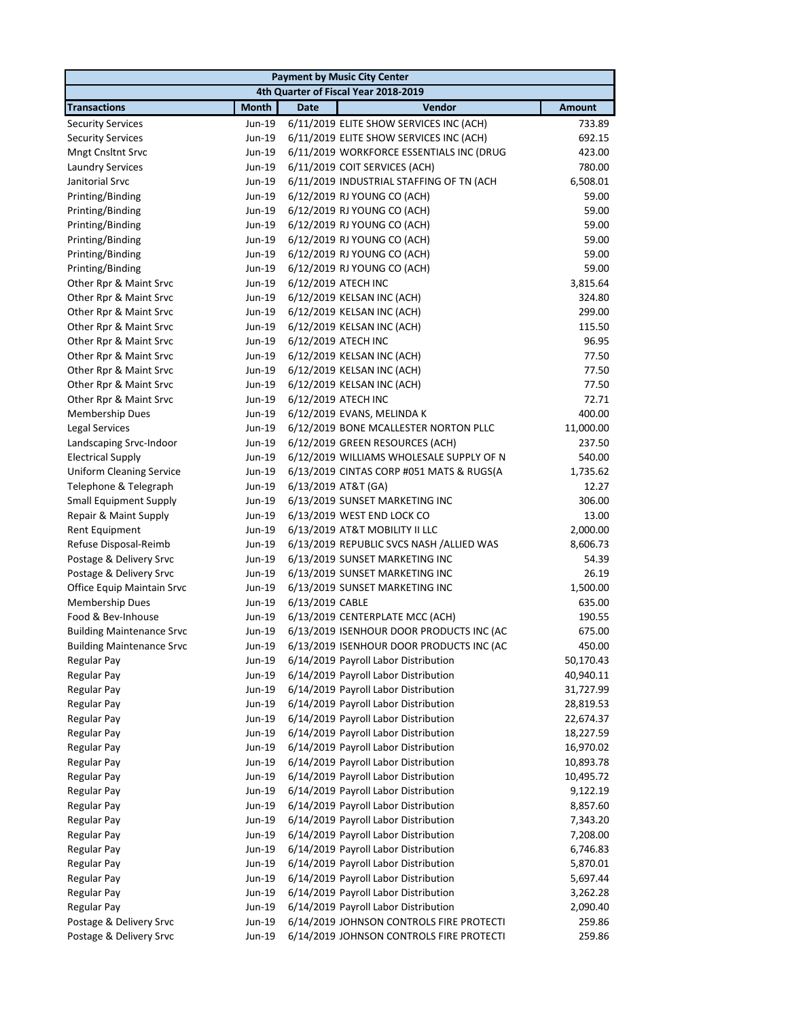| <b>Payment by Music City Center</b>      |                  |                                                                              |                        |
|------------------------------------------|------------------|------------------------------------------------------------------------------|------------------------|
|                                          |                  | 4th Quarter of Fiscal Year 2018-2019                                         |                        |
| <b>Transactions</b>                      | <b>Month</b>     | Vendor<br><b>Date</b>                                                        | <b>Amount</b>          |
| <b>Security Services</b>                 | Jun-19           | 6/11/2019 ELITE SHOW SERVICES INC (ACH)                                      | 733.89                 |
| <b>Security Services</b>                 | Jun-19           | 6/11/2019 ELITE SHOW SERVICES INC (ACH)                                      | 692.15                 |
| <b>Mngt Cnsltnt Srvc</b>                 | Jun-19           | 6/11/2019 WORKFORCE ESSENTIALS INC (DRUG                                     | 423.00                 |
| <b>Laundry Services</b>                  | Jun-19           | 6/11/2019 COIT SERVICES (ACH)                                                | 780.00                 |
| Janitorial Srvc                          | Jun-19           | 6/11/2019 INDUSTRIAL STAFFING OF TN (ACH                                     | 6,508.01               |
| Printing/Binding                         | Jun-19           | 6/12/2019 RJ YOUNG CO (ACH)                                                  | 59.00                  |
| Printing/Binding                         | Jun-19           | 6/12/2019 RJ YOUNG CO (ACH)                                                  | 59.00                  |
| Printing/Binding                         | Jun-19           | 6/12/2019 RJ YOUNG CO (ACH)                                                  | 59.00                  |
| Printing/Binding                         | Jun-19           | 6/12/2019 RJ YOUNG CO (ACH)                                                  | 59.00                  |
| Printing/Binding                         | Jun-19           | 6/12/2019 RJ YOUNG CO (ACH)                                                  | 59.00                  |
| Printing/Binding                         | Jun-19           | 6/12/2019 RJ YOUNG CO (ACH)                                                  | 59.00                  |
| Other Rpr & Maint Srvc                   | Jun-19           | 6/12/2019 ATECH INC                                                          | 3,815.64               |
| Other Rpr & Maint Srvc                   | Jun-19           | 6/12/2019 KELSAN INC (ACH)                                                   | 324.80                 |
| Other Rpr & Maint Srvc                   | Jun-19           | 6/12/2019 KELSAN INC (ACH)                                                   | 299.00                 |
| Other Rpr & Maint Srvc                   | Jun-19           | 6/12/2019 KELSAN INC (ACH)                                                   | 115.50                 |
| Other Rpr & Maint Srvc                   | Jun-19           | 6/12/2019 ATECH INC                                                          | 96.95                  |
| Other Rpr & Maint Srvc                   | Jun-19           | 6/12/2019 KELSAN INC (ACH)                                                   | 77.50                  |
| Other Rpr & Maint Srvc                   | Jun-19           | 6/12/2019 KELSAN INC (ACH)                                                   | 77.50                  |
| Other Rpr & Maint Srvc                   | Jun-19           | 6/12/2019 KELSAN INC (ACH)                                                   | 77.50                  |
| Other Rpr & Maint Srvc                   | Jun-19           | 6/12/2019 ATECH INC                                                          | 72.71                  |
| <b>Membership Dues</b>                   | Jun-19           | 6/12/2019 EVANS, MELINDA K                                                   | 400.00                 |
| Legal Services                           | Jun-19           | 6/12/2019 BONE MCALLESTER NORTON PLLC                                        | 11,000.00              |
| Landscaping Srvc-Indoor                  | Jun-19           | 6/12/2019 GREEN RESOURCES (ACH)                                              | 237.50                 |
| <b>Electrical Supply</b>                 | Jun-19           | 6/12/2019 WILLIAMS WHOLESALE SUPPLY OF N                                     | 540.00                 |
| <b>Uniform Cleaning Service</b>          | Jun-19           | 6/13/2019 CINTAS CORP #051 MATS & RUGS(A                                     | 1,735.62               |
| Telephone & Telegraph                    | Jun-19           | 6/13/2019 AT&T (GA)                                                          | 12.27                  |
| <b>Small Equipment Supply</b>            | Jun-19           | 6/13/2019 SUNSET MARKETING INC                                               | 306.00                 |
| Repair & Maint Supply                    | Jun-19           | 6/13/2019 WEST END LOCK CO                                                   | 13.00                  |
| <b>Rent Equipment</b>                    | Jun-19           | 6/13/2019 AT&T MOBILITY II LLC                                               | 2,000.00               |
| Refuse Disposal-Reimb                    | Jun-19           | 6/13/2019 REPUBLIC SVCS NASH /ALLIED WAS                                     | 8,606.73               |
| Postage & Delivery Srvc                  | Jun-19           | 6/13/2019 SUNSET MARKETING INC                                               | 54.39                  |
| Postage & Delivery Srvc                  | Jun-19           | 6/13/2019 SUNSET MARKETING INC                                               | 26.19                  |
| Office Equip Maintain Srvc               | Jun-19           | 6/13/2019 SUNSET MARKETING INC                                               | 1,500.00               |
| Membership Dues                          | Jun-19           | 6/13/2019 CABLE                                                              | 635.00                 |
| Food & Bev-Inhouse                       | Jun-19           | 6/13/2019 CENTERPLATE MCC (ACH)                                              | 190.55                 |
| <b>Building Maintenance Srvc</b>         | Jun-19           | 6/13/2019 ISENHOUR DOOR PRODUCTS INC (AC                                     | 675.00                 |
| <b>Building Maintenance Srvc</b>         | Jun-19           | 6/13/2019 ISENHOUR DOOR PRODUCTS INC (AC                                     | 450.00                 |
| Regular Pay                              | Jun-19           | 6/14/2019 Payroll Labor Distribution                                         | 50,170.43              |
| <b>Regular Pay</b>                       | Jun-19           | 6/14/2019 Payroll Labor Distribution                                         | 40,940.11              |
| <b>Regular Pay</b>                       | Jun-19           | 6/14/2019 Payroll Labor Distribution                                         | 31,727.99              |
| <b>Regular Pay</b>                       | Jun-19           | 6/14/2019 Payroll Labor Distribution                                         | 28,819.53              |
| Regular Pay                              | Jun-19           | 6/14/2019 Payroll Labor Distribution                                         | 22,674.37              |
| <b>Regular Pay</b>                       | Jun-19           | 6/14/2019 Payroll Labor Distribution<br>6/14/2019 Payroll Labor Distribution | 18,227.59<br>16,970.02 |
| <b>Regular Pay</b><br><b>Regular Pay</b> | Jun-19<br>Jun-19 | 6/14/2019 Payroll Labor Distribution                                         | 10,893.78              |
| <b>Regular Pay</b>                       | Jun-19           | 6/14/2019 Payroll Labor Distribution                                         | 10,495.72              |
| <b>Regular Pay</b>                       | Jun-19           | 6/14/2019 Payroll Labor Distribution                                         | 9,122.19               |
| Regular Pay                              | Jun-19           | 6/14/2019 Payroll Labor Distribution                                         | 8,857.60               |
|                                          |                  |                                                                              |                        |
| <b>Regular Pay</b>                       | Jun-19           | 6/14/2019 Payroll Labor Distribution                                         | 7,343.20               |
| <b>Regular Pay</b>                       | Jun-19           | 6/14/2019 Payroll Labor Distribution                                         | 7,208.00               |
| <b>Regular Pay</b>                       | Jun-19           | 6/14/2019 Payroll Labor Distribution                                         | 6,746.83               |
| <b>Regular Pay</b>                       | Jun-19           | 6/14/2019 Payroll Labor Distribution                                         | 5,870.01               |
| <b>Regular Pay</b>                       | Jun-19           | 6/14/2019 Payroll Labor Distribution                                         | 5,697.44               |
| <b>Regular Pay</b><br><b>Regular Pay</b> | Jun-19<br>Jun-19 | 6/14/2019 Payroll Labor Distribution<br>6/14/2019 Payroll Labor Distribution | 3,262.28               |
| Postage & Delivery Srvc                  | Jun-19           | 6/14/2019 JOHNSON CONTROLS FIRE PROTECTI                                     | 2,090.40<br>259.86     |
| Postage & Delivery Srvc                  | Jun-19           | 6/14/2019 JOHNSON CONTROLS FIRE PROTECTI                                     | 259.86                 |
|                                          |                  |                                                                              |                        |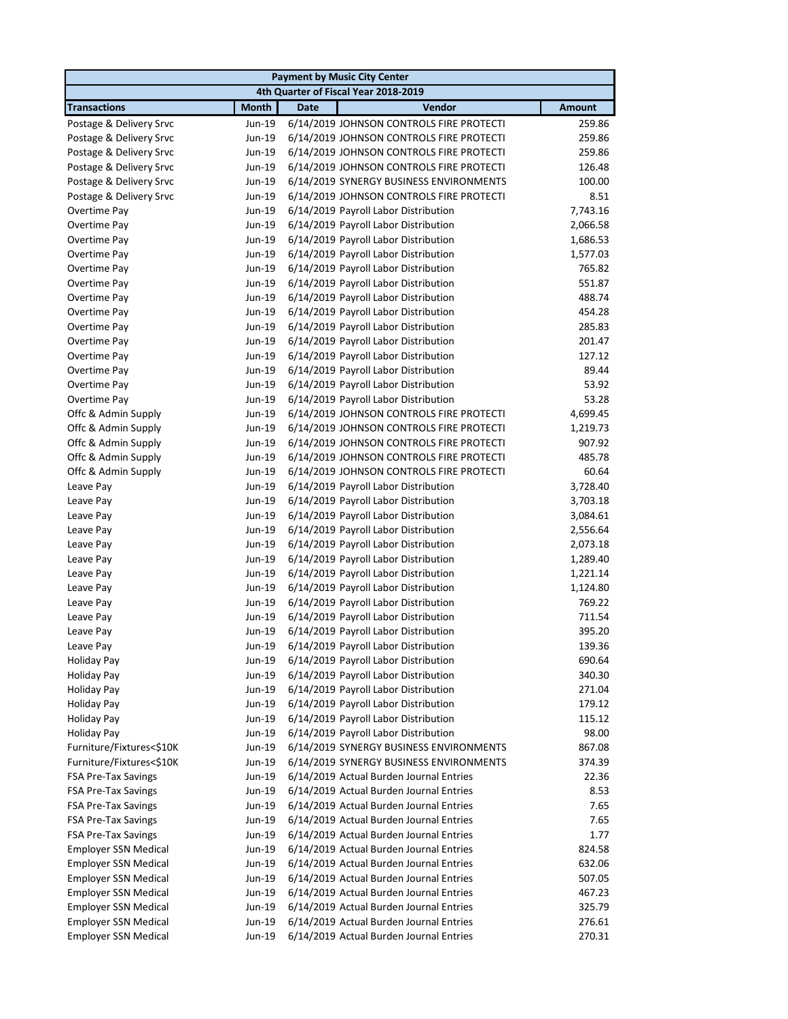|                             |                  |             | <b>Payment by Music City Center</b>                                          |                      |
|-----------------------------|------------------|-------------|------------------------------------------------------------------------------|----------------------|
|                             |                  |             | 4th Quarter of Fiscal Year 2018-2019                                         |                      |
| <b>Transactions</b>         | <b>Month</b>     | <b>Date</b> | Vendor                                                                       | <b>Amount</b>        |
| Postage & Delivery Srvc     | Jun-19           |             | 6/14/2019 JOHNSON CONTROLS FIRE PROTECTI                                     | 259.86               |
| Postage & Delivery Srvc     | Jun-19           |             | 6/14/2019 JOHNSON CONTROLS FIRE PROTECTI                                     | 259.86               |
| Postage & Delivery Srvc     | Jun-19           |             | 6/14/2019 JOHNSON CONTROLS FIRE PROTECTI                                     | 259.86               |
| Postage & Delivery Srvc     | Jun-19           |             | 6/14/2019 JOHNSON CONTROLS FIRE PROTECTI                                     | 126.48               |
| Postage & Delivery Srvc     | Jun-19           |             | 6/14/2019 SYNERGY BUSINESS ENVIRONMENTS                                      | 100.00               |
| Postage & Delivery Srvc     | Jun-19           |             | 6/14/2019 JOHNSON CONTROLS FIRE PROTECTI                                     | 8.51                 |
| Overtime Pay                | Jun-19           |             | 6/14/2019 Payroll Labor Distribution                                         | 7,743.16             |
| Overtime Pay                | Jun-19           |             | 6/14/2019 Payroll Labor Distribution                                         | 2,066.58             |
| Overtime Pay                | Jun-19           |             | 6/14/2019 Payroll Labor Distribution                                         | 1,686.53             |
| Overtime Pay                | Jun-19           |             | 6/14/2019 Payroll Labor Distribution                                         | 1,577.03             |
| Overtime Pay                | Jun-19           |             | 6/14/2019 Payroll Labor Distribution                                         | 765.82               |
| Overtime Pay                | Jun-19           |             | 6/14/2019 Payroll Labor Distribution                                         | 551.87               |
| Overtime Pay                | Jun-19           |             | 6/14/2019 Payroll Labor Distribution                                         | 488.74               |
| Overtime Pay                | Jun-19           |             | 6/14/2019 Payroll Labor Distribution                                         | 454.28               |
| Overtime Pay                | Jun-19           |             | 6/14/2019 Payroll Labor Distribution                                         | 285.83               |
| Overtime Pay                | Jun-19           |             | 6/14/2019 Payroll Labor Distribution                                         | 201.47               |
| Overtime Pay                | Jun-19           |             | 6/14/2019 Payroll Labor Distribution                                         | 127.12               |
| Overtime Pay                | Jun-19           |             | 6/14/2019 Payroll Labor Distribution                                         | 89.44                |
| Overtime Pay                | Jun-19           |             | 6/14/2019 Payroll Labor Distribution                                         | 53.92                |
| Overtime Pay                | Jun-19           |             | 6/14/2019 Payroll Labor Distribution                                         | 53.28                |
| Offc & Admin Supply         | Jun-19           |             | 6/14/2019 JOHNSON CONTROLS FIRE PROTECTI                                     | 4,699.45             |
| Offc & Admin Supply         | Jun-19           |             | 6/14/2019 JOHNSON CONTROLS FIRE PROTECTI                                     | 1,219.73             |
| Offc & Admin Supply         | Jun-19           |             | 6/14/2019 JOHNSON CONTROLS FIRE PROTECTI                                     | 907.92               |
| Offc & Admin Supply         | Jun-19           |             | 6/14/2019 JOHNSON CONTROLS FIRE PROTECTI                                     | 485.78               |
| Offc & Admin Supply         | Jun-19           |             | 6/14/2019 JOHNSON CONTROLS FIRE PROTECTI                                     | 60.64                |
| Leave Pay                   | Jun-19<br>Jun-19 |             | 6/14/2019 Payroll Labor Distribution                                         | 3,728.40             |
| Leave Pay<br>Leave Pay      | Jun-19           |             | 6/14/2019 Payroll Labor Distribution<br>6/14/2019 Payroll Labor Distribution | 3,703.18<br>3,084.61 |
| Leave Pay                   | Jun-19           |             | 6/14/2019 Payroll Labor Distribution                                         | 2,556.64             |
| Leave Pay                   | Jun-19           |             | 6/14/2019 Payroll Labor Distribution                                         | 2,073.18             |
| Leave Pay                   | Jun-19           |             | 6/14/2019 Payroll Labor Distribution                                         | 1,289.40             |
| Leave Pay                   | Jun-19           |             | 6/14/2019 Payroll Labor Distribution                                         | 1,221.14             |
| Leave Pay                   | Jun-19           |             | 6/14/2019 Payroll Labor Distribution                                         | 1,124.80             |
| Leave Pay                   | Jun-19           |             | 6/14/2019 Payroll Labor Distribution                                         | 769.22               |
| Leave Pay                   | Jun-19           |             | 6/14/2019 Payroll Labor Distribution                                         | 711.54               |
| Leave Pay                   | Jun-19           |             | 6/14/2019 Payroll Labor Distribution                                         | 395.20               |
| Leave Pay                   |                  |             | Jun-19 6/14/2019 Payroll Labor Distribution                                  | 139.36               |
| <b>Holiday Pay</b>          | Jun-19           |             | 6/14/2019 Payroll Labor Distribution                                         | 690.64               |
| Holiday Pay                 | Jun-19           |             | 6/14/2019 Payroll Labor Distribution                                         | 340.30               |
| <b>Holiday Pay</b>          | Jun-19           |             | 6/14/2019 Payroll Labor Distribution                                         | 271.04               |
| <b>Holiday Pay</b>          | Jun-19           |             | 6/14/2019 Payroll Labor Distribution                                         | 179.12               |
| <b>Holiday Pay</b>          | Jun-19           |             | 6/14/2019 Payroll Labor Distribution                                         | 115.12               |
| <b>Holiday Pay</b>          | Jun-19           |             | 6/14/2019 Payroll Labor Distribution                                         | 98.00                |
| Furniture/Fixtures<\$10K    | Jun-19           |             | 6/14/2019 SYNERGY BUSINESS ENVIRONMENTS                                      | 867.08               |
| Furniture/Fixtures<\$10K    | Jun-19           |             | 6/14/2019 SYNERGY BUSINESS ENVIRONMENTS                                      | 374.39               |
| <b>FSA Pre-Tax Savings</b>  | Jun-19           |             | 6/14/2019 Actual Burden Journal Entries                                      | 22.36                |
| FSA Pre-Tax Savings         | Jun-19           |             | 6/14/2019 Actual Burden Journal Entries                                      | 8.53                 |
| FSA Pre-Tax Savings         | Jun-19           |             | 6/14/2019 Actual Burden Journal Entries                                      | 7.65                 |
| <b>FSA Pre-Tax Savings</b>  | Jun-19           |             | 6/14/2019 Actual Burden Journal Entries                                      | 7.65                 |
| FSA Pre-Tax Savings         | Jun-19           |             | 6/14/2019 Actual Burden Journal Entries                                      | 1.77                 |
| <b>Employer SSN Medical</b> | Jun-19           |             | 6/14/2019 Actual Burden Journal Entries                                      | 824.58               |
| <b>Employer SSN Medical</b> | Jun-19           |             | 6/14/2019 Actual Burden Journal Entries                                      | 632.06               |
| <b>Employer SSN Medical</b> | Jun-19           |             | 6/14/2019 Actual Burden Journal Entries                                      | 507.05               |
| <b>Employer SSN Medical</b> | Jun-19           |             | 6/14/2019 Actual Burden Journal Entries                                      | 467.23               |
| <b>Employer SSN Medical</b> | Jun-19           |             | 6/14/2019 Actual Burden Journal Entries                                      | 325.79               |
| <b>Employer SSN Medical</b> | Jun-19           |             | 6/14/2019 Actual Burden Journal Entries                                      | 276.61               |
| <b>Employer SSN Medical</b> | Jun-19           |             | 6/14/2019 Actual Burden Journal Entries                                      | 270.31               |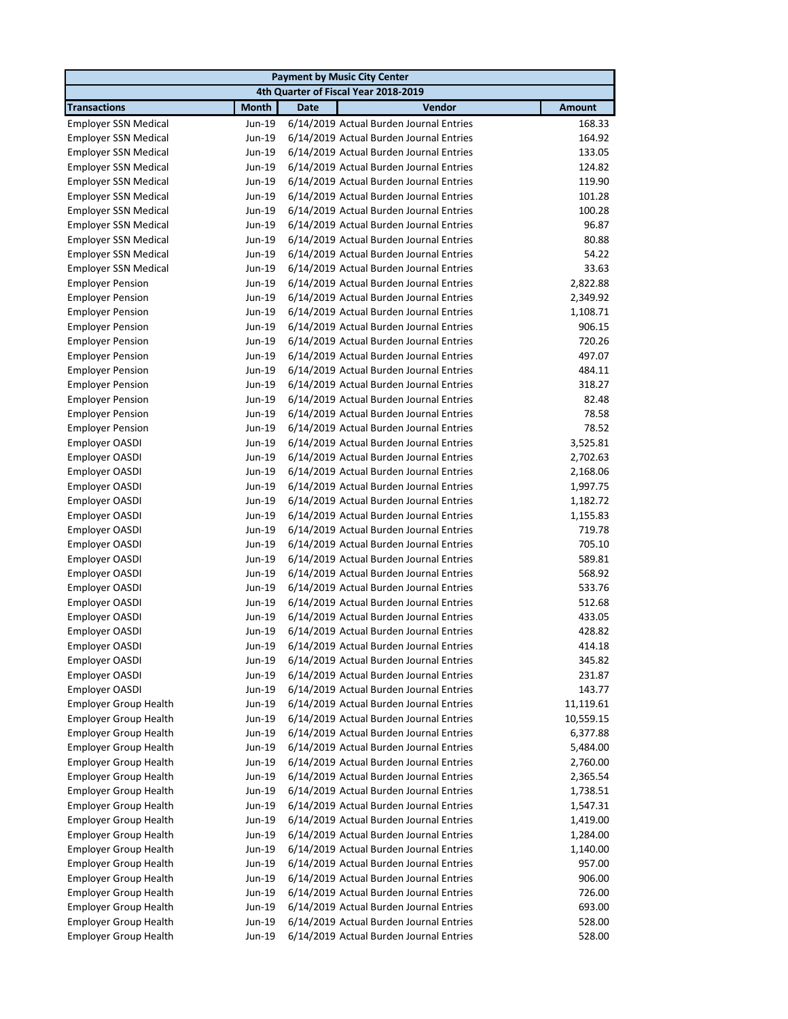| <b>Payment by Music City Center</b> |              |                                                |               |
|-------------------------------------|--------------|------------------------------------------------|---------------|
|                                     |              | 4th Quarter of Fiscal Year 2018-2019           |               |
| <b>Transactions</b>                 | <b>Month</b> | Vendor<br><b>Date</b>                          | <b>Amount</b> |
| <b>Employer SSN Medical</b>         | Jun-19       | 6/14/2019 Actual Burden Journal Entries        | 168.33        |
| <b>Employer SSN Medical</b>         | Jun-19       | 6/14/2019 Actual Burden Journal Entries        | 164.92        |
| <b>Employer SSN Medical</b>         | Jun-19       | 6/14/2019 Actual Burden Journal Entries        | 133.05        |
| <b>Employer SSN Medical</b>         | Jun-19       | 6/14/2019 Actual Burden Journal Entries        | 124.82        |
| <b>Employer SSN Medical</b>         | Jun-19       | 6/14/2019 Actual Burden Journal Entries        | 119.90        |
| <b>Employer SSN Medical</b>         | Jun-19       | 6/14/2019 Actual Burden Journal Entries        | 101.28        |
| <b>Employer SSN Medical</b>         | Jun-19       | 6/14/2019 Actual Burden Journal Entries        | 100.28        |
| <b>Employer SSN Medical</b>         | Jun-19       | 6/14/2019 Actual Burden Journal Entries        | 96.87         |
| <b>Employer SSN Medical</b>         | Jun-19       | 6/14/2019 Actual Burden Journal Entries        | 80.88         |
| <b>Employer SSN Medical</b>         | Jun-19       | 6/14/2019 Actual Burden Journal Entries        | 54.22         |
| <b>Employer SSN Medical</b>         | Jun-19       | 6/14/2019 Actual Burden Journal Entries        | 33.63         |
| <b>Employer Pension</b>             | Jun-19       | 6/14/2019 Actual Burden Journal Entries        | 2,822.88      |
| <b>Employer Pension</b>             | Jun-19       | 6/14/2019 Actual Burden Journal Entries        | 2,349.92      |
| <b>Employer Pension</b>             | Jun-19       | 6/14/2019 Actual Burden Journal Entries        | 1,108.71      |
| <b>Employer Pension</b>             | Jun-19       | 6/14/2019 Actual Burden Journal Entries        | 906.15        |
| <b>Employer Pension</b>             | Jun-19       | 6/14/2019 Actual Burden Journal Entries        | 720.26        |
| <b>Employer Pension</b>             | Jun-19       | 6/14/2019 Actual Burden Journal Entries        | 497.07        |
| <b>Employer Pension</b>             | Jun-19       | 6/14/2019 Actual Burden Journal Entries        | 484.11        |
| <b>Employer Pension</b>             | Jun-19       | 6/14/2019 Actual Burden Journal Entries        | 318.27        |
| <b>Employer Pension</b>             | Jun-19       | 6/14/2019 Actual Burden Journal Entries        | 82.48         |
| <b>Employer Pension</b>             | Jun-19       | 6/14/2019 Actual Burden Journal Entries        | 78.58         |
| <b>Employer Pension</b>             | Jun-19       | 6/14/2019 Actual Burden Journal Entries        | 78.52         |
| Employer OASDI                      | Jun-19       | 6/14/2019 Actual Burden Journal Entries        | 3,525.81      |
| Employer OASDI                      | Jun-19       | 6/14/2019 Actual Burden Journal Entries        | 2,702.63      |
| Employer OASDI                      | Jun-19       | 6/14/2019 Actual Burden Journal Entries        | 2,168.06      |
| Employer OASDI                      | Jun-19       | 6/14/2019 Actual Burden Journal Entries        | 1,997.75      |
| Employer OASDI                      | Jun-19       | 6/14/2019 Actual Burden Journal Entries        | 1,182.72      |
| Employer OASDI                      | Jun-19       | 6/14/2019 Actual Burden Journal Entries        | 1,155.83      |
| Employer OASDI                      | Jun-19       | 6/14/2019 Actual Burden Journal Entries        | 719.78        |
| Employer OASDI                      | Jun-19       | 6/14/2019 Actual Burden Journal Entries        | 705.10        |
| Employer OASDI                      | Jun-19       | 6/14/2019 Actual Burden Journal Entries        | 589.81        |
| Employer OASDI                      | Jun-19       | 6/14/2019 Actual Burden Journal Entries        | 568.92        |
| Employer OASDI                      | Jun-19       | 6/14/2019 Actual Burden Journal Entries        | 533.76        |
| Employer OASDI                      | Jun-19       | 6/14/2019 Actual Burden Journal Entries        | 512.68        |
| Employer OASDI                      | Jun-19       | 6/14/2019 Actual Burden Journal Entries        | 433.05        |
| Employer OASDI                      | Jun-19       | 6/14/2019 Actual Burden Journal Entries        | 428.82        |
| Employer OASDI                      |              | Jun-19 6/14/2019 Actual Burden Journal Entries | 414.18        |
| Employer OASDI                      | Jun-19       | 6/14/2019 Actual Burden Journal Entries        | 345.82        |
| Employer OASDI                      | Jun-19       | 6/14/2019 Actual Burden Journal Entries        | 231.87        |
| Employer OASDI                      | Jun-19       | 6/14/2019 Actual Burden Journal Entries        | 143.77        |
| <b>Employer Group Health</b>        | Jun-19       | 6/14/2019 Actual Burden Journal Entries        | 11,119.61     |
| <b>Employer Group Health</b>        | Jun-19       | 6/14/2019 Actual Burden Journal Entries        | 10,559.15     |
| <b>Employer Group Health</b>        | Jun-19       | 6/14/2019 Actual Burden Journal Entries        | 6,377.88      |
| <b>Employer Group Health</b>        | Jun-19       | 6/14/2019 Actual Burden Journal Entries        | 5,484.00      |
| <b>Employer Group Health</b>        | Jun-19       | 6/14/2019 Actual Burden Journal Entries        | 2,760.00      |
| <b>Employer Group Health</b>        | Jun-19       | 6/14/2019 Actual Burden Journal Entries        | 2,365.54      |
| <b>Employer Group Health</b>        | Jun-19       | 6/14/2019 Actual Burden Journal Entries        | 1,738.51      |
| Employer Group Health               | Jun-19       | 6/14/2019 Actual Burden Journal Entries        | 1,547.31      |
| <b>Employer Group Health</b>        | Jun-19       | 6/14/2019 Actual Burden Journal Entries        | 1,419.00      |
| <b>Employer Group Health</b>        | Jun-19       | 6/14/2019 Actual Burden Journal Entries        | 1,284.00      |
| <b>Employer Group Health</b>        | Jun-19       | 6/14/2019 Actual Burden Journal Entries        | 1,140.00      |
| <b>Employer Group Health</b>        | Jun-19       | 6/14/2019 Actual Burden Journal Entries        | 957.00        |
| <b>Employer Group Health</b>        | Jun-19       | 6/14/2019 Actual Burden Journal Entries        | 906.00        |
| <b>Employer Group Health</b>        | Jun-19       | 6/14/2019 Actual Burden Journal Entries        | 726.00        |
| <b>Employer Group Health</b>        | Jun-19       | 6/14/2019 Actual Burden Journal Entries        | 693.00        |
| <b>Employer Group Health</b>        | Jun-19       | 6/14/2019 Actual Burden Journal Entries        | 528.00        |
| <b>Employer Group Health</b>        | Jun-19       | 6/14/2019 Actual Burden Journal Entries        | 528.00        |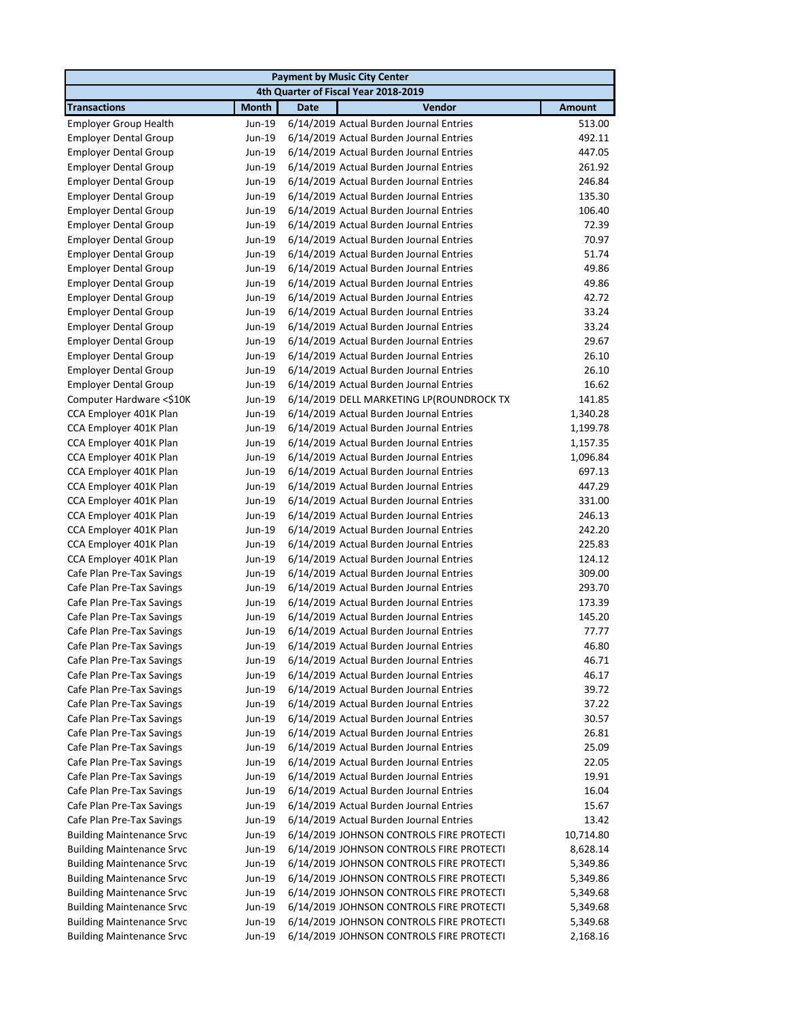|                                  |              | <b>Payment by Music City Center</b>      |               |
|----------------------------------|--------------|------------------------------------------|---------------|
|                                  |              | 4th Quarter of Fiscal Year 2018-2019     |               |
| <b>Transactions</b>              | <b>Month</b> | Vendor<br><b>Date</b>                    | <b>Amount</b> |
| <b>Employer Group Health</b>     | Jun-19       | 6/14/2019 Actual Burden Journal Entries  | 513.00        |
| <b>Employer Dental Group</b>     | Jun-19       | 6/14/2019 Actual Burden Journal Entries  | 492.11        |
| <b>Employer Dental Group</b>     | Jun-19       | 6/14/2019 Actual Burden Journal Entries  | 447.05        |
| <b>Employer Dental Group</b>     | Jun-19       | 6/14/2019 Actual Burden Journal Entries  | 261.92        |
| <b>Employer Dental Group</b>     | Jun-19       | 6/14/2019 Actual Burden Journal Entries  | 246.84        |
| <b>Employer Dental Group</b>     | Jun-19       | 6/14/2019 Actual Burden Journal Entries  | 135.30        |
| <b>Employer Dental Group</b>     | Jun-19       | 6/14/2019 Actual Burden Journal Entries  | 106.40        |
| <b>Employer Dental Group</b>     | Jun-19       | 6/14/2019 Actual Burden Journal Entries  | 72.39         |
| <b>Employer Dental Group</b>     | Jun-19       | 6/14/2019 Actual Burden Journal Entries  | 70.97         |
| <b>Employer Dental Group</b>     | Jun-19       | 6/14/2019 Actual Burden Journal Entries  | 51.74         |
| <b>Employer Dental Group</b>     | Jun-19       | 6/14/2019 Actual Burden Journal Entries  | 49.86         |
| <b>Employer Dental Group</b>     | Jun-19       | 6/14/2019 Actual Burden Journal Entries  | 49.86         |
| <b>Employer Dental Group</b>     | Jun-19       | 6/14/2019 Actual Burden Journal Entries  | 42.72         |
| <b>Employer Dental Group</b>     | Jun-19       | 6/14/2019 Actual Burden Journal Entries  | 33.24         |
| <b>Employer Dental Group</b>     | Jun-19       | 6/14/2019 Actual Burden Journal Entries  | 33.24         |
| <b>Employer Dental Group</b>     | Jun-19       | 6/14/2019 Actual Burden Journal Entries  | 29.67         |
| <b>Employer Dental Group</b>     | Jun-19       | 6/14/2019 Actual Burden Journal Entries  | 26.10         |
| <b>Employer Dental Group</b>     | Jun-19       | 6/14/2019 Actual Burden Journal Entries  | 26.10         |
| <b>Employer Dental Group</b>     | Jun-19       | 6/14/2019 Actual Burden Journal Entries  | 16.62         |
| Computer Hardware <\$10K         | Jun-19       | 6/14/2019 DELL MARKETING LP(ROUNDROCK TX | 141.85        |
| CCA Employer 401K Plan           | Jun-19       | 6/14/2019 Actual Burden Journal Entries  | 1,340.28      |
| CCA Employer 401K Plan           | Jun-19       | 6/14/2019 Actual Burden Journal Entries  | 1,199.78      |
| CCA Employer 401K Plan           | Jun-19       | 6/14/2019 Actual Burden Journal Entries  | 1,157.35      |
| CCA Employer 401K Plan           | Jun-19       | 6/14/2019 Actual Burden Journal Entries  | 1,096.84      |
| CCA Employer 401K Plan           | Jun-19       | 6/14/2019 Actual Burden Journal Entries  | 697.13        |
| CCA Employer 401K Plan           | Jun-19       | 6/14/2019 Actual Burden Journal Entries  | 447.29        |
| CCA Employer 401K Plan           | Jun-19       | 6/14/2019 Actual Burden Journal Entries  | 331.00        |
| CCA Employer 401K Plan           | Jun-19       | 6/14/2019 Actual Burden Journal Entries  | 246.13        |
| CCA Employer 401K Plan           | Jun-19       | 6/14/2019 Actual Burden Journal Entries  | 242.20        |
| CCA Employer 401K Plan           | Jun-19       | 6/14/2019 Actual Burden Journal Entries  | 225.83        |
| CCA Employer 401K Plan           | Jun-19       | 6/14/2019 Actual Burden Journal Entries  | 124.12        |
| Cafe Plan Pre-Tax Savings        | Jun-19       | 6/14/2019 Actual Burden Journal Entries  | 309.00        |
| Cafe Plan Pre-Tax Savings        | Jun-19       | 6/14/2019 Actual Burden Journal Entries  | 293.70        |
| Cafe Plan Pre-Tax Savings        | Jun-19       | 6/14/2019 Actual Burden Journal Entries  | 173.39        |
| Cafe Plan Pre-Tax Savings        | Jun-19       | 6/14/2019 Actual Burden Journal Entries  | 145.20        |
| Cafe Plan Pre-Tax Savings        | Jun-19       | 6/14/2019 Actual Burden Journal Entries  | 77.77         |
| Cafe Plan Pre-Tax Savings        | Jun-19       | 6/14/2019 Actual Burden Journal Entries  | 46.80         |
| Cafe Plan Pre-Tax Savings        | Jun-19       | 6/14/2019 Actual Burden Journal Entries  | 46.71         |
| Cafe Plan Pre-Tax Savings        | Jun-19       | 6/14/2019 Actual Burden Journal Entries  | 46.17         |
| Cafe Plan Pre-Tax Savings        | Jun-19       | 6/14/2019 Actual Burden Journal Entries  | 39.72         |
| Cafe Plan Pre-Tax Savings        | Jun-19       | 6/14/2019 Actual Burden Journal Entries  | 37.22         |
| Cafe Plan Pre-Tax Savings        | Jun-19       | 6/14/2019 Actual Burden Journal Entries  | 30.57         |
| Cafe Plan Pre-Tax Savings        | Jun-19       | 6/14/2019 Actual Burden Journal Entries  | 26.81         |
| Cafe Plan Pre-Tax Savings        | Jun-19       | 6/14/2019 Actual Burden Journal Entries  | 25.09         |
| Cafe Plan Pre-Tax Savings        | Jun-19       | 6/14/2019 Actual Burden Journal Entries  | 22.05         |
| Cafe Plan Pre-Tax Savings        | Jun-19       | 6/14/2019 Actual Burden Journal Entries  | 19.91         |
| Cafe Plan Pre-Tax Savings        | Jun-19       | 6/14/2019 Actual Burden Journal Entries  | 16.04         |
| Cafe Plan Pre-Tax Savings        | Jun-19       | 6/14/2019 Actual Burden Journal Entries  | 15.67         |
| Cafe Plan Pre-Tax Savings        | Jun-19       | 6/14/2019 Actual Burden Journal Entries  | 13.42         |
| <b>Building Maintenance Srvc</b> | Jun-19       | 6/14/2019 JOHNSON CONTROLS FIRE PROTECTI | 10,714.80     |
| <b>Building Maintenance Srvc</b> | Jun-19       | 6/14/2019 JOHNSON CONTROLS FIRE PROTECTI | 8,628.14      |
| <b>Building Maintenance Srvc</b> | Jun-19       | 6/14/2019 JOHNSON CONTROLS FIRE PROTECTI | 5,349.86      |
| <b>Building Maintenance Srvc</b> | Jun-19       | 6/14/2019 JOHNSON CONTROLS FIRE PROTECTI | 5,349.86      |
| <b>Building Maintenance Srvc</b> | Jun-19       | 6/14/2019 JOHNSON CONTROLS FIRE PROTECTI | 5,349.68      |
| <b>Building Maintenance Srvc</b> | Jun-19       | 6/14/2019 JOHNSON CONTROLS FIRE PROTECTI | 5,349.68      |
| <b>Building Maintenance Srvc</b> | Jun-19       | 6/14/2019 JOHNSON CONTROLS FIRE PROTECTI | 5,349.68      |
| <b>Building Maintenance Srvc</b> | Jun-19       | 6/14/2019 JOHNSON CONTROLS FIRE PROTECTI | 2,168.16      |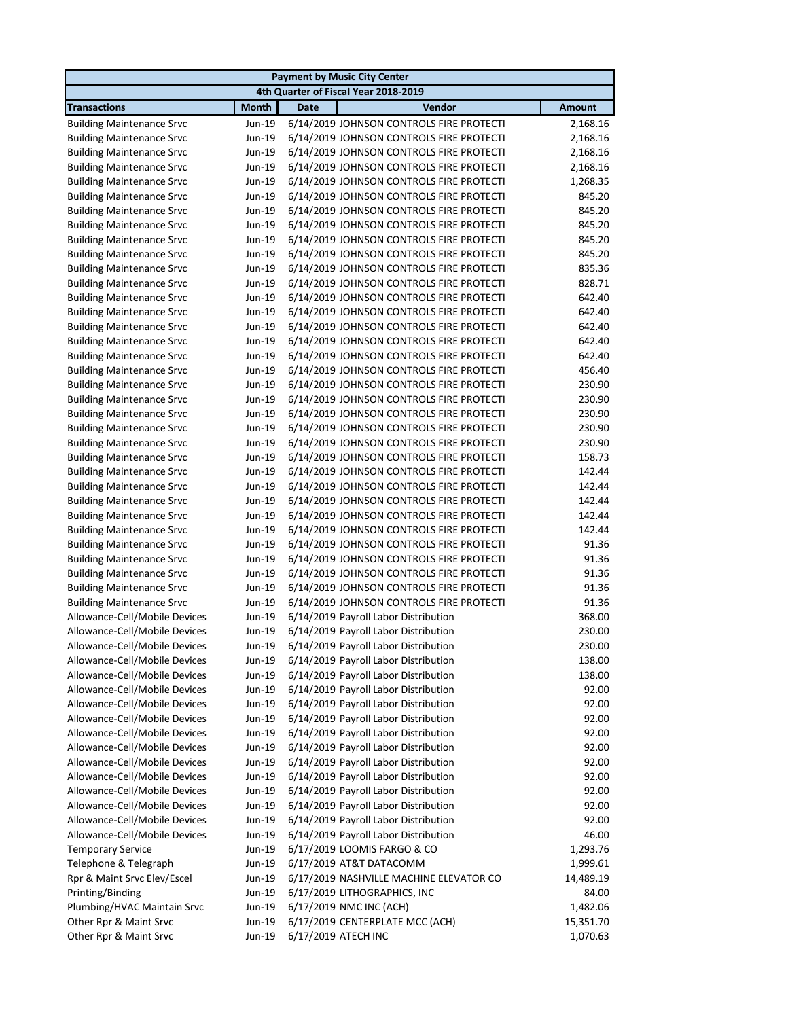| <b>Payment by Music City Center</b> |              |                                             |               |  |
|-------------------------------------|--------------|---------------------------------------------|---------------|--|
|                                     |              | 4th Quarter of Fiscal Year 2018-2019        |               |  |
| <b>Transactions</b>                 | <b>Month</b> | Vendor<br><b>Date</b>                       | <b>Amount</b> |  |
| <b>Building Maintenance Srvc</b>    | Jun-19       | 6/14/2019 JOHNSON CONTROLS FIRE PROTECTI    | 2,168.16      |  |
| <b>Building Maintenance Srvc</b>    | Jun-19       | 6/14/2019 JOHNSON CONTROLS FIRE PROTECTI    | 2,168.16      |  |
| <b>Building Maintenance Srvc</b>    | Jun-19       | 6/14/2019 JOHNSON CONTROLS FIRE PROTECTI    | 2,168.16      |  |
| <b>Building Maintenance Srvc</b>    | Jun-19       | 6/14/2019 JOHNSON CONTROLS FIRE PROTECTI    | 2,168.16      |  |
| <b>Building Maintenance Srvc</b>    | Jun-19       | 6/14/2019 JOHNSON CONTROLS FIRE PROTECTI    | 1,268.35      |  |
| <b>Building Maintenance Srvc</b>    | Jun-19       | 6/14/2019 JOHNSON CONTROLS FIRE PROTECTI    | 845.20        |  |
| <b>Building Maintenance Srvc</b>    | Jun-19       | 6/14/2019 JOHNSON CONTROLS FIRE PROTECTI    | 845.20        |  |
| <b>Building Maintenance Srvc</b>    | Jun-19       | 6/14/2019 JOHNSON CONTROLS FIRE PROTECTI    | 845.20        |  |
| <b>Building Maintenance Srvc</b>    | Jun-19       | 6/14/2019 JOHNSON CONTROLS FIRE PROTECTI    | 845.20        |  |
| <b>Building Maintenance Srvc</b>    | Jun-19       | 6/14/2019 JOHNSON CONTROLS FIRE PROTECTI    | 845.20        |  |
| <b>Building Maintenance Srvc</b>    | Jun-19       | 6/14/2019 JOHNSON CONTROLS FIRE PROTECTI    | 835.36        |  |
| <b>Building Maintenance Srvc</b>    | Jun-19       | 6/14/2019 JOHNSON CONTROLS FIRE PROTECTI    | 828.71        |  |
| <b>Building Maintenance Srvc</b>    | Jun-19       | 6/14/2019 JOHNSON CONTROLS FIRE PROTECTI    | 642.40        |  |
| <b>Building Maintenance Srvc</b>    | Jun-19       | 6/14/2019 JOHNSON CONTROLS FIRE PROTECTI    | 642.40        |  |
| <b>Building Maintenance Srvc</b>    | Jun-19       | 6/14/2019 JOHNSON CONTROLS FIRE PROTECTI    | 642.40        |  |
| <b>Building Maintenance Srvc</b>    | Jun-19       | 6/14/2019 JOHNSON CONTROLS FIRE PROTECTI    | 642.40        |  |
| <b>Building Maintenance Srvc</b>    | Jun-19       | 6/14/2019 JOHNSON CONTROLS FIRE PROTECTI    | 642.40        |  |
| <b>Building Maintenance Srvc</b>    | Jun-19       | 6/14/2019 JOHNSON CONTROLS FIRE PROTECTI    | 456.40        |  |
| <b>Building Maintenance Srvc</b>    | Jun-19       | 6/14/2019 JOHNSON CONTROLS FIRE PROTECTI    | 230.90        |  |
| <b>Building Maintenance Srvc</b>    | Jun-19       | 6/14/2019 JOHNSON CONTROLS FIRE PROTECTI    | 230.90        |  |
| <b>Building Maintenance Srvc</b>    | Jun-19       | 6/14/2019 JOHNSON CONTROLS FIRE PROTECTI    | 230.90        |  |
| <b>Building Maintenance Srvc</b>    | Jun-19       | 6/14/2019 JOHNSON CONTROLS FIRE PROTECTI    | 230.90        |  |
| <b>Building Maintenance Srvc</b>    | Jun-19       | 6/14/2019 JOHNSON CONTROLS FIRE PROTECTI    | 230.90        |  |
| <b>Building Maintenance Srvc</b>    | Jun-19       | 6/14/2019 JOHNSON CONTROLS FIRE PROTECTI    | 158.73        |  |
| <b>Building Maintenance Srvc</b>    | Jun-19       | 6/14/2019 JOHNSON CONTROLS FIRE PROTECTI    | 142.44        |  |
| <b>Building Maintenance Srvc</b>    | Jun-19       | 6/14/2019 JOHNSON CONTROLS FIRE PROTECTI    | 142.44        |  |
| <b>Building Maintenance Srvc</b>    | Jun-19       | 6/14/2019 JOHNSON CONTROLS FIRE PROTECTI    | 142.44        |  |
| <b>Building Maintenance Srvc</b>    | Jun-19       | 6/14/2019 JOHNSON CONTROLS FIRE PROTECTI    | 142.44        |  |
| <b>Building Maintenance Srvc</b>    | Jun-19       | 6/14/2019 JOHNSON CONTROLS FIRE PROTECTI    | 142.44        |  |
| <b>Building Maintenance Srvc</b>    | Jun-19       | 6/14/2019 JOHNSON CONTROLS FIRE PROTECTI    | 91.36         |  |
| <b>Building Maintenance Srvc</b>    | Jun-19       | 6/14/2019 JOHNSON CONTROLS FIRE PROTECTI    | 91.36         |  |
| <b>Building Maintenance Srvc</b>    | Jun-19       | 6/14/2019 JOHNSON CONTROLS FIRE PROTECTI    | 91.36         |  |
| <b>Building Maintenance Srvc</b>    | Jun-19       | 6/14/2019 JOHNSON CONTROLS FIRE PROTECTI    | 91.36         |  |
| <b>Building Maintenance Srvc</b>    | Jun-19       | 6/14/2019 JOHNSON CONTROLS FIRE PROTECTI    | 91.36         |  |
| Allowance-Cell/Mobile Devices       | Jun-19       | 6/14/2019 Payroll Labor Distribution        | 368.00        |  |
| Allowance-Cell/Mobile Devices       | Jun-19       | 6/14/2019 Payroll Labor Distribution        | 230.00        |  |
| Allowance-Cell/Mobile Devices       |              | Jun-19 6/14/2019 Payroll Labor Distribution | 230.00        |  |
| Allowance-Cell/Mobile Devices       | Jun-19       | 6/14/2019 Payroll Labor Distribution        | 138.00        |  |
| Allowance-Cell/Mobile Devices       | Jun-19       | 6/14/2019 Payroll Labor Distribution        | 138.00        |  |
| Allowance-Cell/Mobile Devices       | Jun-19       | 6/14/2019 Payroll Labor Distribution        | 92.00         |  |
| Allowance-Cell/Mobile Devices       | Jun-19       | 6/14/2019 Payroll Labor Distribution        | 92.00         |  |
| Allowance-Cell/Mobile Devices       | Jun-19       | 6/14/2019 Payroll Labor Distribution        | 92.00         |  |
| Allowance-Cell/Mobile Devices       | Jun-19       | 6/14/2019 Payroll Labor Distribution        | 92.00         |  |
| Allowance-Cell/Mobile Devices       | Jun-19       | 6/14/2019 Payroll Labor Distribution        | 92.00         |  |
| Allowance-Cell/Mobile Devices       | Jun-19       | 6/14/2019 Payroll Labor Distribution        | 92.00         |  |
| Allowance-Cell/Mobile Devices       | Jun-19       | 6/14/2019 Payroll Labor Distribution        | 92.00         |  |
| Allowance-Cell/Mobile Devices       | Jun-19       | 6/14/2019 Payroll Labor Distribution        | 92.00         |  |
| Allowance-Cell/Mobile Devices       | Jun-19       | 6/14/2019 Payroll Labor Distribution        | 92.00         |  |
| Allowance-Cell/Mobile Devices       | Jun-19       | 6/14/2019 Payroll Labor Distribution        | 92.00         |  |
| Allowance-Cell/Mobile Devices       | Jun-19       | 6/14/2019 Payroll Labor Distribution        | 46.00         |  |
| <b>Temporary Service</b>            | Jun-19       | 6/17/2019 LOOMIS FARGO & CO                 | 1,293.76      |  |
| Telephone & Telegraph               | Jun-19       | 6/17/2019 AT&T DATACOMM                     | 1,999.61      |  |
| Rpr & Maint Srvc Elev/Escel         | Jun-19       | 6/17/2019 NASHVILLE MACHINE ELEVATOR CO     | 14,489.19     |  |
| Printing/Binding                    | Jun-19       | 6/17/2019 LITHOGRAPHICS, INC                | 84.00         |  |
| Plumbing/HVAC Maintain Srvc         | Jun-19       | 6/17/2019 NMC INC (ACH)                     | 1,482.06      |  |
| Other Rpr & Maint Srvc              | Jun-19       | 6/17/2019 CENTERPLATE MCC (ACH)             | 15,351.70     |  |
| Other Rpr & Maint Srvc              | Jun-19       | 6/17/2019 ATECH INC                         | 1,070.63      |  |
|                                     |              |                                             |               |  |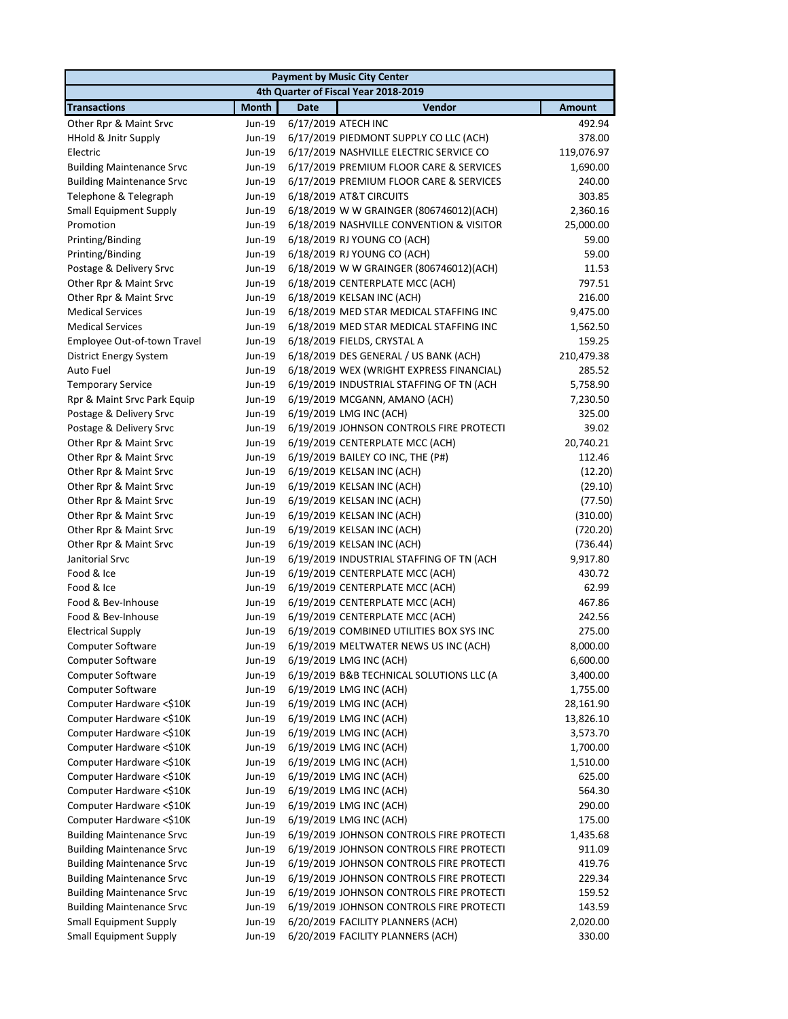|                                  |              | <b>Payment by Music City Center</b>      |               |
|----------------------------------|--------------|------------------------------------------|---------------|
|                                  |              | 4th Quarter of Fiscal Year 2018-2019     |               |
| <b>Transactions</b>              | <b>Month</b> | Vendor<br><b>Date</b>                    | <b>Amount</b> |
| Other Rpr & Maint Srvc           | Jun-19       | 6/17/2019 ATECH INC                      | 492.94        |
| HHold & Jnitr Supply             | Jun-19       | 6/17/2019 PIEDMONT SUPPLY CO LLC (ACH)   | 378.00        |
| Electric                         | Jun-19       | 6/17/2019 NASHVILLE ELECTRIC SERVICE CO  | 119,076.97    |
| <b>Building Maintenance Srvc</b> | Jun-19       | 6/17/2019 PREMIUM FLOOR CARE & SERVICES  | 1,690.00      |
| <b>Building Maintenance Srvc</b> | Jun-19       | 6/17/2019 PREMIUM FLOOR CARE & SERVICES  | 240.00        |
| Telephone & Telegraph            | Jun-19       | 6/18/2019 AT&T CIRCUITS                  | 303.85        |
| Small Equipment Supply           | Jun-19       | 6/18/2019 W W GRAINGER (806746012)(ACH)  | 2,360.16      |
| Promotion                        | Jun-19       | 6/18/2019 NASHVILLE CONVENTION & VISITOR | 25,000.00     |
| Printing/Binding                 | Jun-19       | 6/18/2019 RJ YOUNG CO (ACH)              | 59.00         |
| Printing/Binding                 | Jun-19       | 6/18/2019 RJ YOUNG CO (ACH)              | 59.00         |
| Postage & Delivery Srvc          | Jun-19       | 6/18/2019 W W GRAINGER (806746012)(ACH)  | 11.53         |
| Other Rpr & Maint Srvc           | Jun-19       | 6/18/2019 CENTERPLATE MCC (ACH)          | 797.51        |
| Other Rpr & Maint Srvc           | Jun-19       | 6/18/2019 KELSAN INC (ACH)               | 216.00        |
| <b>Medical Services</b>          | Jun-19       | 6/18/2019 MED STAR MEDICAL STAFFING INC  | 9,475.00      |
| <b>Medical Services</b>          | Jun-19       | 6/18/2019 MED STAR MEDICAL STAFFING INC  | 1,562.50      |
| Employee Out-of-town Travel      | Jun-19       | 6/18/2019 FIELDS, CRYSTAL A              | 159.25        |
| <b>District Energy System</b>    | Jun-19       | 6/18/2019 DES GENERAL / US BANK (ACH)    | 210,479.38    |
| Auto Fuel                        | Jun-19       | 6/18/2019 WEX (WRIGHT EXPRESS FINANCIAL) | 285.52        |
| <b>Temporary Service</b>         | Jun-19       | 6/19/2019 INDUSTRIAL STAFFING OF TN (ACH | 5,758.90      |
| Rpr & Maint Srvc Park Equip      | Jun-19       | 6/19/2019 MCGANN, AMANO (ACH)            | 7,230.50      |
| Postage & Delivery Srvc          | Jun-19       | 6/19/2019 LMG INC (ACH)                  | 325.00        |
| Postage & Delivery Srvc          | Jun-19       | 6/19/2019 JOHNSON CONTROLS FIRE PROTECTI | 39.02         |
| Other Rpr & Maint Srvc           | Jun-19       | 6/19/2019 CENTERPLATE MCC (ACH)          | 20,740.21     |
| Other Rpr & Maint Srvc           | Jun-19       | 6/19/2019 BAILEY CO INC, THE (P#)        | 112.46        |
| Other Rpr & Maint Srvc           | Jun-19       | 6/19/2019 KELSAN INC (ACH)               | (12.20)       |
| Other Rpr & Maint Srvc           | Jun-19       | 6/19/2019 KELSAN INC (ACH)               | (29.10)       |
| Other Rpr & Maint Srvc           | Jun-19       | 6/19/2019 KELSAN INC (ACH)               | (77.50)       |
| Other Rpr & Maint Srvc           | Jun-19       | 6/19/2019 KELSAN INC (ACH)               | (310.00)      |
| Other Rpr & Maint Srvc           | Jun-19       | 6/19/2019 KELSAN INC (ACH)               | (720.20)      |
| Other Rpr & Maint Srvc           | Jun-19       | 6/19/2019 KELSAN INC (ACH)               | (736.44)      |
| Janitorial Srvc                  | Jun-19       | 6/19/2019 INDUSTRIAL STAFFING OF TN (ACH | 9,917.80      |
| Food & Ice                       | Jun-19       | 6/19/2019 CENTERPLATE MCC (ACH)          | 430.72        |
| Food & Ice                       | Jun-19       | 6/19/2019 CENTERPLATE MCC (ACH)          | 62.99         |
| Food & Bev-Inhouse               | Jun-19       | 6/19/2019 CENTERPLATE MCC (ACH)          | 467.86        |
| Food & Bev-Inhouse               | Jun-19       | 6/19/2019 CENTERPLATE MCC (ACH)          | 242.56        |
| <b>Electrical Supply</b>         | Jun-19       | 6/19/2019 COMBINED UTILITIES BOX SYS INC | 275.00        |
| Computer Software                | Jun-19       | 6/19/2019 MELTWATER NEWS US INC (ACH)    | 8,000.00      |
| Computer Software                | Jun-19       | 6/19/2019 LMG INC (ACH)                  | 6,600.00      |
| Computer Software                | Jun-19       | 6/19/2019 B&B TECHNICAL SOLUTIONS LLC (A | 3,400.00      |
| <b>Computer Software</b>         | Jun-19       | 6/19/2019 LMG INC (ACH)                  | 1,755.00      |
| Computer Hardware <\$10K         | Jun-19       | 6/19/2019 LMG INC (ACH)                  | 28,161.90     |
| Computer Hardware <\$10K         | Jun-19       | 6/19/2019 LMG INC (ACH)                  | 13,826.10     |
| Computer Hardware <\$10K         | Jun-19       | 6/19/2019 LMG INC (ACH)                  | 3,573.70      |
| Computer Hardware <\$10K         | Jun-19       | 6/19/2019 LMG INC (ACH)                  | 1,700.00      |
| Computer Hardware <\$10K         | Jun-19       | 6/19/2019 LMG INC (ACH)                  | 1,510.00      |
| Computer Hardware <\$10K         | Jun-19       | 6/19/2019 LMG INC (ACH)                  | 625.00        |
| Computer Hardware <\$10K         | Jun-19       | 6/19/2019 LMG INC (ACH)                  | 564.30        |
| Computer Hardware <\$10K         | Jun-19       | 6/19/2019 LMG INC (ACH)                  | 290.00        |
| Computer Hardware <\$10K         | Jun-19       | 6/19/2019 LMG INC (ACH)                  | 175.00        |
| <b>Building Maintenance Srvc</b> | Jun-19       | 6/19/2019 JOHNSON CONTROLS FIRE PROTECTI | 1,435.68      |
| <b>Building Maintenance Srvc</b> | Jun-19       | 6/19/2019 JOHNSON CONTROLS FIRE PROTECTI | 911.09        |
| <b>Building Maintenance Srvc</b> | Jun-19       | 6/19/2019 JOHNSON CONTROLS FIRE PROTECTI | 419.76        |
| <b>Building Maintenance Srvc</b> | Jun-19       | 6/19/2019 JOHNSON CONTROLS FIRE PROTECTI | 229.34        |
| <b>Building Maintenance Srvc</b> | Jun-19       | 6/19/2019 JOHNSON CONTROLS FIRE PROTECTI | 159.52        |
| <b>Building Maintenance Srvc</b> | Jun-19       | 6/19/2019 JOHNSON CONTROLS FIRE PROTECTI | 143.59        |
| <b>Small Equipment Supply</b>    | Jun-19       | 6/20/2019 FACILITY PLANNERS (ACH)        | 2,020.00      |
| <b>Small Equipment Supply</b>    | Jun-19       | 6/20/2019 FACILITY PLANNERS (ACH)        | 330.00        |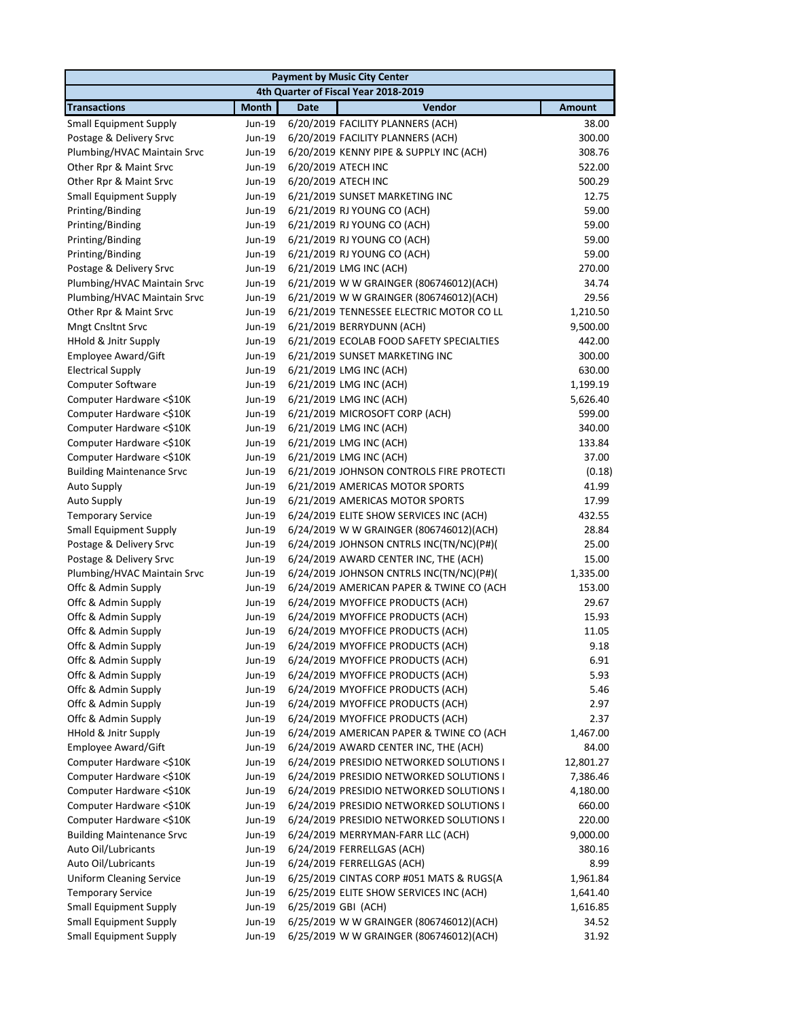|                                  |              | <b>Payment by Music City Center</b>      |               |
|----------------------------------|--------------|------------------------------------------|---------------|
|                                  |              | 4th Quarter of Fiscal Year 2018-2019     |               |
| <b>Transactions</b>              | <b>Month</b> | Vendor<br><b>Date</b>                    | <b>Amount</b> |
| <b>Small Equipment Supply</b>    | Jun-19       | 6/20/2019 FACILITY PLANNERS (ACH)        | 38.00         |
| Postage & Delivery Srvc          | Jun-19       | 6/20/2019 FACILITY PLANNERS (ACH)        | 300.00        |
| Plumbing/HVAC Maintain Srvc      | Jun-19       | 6/20/2019 KENNY PIPE & SUPPLY INC (ACH)  | 308.76        |
| Other Rpr & Maint Srvc           | Jun-19       | 6/20/2019 ATECH INC                      | 522.00        |
| Other Rpr & Maint Srvc           | Jun-19       | 6/20/2019 ATECH INC                      | 500.29        |
| <b>Small Equipment Supply</b>    | Jun-19       | 6/21/2019 SUNSET MARKETING INC           | 12.75         |
| Printing/Binding                 | Jun-19       | 6/21/2019 RJ YOUNG CO (ACH)              | 59.00         |
| Printing/Binding                 | Jun-19       | 6/21/2019 RJ YOUNG CO (ACH)              | 59.00         |
| Printing/Binding                 | Jun-19       | 6/21/2019 RJ YOUNG CO (ACH)              | 59.00         |
| Printing/Binding                 | Jun-19       | 6/21/2019 RJ YOUNG CO (ACH)              | 59.00         |
| Postage & Delivery Srvc          | Jun-19       | 6/21/2019 LMG INC (ACH)                  | 270.00        |
| Plumbing/HVAC Maintain Srvc      | Jun-19       | 6/21/2019 W W GRAINGER (806746012)(ACH)  | 34.74         |
| Plumbing/HVAC Maintain Srvc      | Jun-19       | 6/21/2019 W W GRAINGER (806746012)(ACH)  | 29.56         |
| Other Rpr & Maint Srvc           | Jun-19       | 6/21/2019 TENNESSEE ELECTRIC MOTOR CO LL | 1,210.50      |
| Mngt Cnsltnt Srvc                | Jun-19       | 6/21/2019 BERRYDUNN (ACH)                | 9,500.00      |
| <b>HHold &amp; Jnitr Supply</b>  | Jun-19       | 6/21/2019 ECOLAB FOOD SAFETY SPECIALTIES | 442.00        |
| Employee Award/Gift              | Jun-19       | 6/21/2019 SUNSET MARKETING INC           | 300.00        |
| <b>Electrical Supply</b>         | Jun-19       | 6/21/2019 LMG INC (ACH)                  | 630.00        |
| <b>Computer Software</b>         | Jun-19       | 6/21/2019 LMG INC (ACH)                  | 1,199.19      |
| Computer Hardware <\$10K         | Jun-19       | 6/21/2019 LMG INC (ACH)                  | 5,626.40      |
| Computer Hardware <\$10K         | Jun-19       | 6/21/2019 MICROSOFT CORP (ACH)           | 599.00        |
| Computer Hardware <\$10K         | Jun-19       | 6/21/2019 LMG INC (ACH)                  | 340.00        |
| Computer Hardware <\$10K         | Jun-19       | 6/21/2019 LMG INC (ACH)                  | 133.84        |
| Computer Hardware <\$10K         | Jun-19       | 6/21/2019 LMG INC (ACH)                  | 37.00         |
| <b>Building Maintenance Srvc</b> | Jun-19       | 6/21/2019 JOHNSON CONTROLS FIRE PROTECTI | (0.18)        |
| <b>Auto Supply</b>               | Jun-19       | 6/21/2019 AMERICAS MOTOR SPORTS          | 41.99         |
| <b>Auto Supply</b>               | Jun-19       | 6/21/2019 AMERICAS MOTOR SPORTS          | 17.99         |
| <b>Temporary Service</b>         | Jun-19       | 6/24/2019 ELITE SHOW SERVICES INC (ACH)  | 432.55        |
| <b>Small Equipment Supply</b>    | Jun-19       | 6/24/2019 W W GRAINGER (806746012)(ACH)  | 28.84         |
| Postage & Delivery Srvc          | Jun-19       | 6/24/2019 JOHNSON CNTRLS INC(TN/NC)(P#)( | 25.00         |
| Postage & Delivery Srvc          | Jun-19       | 6/24/2019 AWARD CENTER INC, THE (ACH)    | 15.00         |
| Plumbing/HVAC Maintain Srvc      | Jun-19       | 6/24/2019 JOHNSON CNTRLS INC(TN/NC)(P#)( | 1,335.00      |
| Offc & Admin Supply              | Jun-19       | 6/24/2019 AMERICAN PAPER & TWINE CO (ACH | 153.00        |
| Offc & Admin Supply              | Jun-19       | 6/24/2019 MYOFFICE PRODUCTS (ACH)        | 29.67         |
| Offc & Admin Supply              | Jun-19       | 6/24/2019 MYOFFICE PRODUCTS (ACH)        | 15.93         |
| Offc & Admin Supply              | Jun-19       | 6/24/2019 MYOFFICE PRODUCTS (ACH)        | 11.05         |
| Offc & Admin Supply              | Jun-19       | 6/24/2019 MYOFFICE PRODUCTS (ACH)        | 9.18          |
| Offc & Admin Supply              | Jun-19       | 6/24/2019 MYOFFICE PRODUCTS (ACH)        | 6.91          |
| Offc & Admin Supply              | Jun-19       | 6/24/2019 MYOFFICE PRODUCTS (ACH)        | 5.93          |
| Offc & Admin Supply              | Jun-19       | 6/24/2019 MYOFFICE PRODUCTS (ACH)        | 5.46          |
| Offc & Admin Supply              | Jun-19       | 6/24/2019 MYOFFICE PRODUCTS (ACH)        | 2.97          |
| Offc & Admin Supply              | Jun-19       | 6/24/2019 MYOFFICE PRODUCTS (ACH)        | 2.37          |
| <b>HHold &amp; Jnitr Supply</b>  | Jun-19       | 6/24/2019 AMERICAN PAPER & TWINE CO (ACH | 1,467.00      |
| Employee Award/Gift              | Jun-19       | 6/24/2019 AWARD CENTER INC, THE (ACH)    | 84.00         |
| Computer Hardware <\$10K         | Jun-19       | 6/24/2019 PRESIDIO NETWORKED SOLUTIONS I | 12,801.27     |
| Computer Hardware <\$10K         | Jun-19       | 6/24/2019 PRESIDIO NETWORKED SOLUTIONS I | 7,386.46      |
| Computer Hardware <\$10K         | Jun-19       | 6/24/2019 PRESIDIO NETWORKED SOLUTIONS I | 4,180.00      |
| Computer Hardware <\$10K         | Jun-19       | 6/24/2019 PRESIDIO NETWORKED SOLUTIONS I | 660.00        |
| Computer Hardware <\$10K         | Jun-19       | 6/24/2019 PRESIDIO NETWORKED SOLUTIONS I | 220.00        |
| <b>Building Maintenance Srvc</b> | Jun-19       | 6/24/2019 MERRYMAN-FARR LLC (ACH)        | 9,000.00      |
| Auto Oil/Lubricants              | Jun-19       | 6/24/2019 FERRELLGAS (ACH)               | 380.16        |
| Auto Oil/Lubricants              | Jun-19       | 6/24/2019 FERRELLGAS (ACH)               | 8.99          |
| <b>Uniform Cleaning Service</b>  | Jun-19       | 6/25/2019 CINTAS CORP #051 MATS & RUGS(A | 1,961.84      |
| <b>Temporary Service</b>         | Jun-19       | 6/25/2019 ELITE SHOW SERVICES INC (ACH)  | 1,641.40      |
| <b>Small Equipment Supply</b>    | Jun-19       | 6/25/2019 GBI (ACH)                      | 1,616.85      |
| <b>Small Equipment Supply</b>    | Jun-19       | 6/25/2019 W W GRAINGER (806746012)(ACH)  | 34.52         |
| <b>Small Equipment Supply</b>    | Jun-19       | 6/25/2019 W W GRAINGER (806746012)(ACH)  | 31.92         |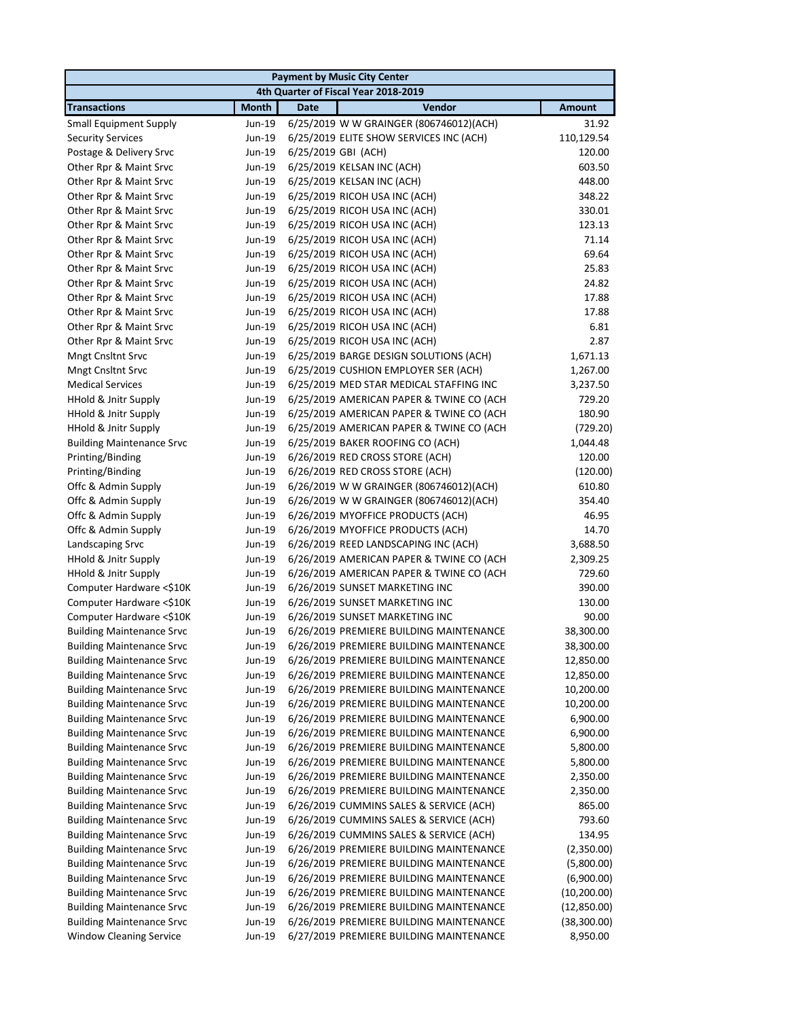| <b>Payment by Music City Center</b> |                  |                                          |               |  |
|-------------------------------------|------------------|------------------------------------------|---------------|--|
|                                     |                  | 4th Quarter of Fiscal Year 2018-2019     |               |  |
| <b>Transactions</b>                 | <b>Month</b>     | Vendor<br><b>Date</b>                    | <b>Amount</b> |  |
| <b>Small Equipment Supply</b>       | Jun-19           | 6/25/2019 W W GRAINGER (806746012)(ACH)  | 31.92         |  |
| <b>Security Services</b>            | Jun-19           | 6/25/2019 ELITE SHOW SERVICES INC (ACH)  | 110,129.54    |  |
| Postage & Delivery Srvc             | Jun-19           | 6/25/2019 GBI (ACH)                      | 120.00        |  |
| Other Rpr & Maint Srvc              | Jun-19           | 6/25/2019 KELSAN INC (ACH)               | 603.50        |  |
| Other Rpr & Maint Srvc              | Jun-19           | 6/25/2019 KELSAN INC (ACH)               | 448.00        |  |
| Other Rpr & Maint Srvc              | Jun-19           | 6/25/2019 RICOH USA INC (ACH)            | 348.22        |  |
| Other Rpr & Maint Srvc              | Jun-19           | 6/25/2019 RICOH USA INC (ACH)            | 330.01        |  |
| Other Rpr & Maint Srvc              | Jun-19           | 6/25/2019 RICOH USA INC (ACH)            | 123.13        |  |
| Other Rpr & Maint Srvc              | Jun-19           | 6/25/2019 RICOH USA INC (ACH)            | 71.14         |  |
| Other Rpr & Maint Srvc              | Jun-19           | 6/25/2019 RICOH USA INC (ACH)            | 69.64         |  |
| Other Rpr & Maint Srvc              | Jun-19           | 6/25/2019 RICOH USA INC (ACH)            | 25.83         |  |
| Other Rpr & Maint Srvc              | Jun-19           | 6/25/2019 RICOH USA INC (ACH)            | 24.82         |  |
| Other Rpr & Maint Srvc              | Jun-19           | 6/25/2019 RICOH USA INC (ACH)            | 17.88         |  |
| Other Rpr & Maint Srvc              | Jun-19           | 6/25/2019 RICOH USA INC (ACH)            | 17.88         |  |
| Other Rpr & Maint Srvc              | Jun-19           | 6/25/2019 RICOH USA INC (ACH)            | 6.81          |  |
| Other Rpr & Maint Srvc              | Jun-19           | 6/25/2019 RICOH USA INC (ACH)            | 2.87          |  |
| <b>Mngt Cnsltnt Srvc</b>            | Jun-19           | 6/25/2019 BARGE DESIGN SOLUTIONS (ACH)   | 1,671.13      |  |
| <b>Mngt Cnsltnt Srvc</b>            | Jun-19           | 6/25/2019 CUSHION EMPLOYER SER (ACH)     | 1,267.00      |  |
| <b>Medical Services</b>             | Jun-19           | 6/25/2019 MED STAR MEDICAL STAFFING INC  | 3,237.50      |  |
| <b>HHold &amp; Jnitr Supply</b>     | Jun-19           | 6/25/2019 AMERICAN PAPER & TWINE CO (ACH | 729.20        |  |
| <b>HHold &amp; Jnitr Supply</b>     | Jun-19           | 6/25/2019 AMERICAN PAPER & TWINE CO (ACH | 180.90        |  |
| HHold & Jnitr Supply                | Jun-19           | 6/25/2019 AMERICAN PAPER & TWINE CO (ACH | (729.20)      |  |
| <b>Building Maintenance Srvc</b>    | Jun-19           | 6/25/2019 BAKER ROOFING CO (ACH)         | 1,044.48      |  |
| Printing/Binding                    | Jun-19           | 6/26/2019 RED CROSS STORE (ACH)          | 120.00        |  |
| Printing/Binding                    | Jun-19           | 6/26/2019 RED CROSS STORE (ACH)          | (120.00)      |  |
| Offc & Admin Supply                 | Jun-19           | 6/26/2019 W W GRAINGER (806746012)(ACH)  | 610.80        |  |
| Offc & Admin Supply                 | Jun-19           | 6/26/2019 W W GRAINGER (806746012)(ACH)  | 354.40        |  |
| Offc & Admin Supply                 | Jun-19           | 6/26/2019 MYOFFICE PRODUCTS (ACH)        | 46.95         |  |
| Offc & Admin Supply                 | Jun-19           | 6/26/2019 MYOFFICE PRODUCTS (ACH)        | 14.70         |  |
| Landscaping Srvc                    | Jun-19           | 6/26/2019 REED LANDSCAPING INC (ACH)     | 3,688.50      |  |
| HHold & Jnitr Supply                | Jun-19           | 6/26/2019 AMERICAN PAPER & TWINE CO (ACH | 2,309.25      |  |
| HHold & Jnitr Supply                | Jun-19           | 6/26/2019 AMERICAN PAPER & TWINE CO (ACH | 729.60        |  |
| Computer Hardware <\$10K            | Jun-19           | 6/26/2019 SUNSET MARKETING INC           | 390.00        |  |
| Computer Hardware <\$10K            | Jun-19           | 6/26/2019 SUNSET MARKETING INC           | 130.00        |  |
| Computer Hardware <\$10K            | Jun-19           | 6/26/2019 SUNSET MARKETING INC           | 90.00         |  |
| <b>Building Maintenance Srvc</b>    | Jun-19           | 6/26/2019 PREMIERE BUILDING MAINTENANCE  | 38,300.00     |  |
| <b>Building Maintenance Srvc</b>    | Jun-19           | 6/26/2019 PREMIERE BUILDING MAINTENANCE  | 38,300.00     |  |
| <b>Building Maintenance Srvc</b>    | Jun-19           | 6/26/2019 PREMIERE BUILDING MAINTENANCE  | 12,850.00     |  |
| <b>Building Maintenance Srvc</b>    | Jun-19           | 6/26/2019 PREMIERE BUILDING MAINTENANCE  | 12,850.00     |  |
| <b>Building Maintenance Srvc</b>    | Jun-19           | 6/26/2019 PREMIERE BUILDING MAINTENANCE  | 10,200.00     |  |
| <b>Building Maintenance Srvc</b>    | Jun-19           | 6/26/2019 PREMIERE BUILDING MAINTENANCE  | 10,200.00     |  |
| <b>Building Maintenance Srvc</b>    | Jun-19           | 6/26/2019 PREMIERE BUILDING MAINTENANCE  | 6,900.00      |  |
| <b>Building Maintenance Srvc</b>    | Jun-19           | 6/26/2019 PREMIERE BUILDING MAINTENANCE  | 6,900.00      |  |
| <b>Building Maintenance Srvc</b>    | Jun-19           | 6/26/2019 PREMIERE BUILDING MAINTENANCE  | 5,800.00      |  |
| <b>Building Maintenance Srvc</b>    | Jun-19           | 6/26/2019 PREMIERE BUILDING MAINTENANCE  | 5,800.00      |  |
| <b>Building Maintenance Srvc</b>    | Jun-19           | 6/26/2019 PREMIERE BUILDING MAINTENANCE  | 2,350.00      |  |
| <b>Building Maintenance Srvc</b>    | Jun-19           | 6/26/2019 PREMIERE BUILDING MAINTENANCE  | 2,350.00      |  |
| <b>Building Maintenance Srvc</b>    | Jun-19           | 6/26/2019 CUMMINS SALES & SERVICE (ACH)  | 865.00        |  |
| <b>Building Maintenance Srvc</b>    | Jun-19           | 6/26/2019 CUMMINS SALES & SERVICE (ACH)  | 793.60        |  |
| <b>Building Maintenance Srvc</b>    | Jun-19           | 6/26/2019 CUMMINS SALES & SERVICE (ACH)  | 134.95        |  |
| <b>Building Maintenance Srvc</b>    | Jun-19           | 6/26/2019 PREMIERE BUILDING MAINTENANCE  | (2,350.00)    |  |
| <b>Building Maintenance Srvc</b>    | Jun-19           | 6/26/2019 PREMIERE BUILDING MAINTENANCE  | (5,800.00)    |  |
| <b>Building Maintenance Srvc</b>    | Jun-19           | 6/26/2019 PREMIERE BUILDING MAINTENANCE  | (6,900.00)    |  |
| <b>Building Maintenance Srvc</b>    | Jun-19           | 6/26/2019 PREMIERE BUILDING MAINTENANCE  | (10, 200.00)  |  |
| <b>Building Maintenance Srvc</b>    |                  | 6/26/2019 PREMIERE BUILDING MAINTENANCE  | (12,850.00)   |  |
| <b>Building Maintenance Srvc</b>    | Jun-19<br>Jun-19 | 6/26/2019 PREMIERE BUILDING MAINTENANCE  | (38, 300.00)  |  |
| <b>Window Cleaning Service</b>      | Jun-19           | 6/27/2019 PREMIERE BUILDING MAINTENANCE  | 8,950.00      |  |
|                                     |                  |                                          |               |  |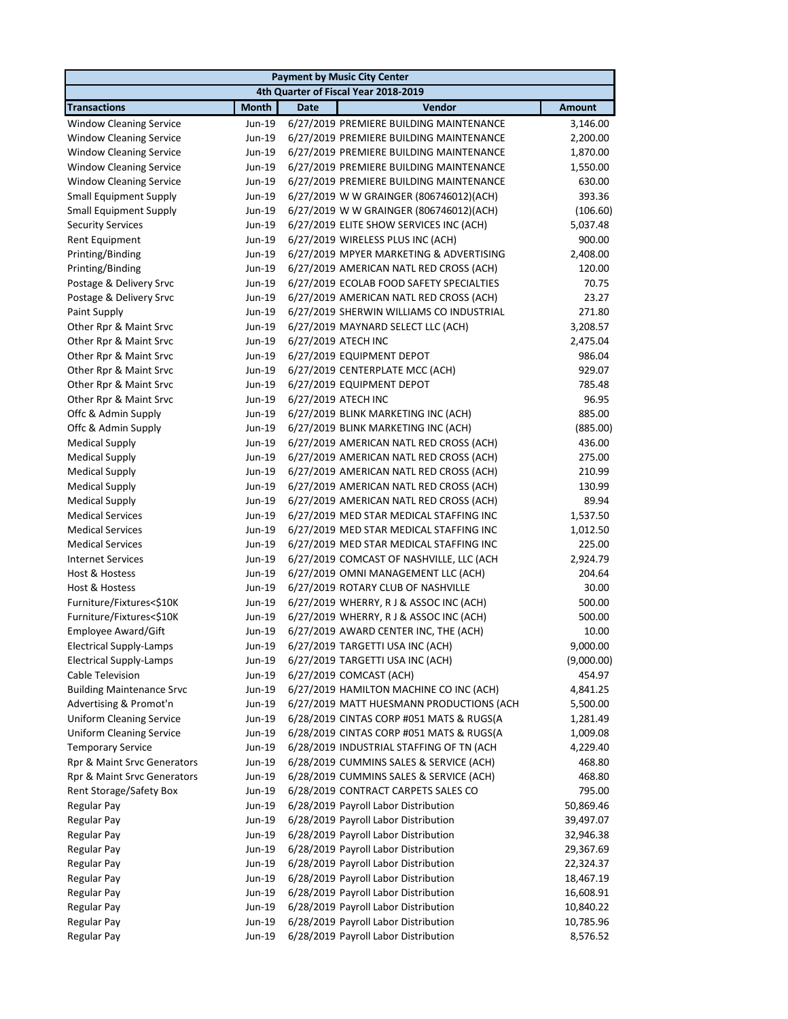|                                  |              |                     | <b>Payment by Music City Center</b>      |            |
|----------------------------------|--------------|---------------------|------------------------------------------|------------|
|                                  |              |                     | 4th Quarter of Fiscal Year 2018-2019     |            |
| <b>Transactions</b>              | <b>Month</b> | <b>Date</b>         | Vendor                                   | Amount     |
| <b>Window Cleaning Service</b>   | Jun-19       |                     | 6/27/2019 PREMIERE BUILDING MAINTENANCE  | 3,146.00   |
| <b>Window Cleaning Service</b>   | Jun-19       |                     | 6/27/2019 PREMIERE BUILDING MAINTENANCE  | 2,200.00   |
| <b>Window Cleaning Service</b>   | Jun-19       |                     | 6/27/2019 PREMIERE BUILDING MAINTENANCE  | 1,870.00   |
| <b>Window Cleaning Service</b>   | Jun-19       |                     | 6/27/2019 PREMIERE BUILDING MAINTENANCE  | 1,550.00   |
| <b>Window Cleaning Service</b>   | Jun-19       |                     | 6/27/2019 PREMIERE BUILDING MAINTENANCE  | 630.00     |
| <b>Small Equipment Supply</b>    | Jun-19       |                     | 6/27/2019 W W GRAINGER (806746012)(ACH)  | 393.36     |
| <b>Small Equipment Supply</b>    | Jun-19       |                     | 6/27/2019 W W GRAINGER (806746012)(ACH)  | (106.60)   |
| <b>Security Services</b>         | Jun-19       |                     | 6/27/2019 ELITE SHOW SERVICES INC (ACH)  | 5,037.48   |
| <b>Rent Equipment</b>            | Jun-19       |                     | 6/27/2019 WIRELESS PLUS INC (ACH)        | 900.00     |
| Printing/Binding                 | Jun-19       |                     | 6/27/2019 MPYER MARKETING & ADVERTISING  | 2,408.00   |
| Printing/Binding                 | Jun-19       |                     | 6/27/2019 AMERICAN NATL RED CROSS (ACH)  | 120.00     |
| Postage & Delivery Srvc          | Jun-19       |                     | 6/27/2019 ECOLAB FOOD SAFETY SPECIALTIES | 70.75      |
| Postage & Delivery Srvc          | Jun-19       |                     | 6/27/2019 AMERICAN NATL RED CROSS (ACH)  | 23.27      |
| Paint Supply                     | Jun-19       |                     | 6/27/2019 SHERWIN WILLIAMS CO INDUSTRIAL | 271.80     |
| Other Rpr & Maint Srvc           | Jun-19       |                     | 6/27/2019 MAYNARD SELECT LLC (ACH)       | 3,208.57   |
| Other Rpr & Maint Srvc           | Jun-19       | 6/27/2019 ATECH INC |                                          | 2,475.04   |
| Other Rpr & Maint Srvc           | Jun-19       |                     | 6/27/2019 EQUIPMENT DEPOT                | 986.04     |
| Other Rpr & Maint Srvc           | Jun-19       |                     | 6/27/2019 CENTERPLATE MCC (ACH)          | 929.07     |
| Other Rpr & Maint Srvc           | Jun-19       |                     | 6/27/2019 EQUIPMENT DEPOT                | 785.48     |
| Other Rpr & Maint Srvc           | Jun-19       | 6/27/2019 ATECH INC |                                          | 96.95      |
| Offc & Admin Supply              | Jun-19       |                     | 6/27/2019 BLINK MARKETING INC (ACH)      | 885.00     |
| Offc & Admin Supply              | Jun-19       |                     | 6/27/2019 BLINK MARKETING INC (ACH)      | (885.00)   |
| <b>Medical Supply</b>            | Jun-19       |                     | 6/27/2019 AMERICAN NATL RED CROSS (ACH)  | 436.00     |
| <b>Medical Supply</b>            | Jun-19       |                     | 6/27/2019 AMERICAN NATL RED CROSS (ACH)  | 275.00     |
| <b>Medical Supply</b>            | Jun-19       |                     | 6/27/2019 AMERICAN NATL RED CROSS (ACH)  | 210.99     |
| <b>Medical Supply</b>            | Jun-19       |                     | 6/27/2019 AMERICAN NATL RED CROSS (ACH)  | 130.99     |
| <b>Medical Supply</b>            | Jun-19       |                     | 6/27/2019 AMERICAN NATL RED CROSS (ACH)  | 89.94      |
| <b>Medical Services</b>          | Jun-19       |                     | 6/27/2019 MED STAR MEDICAL STAFFING INC  | 1,537.50   |
| <b>Medical Services</b>          | Jun-19       |                     | 6/27/2019 MED STAR MEDICAL STAFFING INC  | 1,012.50   |
| <b>Medical Services</b>          | Jun-19       |                     | 6/27/2019 MED STAR MEDICAL STAFFING INC  | 225.00     |
| <b>Internet Services</b>         | Jun-19       |                     | 6/27/2019 COMCAST OF NASHVILLE, LLC (ACH | 2,924.79   |
| Host & Hostess                   | Jun-19       |                     | 6/27/2019 OMNI MANAGEMENT LLC (ACH)      | 204.64     |
| Host & Hostess                   | Jun-19       |                     | 6/27/2019 ROTARY CLUB OF NASHVILLE       | 30.00      |
| Furniture/Fixtures<\$10K         | Jun-19       |                     | 6/27/2019 WHERRY, RJ & ASSOC INC (ACH)   | 500.00     |
| Furniture/Fixtures<\$10K         | Jun-19       |                     | 6/27/2019 WHERRY, RJ & ASSOC INC (ACH)   | 500.00     |
| Employee Award/Gift              | Jun-19       |                     | 6/27/2019 AWARD CENTER INC, THE (ACH)    | 10.00      |
| <b>Electrical Supply-Lamps</b>   |              |                     | Jun-19 6/27/2019 TARGETTI USA INC (ACH)  | 9,000.00   |
| <b>Electrical Supply-Lamps</b>   | Jun-19       |                     | 6/27/2019 TARGETTI USA INC (ACH)         | (9,000.00) |
| Cable Television                 | Jun-19       |                     | 6/27/2019 COMCAST (ACH)                  | 454.97     |
| <b>Building Maintenance Srvc</b> | Jun-19       |                     | 6/27/2019 HAMILTON MACHINE CO INC (ACH)  | 4,841.25   |
| Advertising & Promot'n           | Jun-19       |                     | 6/27/2019 MATT HUESMANN PRODUCTIONS (ACH | 5,500.00   |
| <b>Uniform Cleaning Service</b>  | Jun-19       |                     | 6/28/2019 CINTAS CORP #051 MATS & RUGS(A | 1,281.49   |
| <b>Uniform Cleaning Service</b>  | Jun-19       |                     | 6/28/2019 CINTAS CORP #051 MATS & RUGS(A | 1,009.08   |
| <b>Temporary Service</b>         | Jun-19       |                     | 6/28/2019 INDUSTRIAL STAFFING OF TN (ACH | 4,229.40   |
| Rpr & Maint Srvc Generators      | Jun-19       |                     | 6/28/2019 CUMMINS SALES & SERVICE (ACH)  | 468.80     |
| Rpr & Maint Srvc Generators      | Jun-19       |                     | 6/28/2019 CUMMINS SALES & SERVICE (ACH)  | 468.80     |
| Rent Storage/Safety Box          | Jun-19       |                     | 6/28/2019 CONTRACT CARPETS SALES CO      | 795.00     |
| <b>Regular Pay</b>               | Jun-19       |                     | 6/28/2019 Payroll Labor Distribution     | 50,869.46  |
| <b>Regular Pay</b>               | Jun-19       |                     | 6/28/2019 Payroll Labor Distribution     | 39,497.07  |
| <b>Regular Pay</b>               | Jun-19       |                     | 6/28/2019 Payroll Labor Distribution     | 32,946.38  |
| <b>Regular Pay</b>               | Jun-19       |                     | 6/28/2019 Payroll Labor Distribution     | 29,367.69  |
| <b>Regular Pay</b>               | Jun-19       |                     | 6/28/2019 Payroll Labor Distribution     | 22,324.37  |
| <b>Regular Pay</b>               | Jun-19       |                     | 6/28/2019 Payroll Labor Distribution     | 18,467.19  |
| <b>Regular Pay</b>               | Jun-19       |                     | 6/28/2019 Payroll Labor Distribution     | 16,608.91  |
| <b>Regular Pay</b>               | Jun-19       |                     | 6/28/2019 Payroll Labor Distribution     | 10,840.22  |
| <b>Regular Pay</b>               | Jun-19       |                     | 6/28/2019 Payroll Labor Distribution     | 10,785.96  |
| <b>Regular Pay</b>               | Jun-19       |                     | 6/28/2019 Payroll Labor Distribution     | 8,576.52   |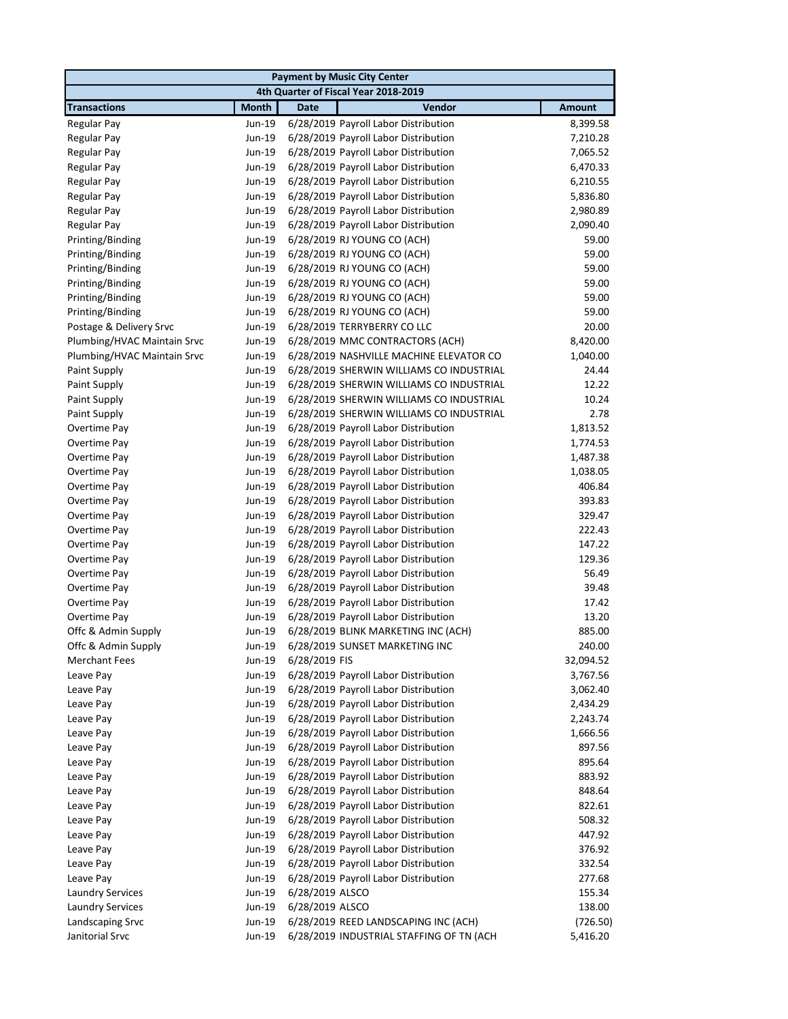| <b>Payment by Music City Center</b> |                  |                                                                              |               |  |
|-------------------------------------|------------------|------------------------------------------------------------------------------|---------------|--|
|                                     |                  | 4th Quarter of Fiscal Year 2018-2019                                         |               |  |
| <b>Transactions</b>                 | <b>Month</b>     | <b>Date</b><br>Vendor                                                        | <b>Amount</b> |  |
| Regular Pay                         | Jun-19           | 6/28/2019 Payroll Labor Distribution                                         | 8,399.58      |  |
| <b>Regular Pay</b>                  | Jun-19           | 6/28/2019 Payroll Labor Distribution                                         | 7,210.28      |  |
| <b>Regular Pay</b>                  | Jun-19           | 6/28/2019 Payroll Labor Distribution                                         | 7,065.52      |  |
| Regular Pay                         | Jun-19           | 6/28/2019 Payroll Labor Distribution                                         | 6,470.33      |  |
| <b>Regular Pay</b>                  | Jun-19           | 6/28/2019 Payroll Labor Distribution                                         | 6,210.55      |  |
| Regular Pay                         | Jun-19           | 6/28/2019 Payroll Labor Distribution                                         | 5,836.80      |  |
| <b>Regular Pay</b>                  | Jun-19           | 6/28/2019 Payroll Labor Distribution                                         | 2,980.89      |  |
| <b>Regular Pay</b>                  | Jun-19           | 6/28/2019 Payroll Labor Distribution                                         | 2,090.40      |  |
| Printing/Binding                    | Jun-19           | 6/28/2019 RJ YOUNG CO (ACH)                                                  | 59.00         |  |
| Printing/Binding                    | Jun-19           | 6/28/2019 RJ YOUNG CO (ACH)                                                  | 59.00         |  |
| Printing/Binding                    | Jun-19           | 6/28/2019 RJ YOUNG CO (ACH)                                                  | 59.00         |  |
| Printing/Binding                    | Jun-19           | 6/28/2019 RJ YOUNG CO (ACH)                                                  | 59.00         |  |
| Printing/Binding                    | Jun-19           | 6/28/2019 RJ YOUNG CO (ACH)                                                  | 59.00         |  |
| Printing/Binding                    | Jun-19           | 6/28/2019 RJ YOUNG CO (ACH)                                                  | 59.00         |  |
| Postage & Delivery Srvc             | Jun-19           | 6/28/2019 TERRYBERRY CO LLC                                                  | 20.00         |  |
| Plumbing/HVAC Maintain Srvc         | Jun-19           | 6/28/2019 MMC CONTRACTORS (ACH)                                              | 8,420.00      |  |
| Plumbing/HVAC Maintain Srvc         | Jun-19           | 6/28/2019 NASHVILLE MACHINE ELEVATOR CO                                      | 1,040.00      |  |
| Paint Supply                        | Jun-19           | 6/28/2019 SHERWIN WILLIAMS CO INDUSTRIAL                                     | 24.44         |  |
| Paint Supply                        | Jun-19           | 6/28/2019 SHERWIN WILLIAMS CO INDUSTRIAL                                     | 12.22         |  |
| Paint Supply                        | Jun-19           | 6/28/2019 SHERWIN WILLIAMS CO INDUSTRIAL                                     | 10.24         |  |
| Paint Supply                        | Jun-19           | 6/28/2019 SHERWIN WILLIAMS CO INDUSTRIAL                                     | 2.78          |  |
| Overtime Pay                        | Jun-19           | 6/28/2019 Payroll Labor Distribution                                         | 1,813.52      |  |
| Overtime Pay                        | Jun-19           | 6/28/2019 Payroll Labor Distribution                                         | 1,774.53      |  |
| Overtime Pay                        | Jun-19           | 6/28/2019 Payroll Labor Distribution                                         | 1,487.38      |  |
| Overtime Pay                        | Jun-19           | 6/28/2019 Payroll Labor Distribution                                         | 1,038.05      |  |
| Overtime Pay                        | Jun-19           | 6/28/2019 Payroll Labor Distribution                                         | 406.84        |  |
| Overtime Pay                        | Jun-19           | 6/28/2019 Payroll Labor Distribution                                         | 393.83        |  |
| Overtime Pay                        | Jun-19           | 6/28/2019 Payroll Labor Distribution                                         | 329.47        |  |
| Overtime Pay                        | Jun-19           | 6/28/2019 Payroll Labor Distribution                                         | 222.43        |  |
| Overtime Pay                        | Jun-19           | 6/28/2019 Payroll Labor Distribution                                         | 147.22        |  |
| Overtime Pay                        | Jun-19           | 6/28/2019 Payroll Labor Distribution                                         | 129.36        |  |
| Overtime Pay                        | Jun-19           | 6/28/2019 Payroll Labor Distribution                                         | 56.49         |  |
| Overtime Pay                        | Jun-19           | 6/28/2019 Payroll Labor Distribution                                         | 39.48         |  |
| Overtime Pay                        | Jun-19           | 6/28/2019 Payroll Labor Distribution                                         | 17.42         |  |
| Overtime Pay                        | Jun-19           | 6/28/2019 Payroll Labor Distribution                                         | 13.20         |  |
| Offc & Admin Supply                 | Jun-19           | 6/28/2019 BLINK MARKETING INC (ACH)                                          | 885.00        |  |
| Offc & Admin Supply                 |                  | Jun-19 6/28/2019 SUNSET MARKETING INC                                        | 240.00        |  |
| <b>Merchant Fees</b>                | Jun-19           | 6/28/2019 FIS                                                                | 32,094.52     |  |
| Leave Pay                           | Jun-19           | 6/28/2019 Payroll Labor Distribution                                         | 3,767.56      |  |
| Leave Pay                           | Jun-19           | 6/28/2019 Payroll Labor Distribution                                         | 3,062.40      |  |
| Leave Pay                           | Jun-19           | 6/28/2019 Payroll Labor Distribution                                         | 2,434.29      |  |
| Leave Pay                           | Jun-19           | 6/28/2019 Payroll Labor Distribution                                         | 2,243.74      |  |
| Leave Pay                           | Jun-19           | 6/28/2019 Payroll Labor Distribution                                         | 1,666.56      |  |
| Leave Pay                           | Jun-19           | 6/28/2019 Payroll Labor Distribution                                         | 897.56        |  |
| Leave Pay                           | Jun-19<br>Jun-19 | 6/28/2019 Payroll Labor Distribution<br>6/28/2019 Payroll Labor Distribution | 895.64        |  |
| Leave Pay                           |                  |                                                                              | 883.92        |  |
| Leave Pay                           | Jun-19           | 6/28/2019 Payroll Labor Distribution                                         | 848.64        |  |
| Leave Pay                           | Jun-19           | 6/28/2019 Payroll Labor Distribution                                         | 822.61        |  |
| Leave Pay                           | Jun-19           | 6/28/2019 Payroll Labor Distribution                                         | 508.32        |  |
| Leave Pay                           | Jun-19           | 6/28/2019 Payroll Labor Distribution                                         | 447.92        |  |
| Leave Pay                           | Jun-19           | 6/28/2019 Payroll Labor Distribution                                         | 376.92        |  |
| Leave Pay                           | Jun-19           | 6/28/2019 Payroll Labor Distribution                                         | 332.54        |  |
| Leave Pay                           | Jun-19           | 6/28/2019 Payroll Labor Distribution                                         | 277.68        |  |
| <b>Laundry Services</b>             | Jun-19           | 6/28/2019 ALSCO                                                              | 155.34        |  |
| <b>Laundry Services</b>             | Jun-19           | 6/28/2019 ALSCO                                                              | 138.00        |  |
| Landscaping Srvc                    | Jun-19           | 6/28/2019 REED LANDSCAPING INC (ACH)                                         | (726.50)      |  |
| Janitorial Srvc                     | Jun-19           | 6/28/2019 INDUSTRIAL STAFFING OF TN (ACH                                     | 5,416.20      |  |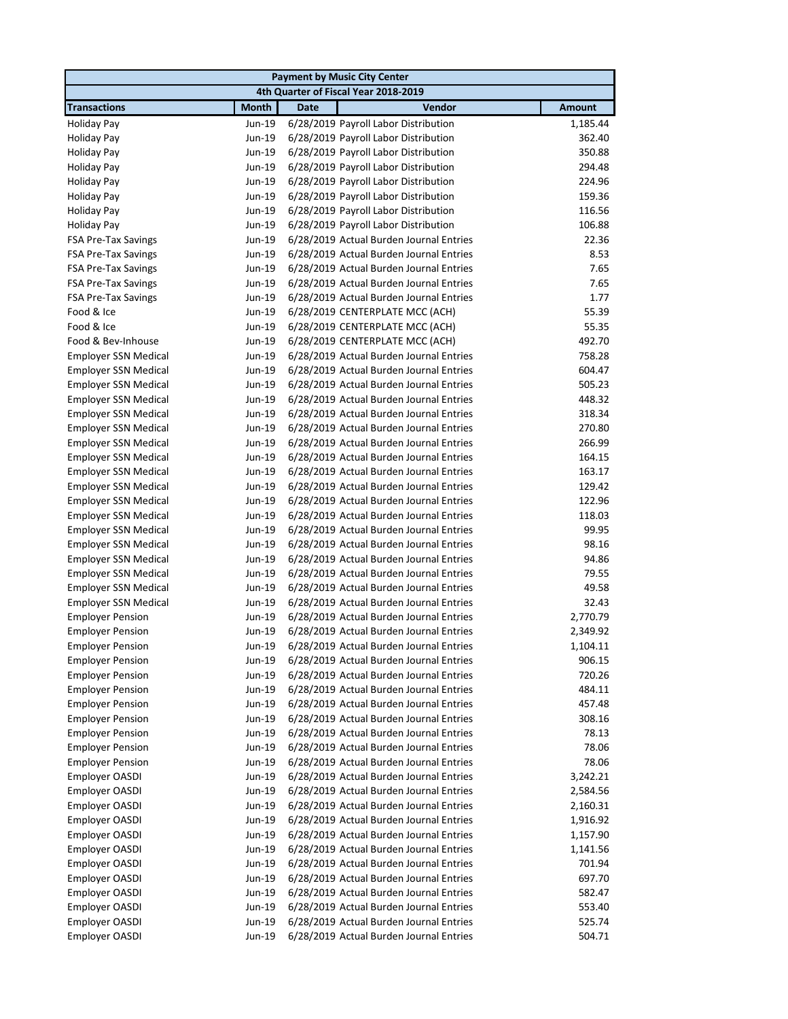|                             |              | <b>Payment by Music City Center</b>            |               |
|-----------------------------|--------------|------------------------------------------------|---------------|
|                             |              | 4th Quarter of Fiscal Year 2018-2019           |               |
| <b>Transactions</b>         | <b>Month</b> | <b>Date</b><br>Vendor                          | <b>Amount</b> |
| <b>Holiday Pay</b>          | Jun-19       | 6/28/2019 Payroll Labor Distribution           | 1,185.44      |
| <b>Holiday Pay</b>          | Jun-19       | 6/28/2019 Payroll Labor Distribution           | 362.40        |
| Holiday Pay                 | Jun-19       | 6/28/2019 Payroll Labor Distribution           | 350.88        |
| <b>Holiday Pay</b>          | Jun-19       | 6/28/2019 Payroll Labor Distribution           | 294.48        |
| <b>Holiday Pay</b>          | Jun-19       | 6/28/2019 Payroll Labor Distribution           | 224.96        |
| <b>Holiday Pay</b>          | Jun-19       | 6/28/2019 Payroll Labor Distribution           | 159.36        |
| <b>Holiday Pay</b>          | Jun-19       | 6/28/2019 Payroll Labor Distribution           | 116.56        |
| <b>Holiday Pay</b>          | Jun-19       | 6/28/2019 Payroll Labor Distribution           | 106.88        |
| <b>FSA Pre-Tax Savings</b>  | Jun-19       | 6/28/2019 Actual Burden Journal Entries        | 22.36         |
| FSA Pre-Tax Savings         | Jun-19       | 6/28/2019 Actual Burden Journal Entries        | 8.53          |
| FSA Pre-Tax Savings         | Jun-19       | 6/28/2019 Actual Burden Journal Entries        | 7.65          |
| <b>FSA Pre-Tax Savings</b>  | Jun-19       | 6/28/2019 Actual Burden Journal Entries        | 7.65          |
| <b>FSA Pre-Tax Savings</b>  | Jun-19       | 6/28/2019 Actual Burden Journal Entries        | 1.77          |
| Food & Ice                  | Jun-19       | 6/28/2019 CENTERPLATE MCC (ACH)                | 55.39         |
| Food & Ice                  | Jun-19       | 6/28/2019 CENTERPLATE MCC (ACH)                | 55.35         |
| Food & Bev-Inhouse          | Jun-19       | 6/28/2019 CENTERPLATE MCC (ACH)                | 492.70        |
| <b>Employer SSN Medical</b> | Jun-19       | 6/28/2019 Actual Burden Journal Entries        | 758.28        |
| <b>Employer SSN Medical</b> | Jun-19       | 6/28/2019 Actual Burden Journal Entries        | 604.47        |
| <b>Employer SSN Medical</b> | Jun-19       | 6/28/2019 Actual Burden Journal Entries        | 505.23        |
| <b>Employer SSN Medical</b> | Jun-19       | 6/28/2019 Actual Burden Journal Entries        | 448.32        |
| <b>Employer SSN Medical</b> | Jun-19       | 6/28/2019 Actual Burden Journal Entries        | 318.34        |
| <b>Employer SSN Medical</b> | Jun-19       | 6/28/2019 Actual Burden Journal Entries        | 270.80        |
| <b>Employer SSN Medical</b> | Jun-19       | 6/28/2019 Actual Burden Journal Entries        | 266.99        |
| <b>Employer SSN Medical</b> | Jun-19       | 6/28/2019 Actual Burden Journal Entries        | 164.15        |
| <b>Employer SSN Medical</b> | Jun-19       | 6/28/2019 Actual Burden Journal Entries        | 163.17        |
| <b>Employer SSN Medical</b> | Jun-19       | 6/28/2019 Actual Burden Journal Entries        | 129.42        |
| <b>Employer SSN Medical</b> | Jun-19       | 6/28/2019 Actual Burden Journal Entries        | 122.96        |
| <b>Employer SSN Medical</b> | Jun-19       | 6/28/2019 Actual Burden Journal Entries        | 118.03        |
| <b>Employer SSN Medical</b> | Jun-19       | 6/28/2019 Actual Burden Journal Entries        | 99.95         |
| <b>Employer SSN Medical</b> | Jun-19       | 6/28/2019 Actual Burden Journal Entries        | 98.16         |
| <b>Employer SSN Medical</b> | Jun-19       | 6/28/2019 Actual Burden Journal Entries        | 94.86         |
| <b>Employer SSN Medical</b> | Jun-19       | 6/28/2019 Actual Burden Journal Entries        | 79.55         |
| <b>Employer SSN Medical</b> | Jun-19       | 6/28/2019 Actual Burden Journal Entries        | 49.58         |
| <b>Employer SSN Medical</b> | Jun-19       | 6/28/2019 Actual Burden Journal Entries        | 32.43         |
| <b>Employer Pension</b>     | Jun-19       | 6/28/2019 Actual Burden Journal Entries        | 2,770.79      |
| <b>Employer Pension</b>     | Jun-19       | 6/28/2019 Actual Burden Journal Entries        | 2,349.92      |
| <b>Employer Pension</b>     |              | Jun-19 6/28/2019 Actual Burden Journal Entries | 1,104.11      |
| <b>Employer Pension</b>     | Jun-19       | 6/28/2019 Actual Burden Journal Entries        | 906.15        |
| <b>Employer Pension</b>     | Jun-19       | 6/28/2019 Actual Burden Journal Entries        | 720.26        |
| <b>Employer Pension</b>     | Jun-19       | 6/28/2019 Actual Burden Journal Entries        | 484.11        |
| <b>Employer Pension</b>     | Jun-19       | 6/28/2019 Actual Burden Journal Entries        | 457.48        |
| <b>Employer Pension</b>     | Jun-19       | 6/28/2019 Actual Burden Journal Entries        | 308.16        |
| <b>Employer Pension</b>     | Jun-19       | 6/28/2019 Actual Burden Journal Entries        | 78.13         |
| <b>Employer Pension</b>     | Jun-19       | 6/28/2019 Actual Burden Journal Entries        | 78.06         |
| <b>Employer Pension</b>     | Jun-19       | 6/28/2019 Actual Burden Journal Entries        | 78.06         |
| Employer OASDI              | Jun-19       | 6/28/2019 Actual Burden Journal Entries        | 3,242.21      |
| Employer OASDI              | Jun-19       | 6/28/2019 Actual Burden Journal Entries        | 2,584.56      |
| Employer OASDI              | Jun-19       | 6/28/2019 Actual Burden Journal Entries        | 2,160.31      |
| Employer OASDI              | Jun-19       | 6/28/2019 Actual Burden Journal Entries        | 1,916.92      |
| Employer OASDI              | Jun-19       | 6/28/2019 Actual Burden Journal Entries        | 1,157.90      |
| Employer OASDI              | Jun-19       | 6/28/2019 Actual Burden Journal Entries        | 1,141.56      |
| Employer OASDI              | Jun-19       | 6/28/2019 Actual Burden Journal Entries        | 701.94        |
| Employer OASDI              | Jun-19       | 6/28/2019 Actual Burden Journal Entries        | 697.70        |
| Employer OASDI              | Jun-19       | 6/28/2019 Actual Burden Journal Entries        | 582.47        |
| Employer OASDI              | Jun-19       | 6/28/2019 Actual Burden Journal Entries        | 553.40        |
| Employer OASDI              | Jun-19       | 6/28/2019 Actual Burden Journal Entries        | 525.74        |
| Employer OASDI              | Jun-19       | 6/28/2019 Actual Burden Journal Entries        | 504.71        |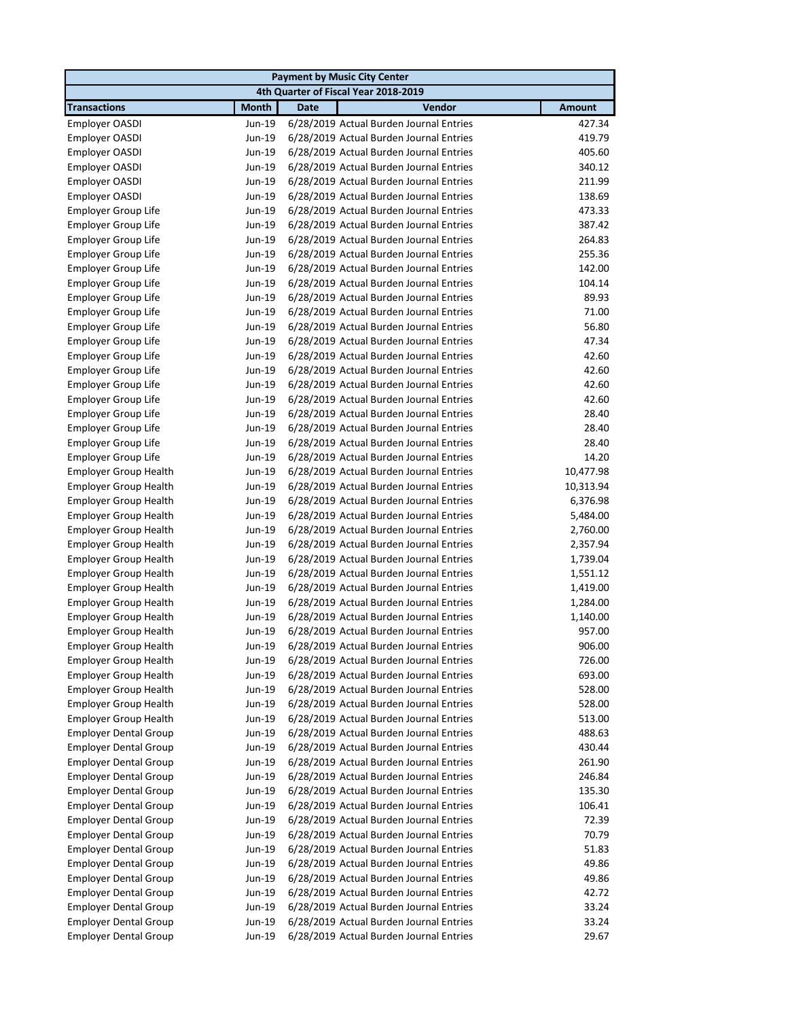|                              |              |             | <b>Payment by Music City Center</b>     |               |
|------------------------------|--------------|-------------|-----------------------------------------|---------------|
|                              |              |             | 4th Quarter of Fiscal Year 2018-2019    |               |
| <b>Transactions</b>          | <b>Month</b> | <b>Date</b> | Vendor                                  | <b>Amount</b> |
| Employer OASDI               | Jun-19       |             | 6/28/2019 Actual Burden Journal Entries | 427.34        |
| Employer OASDI               | Jun-19       |             | 6/28/2019 Actual Burden Journal Entries | 419.79        |
| Employer OASDI               | Jun-19       |             | 6/28/2019 Actual Burden Journal Entries | 405.60        |
| Employer OASDI               | Jun-19       |             | 6/28/2019 Actual Burden Journal Entries | 340.12        |
| Employer OASDI               | Jun-19       |             | 6/28/2019 Actual Burden Journal Entries | 211.99        |
| Employer OASDI               | Jun-19       |             | 6/28/2019 Actual Burden Journal Entries | 138.69        |
| Employer Group Life          | Jun-19       |             | 6/28/2019 Actual Burden Journal Entries | 473.33        |
| <b>Employer Group Life</b>   | Jun-19       |             | 6/28/2019 Actual Burden Journal Entries | 387.42        |
| <b>Employer Group Life</b>   | Jun-19       |             | 6/28/2019 Actual Burden Journal Entries | 264.83        |
| <b>Employer Group Life</b>   | Jun-19       |             | 6/28/2019 Actual Burden Journal Entries | 255.36        |
| Employer Group Life          | Jun-19       |             | 6/28/2019 Actual Burden Journal Entries | 142.00        |
| <b>Employer Group Life</b>   | Jun-19       |             | 6/28/2019 Actual Burden Journal Entries | 104.14        |
| <b>Employer Group Life</b>   | Jun-19       |             | 6/28/2019 Actual Burden Journal Entries | 89.93         |
| Employer Group Life          | Jun-19       |             | 6/28/2019 Actual Burden Journal Entries | 71.00         |
| <b>Employer Group Life</b>   | Jun-19       |             | 6/28/2019 Actual Burden Journal Entries | 56.80         |
| Employer Group Life          | Jun-19       |             | 6/28/2019 Actual Burden Journal Entries | 47.34         |
| <b>Employer Group Life</b>   | Jun-19       |             | 6/28/2019 Actual Burden Journal Entries | 42.60         |
| Employer Group Life          | Jun-19       |             | 6/28/2019 Actual Burden Journal Entries | 42.60         |
| <b>Employer Group Life</b>   | Jun-19       |             | 6/28/2019 Actual Burden Journal Entries | 42.60         |
| <b>Employer Group Life</b>   | Jun-19       |             | 6/28/2019 Actual Burden Journal Entries | 42.60         |
| Employer Group Life          | Jun-19       |             | 6/28/2019 Actual Burden Journal Entries | 28.40         |
| Employer Group Life          | Jun-19       |             | 6/28/2019 Actual Burden Journal Entries | 28.40         |
| <b>Employer Group Life</b>   | Jun-19       |             | 6/28/2019 Actual Burden Journal Entries | 28.40         |
| Employer Group Life          | Jun-19       |             | 6/28/2019 Actual Burden Journal Entries | 14.20         |
| <b>Employer Group Health</b> | Jun-19       |             | 6/28/2019 Actual Burden Journal Entries | 10,477.98     |
| <b>Employer Group Health</b> | Jun-19       |             | 6/28/2019 Actual Burden Journal Entries | 10,313.94     |
| <b>Employer Group Health</b> | Jun-19       |             | 6/28/2019 Actual Burden Journal Entries | 6,376.98      |
| <b>Employer Group Health</b> | Jun-19       |             | 6/28/2019 Actual Burden Journal Entries | 5,484.00      |
| <b>Employer Group Health</b> | Jun-19       |             | 6/28/2019 Actual Burden Journal Entries | 2,760.00      |
| <b>Employer Group Health</b> | Jun-19       |             | 6/28/2019 Actual Burden Journal Entries | 2,357.94      |
| <b>Employer Group Health</b> | Jun-19       |             | 6/28/2019 Actual Burden Journal Entries | 1,739.04      |
| <b>Employer Group Health</b> | Jun-19       |             | 6/28/2019 Actual Burden Journal Entries | 1,551.12      |
| <b>Employer Group Health</b> | Jun-19       |             | 6/28/2019 Actual Burden Journal Entries | 1,419.00      |
| <b>Employer Group Health</b> | Jun-19       |             | 6/28/2019 Actual Burden Journal Entries | 1,284.00      |
| <b>Employer Group Health</b> | Jun-19       |             | 6/28/2019 Actual Burden Journal Entries | 1,140.00      |
| <b>Employer Group Health</b> | Jun-19       |             | 6/28/2019 Actual Burden Journal Entries | 957.00        |
| Employer Group Health        | Jun-19       |             | 6/28/2019 Actual Burden Journal Entries | 906.00        |
| <b>Employer Group Health</b> | Jun-19       |             | 6/28/2019 Actual Burden Journal Entries | 726.00        |
| <b>Employer Group Health</b> | Jun-19       |             | 6/28/2019 Actual Burden Journal Entries | 693.00        |
| <b>Employer Group Health</b> | Jun-19       |             | 6/28/2019 Actual Burden Journal Entries | 528.00        |
| <b>Employer Group Health</b> | Jun-19       |             | 6/28/2019 Actual Burden Journal Entries | 528.00        |
| <b>Employer Group Health</b> | Jun-19       |             | 6/28/2019 Actual Burden Journal Entries | 513.00        |
| <b>Employer Dental Group</b> | Jun-19       |             | 6/28/2019 Actual Burden Journal Entries | 488.63        |
| <b>Employer Dental Group</b> | Jun-19       |             | 6/28/2019 Actual Burden Journal Entries | 430.44        |
| <b>Employer Dental Group</b> | Jun-19       |             | 6/28/2019 Actual Burden Journal Entries | 261.90        |
| <b>Employer Dental Group</b> | Jun-19       |             | 6/28/2019 Actual Burden Journal Entries | 246.84        |
| <b>Employer Dental Group</b> | Jun-19       |             | 6/28/2019 Actual Burden Journal Entries | 135.30        |
| <b>Employer Dental Group</b> | Jun-19       |             | 6/28/2019 Actual Burden Journal Entries | 106.41        |
| <b>Employer Dental Group</b> | Jun-19       |             | 6/28/2019 Actual Burden Journal Entries | 72.39         |
| <b>Employer Dental Group</b> | Jun-19       |             | 6/28/2019 Actual Burden Journal Entries | 70.79         |
| <b>Employer Dental Group</b> | Jun-19       |             | 6/28/2019 Actual Burden Journal Entries | 51.83         |
| <b>Employer Dental Group</b> | Jun-19       |             | 6/28/2019 Actual Burden Journal Entries | 49.86         |
| <b>Employer Dental Group</b> | Jun-19       |             | 6/28/2019 Actual Burden Journal Entries | 49.86         |
| <b>Employer Dental Group</b> | Jun-19       |             | 6/28/2019 Actual Burden Journal Entries | 42.72         |
| <b>Employer Dental Group</b> | Jun-19       |             | 6/28/2019 Actual Burden Journal Entries | 33.24         |
| <b>Employer Dental Group</b> | Jun-19       |             | 6/28/2019 Actual Burden Journal Entries | 33.24         |
| <b>Employer Dental Group</b> | Jun-19       |             | 6/28/2019 Actual Burden Journal Entries | 29.67         |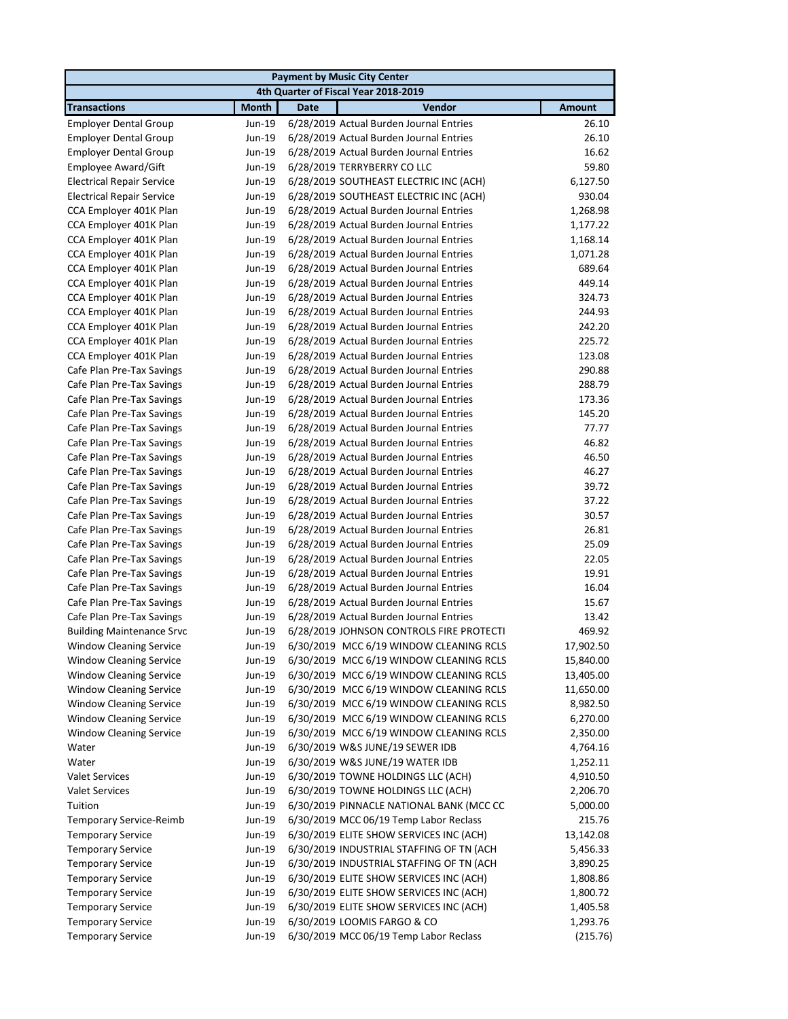| <b>Payment by Music City Center</b>  |              |                                          |               |  |  |
|--------------------------------------|--------------|------------------------------------------|---------------|--|--|
| 4th Quarter of Fiscal Year 2018-2019 |              |                                          |               |  |  |
| <b>Transactions</b>                  | <b>Month</b> | Vendor<br><b>Date</b>                    | <b>Amount</b> |  |  |
| <b>Employer Dental Group</b>         | Jun-19       | 6/28/2019 Actual Burden Journal Entries  | 26.10         |  |  |
| <b>Employer Dental Group</b>         | Jun-19       | 6/28/2019 Actual Burden Journal Entries  | 26.10         |  |  |
| <b>Employer Dental Group</b>         | Jun-19       | 6/28/2019 Actual Burden Journal Entries  | 16.62         |  |  |
| Employee Award/Gift                  | Jun-19       | 6/28/2019 TERRYBERRY CO LLC              | 59.80         |  |  |
| <b>Electrical Repair Service</b>     | Jun-19       | 6/28/2019 SOUTHEAST ELECTRIC INC (ACH)   | 6,127.50      |  |  |
| <b>Electrical Repair Service</b>     | Jun-19       | 6/28/2019 SOUTHEAST ELECTRIC INC (ACH)   | 930.04        |  |  |
| CCA Employer 401K Plan               | Jun-19       | 6/28/2019 Actual Burden Journal Entries  | 1,268.98      |  |  |
| CCA Employer 401K Plan               | Jun-19       | 6/28/2019 Actual Burden Journal Entries  | 1,177.22      |  |  |
| CCA Employer 401K Plan               | Jun-19       | 6/28/2019 Actual Burden Journal Entries  | 1,168.14      |  |  |
| CCA Employer 401K Plan               | Jun-19       | 6/28/2019 Actual Burden Journal Entries  | 1,071.28      |  |  |
| CCA Employer 401K Plan               | Jun-19       | 6/28/2019 Actual Burden Journal Entries  | 689.64        |  |  |
| CCA Employer 401K Plan               | Jun-19       | 6/28/2019 Actual Burden Journal Entries  | 449.14        |  |  |
| CCA Employer 401K Plan               | Jun-19       | 6/28/2019 Actual Burden Journal Entries  | 324.73        |  |  |
| CCA Employer 401K Plan               | Jun-19       | 6/28/2019 Actual Burden Journal Entries  | 244.93        |  |  |
| CCA Employer 401K Plan               | Jun-19       | 6/28/2019 Actual Burden Journal Entries  | 242.20        |  |  |
| CCA Employer 401K Plan               | Jun-19       | 6/28/2019 Actual Burden Journal Entries  | 225.72        |  |  |
| CCA Employer 401K Plan               | Jun-19       | 6/28/2019 Actual Burden Journal Entries  | 123.08        |  |  |
| Cafe Plan Pre-Tax Savings            | Jun-19       | 6/28/2019 Actual Burden Journal Entries  | 290.88        |  |  |
| Cafe Plan Pre-Tax Savings            | Jun-19       | 6/28/2019 Actual Burden Journal Entries  | 288.79        |  |  |
| Cafe Plan Pre-Tax Savings            | Jun-19       | 6/28/2019 Actual Burden Journal Entries  | 173.36        |  |  |
| Cafe Plan Pre-Tax Savings            | Jun-19       | 6/28/2019 Actual Burden Journal Entries  | 145.20        |  |  |
| Cafe Plan Pre-Tax Savings            | Jun-19       | 6/28/2019 Actual Burden Journal Entries  | 77.77         |  |  |
| Cafe Plan Pre-Tax Savings            | Jun-19       | 6/28/2019 Actual Burden Journal Entries  | 46.82         |  |  |
| Cafe Plan Pre-Tax Savings            | Jun-19       | 6/28/2019 Actual Burden Journal Entries  | 46.50         |  |  |
| Cafe Plan Pre-Tax Savings            | Jun-19       | 6/28/2019 Actual Burden Journal Entries  | 46.27         |  |  |
| Cafe Plan Pre-Tax Savings            | Jun-19       | 6/28/2019 Actual Burden Journal Entries  | 39.72         |  |  |
| Cafe Plan Pre-Tax Savings            | Jun-19       | 6/28/2019 Actual Burden Journal Entries  | 37.22         |  |  |
| Cafe Plan Pre-Tax Savings            | Jun-19       | 6/28/2019 Actual Burden Journal Entries  | 30.57         |  |  |
| Cafe Plan Pre-Tax Savings            | Jun-19       | 6/28/2019 Actual Burden Journal Entries  | 26.81         |  |  |
| Cafe Plan Pre-Tax Savings            | Jun-19       | 6/28/2019 Actual Burden Journal Entries  | 25.09         |  |  |
| Cafe Plan Pre-Tax Savings            | Jun-19       | 6/28/2019 Actual Burden Journal Entries  | 22.05         |  |  |
| Cafe Plan Pre-Tax Savings            | Jun-19       | 6/28/2019 Actual Burden Journal Entries  | 19.91         |  |  |
| Cafe Plan Pre-Tax Savings            | Jun-19       | 6/28/2019 Actual Burden Journal Entries  | 16.04         |  |  |
| Cafe Plan Pre-Tax Savings            | Jun-19       | 6/28/2019 Actual Burden Journal Entries  | 15.67         |  |  |
| Cafe Plan Pre-Tax Savings            | Jun-19       | 6/28/2019 Actual Burden Journal Entries  | 13.42         |  |  |
| <b>Building Maintenance Srvc</b>     | Jun-19       | 6/28/2019 JOHNSON CONTROLS FIRE PROTECTI | 469.92        |  |  |
| <b>Window Cleaning Service</b>       | Jun-19       | 6/30/2019 MCC 6/19 WINDOW CLEANING RCLS  | 17,902.50     |  |  |
| <b>Window Cleaning Service</b>       | Jun-19       | 6/30/2019 MCC 6/19 WINDOW CLEANING RCLS  | 15,840.00     |  |  |
| <b>Window Cleaning Service</b>       | Jun-19       | 6/30/2019 MCC 6/19 WINDOW CLEANING RCLS  | 13,405.00     |  |  |
| <b>Window Cleaning Service</b>       | Jun-19       | 6/30/2019 MCC 6/19 WINDOW CLEANING RCLS  | 11,650.00     |  |  |
| <b>Window Cleaning Service</b>       | Jun-19       | 6/30/2019 MCC 6/19 WINDOW CLEANING RCLS  | 8,982.50      |  |  |
| <b>Window Cleaning Service</b>       | Jun-19       | 6/30/2019 MCC 6/19 WINDOW CLEANING RCLS  | 6,270.00      |  |  |
| <b>Window Cleaning Service</b>       | Jun-19       | 6/30/2019 MCC 6/19 WINDOW CLEANING RCLS  | 2,350.00      |  |  |
| Water                                | Jun-19       | 6/30/2019 W&S JUNE/19 SEWER IDB          | 4,764.16      |  |  |
| Water                                | Jun-19       | 6/30/2019 W&S JUNE/19 WATER IDB          | 1,252.11      |  |  |
| <b>Valet Services</b>                | Jun-19       | 6/30/2019 TOWNE HOLDINGS LLC (ACH)       | 4,910.50      |  |  |
| <b>Valet Services</b>                | Jun-19       | 6/30/2019 TOWNE HOLDINGS LLC (ACH)       | 2,206.70      |  |  |
| Tuition                              | Jun-19       | 6/30/2019 PINNACLE NATIONAL BANK (MCC CC | 5,000.00      |  |  |
| Temporary Service-Reimb              | Jun-19       | 6/30/2019 MCC 06/19 Temp Labor Reclass   | 215.76        |  |  |
| <b>Temporary Service</b>             | Jun-19       | 6/30/2019 ELITE SHOW SERVICES INC (ACH)  | 13,142.08     |  |  |
| <b>Temporary Service</b>             | Jun-19       | 6/30/2019 INDUSTRIAL STAFFING OF TN (ACH | 5,456.33      |  |  |
| <b>Temporary Service</b>             | Jun-19       | 6/30/2019 INDUSTRIAL STAFFING OF TN (ACH | 3,890.25      |  |  |
| <b>Temporary Service</b>             | Jun-19       | 6/30/2019 ELITE SHOW SERVICES INC (ACH)  | 1,808.86      |  |  |
| <b>Temporary Service</b>             | Jun-19       | 6/30/2019 ELITE SHOW SERVICES INC (ACH)  | 1,800.72      |  |  |
| <b>Temporary Service</b>             | Jun-19       | 6/30/2019 ELITE SHOW SERVICES INC (ACH)  | 1,405.58      |  |  |
| <b>Temporary Service</b>             | Jun-19       | 6/30/2019 LOOMIS FARGO & CO              | 1,293.76      |  |  |
| <b>Temporary Service</b>             | Jun-19       | 6/30/2019 MCC 06/19 Temp Labor Reclass   | (215.76)      |  |  |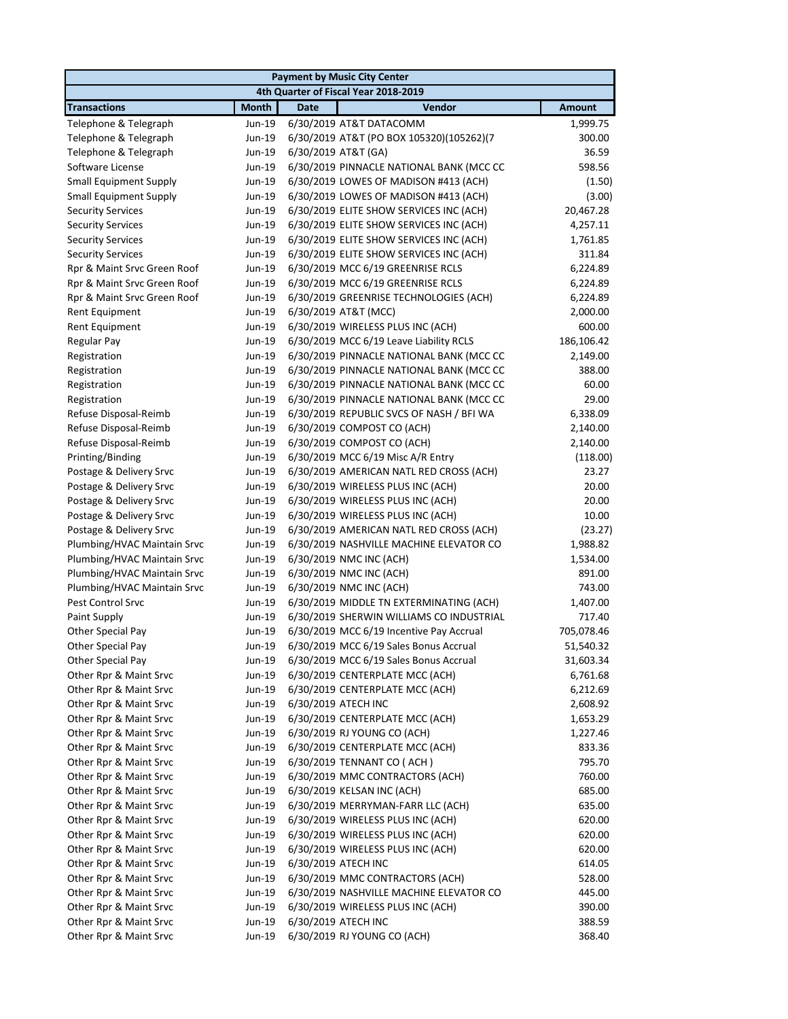|                                                         |                  | <b>Payment by Music City Center</b>                                                  |                      |
|---------------------------------------------------------|------------------|--------------------------------------------------------------------------------------|----------------------|
|                                                         |                  | 4th Quarter of Fiscal Year 2018-2019                                                 |                      |
| <b>Transactions</b>                                     | <b>Month</b>     | <b>Vendor</b><br><b>Date</b>                                                         | <b>Amount</b>        |
| Telephone & Telegraph                                   | Jun-19           | 6/30/2019 AT&T DATACOMM                                                              | 1,999.75             |
| Telephone & Telegraph                                   | Jun-19           | 6/30/2019 AT&T (PO BOX 105320)(105262)(7                                             | 300.00               |
| Telephone & Telegraph                                   | Jun-19           | 6/30/2019 AT&T (GA)                                                                  | 36.59                |
| Software License                                        | Jun-19           | 6/30/2019 PINNACLE NATIONAL BANK (MCC CC                                             | 598.56               |
| <b>Small Equipment Supply</b>                           | Jun-19           | 6/30/2019 LOWES OF MADISON #413 (ACH)                                                | (1.50)               |
| <b>Small Equipment Supply</b>                           | Jun-19           | 6/30/2019 LOWES OF MADISON #413 (ACH)                                                | (3.00)               |
| <b>Security Services</b>                                | Jun-19           | 6/30/2019 ELITE SHOW SERVICES INC (ACH)                                              | 20,467.28            |
| <b>Security Services</b>                                | Jun-19           | 6/30/2019 ELITE SHOW SERVICES INC (ACH)                                              | 4,257.11             |
| <b>Security Services</b>                                | Jun-19           | 6/30/2019 ELITE SHOW SERVICES INC (ACH)<br>6/30/2019 ELITE SHOW SERVICES INC (ACH)   | 1,761.85<br>311.84   |
| <b>Security Services</b><br>Rpr & Maint Srvc Green Roof | Jun-19<br>Jun-19 | 6/30/2019 MCC 6/19 GREENRISE RCLS                                                    | 6,224.89             |
| Rpr & Maint Srvc Green Roof                             | Jun-19           | 6/30/2019 MCC 6/19 GREENRISE RCLS                                                    | 6,224.89             |
| Rpr & Maint Srvc Green Roof                             | Jun-19           | 6/30/2019 GREENRISE TECHNOLOGIES (ACH)                                               | 6,224.89             |
| Rent Equipment                                          | Jun-19           | 6/30/2019 AT&T (MCC)                                                                 | 2,000.00             |
| Rent Equipment                                          | Jun-19           | 6/30/2019 WIRELESS PLUS INC (ACH)                                                    | 600.00               |
| Regular Pay                                             | Jun-19           | 6/30/2019 MCC 6/19 Leave Liability RCLS                                              | 186,106.42           |
| Registration                                            | Jun-19           | 6/30/2019 PINNACLE NATIONAL BANK (MCC CC                                             | 2,149.00             |
| Registration                                            | Jun-19           | 6/30/2019 PINNACLE NATIONAL BANK (MCC CC                                             | 388.00               |
| Registration                                            | Jun-19           | 6/30/2019 PINNACLE NATIONAL BANK (MCC CC                                             | 60.00                |
| Registration                                            | Jun-19           | 6/30/2019 PINNACLE NATIONAL BANK (MCC CC                                             | 29.00                |
| Refuse Disposal-Reimb                                   | Jun-19           | 6/30/2019 REPUBLIC SVCS OF NASH / BFI WA                                             | 6,338.09             |
| Refuse Disposal-Reimb                                   | Jun-19           | 6/30/2019 COMPOST CO (ACH)                                                           | 2,140.00             |
| Refuse Disposal-Reimb                                   | Jun-19           | 6/30/2019 COMPOST CO (ACH)                                                           | 2,140.00             |
| Printing/Binding                                        | Jun-19           | 6/30/2019 MCC 6/19 Misc A/R Entry                                                    | (118.00)             |
| Postage & Delivery Srvc                                 | Jun-19           | 6/30/2019 AMERICAN NATL RED CROSS (ACH)                                              | 23.27                |
| Postage & Delivery Srvc                                 | Jun-19           | 6/30/2019 WIRELESS PLUS INC (ACH)                                                    | 20.00                |
| Postage & Delivery Srvc                                 | Jun-19           | 6/30/2019 WIRELESS PLUS INC (ACH)                                                    | 20.00                |
| Postage & Delivery Srvc                                 | Jun-19           | 6/30/2019 WIRELESS PLUS INC (ACH)                                                    | 10.00                |
| Postage & Delivery Srvc                                 | Jun-19           | 6/30/2019 AMERICAN NATL RED CROSS (ACH)                                              | (23.27)              |
| Plumbing/HVAC Maintain Srvc                             | Jun-19           | 6/30/2019 NASHVILLE MACHINE ELEVATOR CO                                              | 1,988.82             |
| Plumbing/HVAC Maintain Srvc                             | Jun-19           | 6/30/2019 NMC INC (ACH)                                                              | 1,534.00             |
| Plumbing/HVAC Maintain Srvc                             | Jun-19           | 6/30/2019 NMC INC (ACH)                                                              | 891.00               |
| Plumbing/HVAC Maintain Srvc                             | Jun-19           | 6/30/2019 NMC INC (ACH)                                                              | 743.00               |
| <b>Pest Control Srvc</b>                                | Jun-19           | 6/30/2019 MIDDLE TN EXTERMINATING (ACH)                                              | 1,407.00             |
| Paint Supply<br>Other Special Pay                       | Jun-19<br>Jun-19 | 6/30/2019 SHERWIN WILLIAMS CO INDUSTRIAL<br>6/30/2019 MCC 6/19 Incentive Pay Accrual | 717.40<br>705,078.46 |
|                                                         | Jun-19           | 6/30/2019 MCC 6/19 Sales Bonus Accrual                                               | 51,540.32            |
| Other Special Pay<br>Other Special Pay                  | Jun-19           | 6/30/2019 MCC 6/19 Sales Bonus Accrual                                               | 31,603.34            |
| Other Rpr & Maint Srvc                                  | Jun-19           | 6/30/2019 CENTERPLATE MCC (ACH)                                                      | 6,761.68             |
| Other Rpr & Maint Srvc                                  | Jun-19           | 6/30/2019 CENTERPLATE MCC (ACH)                                                      | 6,212.69             |
| Other Rpr & Maint Srvc                                  | Jun-19           | 6/30/2019 ATECH INC                                                                  | 2,608.92             |
| Other Rpr & Maint Srvc                                  | Jun-19           | 6/30/2019 CENTERPLATE MCC (ACH)                                                      | 1,653.29             |
| Other Rpr & Maint Srvc                                  | Jun-19           | 6/30/2019 RJ YOUNG CO (ACH)                                                          | 1,227.46             |
| Other Rpr & Maint Srvc                                  | Jun-19           | 6/30/2019 CENTERPLATE MCC (ACH)                                                      | 833.36               |
| Other Rpr & Maint Srvc                                  | Jun-19           | 6/30/2019 TENNANT CO (ACH)                                                           | 795.70               |
| Other Rpr & Maint Srvc                                  | Jun-19           | 6/30/2019 MMC CONTRACTORS (ACH)                                                      | 760.00               |
| Other Rpr & Maint Srvc                                  | Jun-19           | 6/30/2019 KELSAN INC (ACH)                                                           | 685.00               |
| Other Rpr & Maint Srvc                                  | Jun-19           | 6/30/2019 MERRYMAN-FARR LLC (ACH)                                                    | 635.00               |
| Other Rpr & Maint Srvc                                  | Jun-19           | 6/30/2019 WIRELESS PLUS INC (ACH)                                                    | 620.00               |
| Other Rpr & Maint Srvc                                  | Jun-19           | 6/30/2019 WIRELESS PLUS INC (ACH)                                                    | 620.00               |
| Other Rpr & Maint Srvc                                  | Jun-19           | 6/30/2019 WIRELESS PLUS INC (ACH)                                                    | 620.00               |
| Other Rpr & Maint Srvc                                  | Jun-19           | 6/30/2019 ATECH INC                                                                  | 614.05               |
| Other Rpr & Maint Srvc                                  | Jun-19           | 6/30/2019 MMC CONTRACTORS (ACH)                                                      | 528.00               |
| Other Rpr & Maint Srvc                                  | Jun-19           | 6/30/2019 NASHVILLE MACHINE ELEVATOR CO                                              | 445.00               |
| Other Rpr & Maint Srvc                                  | Jun-19           | 6/30/2019 WIRELESS PLUS INC (ACH)                                                    | 390.00               |
| Other Rpr & Maint Srvc                                  | Jun-19           | 6/30/2019 ATECH INC                                                                  | 388.59               |
| Other Rpr & Maint Srvc                                  | Jun-19           | 6/30/2019 RJ YOUNG CO (ACH)                                                          | 368.40               |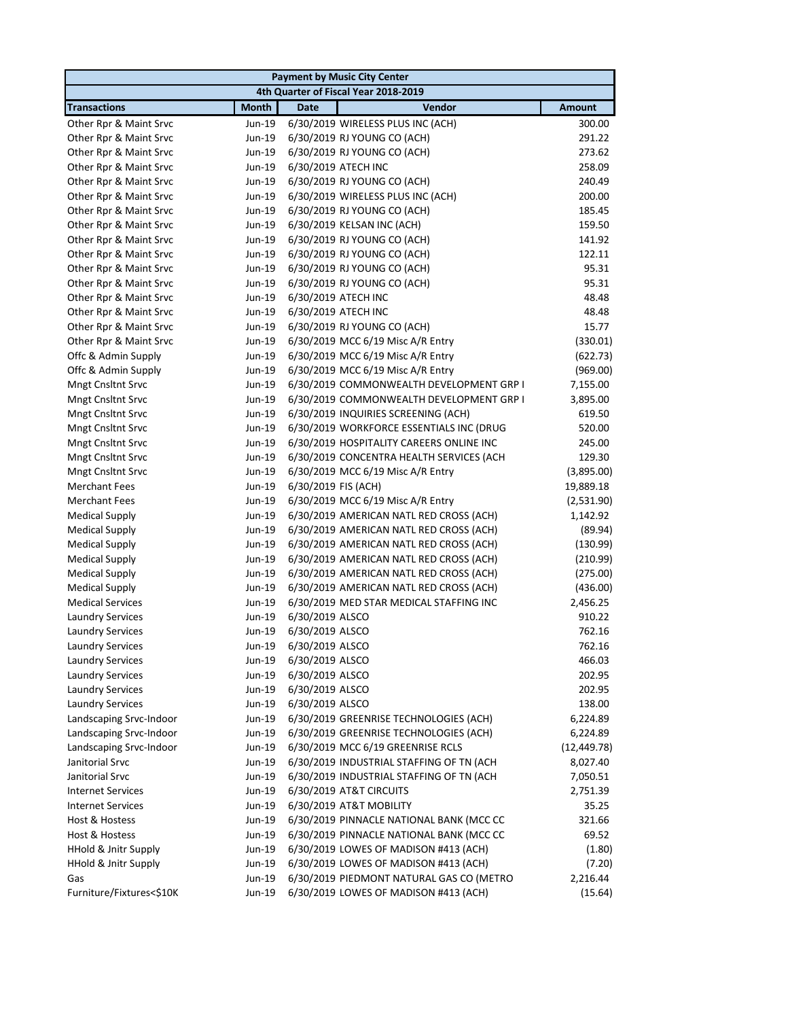| <b>Payment by Music City Center</b>  |              |                     |                                          |               |  |
|--------------------------------------|--------------|---------------------|------------------------------------------|---------------|--|
| 4th Quarter of Fiscal Year 2018-2019 |              |                     |                                          |               |  |
| <b>Transactions</b>                  | <b>Month</b> | <b>Date</b>         | Vendor                                   | <b>Amount</b> |  |
| Other Rpr & Maint Srvc               | Jun-19       |                     | 6/30/2019 WIRELESS PLUS INC (ACH)        | 300.00        |  |
| Other Rpr & Maint Srvc               | Jun-19       |                     | 6/30/2019 RJ YOUNG CO (ACH)              | 291.22        |  |
| Other Rpr & Maint Srvc               | Jun-19       |                     | 6/30/2019 RJ YOUNG CO (ACH)              | 273.62        |  |
| Other Rpr & Maint Srvc               | Jun-19       |                     | 6/30/2019 ATECH INC                      | 258.09        |  |
| Other Rpr & Maint Srvc               | Jun-19       |                     | 6/30/2019 RJ YOUNG CO (ACH)              | 240.49        |  |
| Other Rpr & Maint Srvc               | Jun-19       |                     | 6/30/2019 WIRELESS PLUS INC (ACH)        | 200.00        |  |
| Other Rpr & Maint Srvc               | Jun-19       |                     | 6/30/2019 RJ YOUNG CO (ACH)              | 185.45        |  |
| Other Rpr & Maint Srvc               | Jun-19       |                     | 6/30/2019 KELSAN INC (ACH)               | 159.50        |  |
| Other Rpr & Maint Srvc               | Jun-19       |                     | 6/30/2019 RJ YOUNG CO (ACH)              | 141.92        |  |
| Other Rpr & Maint Srvc               | Jun-19       |                     | 6/30/2019 RJ YOUNG CO (ACH)              | 122.11        |  |
| Other Rpr & Maint Srvc               | Jun-19       |                     | 6/30/2019 RJ YOUNG CO (ACH)              | 95.31         |  |
| Other Rpr & Maint Srvc               | Jun-19       |                     | 6/30/2019 RJ YOUNG CO (ACH)              | 95.31         |  |
| Other Rpr & Maint Srvc               | Jun-19       |                     | 6/30/2019 ATECH INC                      | 48.48         |  |
| Other Rpr & Maint Srvc               | Jun-19       |                     | 6/30/2019 ATECH INC                      | 48.48         |  |
| Other Rpr & Maint Srvc               | Jun-19       |                     | 6/30/2019 RJ YOUNG CO (ACH)              | 15.77         |  |
| Other Rpr & Maint Srvc               | Jun-19       |                     | 6/30/2019 MCC 6/19 Misc A/R Entry        | (330.01)      |  |
| Offc & Admin Supply                  | Jun-19       |                     | 6/30/2019 MCC 6/19 Misc A/R Entry        | (622.73)      |  |
| Offc & Admin Supply                  | Jun-19       |                     | 6/30/2019 MCC 6/19 Misc A/R Entry        | (969.00)      |  |
| <b>Mngt Cnsltnt Srvc</b>             | Jun-19       |                     | 6/30/2019 COMMONWEALTH DEVELOPMENT GRP I | 7,155.00      |  |
| Mngt Cnsltnt Srvc                    | Jun-19       |                     | 6/30/2019 COMMONWEALTH DEVELOPMENT GRP I | 3,895.00      |  |
| Mngt Cnsltnt Srvc                    | Jun-19       |                     | 6/30/2019 INQUIRIES SCREENING (ACH)      | 619.50        |  |
| Mngt Cnsltnt Srvc                    | Jun-19       |                     | 6/30/2019 WORKFORCE ESSENTIALS INC (DRUG | 520.00        |  |
| <b>Mngt Cnsltnt Srvc</b>             | Jun-19       |                     | 6/30/2019 HOSPITALITY CAREERS ONLINE INC | 245.00        |  |
| <b>Mngt Cnsltnt Srvc</b>             | Jun-19       |                     | 6/30/2019 CONCENTRA HEALTH SERVICES (ACH | 129.30        |  |
| Mngt Cnsltnt Srvc                    | Jun-19       |                     | 6/30/2019 MCC 6/19 Misc A/R Entry        | (3,895.00)    |  |
| <b>Merchant Fees</b>                 | Jun-19       | 6/30/2019 FIS (ACH) |                                          | 19,889.18     |  |
| <b>Merchant Fees</b>                 | Jun-19       |                     | 6/30/2019 MCC 6/19 Misc A/R Entry        | (2,531.90)    |  |
| <b>Medical Supply</b>                | Jun-19       |                     | 6/30/2019 AMERICAN NATL RED CROSS (ACH)  | 1,142.92      |  |
| <b>Medical Supply</b>                | Jun-19       |                     | 6/30/2019 AMERICAN NATL RED CROSS (ACH)  | (89.94)       |  |
| <b>Medical Supply</b>                | Jun-19       |                     | 6/30/2019 AMERICAN NATL RED CROSS (ACH)  | (130.99)      |  |
| <b>Medical Supply</b>                | Jun-19       |                     | 6/30/2019 AMERICAN NATL RED CROSS (ACH)  | (210.99)      |  |
| <b>Medical Supply</b>                | Jun-19       |                     | 6/30/2019 AMERICAN NATL RED CROSS (ACH)  | (275.00)      |  |
| <b>Medical Supply</b>                | Jun-19       |                     | 6/30/2019 AMERICAN NATL RED CROSS (ACH)  | (436.00)      |  |
| <b>Medical Services</b>              | Jun-19       |                     | 6/30/2019 MED STAR MEDICAL STAFFING INC  | 2,456.25      |  |
| <b>Laundry Services</b>              | Jun-19       | 6/30/2019 ALSCO     |                                          | 910.22        |  |
| <b>Laundry Services</b>              | Jun-19       | 6/30/2019 ALSCO     |                                          | 762.16        |  |
| <b>Laundry Services</b>              | Jun-19       | 6/30/2019 ALSCO     |                                          | 762.16        |  |
| <b>Laundry Services</b>              | Jun-19       | 6/30/2019 ALSCO     |                                          | 466.03        |  |
| <b>Laundry Services</b>              | Jun-19       | 6/30/2019 ALSCO     |                                          | 202.95        |  |
| <b>Laundry Services</b>              | Jun-19       | 6/30/2019 ALSCO     |                                          | 202.95        |  |
| <b>Laundry Services</b>              | Jun-19       | 6/30/2019 ALSCO     |                                          | 138.00        |  |
| Landscaping Srvc-Indoor              | Jun-19       |                     | 6/30/2019 GREENRISE TECHNOLOGIES (ACH)   | 6,224.89      |  |
| Landscaping Srvc-Indoor              | Jun-19       |                     | 6/30/2019 GREENRISE TECHNOLOGIES (ACH)   | 6,224.89      |  |
| Landscaping Srvc-Indoor              | Jun-19       |                     | 6/30/2019 MCC 6/19 GREENRISE RCLS        | (12, 449.78)  |  |
| Janitorial Srvc                      | Jun-19       |                     | 6/30/2019 INDUSTRIAL STAFFING OF TN (ACH | 8,027.40      |  |
| Janitorial Srvc                      | Jun-19       |                     | 6/30/2019 INDUSTRIAL STAFFING OF TN (ACH | 7,050.51      |  |
| <b>Internet Services</b>             | Jun-19       |                     | 6/30/2019 AT&T CIRCUITS                  | 2,751.39      |  |
| <b>Internet Services</b>             | Jun-19       |                     | 6/30/2019 AT&T MOBILITY                  | 35.25         |  |
| Host & Hostess                       | Jun-19       |                     | 6/30/2019 PINNACLE NATIONAL BANK (MCC CC | 321.66        |  |
| Host & Hostess                       | Jun-19       |                     | 6/30/2019 PINNACLE NATIONAL BANK (MCC CC | 69.52         |  |
| HHold & Jnitr Supply                 | Jun-19       |                     | 6/30/2019 LOWES OF MADISON #413 (ACH)    | (1.80)        |  |
| HHold & Jnitr Supply                 | Jun-19       |                     | 6/30/2019 LOWES OF MADISON #413 (ACH)    | (7.20)        |  |
| Gas                                  | Jun-19       |                     | 6/30/2019 PIEDMONT NATURAL GAS CO (METRO | 2,216.44      |  |
| Furniture/Fixtures<\$10K             | Jun-19       |                     | 6/30/2019 LOWES OF MADISON #413 (ACH)    | (15.64)       |  |